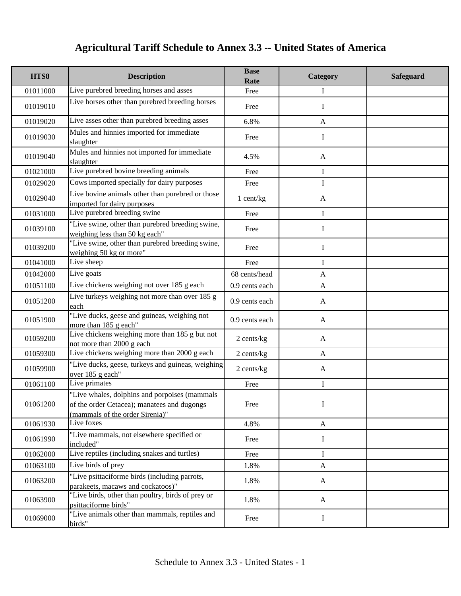| HTS8     | <b>Description</b>                                                                                                              | <b>Base</b><br>Rate | Category     | Safeguard |
|----------|---------------------------------------------------------------------------------------------------------------------------------|---------------------|--------------|-----------|
| 01011000 | Live purebred breeding horses and asses                                                                                         | Free                | I            |           |
| 01019010 | Live horses other than purebred breeding horses                                                                                 | Free                | I            |           |
| 01019020 | Live asses other than purebred breeding asses                                                                                   | 6.8%                | $\mathbf{A}$ |           |
| 01019030 | Mules and hinnies imported for immediate<br>slaughter                                                                           | Free                | I            |           |
| 01019040 | Mules and hinnies not imported for immediate<br>slaughter                                                                       | 4.5%                | $\mathbf{A}$ |           |
| 01021000 | Live purebred bovine breeding animals                                                                                           | Free                | I            |           |
| 01029020 | Cows imported specially for dairy purposes                                                                                      | Free                | $\mathbf I$  |           |
| 01029040 | Live bovine animals other than purebred or those<br>imported for dairy purposes                                                 | 1 cent/kg           | A            |           |
| 01031000 | Live purebred breeding swine                                                                                                    | Free                | $\mathbf I$  |           |
| 01039100 | "Live swine, other than purebred breeding swine,<br>weighing less than 50 kg each"                                              | Free                | $\mathbf I$  |           |
| 01039200 | "Live swine, other than purebred breeding swine,<br>weighing 50 kg or more"                                                     | Free                | I            |           |
| 01041000 | Live sheep                                                                                                                      | Free                | I            |           |
| 01042000 | Live goats                                                                                                                      | 68 cents/head       | $\mathbf{A}$ |           |
| 01051100 | Live chickens weighing not over 185 g each                                                                                      | 0.9 cents each      | $\mathbf{A}$ |           |
| 01051200 | Live turkeys weighing not more than over 185 g<br>each                                                                          | 0.9 cents each      | $\mathbf{A}$ |           |
| 01051900 | "Live ducks, geese and guineas, weighing not<br>more than 185 g each"                                                           | 0.9 cents each      | $\mathbf{A}$ |           |
| 01059200 | Live chickens weighing more than 185 g but not<br>not more than 2000 g each                                                     | 2 cents/kg          | A            |           |
| 01059300 | Live chickens weighing more than 2000 g each                                                                                    | 2 cents/kg          | $\mathbf{A}$ |           |
| 01059900 | "Live ducks, geese, turkeys and guineas, weighing<br>over 185 g each"                                                           | 2 cents/kg          | $\mathbf{A}$ |           |
| 01061100 | Live primates                                                                                                                   | Free                | I            |           |
| 01061200 | "Live whales, dolphins and porpoises (mammals<br>of the order Cetacea); manatees and dugongs<br>(mammals of the order Sirenia)" | Free                | I            |           |
| 01061930 | Live foxes                                                                                                                      | 4.8%                | A            |           |
| 01061990 | "Live mammals, not elsewhere specified or<br>included"                                                                          | Free                | I            |           |
| 01062000 | Live reptiles (including snakes and turtles)                                                                                    | Free                | $\bf{I}$     |           |
| 01063100 | Live birds of prey                                                                                                              | 1.8%                | $\mathbf{A}$ |           |
| 01063200 | "Live psittaciforme birds (including parrots,<br>parakeets, macaws and cockatoos)"                                              | 1.8%                | $\mathbf{A}$ |           |
| 01063900 | "Live birds, other than poultry, birds of prey or<br>psittaciforme birds"                                                       | 1.8%                | $\mathbf{A}$ |           |
| 01069000 | "Live animals other than mammals, reptiles and<br>birds"                                                                        | Free                | $\bf{I}$     |           |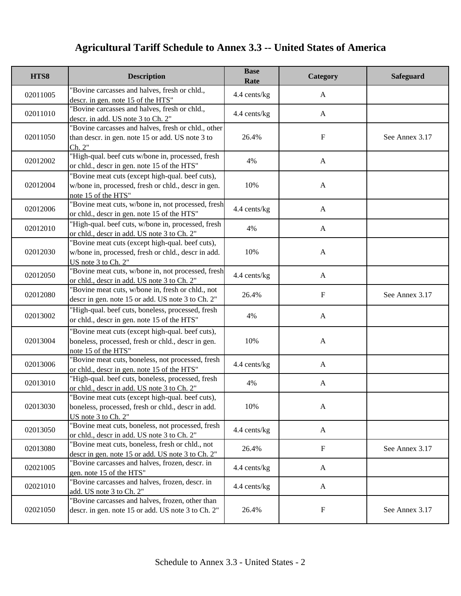| HTS8     | <b>Description</b>                                                                                                             | <b>Base</b><br>Rate | Category     | Safeguard      |
|----------|--------------------------------------------------------------------------------------------------------------------------------|---------------------|--------------|----------------|
| 02011005 | "Bovine carcasses and halves, fresh or chld.,<br>descr. in gen. note 15 of the HTS"                                            | 4.4 cents/kg        | $\mathbf{A}$ |                |
| 02011010 | 'Bovine carcasses and halves, fresh or chld.,<br>descr. in add. US note 3 to Ch. 2"                                            | 4.4 cents/kg        | $\mathbf{A}$ |                |
| 02011050 | "Bovine carcasses and halves, fresh or chld., other<br>than descr. in gen. note 15 or add. US note 3 to<br>Ch. 2"              | 26.4%               | $\mathbf F$  | See Annex 3.17 |
| 02012002 | "High-qual. beef cuts w/bone in, processed, fresh<br>or chld., descr in gen. note 15 of the HTS"                               | 4%                  | $\mathbf{A}$ |                |
| 02012004 | "Bovine meat cuts (except high-qual. beef cuts),<br>w/bone in, processed, fresh or chld., descr in gen.<br>note 15 of the HTS" | 10%                 | $\mathbf{A}$ |                |
| 02012006 | "Bovine meat cuts, w/bone in, not processed, fresh<br>or chld., descr in gen. note 15 of the HTS"                              | 4.4 cents/kg        | $\mathbf{A}$ |                |
| 02012010 | "High-qual. beef cuts, w/bone in, processed, fresh<br>or chld., descr in add. US note 3 to Ch. 2"                              | 4%                  | $\mathbf{A}$ |                |
| 02012030 | "Bovine meat cuts (except high-qual. beef cuts),<br>w/bone in, processed, fresh or chld., descr in add.<br>US note 3 to Ch. 2" | 10%                 | $\mathbf{A}$ |                |
| 02012050 | "Bovine meat cuts, w/bone in, not processed, fresh<br>or chld., descr in add. US note 3 to Ch. 2"                              | 4.4 cents/kg        | $\mathbf{A}$ |                |
| 02012080 | "Bovine meat cuts, w/bone in, fresh or chld., not<br>descr in gen. note 15 or add. US note 3 to Ch. 2"                         | 26.4%               | $\mathbf F$  | See Annex 3.17 |
| 02013002 | "High-qual. beef cuts, boneless, processed, fresh<br>or chld., descr in gen. note 15 of the HTS"                               | 4%                  | $\mathbf{A}$ |                |
| 02013004 | "Bovine meat cuts (except high-qual. beef cuts),<br>boneless, processed, fresh or chld., descr in gen.<br>note 15 of the HTS"  | 10%                 | $\mathbf{A}$ |                |
| 02013006 | 'Bovine meat cuts, boneless, not processed, fresh<br>or chld., descr in gen. note 15 of the HTS"                               | 4.4 cents/kg        | $\mathbf{A}$ |                |
| 02013010 | "High-qual. beef cuts, boneless, processed, fresh<br>or chld., descr in add. US note 3 to Ch. 2"                               | 4%                  | A            |                |
| 02013030 | "Bovine meat cuts (except high-qual. beef cuts),<br>boneless, processed, fresh or chld., descr in add.<br>US note 3 to Ch. 2"  | 10%                 | $\mathbf{A}$ |                |
| 02013050 | "Bovine meat cuts, boneless, not processed, fresh<br>or chld., descr in add. US note 3 to Ch. 2"                               | 4.4 cents/kg        | $\mathbf{A}$ |                |
| 02013080 | "Bovine meat cuts, boneless, fresh or chld., not<br>descr in gen. note 15 or add. US note 3 to Ch. 2"                          | 26.4%               | $\mathbf F$  | See Annex 3.17 |
| 02021005 | "Bovine carcasses and halves, frozen, descr. in<br>gen. note 15 of the HTS"                                                    | 4.4 cents/kg        | $\mathbf{A}$ |                |
| 02021010 | "Bovine carcasses and halves, frozen, descr. in<br>add. US note 3 to Ch. 2"                                                    | 4.4 cents/kg        | $\mathbf{A}$ |                |
| 02021050 | "Bovine carcasses and halves, frozen, other than<br>descr. in gen. note 15 or add. US note 3 to Ch. 2"                         | 26.4%               | $\mathbf F$  | See Annex 3.17 |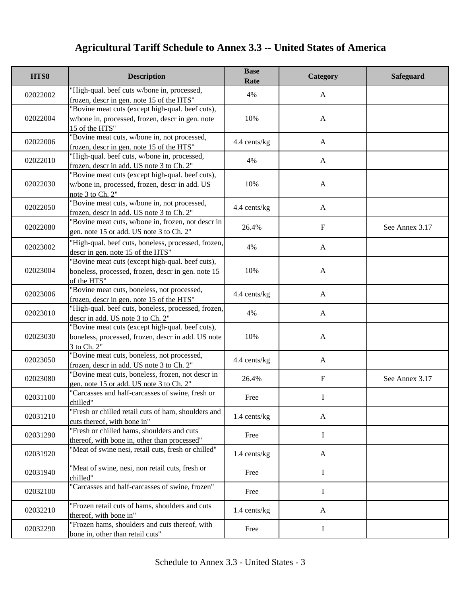| HTS8     | <b>Description</b>                                                                                                     | <b>Base</b><br>Rate | Category     | <b>Safeguard</b> |
|----------|------------------------------------------------------------------------------------------------------------------------|---------------------|--------------|------------------|
| 02022002 | "High-qual. beef cuts w/bone in, processed,<br>frozen, descr in gen. note 15 of the HTS"                               | 4%                  | $\mathbf{A}$ |                  |
| 02022004 | "Bovine meat cuts (except high-qual. beef cuts),<br>w/bone in, processed, frozen, descr in gen. note<br>15 of the HTS" | 10%                 | $\mathbf{A}$ |                  |
| 02022006 | "Bovine meat cuts, w/bone in, not processed,<br>frozen, descr in gen. note 15 of the HTS"                              | 4.4 cents/kg        | $\mathbf{A}$ |                  |
| 02022010 | "High-qual. beef cuts, w/bone in, processed,<br>frozen, descr in add. US note 3 to Ch. 2"                              | 4%                  | $\mathbf{A}$ |                  |
| 02022030 | "Bovine meat cuts (except high-qual. beef cuts),<br>w/bone in, processed, frozen, descr in add. US<br>note 3 to Ch. 2" | 10%                 | $\mathbf{A}$ |                  |
| 02022050 | "Bovine meat cuts, w/bone in, not processed,<br>frozen, descr in add. US note 3 to Ch. 2"                              | 4.4 cents/kg        | $\mathbf{A}$ |                  |
| 02022080 | "Bovine meat cuts, w/bone in, frozen, not descr in<br>gen. note 15 or add. US note 3 to Ch. 2"                         | 26.4%               | $\mathbf F$  | See Annex 3.17   |
| 02023002 | "High-qual. beef cuts, boneless, processed, frozen,<br>descr in gen. note 15 of the HTS"                               | 4%                  | $\mathbf{A}$ |                  |
| 02023004 | 'Bovine meat cuts (except high-qual. beef cuts),<br>boneless, processed, frozen, descr in gen. note 15<br>of the HTS"  | 10%                 | $\mathbf{A}$ |                  |
| 02023006 | "Bovine meat cuts, boneless, not processed,<br>frozen, descr in gen. note 15 of the HTS"                               | 4.4 cents/kg        | $\mathbf{A}$ |                  |
| 02023010 | "High-qual. beef cuts, boneless, processed, frozen,<br>descr in add. US note 3 to Ch. 2"                               | 4%                  | $\mathbf{A}$ |                  |
| 02023030 | "Bovine meat cuts (except high-qual. beef cuts),<br>boneless, processed, frozen, descr in add. US note<br>3 to Ch. 2"  | 10%                 | $\mathbf{A}$ |                  |
| 02023050 | "Bovine meat cuts, boneless, not processed,<br>frozen, descr in add. US note 3 to Ch. 2"                               | 4.4 cents/kg        | $\mathbf{A}$ |                  |
| 02023080 | "Bovine meat cuts, boneless, frozen, not descr in<br>gen. note 15 or add. US note 3 to Ch. 2"                          | 26.4%               | $\mathbf F$  | See Annex 3.17   |
| 02031100 | "Carcasses and half-carcasses of swine, fresh or<br>chilled"                                                           | Free                | I            |                  |
| 02031210 | "Fresh or chilled retail cuts of ham, shoulders and<br>cuts thereof, with bone in"                                     | 1.4 cents/kg        | $\mathbf{A}$ |                  |
| 02031290 | "Fresh or chilled hams, shoulders and cuts<br>thereof, with bone in, other than processed"                             | Free                | $\bf{I}$     |                  |
| 02031920 | "Meat of swine nesi, retail cuts, fresh or chilled"                                                                    | 1.4 cents/kg        | $\mathbf{A}$ |                  |
| 02031940 | "Meat of swine, nesi, non retail cuts, fresh or<br>chilled"                                                            | Free                | $\mathbf I$  |                  |
| 02032100 | "Carcasses and half-carcasses of swine, frozen"                                                                        | Free                | I            |                  |
| 02032210 | "Frozen retail cuts of hams, shoulders and cuts<br>thereof, with bone in"                                              | 1.4 cents/kg        | A            |                  |
| 02032290 | "Frozen hams, shoulders and cuts thereof, with<br>bone in, other than retail cuts"                                     | Free                | I            |                  |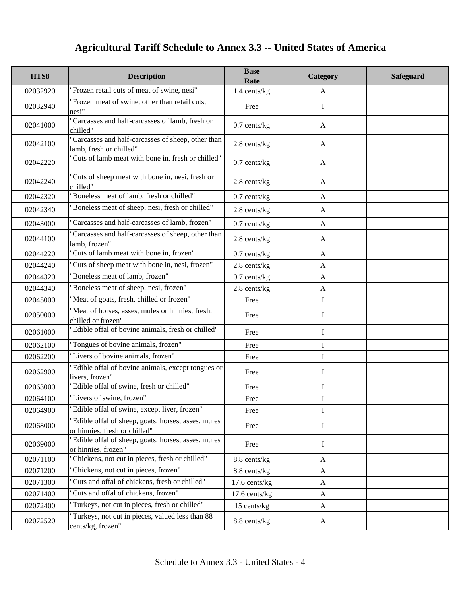| HTS8     | <b>Description</b>                                                                   | <b>Base</b><br>Rate | Category     | Safeguard |
|----------|--------------------------------------------------------------------------------------|---------------------|--------------|-----------|
| 02032920 | "Frozen retail cuts of meat of swine, nesi"                                          | 1.4 cents/kg        | $\mathbf{A}$ |           |
| 02032940 | 'Frozen meat of swine, other than retail cuts,<br>nesi"                              | Free                | I            |           |
| 02041000 | "Carcasses and half-carcasses of lamb, fresh or<br>chilled"                          | $0.7$ cents/kg      | $\mathbf{A}$ |           |
| 02042100 | "Carcasses and half-carcasses of sheep, other than<br>lamb, fresh or chilled"        | 2.8 cents/kg        | A            |           |
| 02042220 | "Cuts of lamb meat with bone in, fresh or chilled"                                   | $0.7$ cents/ $kg$   | A            |           |
| 02042240 | 'Cuts of sheep meat with bone in, nesi, fresh or<br>chilled"                         | 2.8 cents/kg        | A            |           |
| 02042320 | 'Boneless meat of lamb, fresh or chilled"                                            | $0.7$ cents/kg      | $\mathbf{A}$ |           |
| 02042340 | 'Boneless meat of sheep, nesi, fresh or chilled"                                     | 2.8 cents/kg        | $\mathbf{A}$ |           |
| 02043000 | "Carcasses and half-carcasses of lamb, frozen"                                       | $0.7$ cents/kg      | $\mathbf{A}$ |           |
| 02044100 | 'Carcasses and half-carcasses of sheep, other than<br>lamb, frozen"                  | 2.8 cents/kg        | $\mathbf{A}$ |           |
| 02044220 | "Cuts of lamb meat with bone in, frozen"                                             | $0.7$ cents/kg      | $\mathbf{A}$ |           |
| 02044240 | 'Cuts of sheep meat with bone in, nesi, frozen"                                      | 2.8 cents/kg        | $\mathbf{A}$ |           |
| 02044320 | 'Boneless meat of lamb, frozen"                                                      | $0.7$ cents/kg      | $\mathbf{A}$ |           |
| 02044340 | 'Boneless meat of sheep, nesi, frozen"                                               | 2.8 cents/kg        | A            |           |
| 02045000 | "Meat of goats, fresh, chilled or frozen"                                            | Free                | $\bf I$      |           |
| 02050000 | 'Meat of horses, asses, mules or hinnies, fresh,<br>chilled or frozen"               | Free                | I            |           |
| 02061000 | "Edible offal of bovine animals, fresh or chilled"                                   | Free                | I            |           |
| 02062100 | "Tongues of bovine animals, frozen"                                                  | Free                | $\mathbf I$  |           |
| 02062200 | "Livers of bovine animals, frozen"                                                   | Free                | I            |           |
| 02062900 | 'Edible offal of bovine animals, except tongues or<br>livers, frozen"                | Free                | $\mathbf I$  |           |
| 02063000 | 'Edible offal of swine, fresh or chilled"                                            | Free                | I            |           |
| 02064100 | "Livers of swine, frozen"                                                            | Free                | I            |           |
| 02064900 | "Edible offal of swine, except liver, frozen"                                        | Free                | I            |           |
| 02068000 | 'Edible offal of sheep, goats, horses, asses, mules<br>or hinnies, fresh or chilled" | Free                | I            |           |
| 02069000 | 'Edible offal of sheep, goats, horses, asses, mules<br>or hinnies, frozen"           | Free                | I            |           |
| 02071100 | "Chickens, not cut in pieces, fresh or chilled"                                      | 8.8 cents/kg        | $\mathbf{A}$ |           |
| 02071200 | "Chickens, not cut in pieces, frozen"                                                | 8.8 cents/kg        | $\mathbf{A}$ |           |
| 02071300 | 'Cuts and offal of chickens, fresh or chilled"                                       | 17.6 cents/kg       | A            |           |
| 02071400 | "Cuts and offal of chickens, frozen"                                                 | 17.6 cents/kg       | $\mathbf{A}$ |           |
| 02072400 | "Turkeys, not cut in pieces, fresh or chilled"                                       | 15 cents/kg         | $\mathbf{A}$ |           |
| 02072520 | Turkeys, not cut in pieces, valued less than 88<br>cents/kg, frozen"                 | 8.8 cents/kg        | A            |           |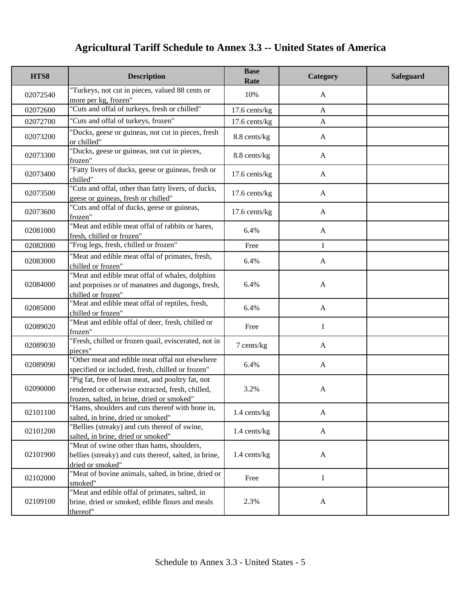| HTS8     | <b>Description</b>                                                                                                                                  | <b>Base</b><br>Rate | Category     | <b>Safeguard</b> |
|----------|-----------------------------------------------------------------------------------------------------------------------------------------------------|---------------------|--------------|------------------|
| 02072540 | "Turkeys, not cut in pieces, valued 88 cents or<br>more per kg, frozen"                                                                             | 10%                 | A            |                  |
| 02072600 | "Cuts and offal of turkeys, fresh or chilled"                                                                                                       | 17.6 cents/kg       | $\mathbf{A}$ |                  |
| 02072700 | "Cuts and offal of turkeys, frozen"                                                                                                                 | 17.6 cents/kg       | $\mathbf{A}$ |                  |
| 02073200 | "Ducks, geese or guineas, not cut in pieces, fresh<br>or chilled"                                                                                   | 8.8 cents/kg        | $\mathbf{A}$ |                  |
| 02073300 | "Ducks, geese or guineas, not cut in pieces,<br>frozen"                                                                                             | 8.8 cents/kg        | $\mathbf{A}$ |                  |
| 02073400 | "Fatty livers of ducks, geese or guineas, fresh or<br>chilled"                                                                                      | 17.6 cents/kg       | $\mathbf{A}$ |                  |
| 02073500 | "Cuts and offal, other than fatty livers, of ducks,<br>geese or guineas, fresh or chilled"                                                          | 17.6 cents/kg       | $\mathbf{A}$ |                  |
| 02073600 | "Cuts and offal of ducks, geese or guineas,<br>frozen"                                                                                              | 17.6 cents/kg       | $\mathbf{A}$ |                  |
| 02081000 | "Meat and edible meat offal of rabbits or hares,<br>fresh, chilled or frozen"                                                                       | 6.4%                | $\mathbf{A}$ |                  |
| 02082000 | "Frog legs, fresh, chilled or frozen"                                                                                                               | Free                | $\bf{I}$     |                  |
| 02083000 | "Meat and edible meat offal of primates, fresh,<br>chilled or frozen"                                                                               | 6.4%                | A            |                  |
| 02084000 | "Meat and edible meat offal of whales, dolphins<br>and porpoises or of manatees and dugongs, fresh,<br>chilled or frozen"                           | 6.4%                | $\mathbf{A}$ |                  |
| 02085000 | "Meat and edible meat offal of reptiles, fresh,<br>chilled or frozen"                                                                               | 6.4%                | $\mathbf{A}$ |                  |
| 02089020 | "Meat and edible offal of deer, fresh, chilled or<br>frozen"                                                                                        | Free                | $\mathbf I$  |                  |
| 02089030 | "Fresh, chilled or frozen quail, eviscerated, not in<br>pieces"                                                                                     | 7 cents/kg          | $\mathbf{A}$ |                  |
| 02089090 | "Other meat and edible meat offal not elsewhere<br>specified or included, fresh, chilled or frozen"                                                 | 6.4%                | $\mathbf{A}$ |                  |
| 02090000 | "Pig fat, free of lean meat, and poultry fat, not<br>rendered or otherwise extracted, fresh, chilled,<br>frozen, salted, in brine, dried or smoked" | 3.2%                | $\mathbf{A}$ |                  |
| 02101100 | "Hams, shoulders and cuts thereof with bone in,<br>salted, in brine, dried or smoked"                                                               | 1.4 cents/kg        | $\mathbf{A}$ |                  |
| 02101200 | "Bellies (streaky) and cuts thereof of swine,<br>salted, in brine, dried or smoked"                                                                 | 1.4 cents/kg        | $\mathbf{A}$ |                  |
| 02101900 | "Meat of swine other than hams, shoulders,<br>bellies (streaky) and cuts thereof, salted, in brine,<br>dried or smoked"                             | 1.4 cents/kg        | $\mathbf{A}$ |                  |
| 02102000 | "Meat of bovine animals, salted, in brine, dried or<br>smoked"                                                                                      | Free                | $\bf{I}$     |                  |
| 02109100 | "Meat and edible offal of primates, salted, in<br>brine, dried or smoked; edible flours and meals<br>thereof"                                       | 2.3%                | $\mathbf{A}$ |                  |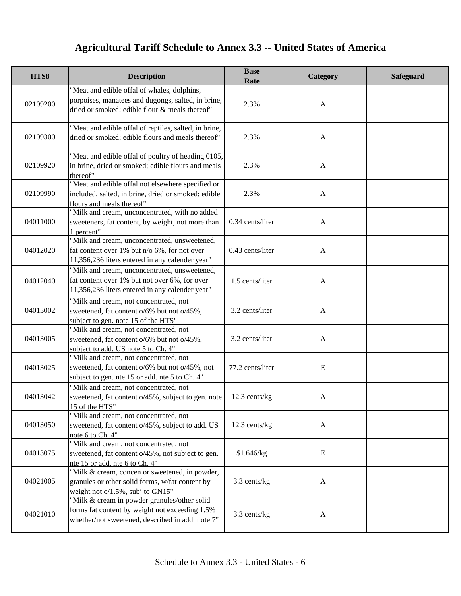| HTS8     | <b>Description</b>                                                                                                                                  | <b>Base</b><br>Rate | Category     | <b>Safeguard</b> |
|----------|-----------------------------------------------------------------------------------------------------------------------------------------------------|---------------------|--------------|------------------|
| 02109200 | "Meat and edible offal of whales, dolphins,<br>porpoises, manatees and dugongs, salted, in brine,<br>dried or smoked; edible flour & meals thereof" | 2.3%                | $\mathbf{A}$ |                  |
| 02109300 | "Meat and edible offal of reptiles, salted, in brine,<br>dried or smoked; edible flours and meals thereof"                                          | 2.3%                | $\mathbf{A}$ |                  |
| 02109920 | "Meat and edible offal of poultry of heading 0105,<br>in brine, dried or smoked; edible flours and meals<br>thereof"                                | 2.3%                | $\mathbf{A}$ |                  |
| 02109990 | "Meat and edible offal not elsewhere specified or<br>included, salted, in brine, dried or smoked; edible<br>flours and meals thereof"               | 2.3%                | $\mathbf{A}$ |                  |
| 04011000 | "Milk and cream, unconcentrated, with no added<br>sweeteners, fat content, by weight, not more than<br>1 percent"                                   | 0.34 cents/liter    | $\mathbf{A}$ |                  |
| 04012020 | "Milk and cream, unconcentrated, unsweetened,<br>fat content over 1% but n/o 6%, for not over<br>11,356,236 liters entered in any calender year"    | 0.43 cents/liter    | $\mathbf{A}$ |                  |
| 04012040 | "Milk and cream, unconcentrated, unsweetened,<br>fat content over 1% but not over 6%, for over<br>11,356,236 liters entered in any calender year"   | 1.5 cents/liter     | $\mathbf{A}$ |                  |
| 04013002 | "Milk and cream, not concentrated, not<br>sweetened, fat content o/6% but not o/45%,<br>subject to gen. note 15 of the HTS"                         | 3.2 cents/liter     | $\mathbf{A}$ |                  |
| 04013005 | "Milk and cream, not concentrated, not<br>sweetened, fat content o/6% but not o/45%,<br>subject to add. US note 5 to Ch. 4"                         | 3.2 cents/liter     | $\mathbf{A}$ |                  |
| 04013025 | "Milk and cream, not concentrated, not<br>sweetened, fat content o/6% but not o/45%, not<br>subject to gen. nte 15 or add. nte 5 to Ch. 4"          | 77.2 cents/liter    | $\mathbf E$  |                  |
| 04013042 | "Milk and cream, not concentrated, not<br>sweetened, fat content o/45%, subject to gen. note<br>15 of the HTS"                                      | 12.3 cents/kg       | A            |                  |
| 04013050 | "Milk and cream, not concentrated, not<br>sweetened, fat content o/45%, subject to add. US<br>note 6 to Ch. 4"                                      | 12.3 cents/kg       | $\mathbf{A}$ |                  |
| 04013075 | "Milk and cream, not concentrated, not<br>sweetened, fat content o/45%, not subject to gen.<br>nte 15 or add. nte 6 to Ch. 4"                       | \$1.646/kg          | E            |                  |
| 04021005 | "Milk & cream, concen or sweetened, in powder,<br>granules or other solid forms, w/fat content by<br>weight not o/1.5%, subj to GN15"               | 3.3 cents/kg        | $\mathbf{A}$ |                  |
| 04021010 | "Milk & cream in powder granules/other solid<br>forms fat content by weight not exceeding 1.5%<br>whether/not sweetened, described in addl note 7"  | 3.3 cents/kg        | $\mathbf{A}$ |                  |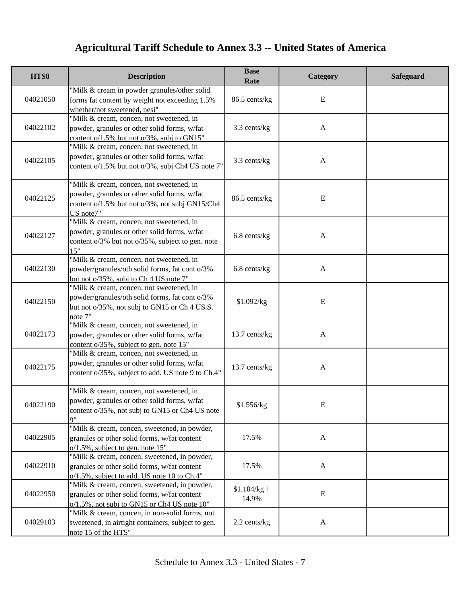| HTS8     | <b>Description</b>                                                                                                                                      | <b>Base</b><br>Rate    | Category     | Safeguard |
|----------|---------------------------------------------------------------------------------------------------------------------------------------------------------|------------------------|--------------|-----------|
| 04021050 | "Milk & cream in powder granules/other solid<br>forms fat content by weight not exceeding 1.5%<br>whether/not sweetened, nesi"                          | 86.5 cents/kg          | Ε            |           |
| 04022102 | "Milk & cream, concen, not sweetened, in<br>powder, granules or other solid forms, w/fat<br>content $o/1.5\%$ but not $o/3\%$ , subj to GN15"           | 3.3 cents/kg           | $\mathbf{A}$ |           |
| 04022105 | "Milk & cream, concen, not sweetened, in<br>powder, granules or other solid forms, w/fat<br>content o/1.5% but not o/3%, subj Ch4 US note 7'            | 3.3 cents/kg           | $\mathbf{A}$ |           |
| 04022125 | "Milk & cream, concen, not sweetened, in<br>powder, granules or other solid forms, w/fat<br>content o/1.5% but not o/3%, not subj GN15/Ch4<br>US note7" | 86.5 cents/kg          | E            |           |
| 04022127 | "Milk & cream, concen, not sweetened, in<br>powder, granules or other solid forms, w/fat<br>content o/3% but not o/35%, subject to gen. note<br>15"     | 6.8 cents/kg           | $\mathbf{A}$ |           |
| 04022130 | "Milk & cream, concen, not sweetened, in<br>powder/granules/oth solid forms, fat cont o/3%<br>but not o/35%, subj to Ch 4 US note 7"                    | 6.8 cents/kg           | $\mathbf{A}$ |           |
| 04022150 | "Milk & cream, concen, not sweetened, in<br>powder/granules/oth solid forms, fat cont o/3%<br>but not o/35%, not subj to GN15 or Ch 4 US.S.<br>note 7"  | \$1.092/kg             | ${\bf E}$    |           |
| 04022173 | "Milk & cream, concen, not sweetened, in<br>powder, granules or other solid forms, w/fat<br>content o/35%, subject to gen. note 15"                     | 13.7 cents/kg          | $\mathbf{A}$ |           |
| 04022175 | "Milk & cream, concen, not sweetened, in<br>powder, granules or other solid forms, w/fat<br>content o/35%, subject to add. US note 9 to Ch.4"           | 13.7 cents/kg          | $\mathbf{A}$ |           |
| 04022190 | "Milk & cream, concen, not sweetened, in<br>powder, granules or other solid forms, w/fat<br>content o/35%, not subj to GN15 or Ch4 US note<br>Q''       | \$1.556/kg             | E            |           |
| 04022905 | "Milk & cream, concen, sweetened, in powder,<br>granules or other solid forms, w/fat content<br>$o/1.5\%$ , subject to gen. note 15"                    | 17.5%                  | $\mathbf{A}$ |           |
| 04022910 | "Milk & cream, concen, sweetened, in powder,<br>granules or other solid forms, w/fat content<br>o/1.5%, subject to add. US note 10 to Ch.4"             | 17.5%                  | $\mathbf{A}$ |           |
| 04022950 | "Milk & cream, concen, sweetened, in powder,<br>granules or other solid forms, w/fat content<br>$o/1.5\%$ , not subj to GN15 or Ch4 US note 10"         | $$1.104/kg +$<br>14.9% | E            |           |
| 04029103 | "Milk & cream, concen, in non-solid forms, not<br>sweetened, in airtight containers, subject to gen.<br>note 15 of the HTS"                             | 2.2 cents/kg           | $\mathbf{A}$ |           |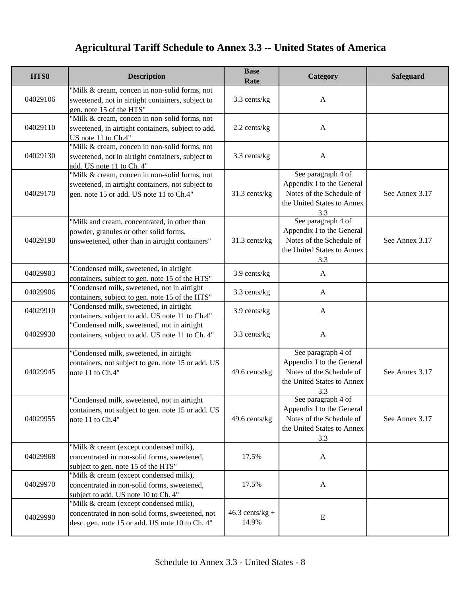| HTS8     | <b>Description</b>                                                                                                                             | <b>Base</b><br>Rate        | Category                                                                                                         | Safeguard      |
|----------|------------------------------------------------------------------------------------------------------------------------------------------------|----------------------------|------------------------------------------------------------------------------------------------------------------|----------------|
| 04029106 | "Milk & cream, concen in non-solid forms, not<br>sweetened, not in airtight containers, subject to<br>gen. note 15 of the HTS"                 | 3.3 cents/kg               | $\mathbf{A}$                                                                                                     |                |
| 04029110 | "Milk & cream, concen in non-solid forms, not<br>sweetened, in airtight containers, subject to add.<br>US note 11 to Ch.4"                     | 2.2 cents/kg               | $\mathbf{A}$                                                                                                     |                |
| 04029130 | "Milk & cream, concen in non-solid forms, not<br>sweetened, not in airtight containers, subject to<br>add. US note 11 to Ch. 4"                | 3.3 cents/kg               | $\mathbf{A}$                                                                                                     |                |
| 04029170 | "Milk & cream, concen in non-solid forms, not<br>sweetened, in airtight containers, not subject to<br>gen. note 15 or add. US note 11 to Ch.4" | 31.3 cents/kg              | See paragraph 4 of<br>Appendix I to the General<br>Notes of the Schedule of<br>the United States to Annex<br>3.3 | See Annex 3.17 |
| 04029190 | "Milk and cream, concentrated, in other than<br>powder, granules or other solid forms,<br>unsweetened, other than in airtight containers"      | 31.3 cents/kg              | See paragraph 4 of<br>Appendix I to the General<br>Notes of the Schedule of<br>the United States to Annex<br>3.3 | See Annex 3.17 |
| 04029903 | "Condensed milk, sweetened, in airtight<br>containers, subject to gen. note 15 of the HTS"                                                     | 3.9 cents/kg               | $\mathbf{A}$                                                                                                     |                |
| 04029906 | "Condensed milk, sweetened, not in airtight<br>containers, subject to gen. note 15 of the HTS"                                                 | 3.3 cents/kg               | $\mathbf{A}$                                                                                                     |                |
| 04029910 | "Condensed milk, sweetened, in airtight<br>containers, subject to add. US note 11 to Ch.4"                                                     | 3.9 cents/kg               | $\mathbf{A}$                                                                                                     |                |
| 04029930 | "Condensed milk, sweetened, not in airtight<br>containers, subject to add. US note 11 to Ch. 4"                                                | 3.3 cents/kg               | $\mathbf{A}$                                                                                                     |                |
| 04029945 | "Condensed milk, sweetened, in airtight<br>containers, not subject to gen. note 15 or add. US<br>note 11 to Ch.4"                              | 49.6 cents/kg              | See paragraph 4 of<br>Appendix I to the General<br>Notes of the Schedule of<br>the United States to Annex<br>3.3 | See Annex 3.17 |
| 04029955 | "Condensed milk, sweetened, not in airtight<br>containers, not subject to gen. note 15 or add. US<br>note 11 to Ch.4"                          | 49.6 cents/kg              | See paragraph 4 of<br>Appendix I to the General<br>Notes of the Schedule of<br>the United States to Annex<br>3.3 | See Annex 3.17 |
| 04029968 | "Milk & cream (except condensed milk),<br>concentrated in non-solid forms, sweetened,<br>subject to gen. note 15 of the HTS"                   | 17.5%                      | A                                                                                                                |                |
| 04029970 | "Milk & cream (except condensed milk),<br>concentrated in non-solid forms, sweetened,<br>subject to add. US note 10 to Ch. 4"                  | 17.5%                      | $\mathbf{A}$                                                                                                     |                |
| 04029990 | "Milk & cream (except condensed milk),<br>concentrated in non-solid forms, sweetened, not<br>desc. gen. note 15 or add. US note 10 to Ch. 4"   | $46.3$ cents/kg +<br>14.9% | E                                                                                                                |                |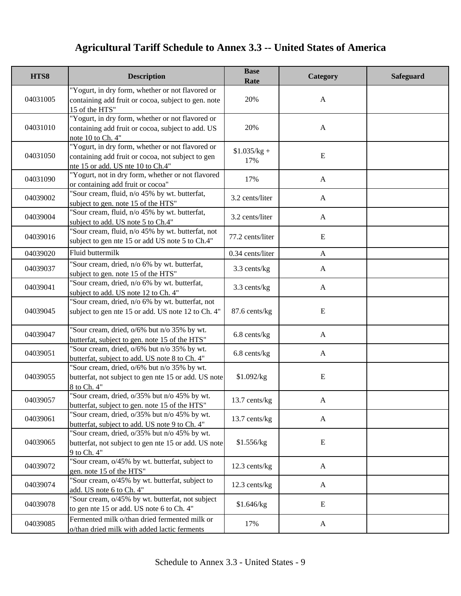| HTS8     | <b>Description</b>                                                                                                                         | <b>Base</b><br>Rate  | Category     | <b>Safeguard</b> |
|----------|--------------------------------------------------------------------------------------------------------------------------------------------|----------------------|--------------|------------------|
| 04031005 | "Yogurt, in dry form, whether or not flavored or<br>containing add fruit or cocoa, subject to gen. note<br>15 of the HTS"                  | 20%                  | $\mathbf{A}$ |                  |
| 04031010 | "Yogurt, in dry form, whether or not flavored or<br>containing add fruit or cocoa, subject to add. US<br>note 10 to Ch. 4"                 | 20%                  | $\mathbf{A}$ |                  |
| 04031050 | "Yogurt, in dry form, whether or not flavored or<br>containing add fruit or cocoa, not subject to gen<br>nte 15 or add. US nte 10 to Ch.4" | $$1.035/kg +$<br>17% | ${\bf E}$    |                  |
| 04031090 | "Yogurt, not in dry form, whether or not flavored<br>or containing add fruit or cocoa"                                                     | 17%                  | $\mathbf{A}$ |                  |
| 04039002 | "Sour cream, fluid, n/o 45% by wt. butterfat,<br>subject to gen. note 15 of the HTS"                                                       | 3.2 cents/liter      | $\mathbf{A}$ |                  |
| 04039004 | "Sour cream, fluid, n/o 45% by wt. butterfat,<br>subject to add. US note 5 to Ch.4"                                                        | 3.2 cents/liter      | $\mathbf{A}$ |                  |
| 04039016 | "Sour cream, fluid, n/o 45% by wt. butterfat, not<br>subject to gen nte 15 or add US note 5 to Ch.4"                                       | 77.2 cents/liter     | ${\bf E}$    |                  |
| 04039020 | Fluid buttermilk                                                                                                                           | 0.34 cents/liter     | $\mathbf{A}$ |                  |
| 04039037 | "Sour cream, dried, n/o 6% by wt. butterfat,<br>subject to gen. note 15 of the HTS"                                                        | 3.3 cents/kg         | $\mathbf{A}$ |                  |
| 04039041 | "Sour cream, dried, n/o 6% by wt. butterfat,<br>subject to add. US note 12 to Ch. 4"                                                       | 3.3 cents/kg         | $\mathbf{A}$ |                  |
| 04039045 | "Sour cream, dried, n/o 6% by wt. butterfat, not<br>subject to gen nte 15 or add. US note 12 to Ch. 4"                                     | 87.6 cents/kg        | ${\bf E}$    |                  |
| 04039047 | "Sour cream, dried, o/6% but n/o 35% by wt.<br>butterfat, subject to gen. note 15 of the HTS"                                              | 6.8 cents/kg         | $\mathbf{A}$ |                  |
| 04039051 | "Sour cream, dried, o/6% but n/o 35% by wt.<br>butterfat, subject to add. US note 8 to Ch. 4"                                              | 6.8 cents/kg         | $\mathbf{A}$ |                  |
| 04039055 | "Sour cream, dried, o/6% but n/o 35% by wt.<br>butterfat, not subject to gen nte 15 or add. US note<br>8 to Ch. 4"                         | \$1.092/kg           | E            |                  |
| 04039057 | "Sour cream, dried, o/35% but n/o 45% by wt.<br>butterfat, subject to gen. note 15 of the HTS"                                             | $13.7$ cents/kg      | A            |                  |
| 04039061 | "Sour cream, dried, o/35% but n/o 45% by wt.<br>butterfat, subject to add. US note 9 to Ch. 4"                                             | 13.7 cents/kg        | $\mathbf{A}$ |                  |
| 04039065 | "Sour cream, dried, o/35% but n/o 45% by wt.<br>butterfat, not subject to gen nte 15 or add. US note<br>9 to Ch. 4"                        | \$1.556/kg           | E            |                  |
| 04039072 | "Sour cream, o/45% by wt. butterfat, subject to<br>gen. note 15 of the HTS"                                                                | 12.3 cents/kg        | $\mathbf{A}$ |                  |
| 04039074 | "Sour cream, o/45% by wt. butterfat, subject to<br>add. US note 6 to Ch. 4"                                                                | 12.3 cents/kg        | $\mathbf{A}$ |                  |
| 04039078 | "Sour cream, o/45% by wt. butterfat, not subject<br>to gen nte 15 or add. US note 6 to Ch. 4"                                              | \$1.646/kg           | E            |                  |
| 04039085 | Fermented milk o/than dried fermented milk or<br>o/than dried milk with added lactic ferments                                              | 17%                  | A            |                  |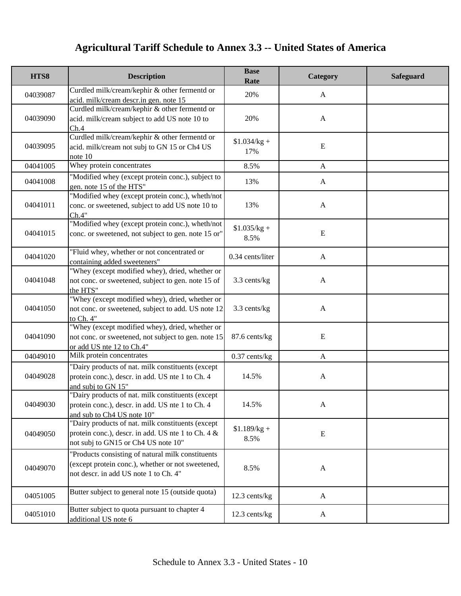| HTS8     | <b>Description</b>                                                                                                                              | <b>Base</b><br>Rate   | Category     | Safeguard |
|----------|-------------------------------------------------------------------------------------------------------------------------------------------------|-----------------------|--------------|-----------|
| 04039087 | Curdled milk/cream/kephir & other fermentd or<br>acid. milk/cream descr.in gen. note 15                                                         | 20%                   | A            |           |
| 04039090 | Curdled milk/cream/kephir & other fermentd or<br>acid. milk/cream subject to add US note 10 to<br>Ch.4                                          | 20%                   | $\mathbf{A}$ |           |
| 04039095 | Curdled milk/cream/kephir & other fermentd or<br>acid. milk/cream not subj to GN 15 or Ch4 US<br>note 10                                        | $$1.034/kg +$<br>17%  | E            |           |
| 04041005 | Whey protein concentrates                                                                                                                       | 8.5%                  | $\mathbf{A}$ |           |
| 04041008 | "Modified whey (except protein conc.), subject to<br>gen. note 15 of the HTS"                                                                   | 13%                   | A            |           |
| 04041011 | "Modified whey (except protein conc.), wheth/not<br>conc. or sweetened, subject to add US note 10 to<br>Ch.4"                                   | 13%                   | $\mathbf{A}$ |           |
| 04041015 | "Modified whey (except protein conc.), wheth/not<br>conc. or sweetened, not subject to gen. note 15 or"                                         | $$1.035/kg +$<br>8.5% | ${\bf E}$    |           |
| 04041020 | "Fluid whey, whether or not concentrated or<br>containing added sweeteners"                                                                     | 0.34 cents/liter      | $\mathbf{A}$ |           |
| 04041048 | "Whey (except modified whey), dried, whether or<br>not conc. or sweetened, subject to gen. note 15 of<br>the HTS"                               | 3.3 cents/kg          | $\mathbf{A}$ |           |
| 04041050 | "Whey (except modified whey), dried, whether or<br>not conc. or sweetened, subject to add. US note 12<br>to Ch. 4"                              | 3.3 cents/kg          | $\mathbf{A}$ |           |
| 04041090 | "Whey (except modified whey), dried, whether or<br>not conc. or sweetened, not subject to gen. note 15<br>or add US nte 12 to Ch.4"             | 87.6 cents/kg         | E            |           |
| 04049010 | Milk protein concentrates                                                                                                                       | $0.37$ cents/kg       | $\mathbf{A}$ |           |
| 04049028 | "Dairy products of nat. milk constituents (except<br>protein conc.), descr. in add. US nte 1 to Ch. 4<br>and subj to GN 15"                     | 14.5%                 | $\mathbf{A}$ |           |
| 04049030 | "Dairy products of nat. milk constituents (except<br>protein conc.), descr. in add. US nte 1 to Ch. 4<br>and sub to Ch4 US note 10"             | 14.5%                 | A            |           |
| 04049050 | "Dairy products of nat. milk constituents (except<br>protein conc.), descr. in add. US nte 1 to Ch. 4 &<br>not subj to GN15 or Ch4 US note 10"  | $$1.189/kg +$<br>8.5% | ${\bf E}$    |           |
| 04049070 | "Products consisting of natural milk constituents<br>(except protein conc.), whether or not sweetened,<br>not descr. in add US note 1 to Ch. 4" | 8.5%                  | $\mathbf{A}$ |           |
| 04051005 | Butter subject to general note 15 (outside quota)                                                                                               | 12.3 cents/kg         | $\mathbf{A}$ |           |
| 04051010 | Butter subject to quota pursuant to chapter 4<br>additional US note 6                                                                           | 12.3 cents/kg         | $\mathbf{A}$ |           |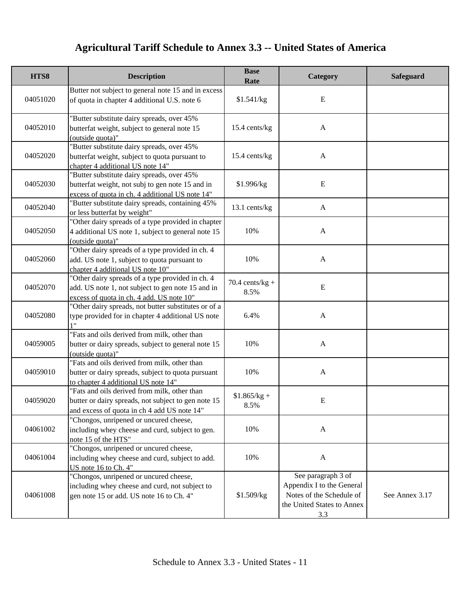| HTS8     | <b>Description</b>                                                                                                                                 | <b>Base</b><br>Rate       | Category                                                                                                         | Safeguard      |
|----------|----------------------------------------------------------------------------------------------------------------------------------------------------|---------------------------|------------------------------------------------------------------------------------------------------------------|----------------|
| 04051020 | Butter not subject to general note 15 and in excess<br>of quota in chapter 4 additional U.S. note 6                                                | \$1.541/kg                | Ε                                                                                                                |                |
| 04052010 | "Butter substitute dairy spreads, over 45%<br>butterfat weight, subject to general note 15<br>(outside quota)"                                     | 15.4 cents/kg             | $\mathbf{A}$                                                                                                     |                |
| 04052020 | "Butter substitute dairy spreads, over 45%<br>butterfat weight, subject to quota pursuant to<br>chapter 4 additional US note 14"                   | 15.4 cents/kg             | $\mathbf{A}$                                                                                                     |                |
| 04052030 | "Butter substitute dairy spreads, over 45%<br>butterfat weight, not subj to gen note 15 and in<br>excess of quota in ch. 4 additional US note 14"  | \$1.996/kg                | E                                                                                                                |                |
| 04052040 | "Butter substitute dairy spreads, containing 45%<br>or less butterfat by weight"                                                                   | 13.1 cents/kg             | A                                                                                                                |                |
| 04052050 | "Other dairy spreads of a type provided in chapter<br>4 additional US note 1, subject to general note 15<br>(outside quota)"                       | 10%                       | $\mathbf{A}$                                                                                                     |                |
| 04052060 | "Other dairy spreads of a type provided in ch. 4<br>add. US note 1, subject to quota pursuant to<br>chapter 4 additional US note 10"               | 10%                       | $\mathbf{A}$                                                                                                     |                |
| 04052070 | "Other dairy spreads of a type provided in ch. 4<br>add. US note 1, not subject to gen note 15 and in<br>excess of quota in ch. 4 add. US note 10" | $70.4$ cents/kg +<br>8.5% | ${\bf E}$                                                                                                        |                |
| 04052080 | "Other dairy spreads, not butter substitutes or of a<br>type provided for in chapter 4 additional US note<br>1"                                    | 6.4%                      | $\mathbf{A}$                                                                                                     |                |
| 04059005 | "Fats and oils derived from milk, other than<br>butter or dairy spreads, subject to general note 15<br>(outside quota)"                            | 10%                       | $\mathbf{A}$                                                                                                     |                |
| 04059010 | "Fats and oils derived from milk, other than<br>butter or dairy spreads, subject to quota pursuant<br>to chapter 4 additional US note 14"          | 10%                       | $\mathbf{A}$                                                                                                     |                |
| 04059020 | "Fats and oils derived from milk, other than<br>butter or dairy spreads, not subject to gen note 15<br>and excess of quota in ch 4 add US note 14" | $$1.865/kg +$<br>8.5%     | E                                                                                                                |                |
| 04061002 | "Chongos, unripened or uncured cheese,<br>including whey cheese and curd, subject to gen.<br>note 15 of the HTS"                                   | 10%                       | $\mathbf{A}$                                                                                                     |                |
| 04061004 | "Chongos, unripened or uncured cheese,<br>including whey cheese and curd, subject to add.<br>US note 16 to Ch. 4"                                  | 10%                       | $\mathbf{A}$                                                                                                     |                |
| 04061008 | "Chongos, unripened or uncured cheese,<br>including whey cheese and curd, not subject to<br>gen note 15 or add. US note 16 to Ch. 4"               | \$1.509/kg                | See paragraph 3 of<br>Appendix I to the General<br>Notes of the Schedule of<br>the United States to Annex<br>3.3 | See Annex 3.17 |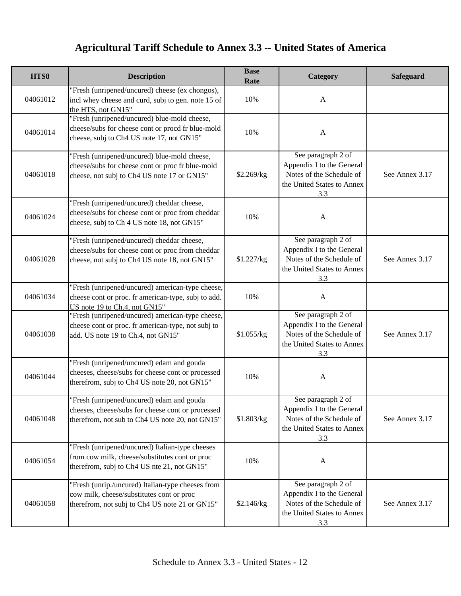| HTS8     | <b>Description</b>                                                                                                                                | <b>Base</b><br>Rate | Category                                                                                                         | Safeguard      |
|----------|---------------------------------------------------------------------------------------------------------------------------------------------------|---------------------|------------------------------------------------------------------------------------------------------------------|----------------|
| 04061012 | "Fresh (unripened/uncured) cheese (ex chongos),<br>incl whey cheese and curd, subj to gen. note 15 of<br>the HTS, not GN15"                       | 10%                 | $\mathbf{A}$                                                                                                     |                |
| 04061014 | "Fresh (unripened/uncured) blue-mold cheese,<br>cheese/subs for cheese cont or procd fr blue-mold<br>cheese, subj to Ch4 US note 17, not GN15"    | 10%                 | $\mathbf{A}$                                                                                                     |                |
| 04061018 | "Fresh (unripened/uncured) blue-mold cheese,<br>cheese/subs for cheese cont or proc fr blue-mold<br>cheese, not subj to Ch4 US note 17 or GN15"   | \$2.269/kg          | See paragraph 2 of<br>Appendix I to the General<br>Notes of the Schedule of<br>the United States to Annex<br>3.3 | See Annex 3.17 |
| 04061024 | "Fresh (unripened/uncured) cheddar cheese,<br>cheese/subs for cheese cont or proc from cheddar<br>cheese, subj to Ch 4 US note 18, not GN15"      | 10%                 | A                                                                                                                |                |
| 04061028 | "Fresh (unripened/uncured) cheddar cheese,<br>cheese/subs for cheese cont or proc from cheddar<br>cheese, not subj to Ch4 US note 18, not GN15"   | \$1.227/kg          | See paragraph 2 of<br>Appendix I to the General<br>Notes of the Schedule of<br>the United States to Annex<br>3.3 | See Annex 3.17 |
| 04061034 | "Fresh (unripened/uncured) american-type cheese,<br>cheese cont or proc. fr american-type, subj to add.<br>US note 19 to Ch.4, not GN15"          | 10%                 | $\mathbf{A}$                                                                                                     |                |
| 04061038 | "Fresh (unripened/uncured) american-type cheese,<br>cheese cont or proc. fr american-type, not subj to<br>add. US note 19 to Ch.4, not GN15"      | \$1.055/kg          | See paragraph 2 of<br>Appendix I to the General<br>Notes of the Schedule of<br>the United States to Annex<br>3.3 | See Annex 3.17 |
| 04061044 | "Fresh (unripened/uncured) edam and gouda<br>cheeses, cheese/subs for cheese cont or processed<br>therefrom, subj to Ch4 US note 20, not GN15"    | 10%                 | $\mathbf{A}$                                                                                                     |                |
| 04061048 | "Fresh (unripened/uncured) edam and gouda<br>cheeses, cheese/subs for cheese cont or processed<br>therefrom, not sub to Ch4 US note 20, not GN15" | \$1.803/kg          | See paragraph 2 of<br>Appendix I to the General<br>Notes of the Schedule of<br>the United States to Annex<br>3.3 | See Annex 3.17 |
| 04061054 | "Fresh (unripened/uncured) Italian-type cheeses<br>from cow milk, cheese/substitutes cont or proc<br>therefrom, subj to Ch4 US nte 21, not GN15"  | 10%                 | $\mathbf{A}$                                                                                                     |                |
| 04061058 | "Fresh (unrip./uncured) Italian-type cheeses from<br>cow milk, cheese/substitutes cont or proc<br>therefrom, not subj to Ch4 US note 21 or GN15"  | \$2.146/kg          | See paragraph 2 of<br>Appendix I to the General<br>Notes of the Schedule of<br>the United States to Annex<br>3.3 | See Annex 3.17 |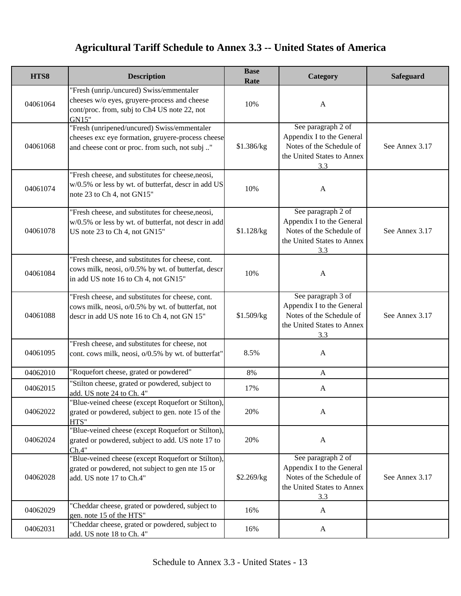| HTS8     | <b>Description</b>                                                                                                                                   | <b>Base</b><br>Rate | Category                                                                                                         | <b>Safeguard</b> |
|----------|------------------------------------------------------------------------------------------------------------------------------------------------------|---------------------|------------------------------------------------------------------------------------------------------------------|------------------|
| 04061064 | "Fresh (unrip./uncured) Swiss/emmentaler<br>cheeses w/o eyes, gruyere-process and cheese<br>cont/proc. from, subj to Ch4 US note 22, not<br>GN15"    | 10%                 | $\mathbf{A}$                                                                                                     |                  |
| 04061068 | "Fresh (unripened/uncured) Swiss/emmentaler<br>cheeses exc eye formation, gruyere-process cheese<br>and cheese cont or proc. from such, not subj "   | \$1.386/kg          | See paragraph 2 of<br>Appendix I to the General<br>Notes of the Schedule of<br>the United States to Annex<br>3.3 | See Annex 3.17   |
| 04061074 | "Fresh cheese, and substitutes for cheese, neosi,<br>w/0.5% or less by wt. of butterfat, descr in add US<br>note 23 to Ch 4, not GN15"               | 10%                 | $\mathbf{A}$                                                                                                     |                  |
| 04061078 | "Fresh cheese, and substitutes for cheese, neosi,<br>w/0.5% or less by wt. of butterfat, not descr in add<br>US note 23 to Ch 4, not GN15"           | \$1.128/kg          | See paragraph 2 of<br>Appendix I to the General<br>Notes of the Schedule of<br>the United States to Annex<br>3.3 | See Annex 3.17   |
| 04061084 | "Fresh cheese, and substitutes for cheese, cont.<br>cows milk, neosi, o/0.5% by wt. of butterfat, descr<br>in add US note 16 to Ch 4, not GN15"      | 10%                 | $\mathbf{A}$                                                                                                     |                  |
| 04061088 | "Fresh cheese, and substitutes for cheese, cont.<br>cows milk, neosi, o/0.5% by wt. of butterfat, not<br>descr in add US note 16 to Ch 4, not GN 15" | \$1.509/kg          | See paragraph 3 of<br>Appendix I to the General<br>Notes of the Schedule of<br>the United States to Annex<br>3.3 | See Annex 3.17   |
| 04061095 | "Fresh cheese, and substitutes for cheese, not<br>cont. cows milk, neosi, o/0.5% by wt. of butterfat"                                                | 8.5%                | A                                                                                                                |                  |
| 04062010 | "Roquefort cheese, grated or powdered"                                                                                                               | 8%                  | A                                                                                                                |                  |
| 04062015 | "Stilton cheese, grated or powdered, subject to<br>add. US note 24 to Ch. 4"                                                                         | 17%                 | A                                                                                                                |                  |
| 04062022 | "Blue-veined cheese (except Roquefort or Stilton),<br>grated or powdered, subject to gen. note 15 of the<br>HTS"                                     | 20%                 | A                                                                                                                |                  |
| 04062024 | "Blue-veined cheese (except Roquefort or Stilton),<br>grated or powdered, subject to add. US note 17 to<br>Ch.4"                                     | 20%                 | $\mathbf{A}$                                                                                                     |                  |
| 04062028 | "Blue-veined cheese (except Roquefort or Stilton),<br>grated or powdered, not subject to gen nte 15 or<br>add. US note 17 to Ch.4"                   | \$2.269/kg          | See paragraph 2 of<br>Appendix I to the General<br>Notes of the Schedule of<br>the United States to Annex<br>3.3 | See Annex 3.17   |
| 04062029 | "Cheddar cheese, grated or powdered, subject to<br>gen. note 15 of the HTS"                                                                          | 16%                 | A                                                                                                                |                  |
| 04062031 | "Cheddar cheese, grated or powdered, subject to<br>add. US note 18 to Ch. 4"                                                                         | 16%                 | A                                                                                                                |                  |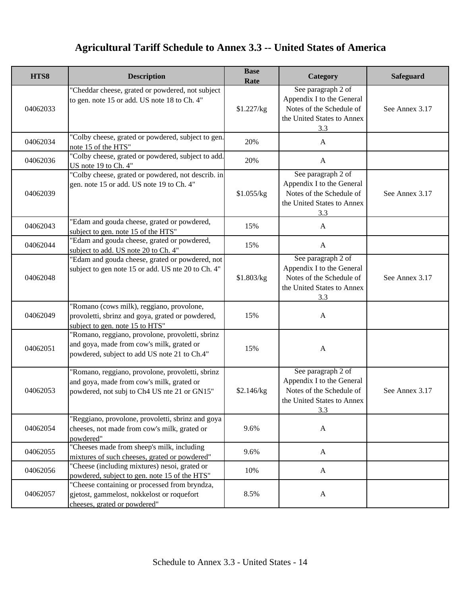| HTS8     | <b>Description</b>                                                                                                                            | <b>Base</b><br>Rate | Category                                                                                                         | Safeguard      |
|----------|-----------------------------------------------------------------------------------------------------------------------------------------------|---------------------|------------------------------------------------------------------------------------------------------------------|----------------|
| 04062033 | "Cheddar cheese, grated or powdered, not subject<br>to gen. note 15 or add. US note 18 to Ch. 4"                                              | \$1.227/kg          | See paragraph 2 of<br>Appendix I to the General<br>Notes of the Schedule of<br>the United States to Annex<br>3.3 | See Annex 3.17 |
| 04062034 | "Colby cheese, grated or powdered, subject to gen.<br>note 15 of the HTS"                                                                     | 20%                 | $\mathbf{A}$                                                                                                     |                |
| 04062036 | "Colby cheese, grated or powdered, subject to add.<br>US note 19 to Ch. 4"                                                                    | 20%                 | $\mathbf{A}$                                                                                                     |                |
| 04062039 | "Colby cheese, grated or powdered, not describ. in<br>gen. note 15 or add. US note 19 to Ch. 4"                                               | \$1.055/kg          | See paragraph 2 of<br>Appendix I to the General<br>Notes of the Schedule of<br>the United States to Annex<br>3.3 | See Annex 3.17 |
| 04062043 | "Edam and gouda cheese, grated or powdered,<br>subject to gen. note 15 of the HTS"                                                            | 15%                 | A                                                                                                                |                |
| 04062044 | "Edam and gouda cheese, grated or powdered,<br>subject to add. US note 20 to Ch. 4"                                                           | 15%                 | $\mathbf{A}$                                                                                                     |                |
| 04062048 | "Edam and gouda cheese, grated or powdered, not<br>subject to gen note 15 or add. US nte 20 to Ch. 4"                                         | \$1.803/kg          | See paragraph 2 of<br>Appendix I to the General<br>Notes of the Schedule of<br>the United States to Annex<br>3.3 | See Annex 3.17 |
| 04062049 | "Romano (cows milk), reggiano, provolone,<br>provoletti, sbrinz and goya, grated or powdered,<br>subject to gen. note 15 to HTS"              | 15%                 | $\mathbf{A}$                                                                                                     |                |
| 04062051 | "Romano, reggiano, provolone, provoletti, sbrinz<br>and goya, made from cow's milk, grated or<br>powdered, subject to add US note 21 to Ch.4" | 15%                 | $\boldsymbol{\mathsf{A}}$                                                                                        |                |
| 04062053 | "Romano, reggiano, provolone, provoletti, sbrinz<br>and goya, made from cow's milk, grated or<br>powdered, not subj to Ch4 US nte 21 or GN15" | \$2.146/kg          | See paragraph 2 of<br>Appendix I to the General<br>Notes of the Schedule of<br>the United States to Annex<br>3.3 | See Annex 3.17 |
| 04062054 | "Reggiano, provolone, provoletti, sbrinz and goya<br>cheeses, not made from cow's milk, grated or<br>powdered"                                | 9.6%                | $\mathbf{A}$                                                                                                     |                |
| 04062055 | "Cheeses made from sheep's milk, including<br>mixtures of such cheeses, grated or powdered"                                                   | 9.6%                | $\mathbf{A}$                                                                                                     |                |
| 04062056 | "Cheese (including mixtures) nesoi, grated or<br>powdered, subject to gen. note 15 of the HTS"                                                | 10%                 | $\mathbf{A}$                                                                                                     |                |
| 04062057 | "Cheese containing or processed from bryndza,<br>gjetost, gammelost, nokkelost or roquefort<br>cheeses, grated or powdered"                   | 8.5%                | $\mathbf{A}$                                                                                                     |                |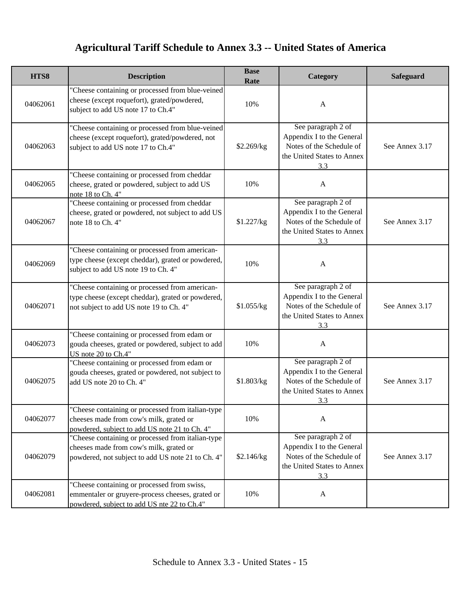| HTS8     | <b>Description</b>                                                                                                                                | <b>Base</b><br>Rate | Category                                                                                                         | Safeguard      |
|----------|---------------------------------------------------------------------------------------------------------------------------------------------------|---------------------|------------------------------------------------------------------------------------------------------------------|----------------|
| 04062061 | "Cheese containing or processed from blue-veined<br>cheese (except roquefort), grated/powdered,<br>subject to add US note 17 to Ch.4"             | 10%                 | A                                                                                                                |                |
| 04062063 | "Cheese containing or processed from blue-veined<br>cheese (except roquefort), grated/powdered, not<br>subject to add US note 17 to Ch.4"         | \$2.269/kg          | See paragraph 2 of<br>Appendix I to the General<br>Notes of the Schedule of<br>the United States to Annex<br>3.3 | See Annex 3.17 |
| 04062065 | "Cheese containing or processed from cheddar<br>cheese, grated or powdered, subject to add US<br>note 18 to Ch. 4"                                | 10%                 | A                                                                                                                |                |
| 04062067 | "Cheese containing or processed from cheddar<br>cheese, grated or powdered, not subject to add US<br>note 18 to Ch. 4"                            | \$1.227/kg          | See paragraph 2 of<br>Appendix I to the General<br>Notes of the Schedule of<br>the United States to Annex<br>3.3 | See Annex 3.17 |
| 04062069 | "Cheese containing or processed from american-<br>type cheese (except cheddar), grated or powdered,<br>subject to add US note 19 to Ch. 4"        | 10%                 | $\mathbf{A}$                                                                                                     |                |
| 04062071 | "Cheese containing or processed from american-<br>type cheese (except cheddar), grated or powdered,<br>not subject to add US note 19 to Ch. 4"    | \$1.055/kg          | See paragraph 2 of<br>Appendix I to the General<br>Notes of the Schedule of<br>the United States to Annex<br>3.3 | See Annex 3.17 |
| 04062073 | "Cheese containing or processed from edam or<br>gouda cheeses, grated or powdered, subject to add<br>US note 20 to Ch.4"                          | 10%                 | $\mathbf{A}$                                                                                                     |                |
| 04062075 | "Cheese containing or processed from edam or<br>gouda cheeses, grated or powdered, not subject to<br>add US note 20 to Ch. 4"                     | \$1.803/kg          | See paragraph 2 of<br>Appendix I to the General<br>Notes of the Schedule of<br>the United States to Annex<br>3.3 | See Annex 3.17 |
| 04062077 | "Cheese containing or processed from italian-type<br>cheeses made from cow's milk, grated or<br>powdered, subject to add US note 21 to Ch. 4"     | 10%                 | $\mathbf{A}$                                                                                                     |                |
| 04062079 | "Cheese containing or processed from italian-type<br>cheeses made from cow's milk, grated or<br>powdered, not subject to add US note 21 to Ch. 4" | \$2.146/kg          | See paragraph 2 of<br>Appendix I to the General<br>Notes of the Schedule of<br>the United States to Annex<br>3.3 | See Annex 3.17 |
| 04062081 | "Cheese containing or processed from swiss,<br>emmentaler or gruyere-process cheeses, grated or<br>powdered, subject to add US nte 22 to Ch.4"    | 10%                 | A                                                                                                                |                |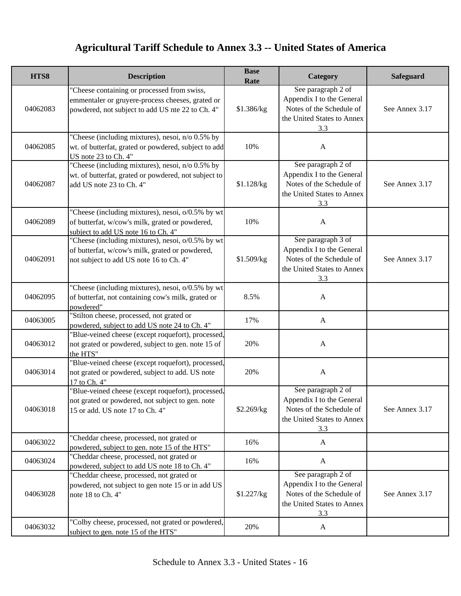| HTS8     | <b>Description</b>                                                                                                                                  | <b>Base</b><br>Rate | Category                                                                                                         | <b>Safeguard</b> |
|----------|-----------------------------------------------------------------------------------------------------------------------------------------------------|---------------------|------------------------------------------------------------------------------------------------------------------|------------------|
| 04062083 | "Cheese containing or processed from swiss,<br>emmentaler or gruyere-process cheeses, grated or<br>powdered, not subject to add US nte 22 to Ch. 4" | \$1.386/kg          | See paragraph 2 of<br>Appendix I to the General<br>Notes of the Schedule of<br>the United States to Annex<br>3.3 | See Annex 3.17   |
| 04062085 | "Cheese (including mixtures), nesoi, n/o 0.5% by<br>wt. of butterfat, grated or powdered, subject to add<br>US note 23 to Ch. 4"                    | 10%                 | $\mathbf{A}$                                                                                                     |                  |
| 04062087 | "Cheese (including mixtures), nesoi, n/o 0.5% by<br>wt. of butterfat, grated or powdered, not subject to<br>add US note 23 to Ch. 4"                | \$1.128/kg          | See paragraph 2 of<br>Appendix I to the General<br>Notes of the Schedule of<br>the United States to Annex<br>3.3 | See Annex 3.17   |
| 04062089 | "Cheese (including mixtures), nesoi, o/0.5% by wt<br>of butterfat, w/cow's milk, grated or powdered,<br>subject to add US note 16 to Ch. 4"         | 10%                 | $\mathbf{A}$                                                                                                     |                  |
| 04062091 | "Cheese (including mixtures), nesoi, o/0.5% by wt<br>of butterfat, w/cow's milk, grated or powdered,<br>not subject to add US note 16 to Ch. 4"     | \$1.509/kg          | See paragraph 3 of<br>Appendix I to the General<br>Notes of the Schedule of<br>the United States to Annex<br>3.3 | See Annex 3.17   |
| 04062095 | "Cheese (including mixtures), nesoi, o/0.5% by wt<br>of butterfat, not containing cow's milk, grated or<br>powdered"                                | 8.5%                | $\mathbf{A}$                                                                                                     |                  |
| 04063005 | "Stilton cheese, processed, not grated or<br>powdered, subject to add US note 24 to Ch. 4"                                                          | 17%                 | $\mathbf{A}$                                                                                                     |                  |
| 04063012 | "Blue-veined cheese (except roquefort), processed,<br>not grated or powdered, subject to gen. note 15 of<br>the HTS"                                | 20%                 | $\mathbf{A}$                                                                                                     |                  |
| 04063014 | "Blue-veined cheese (except roquefort), processed,<br>not grated or powdered, subject to add. US note<br>17 to Ch. 4"                               | 20%                 | $\mathbf{A}$                                                                                                     |                  |
| 04063018 | "Blue-veined cheese (except roquefort), processed,<br>not grated or powdered, not subject to gen. note<br>15 or add. US note 17 to Ch. 4"           | \$2.269/kg          | See paragraph 2 of<br>Appendix I to the General<br>Notes of the Schedule of<br>the United States to Annex<br>3.3 | See Annex 3.17   |
| 04063022 | "Cheddar cheese, processed, not grated or<br>powdered, subject to gen. note 15 of the HTS"                                                          | 16%                 | A                                                                                                                |                  |
| 04063024 | "Cheddar cheese, processed, not grated or<br>powdered, subject to add US note 18 to Ch. 4"                                                          | 16%                 | $\mathbf{A}$                                                                                                     |                  |
| 04063028 | "Cheddar cheese, processed, not grated or<br>powdered, not subject to gen note 15 or in add US<br>note 18 to Ch. 4"                                 | \$1.227/kg          | See paragraph 2 of<br>Appendix I to the General<br>Notes of the Schedule of<br>the United States to Annex<br>3.3 | See Annex 3.17   |
| 04063032 | "Colby cheese, processed, not grated or powdered,<br>subject to gen. note 15 of the HTS"                                                            | 20%                 | A                                                                                                                |                  |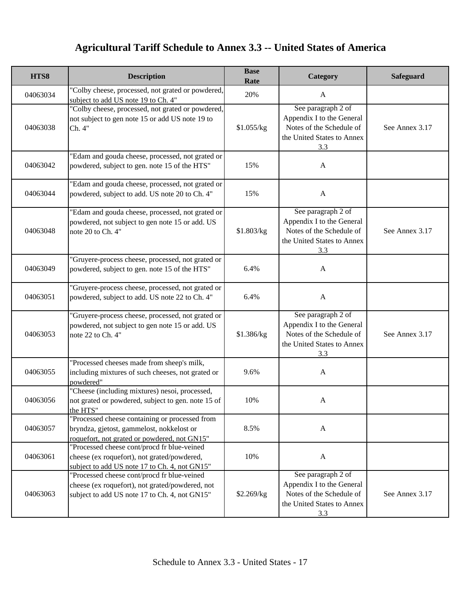| HTS8     | <b>Description</b>                                                                                                                              | <b>Base</b><br>Rate | Category                                                                                                         | Safeguard      |
|----------|-------------------------------------------------------------------------------------------------------------------------------------------------|---------------------|------------------------------------------------------------------------------------------------------------------|----------------|
| 04063034 | "Colby cheese, processed, not grated or powdered,<br>subject to add US note 19 to Ch. 4"                                                        | 20%                 | $\mathbf{A}$                                                                                                     |                |
| 04063038 | "Colby cheese, processed, not grated or powdered,<br>not subject to gen note 15 or add US note 19 to<br>Ch. 4"                                  | \$1.055/kg          | See paragraph 2 of<br>Appendix I to the General<br>Notes of the Schedule of<br>the United States to Annex<br>3.3 | See Annex 3.17 |
| 04063042 | "Edam and gouda cheese, processed, not grated or<br>powdered, subject to gen. note 15 of the HTS"                                               | 15%                 | $\mathbf{A}$                                                                                                     |                |
| 04063044 | "Edam and gouda cheese, processed, not grated or<br>powdered, subject to add. US note 20 to Ch. 4"                                              | 15%                 | $\mathbf{A}$                                                                                                     |                |
| 04063048 | "Edam and gouda cheese, processed, not grated or<br>powdered, not subject to gen note 15 or add. US<br>note 20 to Ch. 4"                        | \$1.803/kg          | See paragraph 2 of<br>Appendix I to the General<br>Notes of the Schedule of<br>the United States to Annex<br>3.3 | See Annex 3.17 |
| 04063049 | "Gruyere-process cheese, processed, not grated or<br>powdered, subject to gen. note 15 of the HTS"                                              | 6.4%                | $\mathbf{A}$                                                                                                     |                |
| 04063051 | "Gruyere-process cheese, processed, not grated or<br>powdered, subject to add. US note 22 to Ch. 4"                                             | 6.4%                | $\mathbf{A}$                                                                                                     |                |
| 04063053 | "Gruyere-process cheese, processed, not grated or<br>powdered, not subject to gen note 15 or add. US<br>note 22 to Ch. 4"                       | \$1.386/kg          | See paragraph 2 of<br>Appendix I to the General<br>Notes of the Schedule of<br>the United States to Annex<br>3.3 | See Annex 3.17 |
| 04063055 | "Processed cheeses made from sheep's milk,<br>including mixtures of such cheeses, not grated or<br>powdered"                                    | 9.6%                | $\mathbf{A}$                                                                                                     |                |
| 04063056 | "Cheese (including mixtures) nesoi, processed,<br>not grated or powdered, subject to gen. note 15 of<br>the HTS"                                | 10%                 | A                                                                                                                |                |
| 04063057 | "Processed cheese containing or processed from<br>bryndza, gjetost, gammelost, nokkelost or<br>roquefort, not grated or powdered, not GN15"     | 8.5%                | $\mathbf{A}$                                                                                                     |                |
| 04063061 | "Processed cheese cont/procd fr blue-veined<br>cheese (ex roquefort), not grated/powdered,<br>subject to add US note 17 to Ch. 4, not GN15"     | 10%                 | $\mathbf{A}$                                                                                                     |                |
| 04063063 | "Processed cheese cont/procd fr blue-veined<br>cheese (ex roquefort), not grated/powdered, not<br>subject to add US note 17 to Ch. 4, not GN15" | \$2.269/kg          | See paragraph 2 of<br>Appendix I to the General<br>Notes of the Schedule of<br>the United States to Annex<br>3.3 | See Annex 3.17 |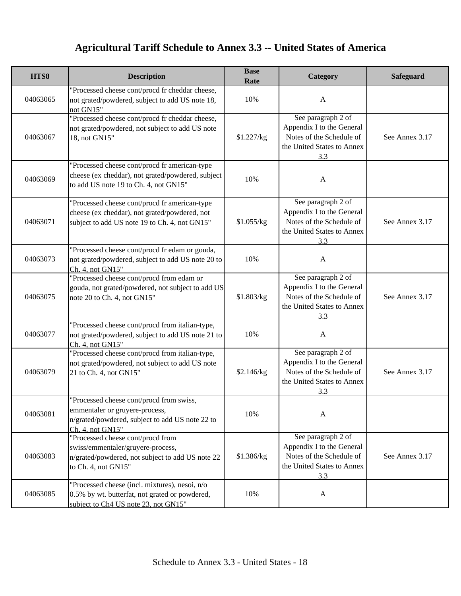| HTS8     | <b>Description</b>                                                                                                                                | <b>Base</b><br>Rate | Category                                                                                                         | Safeguard      |
|----------|---------------------------------------------------------------------------------------------------------------------------------------------------|---------------------|------------------------------------------------------------------------------------------------------------------|----------------|
| 04063065 | "Processed cheese cont/procd fr cheddar cheese,<br>not grated/powdered, subject to add US note 18,<br>not GN15"                                   | 10%                 | $\mathbf{A}$                                                                                                     |                |
| 04063067 | "Processed cheese cont/procd fr cheddar cheese,<br>not grated/powdered, not subject to add US note<br>18, not GN15"                               | \$1.227/kg          | See paragraph 2 of<br>Appendix I to the General<br>Notes of the Schedule of<br>the United States to Annex<br>3.3 | See Annex 3.17 |
| 04063069 | "Processed cheese cont/procd fr american-type<br>cheese (ex cheddar), not grated/powdered, subject<br>to add US note 19 to Ch. 4, not GN15"       | 10%                 | A                                                                                                                |                |
| 04063071 | "Processed cheese cont/procd fr american-type<br>cheese (ex cheddar), not grated/powdered, not<br>subject to add US note 19 to Ch. 4, not GN15"   | \$1.055/kg          | See paragraph 2 of<br>Appendix I to the General<br>Notes of the Schedule of<br>the United States to Annex<br>3.3 | See Annex 3.17 |
| 04063073 | "Processed cheese cont/procd fr edam or gouda,<br>not grated/powdered, subject to add US note 20 to<br>Ch. 4, not GN15"                           | 10%                 | $\mathbf{A}$                                                                                                     |                |
| 04063075 | "Processed cheese cont/procd from edam or<br>gouda, not grated/powdered, not subject to add US<br>note 20 to Ch. 4, not GN15"                     | \$1.803/kg          | See paragraph 2 of<br>Appendix I to the General<br>Notes of the Schedule of<br>the United States to Annex<br>3.3 | See Annex 3.17 |
| 04063077 | "Processed cheese cont/procd from italian-type,<br>not grated/powdered, subject to add US note 21 to<br>Ch. 4, not GN15"                          | 10%                 | $\mathbf{A}$                                                                                                     |                |
| 04063079 | "Processed cheese cont/procd from italian-type,<br>not grated/powdered, not subject to add US note<br>21 to Ch. 4, not GN15"                      | \$2.146/kg          | See paragraph 2 of<br>Appendix I to the General<br>Notes of the Schedule of<br>the United States to Annex<br>3.3 | See Annex 3.17 |
| 04063081 | "Processed cheese cont/procd from swiss,<br>emmentaler or gruyere-process,<br>n/grated/powdered, subject to add US note 22 to<br>Ch. 4, not GN15" | 10%                 | A                                                                                                                |                |
| 04063083 | "Processed cheese cont/procd from<br>swiss/emmentaler/gruyere-process,<br>n/grated/powdered, not subject to add US note 22<br>to Ch. 4, not GN15" | \$1.386/kg          | See paragraph 2 of<br>Appendix I to the General<br>Notes of the Schedule of<br>the United States to Annex<br>3.3 | See Annex 3.17 |
| 04063085 | "Processed cheese (incl. mixtures), nesoi, n/o<br>0.5% by wt. butterfat, not grated or powdered,<br>subject to Ch4 US note 23, not GN15"          | 10%                 | $\mathbf{A}$                                                                                                     |                |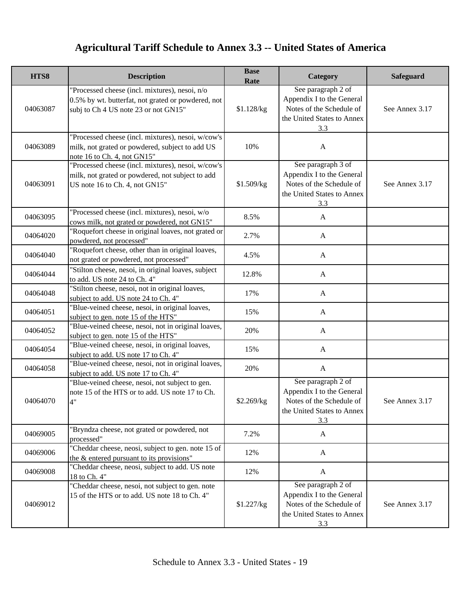| HTS8     | <b>Description</b>                                                                                                                           | <b>Base</b><br>Rate | Category                                                                                                         | Safeguard      |
|----------|----------------------------------------------------------------------------------------------------------------------------------------------|---------------------|------------------------------------------------------------------------------------------------------------------|----------------|
| 04063087 | "Processed cheese (incl. mixtures), nesoi, n/o<br>0.5% by wt. butterfat, not grated or powdered, not<br>subj to Ch 4 US note 23 or not GN15" | \$1.128/kg          | See paragraph 2 of<br>Appendix I to the General<br>Notes of the Schedule of<br>the United States to Annex<br>3.3 | See Annex 3.17 |
| 04063089 | "Processed cheese (incl. mixtures), nesoi, w/cow's<br>milk, not grated or powdered, subject to add US<br>note 16 to Ch. 4, not GN15"         | 10%                 | $\mathbf{A}$                                                                                                     |                |
| 04063091 | 'Processed cheese (incl. mixtures), nesoi, w/cow's<br>milk, not grated or powdered, not subject to add<br>US note 16 to Ch. 4, not GN15"     | \$1.509/kg          | See paragraph 3 of<br>Appendix I to the General<br>Notes of the Schedule of<br>the United States to Annex<br>3.3 | See Annex 3.17 |
| 04063095 | 'Processed cheese (incl. mixtures), nesoi, w/o<br>cows milk, not grated or powdered, not GN15"                                               | 8.5%                | $\mathbf{A}$                                                                                                     |                |
| 04064020 | 'Roquefort cheese in original loaves, not grated or<br>powdered, not processed"                                                              | 2.7%                | $\mathbf{A}$                                                                                                     |                |
| 04064040 | 'Roquefort cheese, other than in original loaves,<br>not grated or powdered, not processed"                                                  | 4.5%                | $\mathbf{A}$                                                                                                     |                |
| 04064044 | 'Stilton cheese, nesoi, in original loaves, subject<br>to add. US note 24 to Ch. 4"                                                          | 12.8%               | $\mathbf{A}$                                                                                                     |                |
| 04064048 | "Stilton cheese, nesoi, not in original loaves,<br>subject to add. US note 24 to Ch. 4"                                                      | 17%                 | $\mathbf{A}$                                                                                                     |                |
| 04064051 | 'Blue-veined cheese, nesoi, in original loaves,<br>subject to gen. note 15 of the HTS"                                                       | 15%                 | $\mathbf{A}$                                                                                                     |                |
| 04064052 | "Blue-veined cheese, nesoi, not in original loaves,<br>subject to gen. note 15 of the HTS"                                                   | 20%                 | $\mathbf{A}$                                                                                                     |                |
| 04064054 | 'Blue-veined cheese, nesoi, in original loaves,<br>subject to add. US note 17 to Ch. 4"                                                      | 15%                 | $\mathbf{A}$                                                                                                     |                |
| 04064058 | 'Blue-veined cheese, nesoi, not in original loaves,<br>subject to add. US note 17 to Ch. 4"                                                  | 20%                 | $\mathbf{A}$                                                                                                     |                |
| 04064070 | 'Blue-veined cheese, nesoi, not subject to gen.<br>note 15 of the HTS or to add. US note 17 to Ch.<br>$\Lambda$ "                            | \$2.269/kg          | See paragraph 2 of<br>Appendix I to the General<br>Notes of the Schedule of<br>the United States to Annex<br>3.3 | See Annex 3.17 |
| 04069005 | "Bryndza cheese, not grated or powdered, not<br>processed"                                                                                   | 7.2%                | A                                                                                                                |                |
| 04069006 | "Cheddar cheese, neosi, subject to gen. note 15 of<br>the $&$ entered pursuant to its provisions"                                            | 12%                 | A                                                                                                                |                |
| 04069008 | "Cheddar cheese, neosi, subject to add. US note<br>18 to Ch. 4"                                                                              | 12%                 | A                                                                                                                |                |
| 04069012 | "Cheddar cheese, nesoi, not subject to gen. note<br>15 of the HTS or to add. US note 18 to Ch. 4"                                            | \$1.227/kg          | See paragraph 2 of<br>Appendix I to the General<br>Notes of the Schedule of<br>the United States to Annex<br>3.3 | See Annex 3.17 |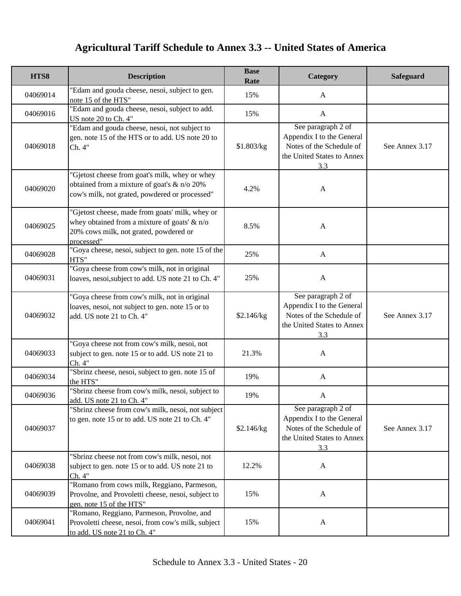| HTS8     | <b>Description</b>                                                                                                                                      | <b>Base</b><br>Rate | Category                                                                                                         | Safeguard      |
|----------|---------------------------------------------------------------------------------------------------------------------------------------------------------|---------------------|------------------------------------------------------------------------------------------------------------------|----------------|
| 04069014 | "Edam and gouda cheese, nesoi, subject to gen.<br>note 15 of the HTS"                                                                                   | 15%                 | A                                                                                                                |                |
| 04069016 | "Edam and gouda cheese, nesoi, subject to add.<br>US note 20 to Ch. 4"                                                                                  | 15%                 | $\mathbf{A}$                                                                                                     |                |
| 04069018 | "Edam and gouda cheese, nesoi, not subject to<br>gen. note 15 of the HTS or to add. US note 20 to<br>Ch. 4"                                             | \$1.803/kg          | See paragraph 2 of<br>Appendix I to the General<br>Notes of the Schedule of<br>the United States to Annex<br>3.3 | See Annex 3.17 |
| 04069020 | "Gjetost cheese from goat's milk, whey or whey<br>obtained from a mixture of goat's $\&$ n/o 20%<br>cow's milk, not grated, powdered or processed"      | 4.2%                | $\mathbf{A}$                                                                                                     |                |
| 04069025 | "Gjetost cheese, made from goats' milk, whey or<br>whey obtained from a mixture of goats' & n/o<br>20% cows milk, not grated, powdered or<br>processed" | 8.5%                | $\mathbf{A}$                                                                                                     |                |
| 04069028 | "Goya cheese, nesoi, subject to gen. note 15 of the<br>HTS"                                                                                             | 25%                 | $\mathbf{A}$                                                                                                     |                |
| 04069031 | "Goya cheese from cow's milk, not in original<br>loaves, nesoi, subject to add. US note 21 to Ch. 4"                                                    | 25%                 | $\mathbf{A}$                                                                                                     |                |
| 04069032 | 'Goya cheese from cow's milk, not in original<br>loaves, nesoi, not subject to gen. note 15 or to<br>add. US note 21 to Ch. 4"                          | \$2.146/kg          | See paragraph 2 of<br>Appendix I to the General<br>Notes of the Schedule of<br>the United States to Annex<br>3.3 | See Annex 3.17 |
| 04069033 | "Goya cheese not from cow's milk, nesoi, not<br>subject to gen. note 15 or to add. US note 21 to<br>Ch. 4"                                              | 21.3%               | $\mathbf{A}$                                                                                                     |                |
| 04069034 | "Sbrinz cheese, nesoi, subject to gen. note 15 of<br>the HTS"                                                                                           | 19%                 | $\mathbf{A}$                                                                                                     |                |
| 04069036 | "Sbrinz cheese from cow's milk, nesoi, subject to<br>add. US note 21 to Ch. 4"                                                                          | 19%                 | $\mathbf{A}$                                                                                                     |                |
| 04069037 | "Sbrinz cheese from cow's milk, nesoi, not subject<br>to gen. note 15 or to add. US note 21 to Ch. 4"                                                   | \$2.146/kg          | See paragraph 2 of<br>Appendix I to the General<br>Notes of the Schedule of<br>the United States to Annex<br>3.3 | See Annex 3.17 |
| 04069038 | "Sbrinz cheese not from cow's milk, nesoi, not<br>subject to gen. note 15 or to add. US note 21 to<br>Ch. 4"                                            | 12.2%               | $\mathbf{A}$                                                                                                     |                |
| 04069039 | "Romano from cows milk, Reggiano, Parmeson,<br>Provolne, and Provoletti cheese, nesoi, subject to<br>gen. note 15 of the HTS"                           | 15%                 | $\mathbf{A}$                                                                                                     |                |
| 04069041 | "Romano, Reggiano, Parmeson, Provolne, and<br>Provoletti cheese, nesoi, from cow's milk, subject<br>to add. US note 21 to Ch. 4"                        | 15%                 | $\mathbf{A}$                                                                                                     |                |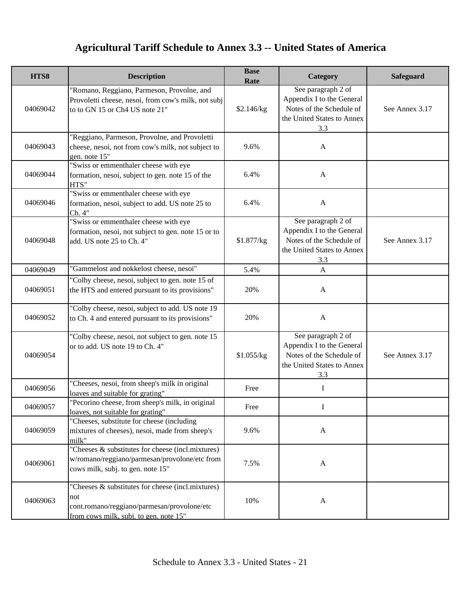| HTS8     | <b>Description</b>                                                                                                                                | <b>Base</b><br>Rate | Category                                                                                                         | Safeguard      |
|----------|---------------------------------------------------------------------------------------------------------------------------------------------------|---------------------|------------------------------------------------------------------------------------------------------------------|----------------|
| 04069042 | "Romano, Reggiano, Parmeson, Provolne, and<br>Provoletti cheese, nesoi, from cow's milk, not subj<br>to to GN 15 or Ch4 US note 21"               | \$2.146/kg          | See paragraph 2 of<br>Appendix I to the General<br>Notes of the Schedule of<br>the United States to Annex<br>3.3 | See Annex 3.17 |
| 04069043 | "Reggiano, Parmeson, Provolne, and Provoletti<br>cheese, nesoi, not from cow's milk, not subject to<br>gen. note 15"                              | 9.6%                | $\mathbf{A}$                                                                                                     |                |
| 04069044 | "Swiss or emmenthaler cheese with eye<br>formation, nesoi, subject to gen. note 15 of the<br>HTS"                                                 | 6.4%                | $\mathbf{A}$                                                                                                     |                |
| 04069046 | "Swiss or emmenthaler cheese with eye<br>formation, nesoi, subject to add. US note 25 to<br>Ch. 4"                                                | 6.4%                | $\mathbf{A}$                                                                                                     |                |
| 04069048 | "Swiss or emmenthaler cheese with eye<br>formation, nesoi, not subject to gen. note 15 or to<br>add. US note 25 to Ch. 4"                         | \$1.877/kg          | See paragraph 2 of<br>Appendix I to the General<br>Notes of the Schedule of<br>the United States to Annex<br>3.3 | See Annex 3.17 |
| 04069049 | "Gammelost and nokkelost cheese, nesoi"                                                                                                           | 5.4%                | $\mathbf{A}$                                                                                                     |                |
| 04069051 | "Colby cheese, nesoi, subject to gen. note 15 of<br>the HTS and entered pursuant to its provisions"                                               | 20%                 | A                                                                                                                |                |
| 04069052 | "Colby cheese, nesoi, subject to add. US note 19<br>to Ch. 4 and entered pursuant to its provisions"                                              | 20%                 | $\mathbf{A}$                                                                                                     |                |
| 04069054 | "Colby cheese, nesoi, not subject to gen. note 15<br>or to add. US note 19 to Ch. 4"                                                              | \$1.055/kg          | See paragraph 2 of<br>Appendix I to the General<br>Notes of the Schedule of<br>the United States to Annex<br>3.3 | See Annex 3.17 |
| 04069056 | "Cheeses, nesoi, from sheep's milk in original<br>loaves and suitable for grating"                                                                | Free                | I                                                                                                                |                |
| 04069057 | "Pecorino cheese, from sheep's milk, in original<br>loaves, not suitable for grating"                                                             | Free                | $\mathbf I$                                                                                                      |                |
| 04069059 | "Cheeses, substitute for cheese (including<br>mixtures of cheeses), nesoi, made from sheep's<br>milk"                                             | 9.6%                | $\mathbf{A}$                                                                                                     |                |
| 04069061 | "Cheeses & substitutes for cheese (incl.mixtures)<br>w/romano/reggiano/parmesan/provolone/etc from<br>cows milk, subj. to gen. note 15"           | 7.5%                | $\mathbf{A}$                                                                                                     |                |
| 04069063 | "Cheeses & substitutes for cheese (incl.mixtures)<br>not<br>cont.romano/reggiano/parmesan/provolone/etc<br>from cows milk, subj. to gen. note 15" | 10%                 | $\mathbf{A}$                                                                                                     |                |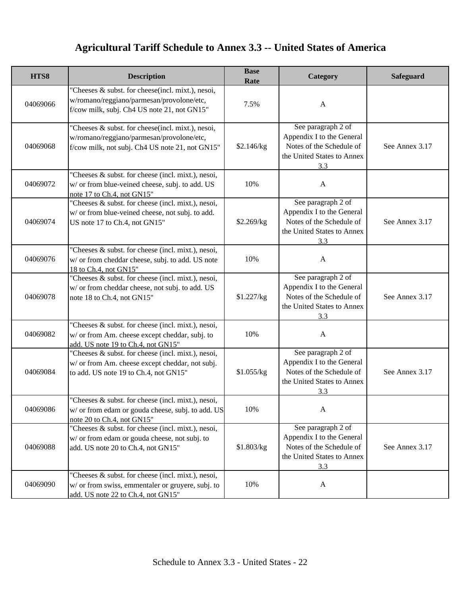| HTS8     | <b>Description</b>                                                                                                                                | <b>Base</b><br>Rate | Category                                                                                                         | Safeguard      |
|----------|---------------------------------------------------------------------------------------------------------------------------------------------------|---------------------|------------------------------------------------------------------------------------------------------------------|----------------|
| 04069066 | "Cheeses & subst. for cheese(incl. mixt.), nesoi,<br>w/romano/reggiano/parmesan/provolone/etc,<br>f/cow milk, subj. Ch4 US note 21, not GN15"     | 7.5%                | A                                                                                                                |                |
| 04069068 | "Cheeses & subst. for cheese(incl. mixt.), nesoi,<br>w/romano/reggiano/parmesan/provolone/etc,<br>f/cow milk, not subj. Ch4 US note 21, not GN15" | \$2.146/kg          | See paragraph 2 of<br>Appendix I to the General<br>Notes of the Schedule of<br>the United States to Annex<br>3.3 | See Annex 3.17 |
| 04069072 | "Cheeses & subst. for cheese (incl. mixt.), nesoi,<br>w/ or from blue-veined cheese, subj. to add. US<br>note 17 to Ch.4, not GN15"               | 10%                 | A                                                                                                                |                |
| 04069074 | "Cheeses & subst. for cheese (incl. mixt.), nesoi,<br>w/ or from blue-veined cheese, not subj. to add.<br>US note 17 to Ch.4, not GN15"           | \$2.269/kg          | See paragraph 2 of<br>Appendix I to the General<br>Notes of the Schedule of<br>the United States to Annex<br>3.3 | See Annex 3.17 |
| 04069076 | "Cheeses & subst. for cheese (incl. mixt.), nesoi,<br>w/ or from cheddar cheese, subj. to add. US note<br>18 to Ch.4, not GN15"                   | 10%                 | $\mathbf{A}$                                                                                                     |                |
| 04069078 | "Cheeses & subst. for cheese (incl. mixt.), nesoi,<br>w/ or from cheddar cheese, not subj. to add. US<br>note 18 to Ch.4, not GN15"               | \$1.227/kg          | See paragraph 2 of<br>Appendix I to the General<br>Notes of the Schedule of<br>the United States to Annex<br>3.3 | See Annex 3.17 |
| 04069082 | "Cheeses & subst. for cheese (incl. mixt.), nesoi,<br>w/ or from Am. cheese except cheddar, subj. to<br>add. US note 19 to Ch.4, not GN15"        | 10%                 | A                                                                                                                |                |
| 04069084 | "Cheeses & subst. for cheese (incl. mixt.), nesoi,<br>w/ or from Am. cheese except cheddar, not subj.<br>to add. US note 19 to Ch.4, not GN15"    | \$1.055/kg          | See paragraph 2 of<br>Appendix I to the General<br>Notes of the Schedule of<br>the United States to Annex<br>3.3 | See Annex 3.17 |
| 04069086 | "Cheeses & subst. for cheese (incl. mixt.), nesoi,<br>w/ or from edam or gouda cheese, subj. to add. US<br>note 20 to Ch.4, not GN15"             | 10%                 | A                                                                                                                |                |
| 04069088 | "Cheeses & subst. for cheese (incl. mixt.), nesoi,<br>w/ or from edam or gouda cheese, not subj. to<br>add. US note 20 to Ch.4, not GN15"         | \$1.803/kg          | See paragraph 2 of<br>Appendix I to the General<br>Notes of the Schedule of<br>the United States to Annex<br>3.3 | See Annex 3.17 |
| 04069090 | "Cheeses & subst. for cheese (incl. mixt.), nesoi,<br>w/ or from swiss, emmentaler or gruyere, subj. to<br>add. US note 22 to Ch.4, not GN15"     | 10%                 | A                                                                                                                |                |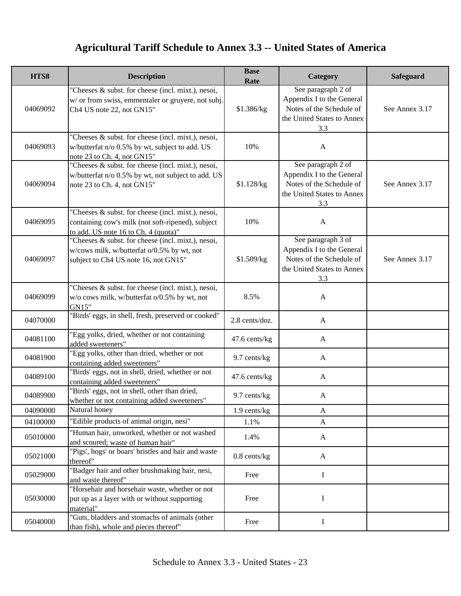| HTS8     | <b>Description</b>                                                                                                                              | <b>Base</b><br>Rate | Category                                                                                                         | Safeguard      |
|----------|-------------------------------------------------------------------------------------------------------------------------------------------------|---------------------|------------------------------------------------------------------------------------------------------------------|----------------|
| 04069092 | "Cheeses & subst. for cheese (incl. mixt.), nesoi,<br>w/ or from swiss, emmentaler or gruyere, not subj.<br>Ch4 US note 22, not GN15"           | \$1.386/kg          | See paragraph 2 of<br>Appendix I to the General<br>Notes of the Schedule of<br>the United States to Annex<br>3.3 | See Annex 3.17 |
| 04069093 | "Cheeses & subst. for cheese (incl. mixt.), nesoi,<br>w/butterfat n/o 0.5% by wt, subject to add. US<br>note 23 to Ch. 4, not GN15"             | 10%                 | $\mathbf{A}$                                                                                                     |                |
| 04069094 | "Cheeses & subst. for cheese (incl. mixt.), nesoi,<br>w/butterfat n/o 0.5% by wt, not subject to add. US<br>note 23 to Ch. 4, not GN15"         | \$1.128/kg          | See paragraph 2 of<br>Appendix I to the General<br>Notes of the Schedule of<br>the United States to Annex<br>3.3 | See Annex 3.17 |
| 04069095 | "Cheeses & subst. for cheese (incl. mixt.), nesoi,<br>containing cow's milk (not soft-ripened), subject<br>to add. US note 16 to Ch. 4 (quota)" | 10%                 | $\mathbf{A}$                                                                                                     |                |
| 04069097 | "Cheeses & subst. for cheese (incl. mixt.), nesoi,<br>w/cows milk, w/butterfat o/0.5% by wt, not<br>subject to Ch4 US note 16, not GN15"        | \$1.509/kg          | See paragraph 3 of<br>Appendix I to the General<br>Notes of the Schedule of<br>the United States to Annex<br>3.3 | See Annex 3.17 |
| 04069099 | "Cheeses & subst. for cheese (incl. mixt.), nesoi,<br>w/o cows milk, w/butterfat o/0.5% by wt, not<br>GN15"                                     | 8.5%                | $\mathbf{A}$                                                                                                     |                |
| 04070000 | "Birds' eggs, in shell, fresh, preserved or cooked"                                                                                             | 2.8 cents/doz.      | $\mathbf{A}$                                                                                                     |                |
| 04081100 | "Egg yolks, dried, whether or not containing<br>added sweeteners"                                                                               | 47.6 cents/kg       | $\mathbf{A}$                                                                                                     |                |
| 04081900 | "Egg yolks, other than dried, whether or not<br>containing added sweeteners"                                                                    | 9.7 cents/kg        | $\mathbf{A}$                                                                                                     |                |
| 04089100 | "Birds' eggs, not in shell, dried, whether or not<br>containing added sweeteners"                                                               | 47.6 cents/kg       | $\mathbf{A}$                                                                                                     |                |
| 04089900 | "Birds' eggs, not in shell, other than dried,<br>whether or not containing added sweeteners"                                                    | 9.7 cents/kg        | $\mathbf{A}$                                                                                                     |                |
| 04090000 | Natural honey                                                                                                                                   | 1.9 cents/kg        | A                                                                                                                |                |
| 04100000 | "Edible products of animal origin, nesi"                                                                                                        | 1.1%                | $\mathbf{A}$                                                                                                     |                |
| 05010000 | "Human hair, unworked, whether or not washed<br>and scoured; waste of human hair"                                                               | 1.4%                | A                                                                                                                |                |
| 05021000 | "Pigs', hogs' or boars' bristles and hair and waste<br>thereof"                                                                                 | $0.8$ cents/kg      | A                                                                                                                |                |
| 05029000 | "Badger hair and other brushmaking hair, nesi,<br>and waste thereof"                                                                            | Free                | Ι.                                                                                                               |                |
| 05030000 | "Horsehair and horsehair waste, whether or not<br>put up as a layer with or without supporting<br>material"                                     | Free                | I                                                                                                                |                |
| 05040000 | "Guts, bladders and stomachs of animals (other<br>than fish), whole and pieces thereof"                                                         | Free                | $\bf{I}$                                                                                                         |                |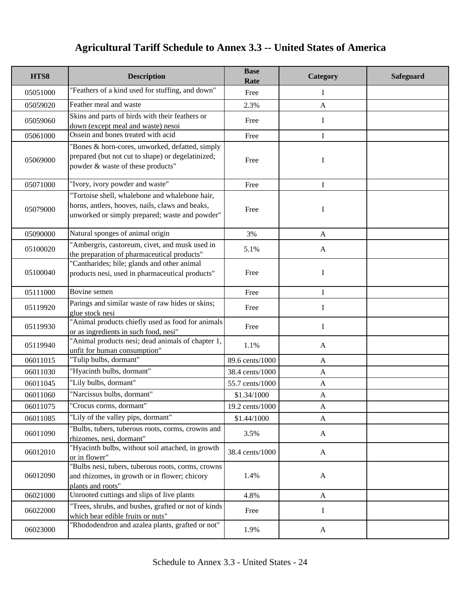| HTS8     | <b>Description</b>                                                                                                                                  | <b>Base</b><br>Rate | Category     | <b>Safeguard</b> |
|----------|-----------------------------------------------------------------------------------------------------------------------------------------------------|---------------------|--------------|------------------|
| 05051000 | "Feathers of a kind used for stuffing, and down"                                                                                                    | Free                | Ι            |                  |
| 05059020 | Feather meal and waste                                                                                                                              | 2.3%                | $\mathbf{A}$ |                  |
| 05059060 | Skins and parts of birds with their feathers or<br>down (except meal and waste) nesoi                                                               | Free                | $\mathbf I$  |                  |
| 05061000 | Ossein and bones treated with acid                                                                                                                  | Free                | I            |                  |
| 05069000 | "Bones & horn-cores, unworked, defatted, simply<br>prepared (but not cut to shape) or degelatinized;<br>powder & waste of these products"           | Free                | I            |                  |
| 05071000 | "Ivory, ivory powder and waste"                                                                                                                     | Free                | $\mathbf I$  |                  |
| 05079000 | "Tortoise shell, whalebone and whalebone hair,<br>horns, antlers, hooves, nails, claws and beaks,<br>unworked or simply prepared; waste and powder" | Free                | I            |                  |
| 05090000 | Natural sponges of animal origin                                                                                                                    | 3%                  | A            |                  |
| 05100020 | "Ambergris, castoreum, civet, and musk used in<br>the preparation of pharmaceutical products"                                                       | 5.1%                | $\mathbf{A}$ |                  |
| 05100040 | "Cantharides; bile; glands and other animal<br>products nesi, used in pharmaceutical products"                                                      | Free                | $\mathbf I$  |                  |
| 05111000 | Bovine semen                                                                                                                                        | Free                | I            |                  |
| 05119920 | Parings and similar waste of raw hides or skins;<br>glue stock nesi                                                                                 | Free                | I            |                  |
| 05119930 | "Animal products chiefly used as food for animals<br>or as ingredients in such food, nesi"                                                          | Free                | I            |                  |
| 05119940 | "Animal products nesi; dead animals of chapter 1,<br>unfit for human consumption"                                                                   | 1.1%                | $\mathbf{A}$ |                  |
| 06011015 | "Tulip bulbs, dormant"                                                                                                                              | 89.6 cents/1000     | A            |                  |
| 06011030 | "Hyacinth bulbs, dormant"                                                                                                                           | 38.4 cents/1000     | $\mathbf{A}$ |                  |
| 06011045 | "Lily bulbs, dormant"                                                                                                                               | 55.7 cents/1000     | $\mathbf{A}$ |                  |
| 06011060 | "Narcissus bulbs, dormant"                                                                                                                          | \$1.34/1000         | $\mathbf{A}$ |                  |
| 06011075 | "Crocus corms, dormant"                                                                                                                             | 19.2 cents/1000     | A            |                  |
| 06011085 | "Lily of the valley pips, dormant"                                                                                                                  | \$1.44/1000         | $\mathbf{A}$ |                  |
| 06011090 | "Bulbs, tubers, tuberous roots, corms, crowns and<br>rhizomes, nesi, dormant"                                                                       | 3.5%                | A            |                  |
| 06012010 | 'Hyacinth bulbs, without soil attached, in growth<br>or in flower"                                                                                  | 38.4 cents/1000     | $\mathbf{A}$ |                  |
| 06012090 | "Bulbs nesi, tubers, tuberous roots, corms, crowns<br>and rhizomes, in growth or in flower; chicory<br>plants and roots"                            | 1.4%                | $\mathbf{A}$ |                  |
| 06021000 | Unrooted cuttings and slips of live plants                                                                                                          | 4.8%                | A            |                  |
| 06022000 | "Trees, shrubs, and bushes, grafted or not of kinds<br>which bear edible fruits or nuts"                                                            | Free                | Ι            |                  |
| 06023000 | "Rhododendron and azalea plants, grafted or not"                                                                                                    | 1.9%                | $\mathbf{A}$ |                  |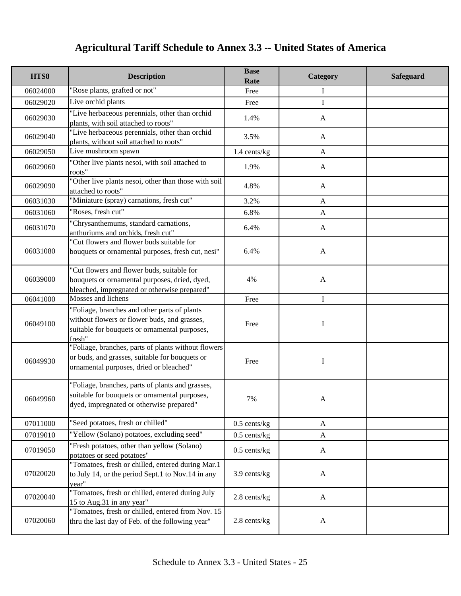| HTS8     | <b>Description</b>                                                                                                                                      | <b>Base</b><br>Rate | Category     | <b>Safeguard</b> |
|----------|---------------------------------------------------------------------------------------------------------------------------------------------------------|---------------------|--------------|------------------|
| 06024000 | "Rose plants, grafted or not"                                                                                                                           | Free                | Ι            |                  |
| 06029020 | Live orchid plants                                                                                                                                      | Free                | I            |                  |
| 06029030 | "Live herbaceous perennials, other than orchid<br>plants, with soil attached to roots"                                                                  | 1.4%                | A            |                  |
| 06029040 | "Live herbaceous perennials, other than orchid<br>plants, without soil attached to roots"                                                               | 3.5%                | $\mathbf{A}$ |                  |
| 06029050 | Live mushroom spawn                                                                                                                                     | 1.4 cents/kg        | $\mathbf{A}$ |                  |
| 06029060 | "Other live plants nesoi, with soil attached to<br>roots"                                                                                               | 1.9%                | $\mathbf{A}$ |                  |
| 06029090 | "Other live plants nesoi, other than those with soil<br>attached to roots"                                                                              | 4.8%                | $\mathbf{A}$ |                  |
| 06031030 | "Miniature (spray) carnations, fresh cut"                                                                                                               | 3.2%                | $\mathbf{A}$ |                  |
| 06031060 | "Roses, fresh cut"                                                                                                                                      | 6.8%                | $\mathbf{A}$ |                  |
| 06031070 | "Chrysanthemums, standard carnations,<br>anthuriums and orchids, fresh cut"                                                                             | 6.4%                | $\mathbf{A}$ |                  |
| 06031080 | "Cut flowers and flower buds suitable for<br>bouquets or ornamental purposes, fresh cut, nesi"                                                          | 6.4%                | $\mathbf{A}$ |                  |
| 06039000 | "Cut flowers and flower buds, suitable for<br>bouquets or ornamental purposes, dried, dyed,<br>bleached, impregnated or otherwise prepared"             | 4%                  | $\mathbf{A}$ |                  |
| 06041000 | Mosses and lichens                                                                                                                                      | Free                | $\bf{I}$     |                  |
| 06049100 | "Foliage, branches and other parts of plants<br>without flowers or flower buds, and grasses,<br>suitable for bouquets or ornamental purposes,<br>fresh" | Free                | Ι            |                  |
| 06049930 | "Foliage, branches, parts of plants without flowers<br>or buds, and grasses, suitable for bouquets or<br>ornamental purposes, dried or bleached"        | Free                | I            |                  |
| 06049960 | "Foliage, branches, parts of plants and grasses,<br>suitable for bouquets or ornamental purposes,<br>dyed, impregnated or otherwise prepared"           | 7%                  | A            |                  |
| 07011000 | "Seed potatoes, fresh or chilled"                                                                                                                       | $0.5$ cents/kg      | A            |                  |
| 07019010 | "Yellow (Solano) potatoes, excluding seed"                                                                                                              | $0.5$ cents/kg      | $\mathbf{A}$ |                  |
| 07019050 | "Fresh potatoes, other than yellow (Solano)<br>potatoes or seed potatoes"                                                                               | $0.5$ cents/kg      | $\mathbf{A}$ |                  |
| 07020020 | "Tomatoes, fresh or chilled, entered during Mar.1<br>to July 14, or the period Sept.1 to Nov.14 in any<br>vear"                                         | 3.9 cents/kg        | $\mathbf{A}$ |                  |
| 07020040 | "Tomatoes, fresh or chilled, entered during July<br>15 to Aug.31 in any year"                                                                           | 2.8 cents/kg        | $\mathbf{A}$ |                  |
| 07020060 | "Tomatoes, fresh or chilled, entered from Nov. 15<br>thru the last day of Feb. of the following year"                                                   | 2.8 cents/kg        | $\mathbf{A}$ |                  |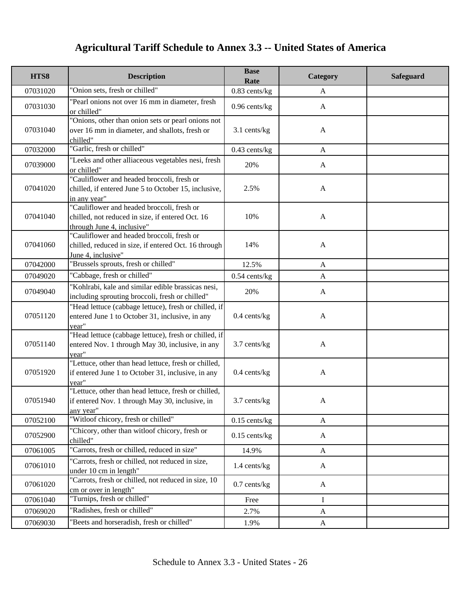| HTS8     | <b>Description</b>                                                                                                           | <b>Base</b><br>Rate | Category     | Safeguard |
|----------|------------------------------------------------------------------------------------------------------------------------------|---------------------|--------------|-----------|
| 07031020 | "Onion sets, fresh or chilled"                                                                                               | $0.83$ cents/kg     | $\mathbf{A}$ |           |
| 07031030 | 'Pearl onions not over 16 mm in diameter, fresh<br>or chilled"                                                               | $0.96$ cents/kg     | $\mathbf{A}$ |           |
| 07031040 | "Onions, other than onion sets or pearl onions not<br>over 16 mm in diameter, and shallots, fresh or<br>chilled"             | 3.1 cents/kg        | $\mathbf{A}$ |           |
| 07032000 | "Garlic, fresh or chilled"                                                                                                   | $0.43$ cents/kg     | $\mathbf{A}$ |           |
| 07039000 | "Leeks and other alliaceous vegetables nesi, fresh<br>or chilled"                                                            | 20%                 | $\mathbf{A}$ |           |
| 07041020 | "Cauliflower and headed broccoli, fresh or<br>chilled, if entered June 5 to October 15, inclusive,<br>in any year"           | 2.5%                | $\mathbf{A}$ |           |
| 07041040 | "Cauliflower and headed broccoli, fresh or<br>chilled, not reduced in size, if entered Oct. 16<br>through June 4, inclusive" | 10%                 | $\mathbf{A}$ |           |
| 07041060 | "Cauliflower and headed broccoli, fresh or<br>chilled, reduced in size, if entered Oct. 16 through<br>June 4, inclusive"     | 14%                 | $\mathbf{A}$ |           |
| 07042000 | 'Brussels sprouts, fresh or chilled"                                                                                         | 12.5%               | $\mathbf{A}$ |           |
| 07049020 | "Cabbage, fresh or chilled"                                                                                                  | $0.54$ cents/kg     | $\mathbf{A}$ |           |
| 07049040 | "Kohlrabi, kale and similar edible brassicas nesi,<br>including sprouting broccoli, fresh or chilled"                        | 20%                 | $\mathbf{A}$ |           |
| 07051120 | "Head lettuce (cabbage lettuce), fresh or chilled, if<br>entered June 1 to October 31, inclusive, in any<br>year"            | $0.4$ cents/kg      | $\mathbf{A}$ |           |
| 07051140 | "Head lettuce (cabbage lettuce), fresh or chilled, if<br>entered Nov. 1 through May 30, inclusive, in any<br>year"           | 3.7 cents/kg        | $\mathbf{A}$ |           |
| 07051920 | "Lettuce, other than head lettuce, fresh or chilled,<br>if entered June 1 to October 31, inclusive, in any<br>vear"          | $0.4$ cents/kg      | $\mathbf{A}$ |           |
| 07051940 | "Lettuce, other than head lettuce, fresh or chilled,<br>if entered Nov. 1 through May 30, inclusive, in<br>any year"         | 3.7 cents/kg        | A            |           |
| 07052100 | "Witloof chicory, fresh or chilled"                                                                                          | $0.15$ cents/kg     | $\mathbf{A}$ |           |
| 07052900 | "Chicory, other than witloof chicory, fresh or<br>chilled"                                                                   | $0.15$ cents/kg     | $\mathbf{A}$ |           |
| 07061005 | "Carrots, fresh or chilled, reduced in size"                                                                                 | 14.9%               | $\mathbf{A}$ |           |
| 07061010 | 'Carrots, fresh or chilled, not reduced in size,<br>under 10 cm in length"                                                   | 1.4 cents/kg        | $\mathbf{A}$ |           |
| 07061020 | 'Carrots, fresh or chilled, not reduced in size, 10<br>cm or over in length"                                                 | $0.7$ cents/kg      | A            |           |
| 07061040 | "Turnips, fresh or chilled"                                                                                                  | Free                | Ι            |           |
| 07069020 | "Radishes, fresh or chilled"                                                                                                 | 2.7%                | $\mathbf{A}$ |           |
| 07069030 | 'Beets and horseradish, fresh or chilled"                                                                                    | 1.9%                | $\mathbf{A}$ |           |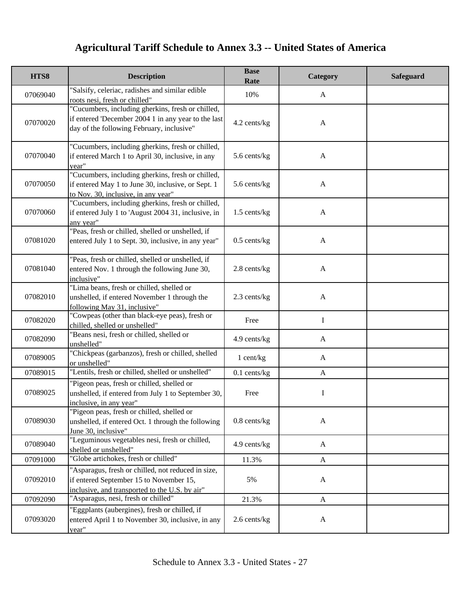| HTS8     | <b>Description</b>                                                                                                                                    | <b>Base</b><br>Rate | Category     | Safeguard |
|----------|-------------------------------------------------------------------------------------------------------------------------------------------------------|---------------------|--------------|-----------|
| 07069040 | 'Salsify, celeriac, radishes and similar edible<br>roots nesi, fresh or chilled"                                                                      | 10%                 | A            |           |
| 07070020 | "Cucumbers, including gherkins, fresh or chilled,<br>if entered 'December 2004 1 in any year to the last<br>day of the following February, inclusive" | 4.2 cents/kg        | $\mathbf{A}$ |           |
| 07070040 | "Cucumbers, including gherkins, fresh or chilled,<br>if entered March 1 to April 30, inclusive, in any<br>year"                                       | 5.6 cents/kg        | $\mathbf{A}$ |           |
| 07070050 | "Cucumbers, including gherkins, fresh or chilled,<br>if entered May 1 to June 30, inclusive, or Sept. 1<br>to Nov. 30, inclusive, in any year"        | 5.6 cents/kg        | $\mathbf{A}$ |           |
| 07070060 | "Cucumbers, including gherkins, fresh or chilled,<br>if entered July 1 to 'August 2004 31, inclusive, in<br>any year"                                 | 1.5 cents/kg        | $\mathbf{A}$ |           |
| 07081020 | "Peas, fresh or chilled, shelled or unshelled, if<br>entered July 1 to Sept. 30, inclusive, in any year"                                              | $0.5$ cents/kg      | $\mathbf{A}$ |           |
| 07081040 | "Peas, fresh or chilled, shelled or unshelled, if<br>entered Nov. 1 through the following June 30,<br>inclusive"                                      | 2.8 cents/kg        | $\mathbf{A}$ |           |
| 07082010 | "Lima beans, fresh or chilled, shelled or<br>unshelled, if entered November 1 through the<br>following May 31, inclusive"                             | 2.3 cents/kg        | $\mathbf{A}$ |           |
| 07082020 | "Cowpeas (other than black-eye peas), fresh or<br>chilled, shelled or unshelled"                                                                      | Free                | I            |           |
| 07082090 | "Beans nesi, fresh or chilled, shelled or<br>unshelled"                                                                                               | 4.9 cents/kg        | A            |           |
| 07089005 | 'Chickpeas (garbanzos), fresh or chilled, shelled<br>or unshelled"                                                                                    | 1 cent/kg           | $\mathbf{A}$ |           |
| 07089015 | "Lentils, fresh or chilled, shelled or unshelled"                                                                                                     | $0.1$ cents/kg      | $\mathbf{A}$ |           |
| 07089025 | "Pigeon peas, fresh or chilled, shelled or<br>unshelled, if entered from July 1 to September 30,<br>inclusive, in any year"                           | Free                | Ι            |           |
| 07089030 | "Pigeon peas, fresh or chilled, shelled or<br>unshelled, if entered Oct. 1 through the following<br>June 30, inclusive"                               | $0.8$ cents/ $kg$   | $\mathbf{A}$ |           |
| 07089040 | "Leguminous vegetables nesi, fresh or chilled,<br>shelled or unshelled"                                                                               | 4.9 cents/kg        | $\mathbf{A}$ |           |
| 07091000 | "Globe artichokes, fresh or chilled"                                                                                                                  | 11.3%               | $\mathbf{A}$ |           |
| 07092010 | "Asparagus, fresh or chilled, not reduced in size,<br>if entered September 15 to November 15,<br>inclusive, and transported to the U.S. by air"       | 5%                  | $\mathbf{A}$ |           |
| 07092090 | "Asparagus, nesi, fresh or chilled"                                                                                                                   | 21.3%               | $\mathbf{A}$ |           |
| 07093020 | "Eggplants (aubergines), fresh or chilled, if<br>entered April 1 to November 30, inclusive, in any<br>year"                                           | 2.6 cents/kg        | A            |           |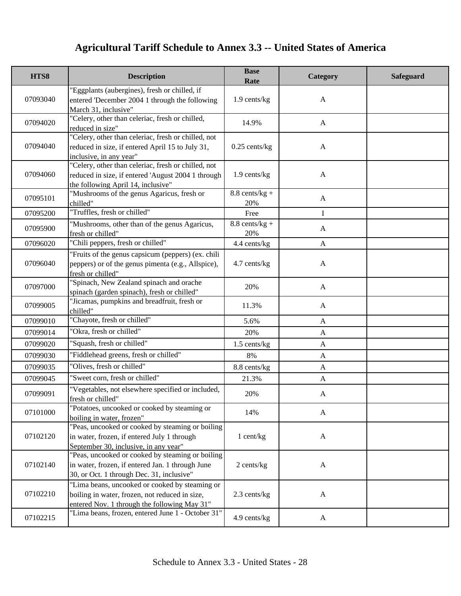| HTS8     | <b>Description</b>                                                                                                                                | <b>Base</b><br>Rate             | Category     | <b>Safeguard</b> |
|----------|---------------------------------------------------------------------------------------------------------------------------------------------------|---------------------------------|--------------|------------------|
| 07093040 | "Eggplants (aubergines), fresh or chilled, if<br>entered 'December 2004 1 through the following<br>March 31, inclusive"                           | 1.9 cents/kg                    | $\mathbf{A}$ |                  |
| 07094020 | "Celery, other than celeriac, fresh or chilled,<br>reduced in size"                                                                               | 14.9%                           | $\mathbf{A}$ |                  |
| 07094040 | "Celery, other than celeriac, fresh or chilled, not<br>reduced in size, if entered April 15 to July 31,<br>inclusive, in any year"                | $0.25$ cents/kg                 | $\mathbf{A}$ |                  |
| 07094060 | "Celery, other than celeriac, fresh or chilled, not<br>reduced in size, if entered 'August 2004 1 through<br>the following April 14, inclusive"   | 1.9 cents/kg                    | $\mathbf{A}$ |                  |
| 07095101 | "Mushrooms of the genus Agaricus, fresh or<br>chilled"                                                                                            | $8.8 \text{ cents/kg} +$<br>20% | $\mathbf{A}$ |                  |
| 07095200 | "Truffles, fresh or chilled"                                                                                                                      | Free                            | I            |                  |
| 07095900 | "Mushrooms, other than of the genus Agaricus,<br>fresh or chilled"                                                                                | $8.8$ cents/kg +<br>20%         | $\mathbf{A}$ |                  |
| 07096020 | "Chili peppers, fresh or chilled"                                                                                                                 | 4.4 cents/kg                    | $\mathbf{A}$ |                  |
| 07096040 | "Fruits of the genus capsicum (peppers) (ex. chili<br>peppers) or of the genus pimenta (e.g., Allspice),<br>fresh or chilled"                     | 4.7 cents/kg                    | $\mathbf{A}$ |                  |
| 07097000 | 'Spinach, New Zealand spinach and orache<br>spinach (garden spinach), fresh or chilled"                                                           | 20%                             | $\mathbf{A}$ |                  |
| 07099005 | "Jicamas, pumpkins and breadfruit, fresh or<br>chilled"                                                                                           | 11.3%                           | A            |                  |
| 07099010 | "Chayote, fresh or chilled"                                                                                                                       | 5.6%                            | $\mathbf{A}$ |                  |
| 07099014 | "Okra, fresh or chilled"                                                                                                                          | 20%                             | $\mathbf{A}$ |                  |
| 07099020 | "Squash, fresh or chilled"                                                                                                                        | 1.5 cents/kg                    | $\mathbf{A}$ |                  |
| 07099030 | "Fiddlehead greens, fresh or chilled"                                                                                                             | 8%                              | $\mathbf{A}$ |                  |
| 07099035 | "Olives, fresh or chilled"                                                                                                                        | 8.8 cents/kg                    | $\mathbf{A}$ |                  |
| 07099045 | "Sweet corn, fresh or chilled"                                                                                                                    | 21.3%                           | $\mathbf{A}$ |                  |
| 07099091 | "Vegetables, not elsewhere specified or included,<br>fresh or chilled"                                                                            | 20%                             | $\mathbf{A}$ |                  |
| 07101000 | "Potatoes, uncooked or cooked by steaming or<br>boiling in water, frozen"                                                                         | 14%                             | $\mathbf{A}$ |                  |
| 07102120 | "Peas, uncooked or cooked by steaming or boiling<br>in water, frozen, if entered July 1 through<br>September 30, inclusive, in any year"          | 1 cent/kg                       | $\mathbf{A}$ |                  |
| 07102140 | "Peas, uncooked or cooked by steaming or boiling<br>in water, frozen, if entered Jan. 1 through June<br>30, or Oct. 1 through Dec. 31, inclusive" | 2 cents/kg                      | $\mathbf{A}$ |                  |
| 07102210 | "Lima beans, uncooked or cooked by steaming or<br>boiling in water, frozen, not reduced in size,<br>entered Nov. 1 through the following May 31"  | 2.3 cents/kg                    | $\mathbf{A}$ |                  |
| 07102215 | "Lima beans, frozen, entered June 1 - October 31"                                                                                                 | 4.9 cents/kg                    | $\mathbf{A}$ |                  |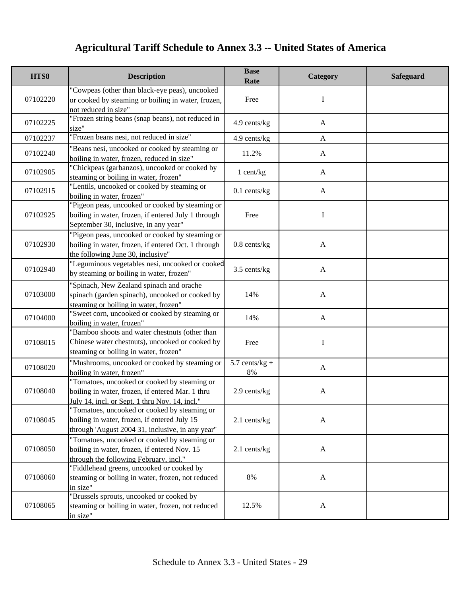| HTS8     | <b>Description</b>                                                                                                                                 | <b>Base</b><br>Rate    | Category     | <b>Safeguard</b> |
|----------|----------------------------------------------------------------------------------------------------------------------------------------------------|------------------------|--------------|------------------|
| 07102220 | "Cowpeas (other than black-eye peas), uncooked<br>or cooked by steaming or boiling in water, frozen,<br>not reduced in size"                       | Free                   | I            |                  |
| 07102225 | 'Frozen string beans (snap beans), not reduced in<br>size"                                                                                         | 4.9 cents/kg           | $\mathbf{A}$ |                  |
| 07102237 | "Frozen beans nesi, not reduced in size"                                                                                                           | 4.9 cents/kg           | $\mathbf{A}$ |                  |
| 07102240 | "Beans nesi, uncooked or cooked by steaming or<br>boiling in water, frozen, reduced in size"                                                       | 11.2%                  | A            |                  |
| 07102905 | 'Chickpeas (garbanzos), uncooked or cooked by<br>steaming or boiling in water, frozen"                                                             | 1 cent/kg              | A            |                  |
| 07102915 | "Lentils, uncooked or cooked by steaming or<br>boiling in water, frozen"                                                                           | $0.1$ cents/kg         | $\mathbf{A}$ |                  |
| 07102925 | "Pigeon peas, uncooked or cooked by steaming or<br>boiling in water, frozen, if entered July 1 through<br>September 30, inclusive, in any year"    | Free                   | I            |                  |
| 07102930 | "Pigeon peas, uncooked or cooked by steaming or<br>boiling in water, frozen, if entered Oct. 1 through<br>the following June 30, inclusive"        | $0.8$ cents/ $kg$      | $\mathbf{A}$ |                  |
| 07102940 | "Leguminous vegetables nesi, uncooked or cooked<br>by steaming or boiling in water, frozen"                                                        | 3.5 cents/kg           | $\mathbf{A}$ |                  |
| 07103000 | 'Spinach, New Zealand spinach and orache<br>spinach (garden spinach), uncooked or cooked by<br>steaming or boiling in water, frozen"               | 14%                    | $\mathbf{A}$ |                  |
| 07104000 | "Sweet corn, uncooked or cooked by steaming or<br>boiling in water, frozen"                                                                        | 14%                    | $\mathbf{A}$ |                  |
| 07108015 | "Bamboo shoots and water chestnuts (other than<br>Chinese water chestnuts), uncooked or cooked by<br>steaming or boiling in water, frozen"         | Free                   | I            |                  |
| 07108020 | "Mushrooms, uncooked or cooked by steaming or<br>boiling in water, frozen"                                                                         | $5.7$ cents/kg +<br>8% | $\mathbf{A}$ |                  |
| 07108040 | "Tomatoes, uncooked or cooked by steaming or<br>boiling in water, frozen, if entered Mar. 1 thru<br>July 14, incl. or Sept. 1 thru Nov. 14, incl." | 2.9 cents/kg           | $\mathbf{A}$ |                  |
| 07108045 | "Tomatoes, uncooked or cooked by steaming or<br>boiling in water, frozen, if entered July 15<br>through 'August 2004 31, inclusive, in any year"   | $2.1$ cents/kg         | $\mathbf{A}$ |                  |
| 07108050 | "Tomatoes, uncooked or cooked by steaming or<br>boiling in water, frozen, if entered Nov. 15<br>through the following February, incl."             | 2.1 cents/kg           | $\mathbf{A}$ |                  |
| 07108060 | "Fiddlehead greens, uncooked or cooked by<br>steaming or boiling in water, frozen, not reduced<br>in size"                                         | 8%                     | $\mathbf{A}$ |                  |
| 07108065 | "Brussels sprouts, uncooked or cooked by<br>steaming or boiling in water, frozen, not reduced<br>in size"                                          | 12.5%                  | $\mathbf{A}$ |                  |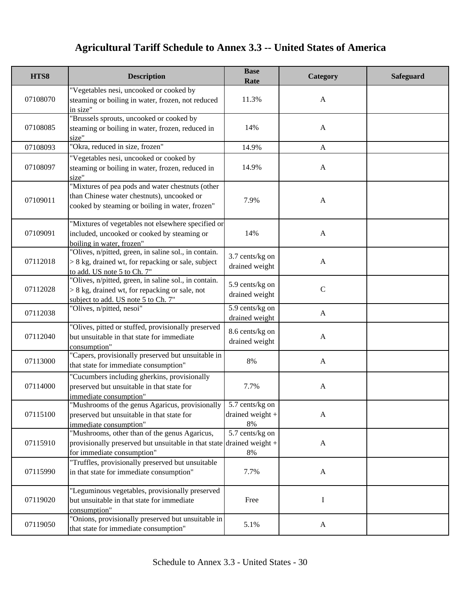| HTS8     | <b>Description</b>                                                                                                                                     | <b>Base</b><br>Rate                            | Category                  | <b>Safeguard</b> |
|----------|--------------------------------------------------------------------------------------------------------------------------------------------------------|------------------------------------------------|---------------------------|------------------|
| 07108070 | "Vegetables nesi, uncooked or cooked by<br>steaming or boiling in water, frozen, not reduced<br>in size"                                               | 11.3%                                          | $\mathbf{A}$              |                  |
| 07108085 | "Brussels sprouts, uncooked or cooked by<br>steaming or boiling in water, frozen, reduced in<br>size"                                                  | 14%                                            | $\mathbf{A}$              |                  |
| 07108093 | "Okra, reduced in size, frozen"                                                                                                                        | 14.9%                                          | $\mathbf{A}$              |                  |
| 07108097 | "Vegetables nesi, uncooked or cooked by<br>steaming or boiling in water, frozen, reduced in<br>size"                                                   | 14.9%                                          | $\mathbf{A}$              |                  |
| 07109011 | "Mixtures of pea pods and water chestnuts (other<br>than Chinese water chestnuts), uncooked or<br>cooked by steaming or boiling in water, frozen"      | 7.9%                                           | $\mathbf{A}$              |                  |
| 07109091 | "Mixtures of vegetables not elsewhere specified or<br>included, uncooked or cooked by steaming or<br>boiling in water, frozen"                         | 14%                                            | $\mathbf{A}$              |                  |
| 07112018 | 'Olives, n/pitted, green, in saline sol., in contain.<br>$> 8$ kg, drained wt, for repacking or sale, subject<br>to add. US note 5 to Ch. 7"           | 3.7 cents/kg on<br>drained weight              | $\mathbf{A}$              |                  |
| 07112028 | "Olives, n/pitted, green, in saline sol., in contain.<br>$> 8$ kg, drained wt, for repacking or sale, not<br>subject to add. US note 5 to Ch. 7"       | 5.9 cents/kg on<br>drained weight              | $\mathbf C$               |                  |
| 07112038 | "Olives, n/pitted, nesoi"                                                                                                                              | 5.9 cents/kg on<br>drained weight              | $\mathbf{A}$              |                  |
| 07112040 | "Olives, pitted or stuffed, provisionally preserved<br>but unsuitable in that state for immediate<br>consumption"                                      | 8.6 cents/kg on<br>drained weight              | $\mathbf{A}$              |                  |
| 07113000 | 'Capers, provisionally preserved but unsuitable in<br>that state for immediate consumption"                                                            | $8\%$                                          | $\mathbf{A}$              |                  |
| 07114000 | "Cucumbers including gherkins, provisionally<br>preserved but unsuitable in that state for<br>immediate consumption"                                   | 7.7%                                           | $\mathbf{A}$              |                  |
| 07115100 | 'Mushrooms of the genus Agaricus, provisionally<br>preserved but unsuitable in that state for<br>immediate consumption"                                | 5.7 cents/kg on<br>drained weight $+$<br>$8\%$ | $\mathbf{A}$              |                  |
| 07115910 | "Mushrooms, other than of the genus Agaricus,<br>provisionally preserved but unsuitable in that state drained weight $+$<br>for immediate consumption" | 5.7 cents/kg on<br>8%                          | $\boldsymbol{\mathsf{A}}$ |                  |
| 07115990 | "Truffles, provisionally preserved but unsuitable<br>in that state for immediate consumption"                                                          | 7.7%                                           | $\mathbf{A}$              |                  |
| 07119020 | "Leguminous vegetables, provisionally preserved<br>but unsuitable in that state for immediate<br>consumption"                                          | Free                                           | I                         |                  |
| 07119050 | 'Onions, provisionally preserved but unsuitable in<br>that state for immediate consumption"                                                            | 5.1%                                           | $\mathbf{A}$              |                  |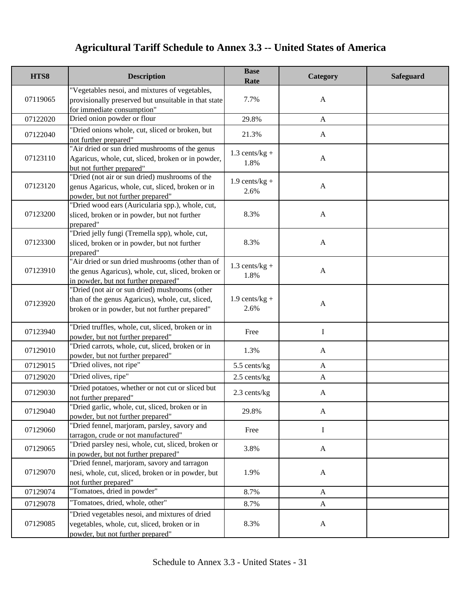| HTS8     | <b>Description</b>                                                                                                                                   | <b>Base</b><br>Rate      | Category     | <b>Safeguard</b> |
|----------|------------------------------------------------------------------------------------------------------------------------------------------------------|--------------------------|--------------|------------------|
| 07119065 | "Vegetables nesoi, and mixtures of vegetables,<br>provisionally preserved but unsuitable in that state<br>for immediate consumption"                 | 7.7%                     | $\mathbf{A}$ |                  |
| 07122020 | Dried onion powder or flour                                                                                                                          | 29.8%                    | $\mathbf{A}$ |                  |
| 07122040 | "Dried onions whole, cut, sliced or broken, but<br>not further prepared"                                                                             | 21.3%                    | $\mathbf{A}$ |                  |
| 07123110 | "Air dried or sun dried mushrooms of the genus<br>Agaricus, whole, cut, sliced, broken or in powder,<br>but not further prepared"                    | $1.3$ cents/kg +<br>1.8% | $\mathbf{A}$ |                  |
| 07123120 | "Dried (not air or sun dried) mushrooms of the<br>genus Agaricus, whole, cut, sliced, broken or in<br>powder, but not further prepared"              | $1.9$ cents/kg +<br>2.6% | $\mathbf{A}$ |                  |
| 07123200 | "Dried wood ears (Auricularia spp.), whole, cut,<br>sliced, broken or in powder, but not further<br>prepared"                                        | 8.3%                     | $\mathbf{A}$ |                  |
| 07123300 | "Dried jelly fungi (Tremella spp), whole, cut,<br>sliced, broken or in powder, but not further<br>prepared"                                          | 8.3%                     | $\mathbf{A}$ |                  |
| 07123910 | "Air dried or sun dried mushrooms (other than of<br>the genus Agaricus), whole, cut, sliced, broken or<br>in powder, but not further prepared"       | $1.3$ cents/kg +<br>1.8% | $\mathbf{A}$ |                  |
| 07123920 | "Dried (not air or sun dried) mushrooms (other<br>than of the genus Agaricus), whole, cut, sliced,<br>broken or in powder, but not further prepared" | $1.9$ cents/kg +<br>2.6% | $\mathbf{A}$ |                  |
| 07123940 | "Dried truffles, whole, cut, sliced, broken or in<br>powder, but not further prepared"                                                               | Free                     | $\mathbf I$  |                  |
| 07129010 | "Dried carrots, whole, cut, sliced, broken or in<br>powder, but not further prepared"                                                                | 1.3%                     | $\mathbf{A}$ |                  |
| 07129015 | "Dried olives, not ripe"                                                                                                                             | 5.5 cents/kg             | $\mathbf{A}$ |                  |
| 07129020 | "Dried olives, ripe"                                                                                                                                 | $2.5$ cents/kg           | $\mathbf{A}$ |                  |
| 07129030 | "Dried potatoes, whether or not cut or sliced but<br>not further prepared"                                                                           | 2.3 cents/kg             | A            |                  |
| 07129040 | "Dried garlic, whole, cut, sliced, broken or in<br>powder, but not further prepared"                                                                 | 29.8%                    | $\mathbf{A}$ |                  |
| 07129060 | "Dried fennel, marjoram, parsley, savory and<br>tarragon, crude or not manufactured"                                                                 | Free                     | I            |                  |
| 07129065 | "Dried parsley nesi, whole, cut, sliced, broken or<br>in powder, but not further prepared"                                                           | 3.8%                     | $\mathbf{A}$ |                  |
| 07129070 | "Dried fennel, marjoram, savory and tarragon<br>nesi, whole, cut, sliced, broken or in powder, but<br>not further prepared"                          | 1.9%                     | $\mathbf{A}$ |                  |
| 07129074 | "Tomatoes, dried in powder"                                                                                                                          | 8.7%                     | $\mathbf{A}$ |                  |
| 07129078 | "Tomatoes, dried, whole, other"                                                                                                                      | 8.7%                     | $\mathbf{A}$ |                  |
| 07129085 | "Dried vegetables nesoi, and mixtures of dried<br>vegetables, whole, cut, sliced, broken or in<br>powder, but not further prepared"                  | 8.3%                     | $\mathbf{A}$ |                  |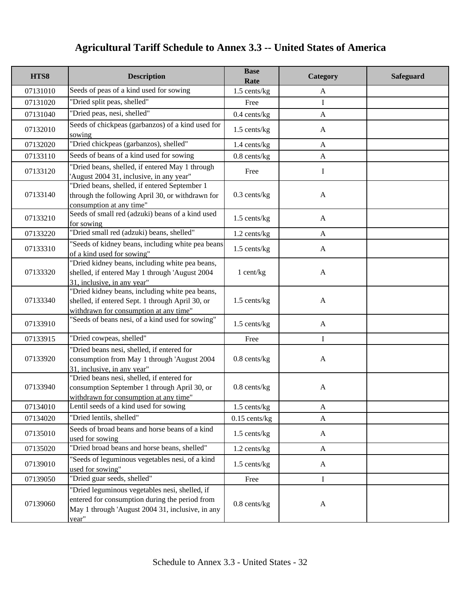| HTS8     | <b>Description</b>                                                                                                                                            | <b>Base</b><br>Rate | Category     | <b>Safeguard</b> |
|----------|---------------------------------------------------------------------------------------------------------------------------------------------------------------|---------------------|--------------|------------------|
| 07131010 | Seeds of peas of a kind used for sowing                                                                                                                       | 1.5 cents/kg        | A            |                  |
| 07131020 | "Dried split peas, shelled"                                                                                                                                   | Free                | I            |                  |
| 07131040 | "Dried peas, nesi, shelled"                                                                                                                                   | $0.4$ cents/kg      | $\mathbf{A}$ |                  |
| 07132010 | Seeds of chickpeas (garbanzos) of a kind used for<br>sowing                                                                                                   | $1.5$ cents/kg      | A            |                  |
| 07132020 | "Dried chickpeas (garbanzos), shelled"                                                                                                                        | 1.4 cents/kg        | $\mathbf{A}$ |                  |
| 07133110 | Seeds of beans of a kind used for sowing                                                                                                                      | $0.8$ cents/kg      | $\mathbf{A}$ |                  |
| 07133120 | "Dried beans, shelled, if entered May 1 through<br>'August 2004 31, inclusive, in any year"                                                                   | Free                | I            |                  |
| 07133140 | "Dried beans, shelled, if entered September 1<br>through the following April 30, or withdrawn for<br>consumption at any time"                                 | $0.3$ cents/kg      | $\mathbf{A}$ |                  |
| 07133210 | Seeds of small red (adzuki) beans of a kind used<br>for sowing                                                                                                | 1.5 cents/kg        | $\mathbf{A}$ |                  |
| 07133220 | "Dried small red (adzuki) beans, shelled"                                                                                                                     | 1.2 cents/kg        | $\mathbf{A}$ |                  |
| 07133310 | "Seeds of kidney beans, including white pea beans<br>of a kind used for sowing"                                                                               | $1.5$ cents/kg      | $\mathbf{A}$ |                  |
| 07133320 | "Dried kidney beans, including white pea beans,<br>shelled, if entered May 1 through 'August 2004<br>31, inclusive, in any year"                              | 1 cent/kg           | $\mathbf{A}$ |                  |
| 07133340 | "Dried kidney beans, including white pea beans,<br>shelled, if entered Sept. 1 through April 30, or<br>withdrawn for consumption at any time"                 | 1.5 cents/kg        | $\mathbf{A}$ |                  |
| 07133910 | "Seeds of beans nesi, of a kind used for sowing"                                                                                                              | $1.5$ cents/kg      | $\mathbf{A}$ |                  |
| 07133915 | "Dried cowpeas, shelled"                                                                                                                                      | Free                | I            |                  |
| 07133920 | "Dried beans nesi, shelled, if entered for<br>consumption from May 1 through 'August 2004<br>31, inclusive, in any year"                                      | $0.8$ cents/kg      | $\mathbf{A}$ |                  |
| 07133940 | "Dried beans nesi, shelled, if entered for<br>consumption September 1 through April 30, or<br>withdrawn for consumption at any time"                          | $0.8$ cents/kg      | $\mathbf{A}$ |                  |
| 07134010 | Lentil seeds of a kind used for sowing                                                                                                                        | $1.5$ cents/kg      | $\mathbf{A}$ |                  |
| 07134020 | "Dried lentils, shelled"                                                                                                                                      | $0.15$ cents/kg     | $\mathbf{A}$ |                  |
| 07135010 | Seeds of broad beans and horse beans of a kind<br>used for sowing                                                                                             | $1.5$ cents/kg      | A            |                  |
| 07135020 | "Dried broad beans and horse beans, shelled"                                                                                                                  | $1.2$ cents/kg      | A            |                  |
| 07139010 | "Seeds of leguminous vegetables nesi, of a kind<br>used for sowing"                                                                                           | $1.5$ cents/kg      | $\mathbf{A}$ |                  |
| 07139050 | "Dried guar seeds, shelled"                                                                                                                                   | Free                | $\bf{I}$     |                  |
| 07139060 | "Dried leguminous vegetables nesi, shelled, if<br>entered for consumption during the period from<br>May 1 through 'August 2004 31, inclusive, in any<br>year" | $0.8$ cents/kg      | $\mathbf{A}$ |                  |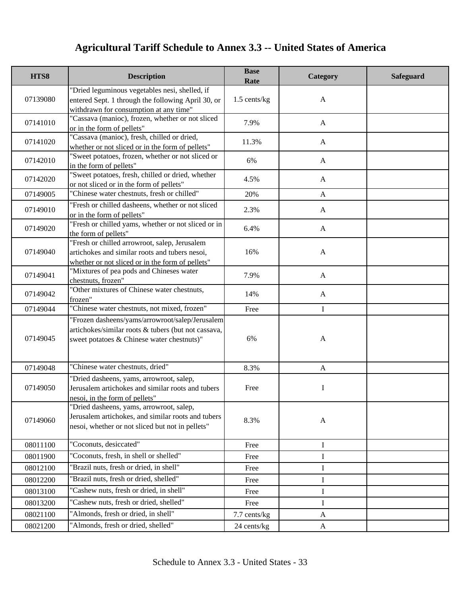| HTS8     | <b>Description</b>                                                                                                                                   | <b>Base</b><br>Rate | Category     | <b>Safeguard</b> |
|----------|------------------------------------------------------------------------------------------------------------------------------------------------------|---------------------|--------------|------------------|
| 07139080 | "Dried leguminous vegetables nesi, shelled, if<br>entered Sept. 1 through the following April 30, or<br>withdrawn for consumption at any time"       | 1.5 cents/kg        | $\mathbf{A}$ |                  |
| 07141010 | 'Cassava (manioc), frozen, whether or not sliced<br>or in the form of pellets"                                                                       | 7.9%                | $\mathbf{A}$ |                  |
| 07141020 | 'Cassava (manioc), fresh, chilled or dried,<br>whether or not sliced or in the form of pellets"                                                      | 11.3%               | $\mathbf{A}$ |                  |
| 07142010 | "Sweet potatoes, frozen, whether or not sliced or<br>in the form of pellets"                                                                         | 6%                  | $\mathbf{A}$ |                  |
| 07142020 | "Sweet potatoes, fresh, chilled or dried, whether<br>or not sliced or in the form of pellets"                                                        | 4.5%                | $\mathbf{A}$ |                  |
| 07149005 | 'Chinese water chestnuts, fresh or chilled"                                                                                                          | 20%                 | $\mathbf{A}$ |                  |
| 07149010 | "Fresh or chilled dasheens, whether or not sliced<br>or in the form of pellets"                                                                      | 2.3%                | $\mathbf{A}$ |                  |
| 07149020 | "Fresh or chilled yams, whether or not sliced or in<br>the form of pellets"                                                                          | 6.4%                | $\mathbf{A}$ |                  |
| 07149040 | "Fresh or chilled arrowroot, salep, Jerusalem<br>artichokes and similar roots and tubers nesoi,<br>whether or not sliced or in the form of pellets"  | 16%                 | $\mathbf{A}$ |                  |
| 07149041 | "Mixtures of pea pods and Chineses water<br>chestnuts, frozen"                                                                                       | 7.9%                | $\mathbf{A}$ |                  |
| 07149042 | "Other mixtures of Chinese water chestnuts,<br>frozen"                                                                                               | 14%                 | $\mathbf{A}$ |                  |
| 07149044 | "Chinese water chestnuts, not mixed, frozen"                                                                                                         | Free                | $\mathbf I$  |                  |
| 07149045 | 'Frozen dasheens/yams/arrowroot/salep/Jerusalem<br>artichokes/similar roots & tubers (but not cassava,<br>sweet potatoes & Chinese water chestnuts)" | 6%                  | $\mathbf{A}$ |                  |
| 07149048 | 'Chinese water chestnuts, dried"                                                                                                                     | 8.3%                | $\mathbf{A}$ |                  |
| 07149050 | "Dried dasheens, yams, arrowroot, salep,<br>Jerusalem artichokes and similar roots and tubers<br>nesoi, in the form of pellets"                      | Free                | I            |                  |
| 07149060 | "Dried dasheens, yams, arrowroot, salep,<br>Jerusalem artichokes, and similar roots and tubers<br>nesoi, whether or not sliced but not in pellets"   | 8.3%                | $\mathbf{A}$ |                  |
| 08011100 | "Coconuts, desiccated"                                                                                                                               | Free                | I            |                  |
| 08011900 | "Coconuts, fresh, in shell or shelled"                                                                                                               | Free                | I            |                  |
| 08012100 | "Brazil nuts, fresh or dried, in shell"                                                                                                              | Free                | I            |                  |
| 08012200 | "Brazil nuts, fresh or dried, shelled"                                                                                                               | Free                | $\mathbf I$  |                  |
| 08013100 | 'Cashew nuts, fresh or dried, in shell"                                                                                                              | Free                | I            |                  |
| 08013200 | "Cashew nuts, fresh or dried, shelled"                                                                                                               | Free                | I            |                  |
| 08021100 | "Almonds, fresh or dried, in shell"                                                                                                                  | 7.7 cents/kg        | $\mathbf{A}$ |                  |
| 08021200 | "Almonds, fresh or dried, shelled"                                                                                                                   | 24 cents/kg         | $\mathbf{A}$ |                  |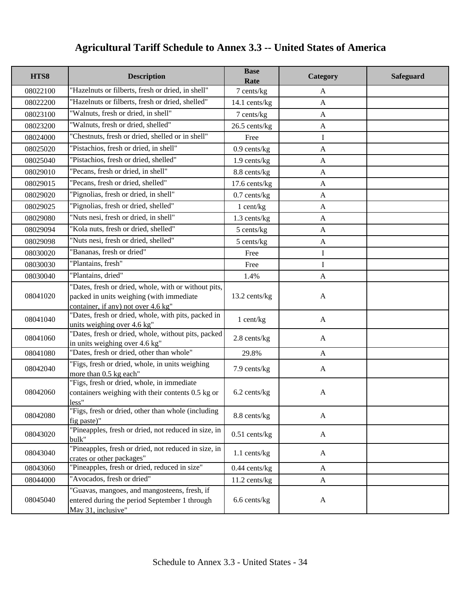| HTS8     | <b>Description</b>                                                                                                                      | <b>Base</b><br>Rate | Category     | <b>Safeguard</b> |
|----------|-----------------------------------------------------------------------------------------------------------------------------------------|---------------------|--------------|------------------|
| 08022100 | "Hazelnuts or filberts, fresh or dried, in shell"                                                                                       | 7 cents/kg          | $\mathbf{A}$ |                  |
| 08022200 | "Hazelnuts or filberts, fresh or dried, shelled"                                                                                        | 14.1 cents/kg       | $\mathbf{A}$ |                  |
| 08023100 | "Walnuts, fresh or dried, in shell"                                                                                                     | 7 cents/kg          | $\mathbf{A}$ |                  |
| 08023200 | "Walnuts, fresh or dried, shelled"                                                                                                      | 26.5 cents/kg       | $\mathbf{A}$ |                  |
| 08024000 | "Chestnuts, fresh or dried, shelled or in shell"                                                                                        | Free                | $\mathbf I$  |                  |
| 08025020 | "Pistachios, fresh or dried, in shell"                                                                                                  | $0.9$ cents/kg      | $\mathbf{A}$ |                  |
| 08025040 | "Pistachios, fresh or dried, shelled"                                                                                                   | $1.9$ cents/kg      | $\mathbf{A}$ |                  |
| 08029010 | 'Pecans, fresh or dried, in shell"                                                                                                      | 8.8 cents/kg        | $\mathbf{A}$ |                  |
| 08029015 | "Pecans, fresh or dried, shelled"                                                                                                       | 17.6 cents/kg       | $\mathbf{A}$ |                  |
| 08029020 | "Pignolias, fresh or dried, in shell"                                                                                                   | $0.7$ cents/kg      | $\mathbf{A}$ |                  |
| 08029025 | 'Pignolias, fresh or dried, shelled"                                                                                                    | 1 cent/kg           | $\mathbf{A}$ |                  |
| 08029080 | "Nuts nesi, fresh or dried, in shell"                                                                                                   | 1.3 cents/kg        | $\mathbf{A}$ |                  |
| 08029094 | 'Kola nuts, fresh or dried, shelled"                                                                                                    | 5 cents/kg          | $\mathbf{A}$ |                  |
| 08029098 | "Nuts nesi, fresh or dried, shelled"                                                                                                    | 5 cents/kg          | $\mathbf{A}$ |                  |
| 08030020 | 'Bananas, fresh or dried"                                                                                                               | Free                | I            |                  |
| 08030030 | "Plantains, fresh"                                                                                                                      | Free                | I            |                  |
| 08030040 | "Plantains, dried"                                                                                                                      | 1.4%                | $\mathbf{A}$ |                  |
| 08041020 | "Dates, fresh or dried, whole, with or without pits,<br>packed in units weighing (with immediate<br>container, if any) not over 4.6 kg" | 13.2 cents/kg       | $\mathbf{A}$ |                  |
| 08041040 | "Dates, fresh or dried, whole, with pits, packed in<br>units weighing over 4.6 kg"                                                      | 1 cent/kg           | $\mathbf{A}$ |                  |
| 08041060 | "Dates, fresh or dried, whole, without pits, packed<br>in units weighing over 4.6 kg"                                                   | 2.8 cents/kg        | A            |                  |
| 08041080 | "Dates, fresh or dried, other than whole"                                                                                               | 29.8%               | $\mathbf{A}$ |                  |
| 08042040 | "Figs, fresh or dried, whole, in units weighing<br>more than 0.5 kg each"                                                               | 7.9 cents/kg        | $\mathbf{A}$ |                  |
| 08042060 | "Figs, fresh or dried, whole, in immediate<br>containers weighing with their contents 0.5 kg or<br>less"                                | 6.2 cents/kg        | $\mathbf{A}$ |                  |
| 08042080 | "Figs, fresh or dried, other than whole (including<br>fig paste)"                                                                       | 8.8 cents/kg        | A            |                  |
| 08043020 | "Pineapples, fresh or dried, not reduced in size, in<br>bulk"                                                                           | $0.51$ cents/kg     | $\mathbf{A}$ |                  |
| 08043040 | "Pineapples, fresh or dried, not reduced in size, in<br>crates or other packages"                                                       | $1.1$ cents/kg      | $\mathbf{A}$ |                  |
| 08043060 | "Pineapples, fresh or dried, reduced in size"                                                                                           | $0.44$ cents/kg     | $\mathbf{A}$ |                  |
| 08044000 | "Avocados, fresh or dried"                                                                                                              | 11.2 cents/kg       | $\mathbf{A}$ |                  |
| 08045040 | "Guavas, mangoes, and mangosteens, fresh, if<br>entered during the period September 1 through<br>May 31, inclusive"                     | 6.6 cents/kg        | $\mathbf{A}$ |                  |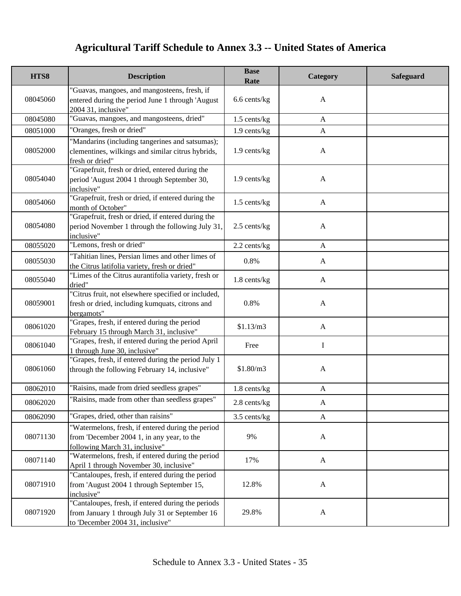| HTS8     | <b>Description</b>                                                                                                                       | <b>Base</b><br>Rate | Category     | <b>Safeguard</b> |
|----------|------------------------------------------------------------------------------------------------------------------------------------------|---------------------|--------------|------------------|
| 08045060 | "Guavas, mangoes, and mangosteens, fresh, if<br>entered during the period June 1 through 'August<br>2004 31, inclusive"                  | 6.6 cents/kg        | A            |                  |
| 08045080 | "Guavas, mangoes, and mangosteens, dried"                                                                                                | 1.5 cents/kg        | A            |                  |
| 08051000 | "Oranges, fresh or dried"                                                                                                                | 1.9 cents/kg        | $\mathbf{A}$ |                  |
| 08052000 | "Mandarins (including tangerines and satsumas);<br>clementines, wilkings and similar citrus hybrids,<br>fresh or dried"                  | 1.9 cents/kg        | A            |                  |
| 08054040 | "Grapefruit, fresh or dried, entered during the<br>period 'August 2004 1 through September 30,<br>inclusive"                             | $1.9$ cents/kg      | A            |                  |
| 08054060 | "Grapefruit, fresh or dried, if entered during the<br>month of October"                                                                  | 1.5 cents/kg        | A            |                  |
| 08054080 | "Grapefruit, fresh or dried, if entered during the<br>period November 1 through the following July 31,<br>inclusive"                     | $2.5$ cents/kg      | A            |                  |
| 08055020 | "Lemons, fresh or dried"                                                                                                                 | 2.2 cents/kg        | $\mathbf{A}$ |                  |
| 08055030 | "Tahitian lines, Persian limes and other limes of<br>the Citrus latifolia variety, fresh or dried"                                       | 0.8%                | A            |                  |
| 08055040 | "Limes of the Citrus aurantifolia variety, fresh or<br>dried"                                                                            | 1.8 cents/kg        | A            |                  |
| 08059001 | "Citrus fruit, not elsewhere specified or included,<br>fresh or dried, including kumquats, citrons and<br>bergamots"                     | 0.8%                | $\mathbf{A}$ |                  |
| 08061020 | "Grapes, fresh, if entered during the period<br>February 15 through March 31, inclusive"                                                 | \$1.13/m3           | A            |                  |
| 08061040 | "Grapes, fresh, if entered during the period April<br>1 through June 30, inclusive"                                                      | Free                | $\bf{I}$     |                  |
| 08061060 | "Grapes, fresh, if entered during the period July 1<br>through the following February 14, inclusive"                                     | \$1.80/m3           | A            |                  |
| 08062010 | "Raisins, made from dried seedless grapes"                                                                                               | 1.8 cents/kg        | A            |                  |
| 08062020 | "Raisins, made from other than seedless grapes"                                                                                          | 2.8 cents/kg        | A            |                  |
| 08062090 | "Grapes, dried, other than raisins"                                                                                                      | 3.5 cents/kg        | $\mathbf{A}$ |                  |
| 08071130 | "Watermelons, fresh, if entered during the period<br>from 'December 2004 1, in any year, to the<br>following March 31, inclusive"        | 9%                  | $\mathbf{A}$ |                  |
| 08071140 | "Watermelons, fresh, if entered during the period<br>April 1 through November 30, inclusive"                                             | 17%                 | $\mathbf{A}$ |                  |
| 08071910 | "Cantaloupes, fresh, if entered during the period<br>from 'August 2004 1 through September 15,<br>inclusive"                             | 12.8%               | $\mathbf{A}$ |                  |
| 08071920 | "Cantaloupes, fresh, if entered during the periods<br>from January 1 through July 31 or September 16<br>to 'December 2004 31, inclusive" | 29.8%               | $\mathbf{A}$ |                  |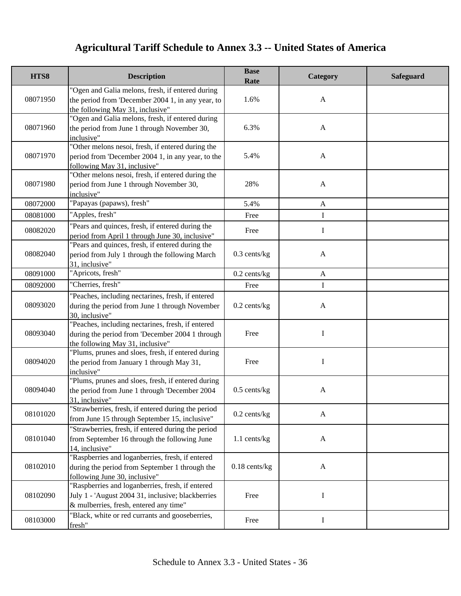| HTS8     | <b>Description</b>                                                                                                                              | <b>Base</b><br>Rate | Category     | <b>Safeguard</b> |
|----------|-------------------------------------------------------------------------------------------------------------------------------------------------|---------------------|--------------|------------------|
| 08071950 | "Ogen and Galia melons, fresh, if entered during<br>the period from 'December 2004 1, in any year, to<br>the following May 31, inclusive"       | 1.6%                | $\mathbf{A}$ |                  |
| 08071960 | "Ogen and Galia melons, fresh, if entered during<br>the period from June 1 through November 30,<br>inclusive"                                   | 6.3%                | $\mathbf{A}$ |                  |
| 08071970 | "Other melons nesoi, fresh, if entered during the<br>period from 'December 2004 1, in any year, to the<br>following May 31, inclusive"          | 5.4%                | $\mathbf{A}$ |                  |
| 08071980 | "Other melons nesoi, fresh, if entered during the<br>period from June 1 through November 30,<br>inclusive"                                      | 28%                 | $\mathbf{A}$ |                  |
| 08072000 | "Papayas (papaws), fresh"                                                                                                                       | 5.4%                | $\mathbf{A}$ |                  |
| 08081000 | "Apples, fresh"                                                                                                                                 | Free                | L            |                  |
| 08082020 | "Pears and quinces, fresh, if entered during the<br>period from April 1 through June 30, inclusive"                                             | Free                | I            |                  |
| 08082040 | "Pears and quinces, fresh, if entered during the<br>period from July 1 through the following March<br>31, inclusive"                            | $0.3$ cents/kg      | $\mathbf{A}$ |                  |
| 08091000 | "Apricots, fresh"                                                                                                                               | $0.2$ cents/kg      | $\mathbf{A}$ |                  |
| 08092000 | "Cherries, fresh"                                                                                                                               | Free                | I            |                  |
| 08093020 | "Peaches, including nectarines, fresh, if entered<br>during the period from June 1 through November<br>30, inclusive"                           | $0.2$ cents/kg      | $\mathbf{A}$ |                  |
| 08093040 | "Peaches, including nectarines, fresh, if entered<br>during the period from 'December 2004 1 through<br>the following May 31, inclusive"        | Free                | I            |                  |
| 08094020 | "Plums, prunes and sloes, fresh, if entered during<br>the period from January 1 through May 31,<br>inclusive"                                   | Free                | I            |                  |
| 08094040 | "Plums, prunes and sloes, fresh, if entered during<br>the period from June 1 through 'December 2004<br>31, inclusive"                           | $0.5$ cents/kg      | $\mathbf{A}$ |                  |
| 08101020 | "Strawberries, fresh, if entered during the period<br>from June 15 through September 15, inclusive"                                             | $0.2$ cents/kg      | A            |                  |
| 08101040 | "Strawberries, fresh, if entered during the period<br>from September 16 through the following June<br>14, inclusive"                            | 1.1 cents/kg        | $\mathbf{A}$ |                  |
| 08102010 | "Raspberries and loganberries, fresh, if entered<br>during the period from September 1 through the<br>following June 30, inclusive"             | $0.18$ cents/kg     | $\mathbf{A}$ |                  |
| 08102090 | "Raspberries and loganberries, fresh, if entered<br>July 1 - 'August 2004 31, inclusive; blackberries<br>& mulberries, fresh, entered any time" | Free                | Ι            |                  |
| 08103000 | "Black, white or red currants and gooseberries,<br>fresh"                                                                                       | Free                | Ι            |                  |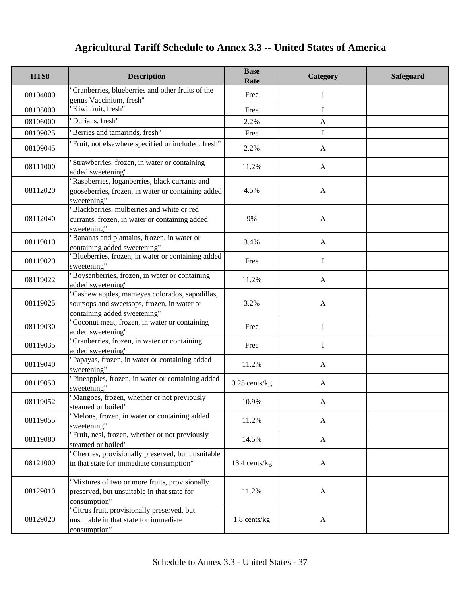| HTS8     | <b>Description</b>                                                                                                            | <b>Base</b><br>Rate | Category     | <b>Safeguard</b> |
|----------|-------------------------------------------------------------------------------------------------------------------------------|---------------------|--------------|------------------|
| 08104000 | 'Cranberries, blueberries and other fruits of the<br>genus Vaccinium, fresh"                                                  | Free                | Ι            |                  |
| 08105000 | "Kiwi fruit, fresh"                                                                                                           | Free                | I            |                  |
| 08106000 | "Durians, fresh"                                                                                                              | 2.2%                | A            |                  |
| 08109025 | "Berries and tamarinds, fresh"                                                                                                | Free                | $\mathbf I$  |                  |
| 08109045 | 'Fruit, not elsewhere specified or included, fresh"                                                                           | 2.2%                | $\mathbf{A}$ |                  |
| 08111000 | 'Strawberries, frozen, in water or containing<br>added sweetening"                                                            | 11.2%               | $\mathbf{A}$ |                  |
| 08112020 | "Raspberries, loganberries, black currants and<br>gooseberries, frozen, in water or containing added<br>sweetening"           | 4.5%                | $\mathbf{A}$ |                  |
| 08112040 | "Blackberries, mulberries and white or red<br>currants, frozen, in water or containing added<br>sweetening"                   | 9%                  | $\mathbf{A}$ |                  |
| 08119010 | "Bananas and plantains, frozen, in water or<br>containing added sweetening"                                                   | 3.4%                | $\mathbf{A}$ |                  |
| 08119020 | 'Blueberries, frozen, in water or containing added<br>sweetening"                                                             | Free                | I            |                  |
| 08119022 | "Boysenberries, frozen, in water or containing<br>added sweetening"                                                           | 11.2%               | A            |                  |
| 08119025 | "Cashew apples, mameyes colorados, sapodillas,<br>soursops and sweetsops, frozen, in water or<br>containing added sweetening" | 3.2%                | $\mathbf{A}$ |                  |
| 08119030 | 'Coconut meat, frozen, in water or containing<br>added sweetening"                                                            | Free                | $\mathbf I$  |                  |
| 08119035 | 'Cranberries, frozen, in water or containing<br>added sweetening"                                                             | Free                | $\mathbf I$  |                  |
| 08119040 | "Papayas, frozen, in water or containing added<br>sweetening"                                                                 | 11.2%               | $\mathbf{A}$ |                  |
| 08119050 | "Pineapples, frozen, in water or containing added<br>sweetening"                                                              | $0.25$ cents/kg     | $\mathbf{A}$ |                  |
| 08119052 | "Mangoes, frozen, whether or not previously<br>steamed or boiled"                                                             | 10.9%               | A            |                  |
| 08119055 | "Melons, frozen, in water or containing added<br>sweetening"                                                                  | 11.2%               | A            |                  |
| 08119080 | "Fruit, nesi, frozen, whether or not previously<br>steamed or boiled"                                                         | 14.5%               | A            |                  |
| 08121000 | 'Cherries, provisionally preserved, but unsuitable<br>in that state for immediate consumption"                                | 13.4 cents/kg       | $\mathbf{A}$ |                  |
| 08129010 | "Mixtures of two or more fruits, provisionally<br>preserved, but unsuitable in that state for<br>consumption"                 | 11.2%               | $\mathbf{A}$ |                  |
| 08129020 | "Citrus fruit, provisionally preserved, but<br>unsuitable in that state for immediate<br>consumption"                         | 1.8 cents/kg        | $\mathbf{A}$ |                  |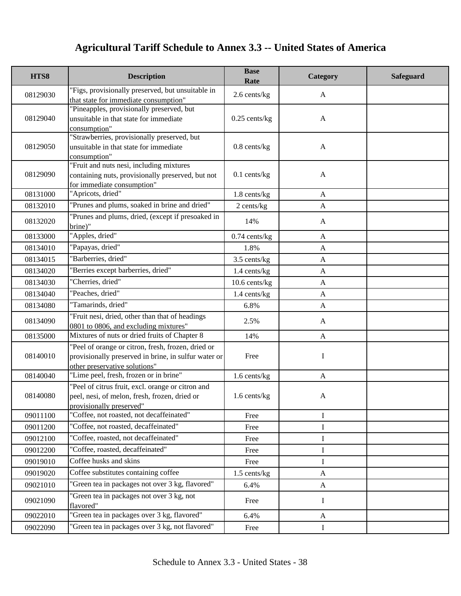| HTS8     | <b>Description</b>                                                                                                                          | <b>Base</b><br>Rate | Category     | Safeguard |
|----------|---------------------------------------------------------------------------------------------------------------------------------------------|---------------------|--------------|-----------|
| 08129030 | "Figs, provisionally preserved, but unsuitable in<br>that state for immediate consumption"                                                  | 2.6 cents/kg        | $\mathbf{A}$ |           |
| 08129040 | "Pineapples, provisionally preserved, but<br>unsuitable in that state for immediate<br>consumption"                                         | $0.25$ cents/kg     | $\mathbf{A}$ |           |
| 08129050 | "Strawberries, provisionally preserved, but<br>unsuitable in that state for immediate<br>consumption"                                       | $0.8$ cents/ $kg$   | $\mathbf{A}$ |           |
| 08129090 | "Fruit and nuts nesi, including mixtures<br>containing nuts, provisionally preserved, but not<br>for immediate consumption"                 | $0.1$ cents/kg      | $\mathbf{A}$ |           |
| 08131000 | "Apricots, dried"                                                                                                                           | 1.8 cents/kg        | $\mathbf{A}$ |           |
| 08132010 | "Prunes and plums, soaked in brine and dried"                                                                                               | 2 cents/kg          | $\mathbf{A}$ |           |
| 08132020 | "Prunes and plums, dried, (except if presoaked in<br>brine)"                                                                                | 14%                 | A            |           |
| 08133000 | "Apples, dried"                                                                                                                             | $0.74$ cents/kg     | $\mathbf{A}$ |           |
| 08134010 | "Papayas, dried"                                                                                                                            | 1.8%                | $\mathbf{A}$ |           |
| 08134015 | "Barberries, dried"                                                                                                                         | 3.5 cents/kg        | $\mathbf{A}$ |           |
| 08134020 | 'Berries except barberries, dried"                                                                                                          | $1.4$ cents/kg      | $\mathbf{A}$ |           |
| 08134030 | "Cherries, dried"                                                                                                                           | 10.6 cents/kg       | $\mathbf{A}$ |           |
| 08134040 | 'Peaches, dried"                                                                                                                            | 1.4 cents/kg        | $\mathbf{A}$ |           |
| 08134080 | "Tamarinds, dried"                                                                                                                          | 6.8%                | $\mathbf{A}$ |           |
| 08134090 | "Fruit nesi, dried, other than that of headings<br>0801 to 0806, and excluding mixtures"                                                    | 2.5%                | A            |           |
| 08135000 | Mixtures of nuts or dried fruits of Chapter 8                                                                                               | 14%                 | $\mathbf{A}$ |           |
| 08140010 | "Peel of orange or citron, fresh, frozen, dried or<br>provisionally preserved in brine, in sulfur water or<br>other preservative solutions" | Free                | $\mathbf I$  |           |
| 08140040 | "Lime peel, fresh, frozen or in brine"                                                                                                      | 1.6 cents/kg        | $\mathbf{A}$ |           |
| 08140080 | "Peel of citrus fruit, excl. orange or citron and<br>peel, nesi, of melon, fresh, frozen, dried or<br>provisionally preserved"              | 1.6 cents/kg        | $\mathbf{A}$ |           |
| 09011100 | 'Coffee, not roasted, not decaffeinated"                                                                                                    | Free                | I            |           |
| 09011200 | "Coffee, not roasted, decaffeinated"                                                                                                        | Free                | $\bf{I}$     |           |
| 09012100 | "Coffee, roasted, not decaffeinated"                                                                                                        | Free                | I            |           |
| 09012200 | "Coffee, roasted, decaffeinated"                                                                                                            | Free                | $\bf I$      |           |
| 09019010 | Coffee husks and skins                                                                                                                      | Free                | $\bf{I}$     |           |
| 09019020 | Coffee substitutes containing coffee                                                                                                        | $1.5$ cents/kg      | $\mathbf{A}$ |           |
| 09021010 | "Green tea in packages not over 3 kg, flavored"                                                                                             | 6.4%                | $\mathbf{A}$ |           |
| 09021090 | "Green tea in packages not over 3 kg, not<br>flavored"                                                                                      | Free                | $\bf{I}$     |           |
| 09022010 | "Green tea in packages over 3 kg, flavored"                                                                                                 | 6.4%                | $\mathbf{A}$ |           |
| 09022090 | "Green tea in packages over 3 kg, not flavored"                                                                                             | Free                | 1            |           |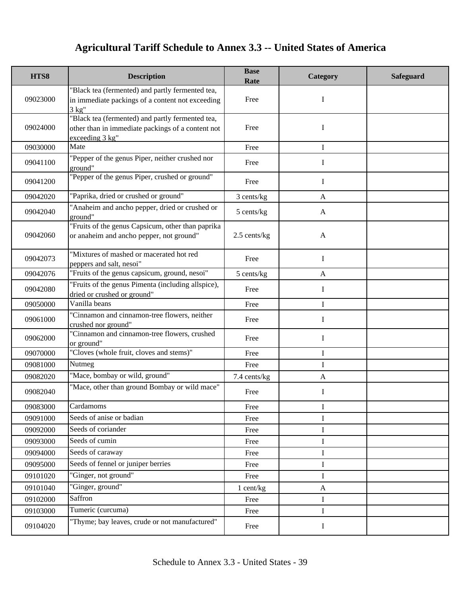| HTS8     | <b>Description</b>                                                                                                                  | <b>Base</b><br>Rate | Category     | <b>Safeguard</b> |
|----------|-------------------------------------------------------------------------------------------------------------------------------------|---------------------|--------------|------------------|
| 09023000 | "Black tea (fermented) and partly fermented tea,<br>in immediate packings of a content not exceeding<br>3 kg''                      | Free                | I            |                  |
| 09024000 | "Black tea (fermented) and partly fermented tea,<br>other than in immediate packings of a content not<br>exceeding $3 \text{ kg}$ " | Free                | I            |                  |
| 09030000 | Mate                                                                                                                                | Free                | I            |                  |
| 09041100 | "Pepper of the genus Piper, neither crushed nor<br>ground"                                                                          | Free                | I            |                  |
| 09041200 | "Pepper of the genus Piper, crushed or ground"                                                                                      | Free                | I            |                  |
| 09042020 | "Paprika, dried or crushed or ground"                                                                                               | 3 cents/kg          | $\mathbf{A}$ |                  |
| 09042040 | "Anaheim and ancho pepper, dried or crushed or<br>ground"                                                                           | 5 cents/kg          | A            |                  |
| 09042060 | "Fruits of the genus Capsicum, other than paprika<br>or anaheim and ancho pepper, not ground"                                       | 2.5 cents/kg        | $\mathbf{A}$ |                  |
| 09042073 | "Mixtures of mashed or macerated hot red<br>peppers and salt, nesoi"                                                                | Free                | $\bf{I}$     |                  |
| 09042076 | "Fruits of the genus capsicum, ground, nesoi"                                                                                       | 5 cents/kg          | $\mathbf{A}$ |                  |
| 09042080 | "Fruits of the genus Pimenta (including allspice),<br>dried or crushed or ground"                                                   | Free                | I            |                  |
| 09050000 | Vanilla beans                                                                                                                       | Free                | $\mathbf{I}$ |                  |
| 09061000 | "Cinnamon and cinnamon-tree flowers, neither<br>crushed nor ground"                                                                 | Free                | I            |                  |
| 09062000 | "Cinnamon and cinnamon-tree flowers, crushed<br>or ground"                                                                          | Free                | I            |                  |
| 09070000 | "Cloves (whole fruit, cloves and stems)"                                                                                            | Free                | I            |                  |
| 09081000 | Nutmeg                                                                                                                              | Free                | $\mathbf{I}$ |                  |
| 09082020 | "Mace, bombay or wild, ground"                                                                                                      | 7.4 cents/kg        | $\mathbf{A}$ |                  |
| 09082040 | "Mace, other than ground Bombay or wild mace"                                                                                       | Free                | I            |                  |
| 09083000 | Cardamoms                                                                                                                           | Free                | Ι            |                  |
| 09091000 | Seeds of anise or badian                                                                                                            | Free                | I            |                  |
| 09092000 | Seeds of coriander                                                                                                                  | Free                | $\mathbf I$  |                  |
| 09093000 | Seeds of cumin                                                                                                                      | Free                | I            |                  |
| 09094000 | Seeds of caraway                                                                                                                    | Free                | $\mathbf I$  |                  |
| 09095000 | Seeds of fennel or juniper berries                                                                                                  | Free                | I            |                  |
| 09101020 | "Ginger, not ground"                                                                                                                | Free                | $\bf I$      |                  |
| 09101040 | 'Ginger, ground"                                                                                                                    | 1 cent/kg           | $\mathbf{A}$ |                  |
| 09102000 | Saffron                                                                                                                             | Free                | $\bf{I}$     |                  |
| 09103000 | Tumeric (curcuma)                                                                                                                   | Free                | $\bf{I}$     |                  |
| 09104020 | "Thyme; bay leaves, crude or not manufactured"                                                                                      | Free                | I            |                  |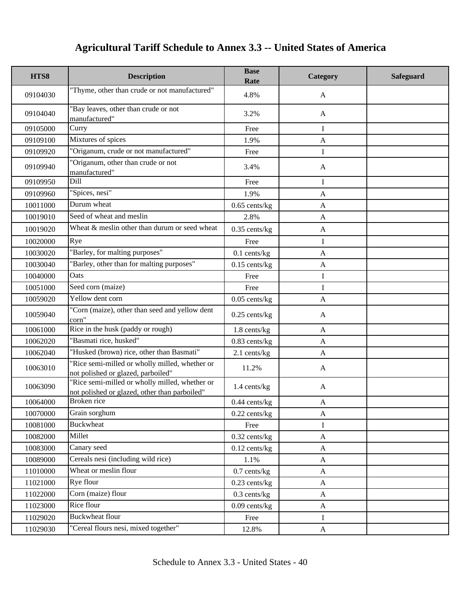| HTS8     | <b>Description</b>                                                                              | <b>Base</b><br>Rate | Category     | <b>Safeguard</b> |
|----------|-------------------------------------------------------------------------------------------------|---------------------|--------------|------------------|
| 09104030 | "Thyme, other than crude or not manufactured"                                                   | 4.8%                | A            |                  |
| 09104040 | "Bay leaves, other than crude or not<br>manufactured"                                           | 3.2%                | $\mathbf{A}$ |                  |
| 09105000 | Curry                                                                                           | Free                | I            |                  |
| 09109100 | Mixtures of spices                                                                              | 1.9%                | $\mathbf{A}$ |                  |
| 09109920 | "Origanum, crude or not manufactured"                                                           | Free                | $\mathbf I$  |                  |
| 09109940 | "Origanum, other than crude or not<br>manufactured"                                             | 3.4%                | A            |                  |
| 09109950 | Dill                                                                                            | Free                | I            |                  |
| 09109960 | "Spices, nesi"                                                                                  | 1.9%                | $\mathbf{A}$ |                  |
| 10011000 | Durum wheat                                                                                     | $0.65$ cents/kg     | $\mathbf{A}$ |                  |
| 10019010 | Seed of wheat and meslin                                                                        | 2.8%                | $\mathbf{A}$ |                  |
| 10019020 | Wheat & meslin other than durum or seed wheat                                                   | $0.35$ cents/kg     | $\mathbf{A}$ |                  |
| 10020000 | Rye                                                                                             | Free                | $\mathbf I$  |                  |
| 10030020 | "Barley, for malting purposes"                                                                  | $0.1$ cents/kg      | $\mathbf{A}$ |                  |
| 10030040 | "Barley, other than for malting purposes"                                                       | $0.15$ cents/kg     | $\mathbf{A}$ |                  |
| 10040000 | Oats                                                                                            | Free                | I            |                  |
| 10051000 | Seed corn (maize)                                                                               | Free                | $\mathbf I$  |                  |
| 10059020 | Yellow dent corn                                                                                | $0.05$ cents/kg     | $\mathbf{A}$ |                  |
| 10059040 | "Corn (maize), other than seed and yellow dent<br>corn"                                         | $0.25$ cents/kg     | $\mathbf{A}$ |                  |
| 10061000 | Rice in the husk (paddy or rough)                                                               | 1.8 cents/kg        | $\mathbf{A}$ |                  |
| 10062020 | "Basmati rice, husked"                                                                          | 0.83 cents/kg       | $\mathbf{A}$ |                  |
| 10062040 | "Husked (brown) rice, other than Basmati"                                                       | 2.1 cents/kg        | $\mathbf{A}$ |                  |
| 10063010 | "Rice semi-milled or wholly milled, whether or<br>not polished or glazed, parboiled"            | 11.2%               | $\mathbf{A}$ |                  |
| 10063090 | "Rice semi-milled or wholly milled, whether or<br>not polished or glazed, other than parboiled" | 1.4 cents/kg        | $\mathbf{A}$ |                  |
| 10064000 | Broken rice                                                                                     | $0.44$ cents/kg     | $\mathbf A$  |                  |
| 10070000 | Grain sorghum                                                                                   | $0.22$ cents/kg     | A            |                  |
| 10081000 | <b>Buckwheat</b>                                                                                | Free                | $\mathbf I$  |                  |
| 10082000 | Millet                                                                                          | $0.32$ cents/kg     | $\mathbf{A}$ |                  |
| 10083000 | Canary seed                                                                                     | $0.12$ cents/kg     | $\mathbf{A}$ |                  |
| 10089000 | Cereals nesi (including wild rice)                                                              | 1.1%                | $\mathbf{A}$ |                  |
| 11010000 | Wheat or meslin flour                                                                           | $0.7$ cents/kg      | $\mathbf{A}$ |                  |
| 11021000 | Rye flour                                                                                       | $0.23$ cents/kg     | $\mathbf{A}$ |                  |
| 11022000 | Corn (maize) flour                                                                              | $0.3$ cents/kg      | $\mathbf{A}$ |                  |
| 11023000 | Rice flour                                                                                      | $0.09$ cents/kg     | $\mathbf{A}$ |                  |
| 11029020 | <b>Buckwheat flour</b>                                                                          | Free                | $\bf{I}$     |                  |
| 11029030 | "Cereal flours nesi, mixed together"                                                            | 12.8%               | $\mathbf{A}$ |                  |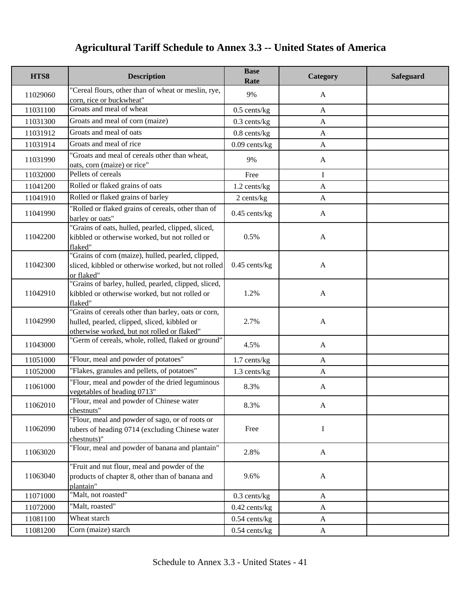| HTS8     | <b>Description</b>                                                                                                                                 | <b>Base</b><br>Rate | Category     | <b>Safeguard</b> |
|----------|----------------------------------------------------------------------------------------------------------------------------------------------------|---------------------|--------------|------------------|
| 11029060 | "Cereal flours, other than of wheat or meslin, rye,<br>corn, rice or buckwheat"                                                                    | 9%                  | A            |                  |
| 11031100 | Groats and meal of wheat                                                                                                                           | $0.5$ cents/kg      | $\mathbf{A}$ |                  |
| 11031300 | Groats and meal of corn (maize)                                                                                                                    | $0.3$ cents/kg      | $\mathbf{A}$ |                  |
| 11031912 | Groats and meal of oats                                                                                                                            | $0.8$ cents/kg      | $\mathbf{A}$ |                  |
| 11031914 | Groats and meal of rice                                                                                                                            | $0.09$ cents/kg     | $\mathbf{A}$ |                  |
| 11031990 | "Groats and meal of cereals other than wheat,<br>oats, corn (maize) or rice"                                                                       | 9%                  | $\mathbf{A}$ |                  |
| 11032000 | Pellets of cereals                                                                                                                                 | Free                | I            |                  |
| 11041200 | Rolled or flaked grains of oats                                                                                                                    | 1.2 cents/kg        | $\mathbf{A}$ |                  |
| 11041910 | Rolled or flaked grains of barley                                                                                                                  | 2 cents/kg          | $\mathbf{A}$ |                  |
| 11041990 | "Rolled or flaked grains of cereals, other than of<br>barley or oats"                                                                              | $0.45$ cents/kg     | $\mathbf{A}$ |                  |
| 11042200 | "Grains of oats, hulled, pearled, clipped, sliced,<br>kibbled or otherwise worked, but not rolled or<br>flaked"                                    | 0.5%                | $\mathbf{A}$ |                  |
| 11042300 | "Grains of corn (maize), hulled, pearled, clipped,<br>sliced, kibbled or otherwise worked, but not rolled<br>or flaked"                            | $0.45$ cents/kg     | $\mathbf{A}$ |                  |
| 11042910 | "Grains of barley, hulled, pearled, clipped, sliced,<br>kibbled or otherwise worked, but not rolled or<br>flaked"                                  | 1.2%                | $\mathbf{A}$ |                  |
| 11042990 | "Grains of cereals other than barley, oats or corn,<br>hulled, pearled, clipped, sliced, kibbled or<br>otherwise worked, but not rolled or flaked" | 2.7%                | $\mathbf{A}$ |                  |
| 11043000 | "Germ of cereals, whole, rolled, flaked or ground"                                                                                                 | 4.5%                | $\mathbf{A}$ |                  |
| 11051000 | "Flour, meal and powder of potatoes"                                                                                                               | 1.7 cents/kg        | $\mathbf{A}$ |                  |
| 11052000 | "Flakes, granules and pellets, of potatoes"                                                                                                        | 1.3 cents/kg        | $\mathbf{A}$ |                  |
| 11061000 | "Flour, meal and powder of the dried leguminous<br>vegetables of heading 0713"                                                                     | 8.3%                | $\mathbf{A}$ |                  |
| 11062010 | "Flour, meal and powder of Chinese water<br>chestnuts"                                                                                             | 8.3%                | $\mathbf{A}$ |                  |
| 11062090 | "Flour, meal and powder of sago, or of roots or<br>tubers of heading 0714 (excluding Chinese water<br>chestnuts)"                                  | Free                | Ι            |                  |
| 11063020 | "Flour, meal and powder of banana and plantain"                                                                                                    | 2.8%                | $\mathbf{A}$ |                  |
| 11063040 | "Fruit and nut flour, meal and powder of the<br>products of chapter 8, other than of banana and<br>plantain"                                       | 9.6%                | $\mathbf{A}$ |                  |
| 11071000 | "Malt, not roasted"                                                                                                                                | $0.3$ cents/kg      | A            |                  |
| 11072000 | "Malt, roasted"                                                                                                                                    | $0.42$ cents/kg     | $\mathbf{A}$ |                  |
| 11081100 | Wheat starch                                                                                                                                       | $0.54$ cents/kg     | A            |                  |
| 11081200 | Corn (maize) starch                                                                                                                                | $0.54$ cents/kg     | $\mathbf{A}$ |                  |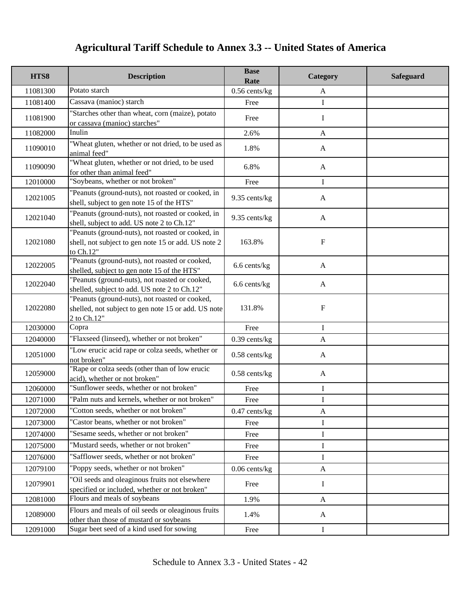| HTS8     | <b>Description</b>                                                                                                    | <b>Base</b><br>Rate | Category     | <b>Safeguard</b> |
|----------|-----------------------------------------------------------------------------------------------------------------------|---------------------|--------------|------------------|
| 11081300 | Potato starch                                                                                                         | $0.56$ cents/kg     | A            |                  |
| 11081400 | Cassava (manioc) starch                                                                                               | Free                | I            |                  |
| 11081900 | "Starches other than wheat, corn (maize), potato<br>or cassava (manioc) starches"                                     | Free                | Ι            |                  |
| 11082000 | Inulin                                                                                                                | 2.6%                | $\mathbf{A}$ |                  |
| 11090010 | "Wheat gluten, whether or not dried, to be used as<br>animal feed"                                                    | 1.8%                | $\mathbf{A}$ |                  |
| 11090090 | "Wheat gluten, whether or not dried, to be used<br>for other than animal feed"                                        | 6.8%                | $\mathbf{A}$ |                  |
| 12010000 | "Soybeans, whether or not broken"                                                                                     | Free                | I            |                  |
| 12021005 | "Peanuts (ground-nuts), not roasted or cooked, in<br>shell, subject to gen note 15 of the HTS"                        | 9.35 cents/kg       | A            |                  |
| 12021040 | "Peanuts (ground-nuts), not roasted or cooked, in<br>shell, subject to add. US note 2 to Ch.12"                       | 9.35 cents/kg       | $\mathbf{A}$ |                  |
| 12021080 | "Peanuts (ground-nuts), not roasted or cooked, in<br>shell, not subject to gen note 15 or add. US note 2<br>to Ch.12" | 163.8%              | $\mathbf F$  |                  |
| 12022005 | "Peanuts (ground-nuts), not roasted or cooked,<br>shelled, subject to gen note 15 of the HTS"                         | 6.6 cents/kg        | $\mathbf{A}$ |                  |
| 12022040 | "Peanuts (ground-nuts), not roasted or cooked,<br>shelled, subject to add. US note 2 to Ch.12"                        | 6.6 cents/kg        | $\mathbf{A}$ |                  |
| 12022080 | "Peanuts (ground-nuts), not roasted or cooked,<br>shelled, not subject to gen note 15 or add. US note<br>2 to Ch.12"  | 131.8%              | $\mathbf F$  |                  |
| 12030000 | Copra                                                                                                                 | Free                | $\bf{I}$     |                  |
| 12040000 | "Flaxseed (linseed), whether or not broken"                                                                           | $0.39$ cents/kg     | A            |                  |
| 12051000 | "Low erucic acid rape or colza seeds, whether or<br>not broken"                                                       | $0.58$ cents/kg     | $\mathbf{A}$ |                  |
| 12059000 | "Rape or colza seeds (other than of low erucic<br>acid), whether or not broken"                                       | $0.58$ cents/kg     | $\mathbf{A}$ |                  |
| 12060000 | "Sunflower seeds, whether or not broken"                                                                              | Free                | I            |                  |
| 12071000 | "Palm nuts and kernels, whether or not broken"                                                                        | Free                | T            |                  |
| 12072000 | "Cotton seeds, whether or not broken"                                                                                 | $0.47$ cents/kg     | $\mathbf{A}$ |                  |
| 12073000 | "Castor beans, whether or not broken"                                                                                 | Free                | I            |                  |
| 12074000 | "Sesame seeds, whether or not broken"                                                                                 | Free                | I            |                  |
| 12075000 | "Mustard seeds, whether or not broken"                                                                                | Free                | I            |                  |
| 12076000 | "Safflower seeds, whether or not broken"                                                                              | Free                | I            |                  |
| 12079100 | "Poppy seeds, whether or not broken"                                                                                  | $0.06$ cents/kg     | $\mathbf{A}$ |                  |
| 12079901 | "Oil seeds and oleaginous fruits not elsewhere<br>specified or included, whether or not broken"                       | Free                | Ι            |                  |
| 12081000 | Flours and meals of soybeans                                                                                          | 1.9%                | $\mathbf{A}$ |                  |
| 12089000 | Flours and meals of oil seeds or oleaginous fruits<br>other than those of mustard or soybeans                         | 1.4%                | A            |                  |
| 12091000 | Sugar beet seed of a kind used for sowing                                                                             | Free                | $\bf{I}$     |                  |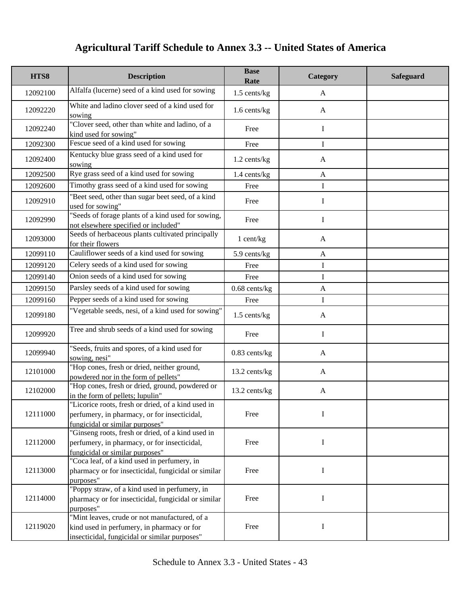| HTS8     | <b>Description</b>                                                                                                                           | <b>Base</b><br>Rate | Category     | <b>Safeguard</b> |
|----------|----------------------------------------------------------------------------------------------------------------------------------------------|---------------------|--------------|------------------|
| 12092100 | Alfalfa (lucerne) seed of a kind used for sowing                                                                                             | $1.5$ cents/kg      | A            |                  |
| 12092220 | White and ladino clover seed of a kind used for<br>sowing                                                                                    | 1.6 cents/kg        | $\mathbf{A}$ |                  |
| 12092240 | "Clover seed, other than white and ladino, of a<br>kind used for sowing"                                                                     | Free                | $\mathbf I$  |                  |
| 12092300 | Fescue seed of a kind used for sowing                                                                                                        | Free                | I            |                  |
| 12092400 | Kentucky blue grass seed of a kind used for<br>sowing                                                                                        | 1.2 cents/kg        | $\mathbf{A}$ |                  |
| 12092500 | Rye grass seed of a kind used for sowing                                                                                                     | 1.4 cents/kg        | $\mathbf{A}$ |                  |
| 12092600 | Timothy grass seed of a kind used for sowing                                                                                                 | Free                | I            |                  |
| 12092910 | "Beet seed, other than sugar beet seed, of a kind<br>used for sowing"                                                                        | Free                | I            |                  |
| 12092990 | "Seeds of forage plants of a kind used for sowing,<br>not elsewhere specified or included"                                                   | Free                | $\mathbf I$  |                  |
| 12093000 | Seeds of herbaceous plants cultivated principally<br>for their flowers                                                                       | 1 cent/kg           | A            |                  |
| 12099110 | Cauliflower seeds of a kind used for sowing                                                                                                  | 5.9 cents/kg        | $\mathbf{A}$ |                  |
| 12099120 | Celery seeds of a kind used for sowing                                                                                                       | Free                | I            |                  |
| 12099140 | Onion seeds of a kind used for sowing                                                                                                        | Free                | I            |                  |
| 12099150 | Parsley seeds of a kind used for sowing                                                                                                      | $0.68$ cents/ $kg$  | $\mathbf{A}$ |                  |
| 12099160 | Pepper seeds of a kind used for sowing                                                                                                       | Free                | I            |                  |
| 12099180 | "Vegetable seeds, nesi, of a kind used for sowing"                                                                                           | 1.5 cents/kg        | A            |                  |
| 12099920 | Tree and shrub seeds of a kind used for sowing                                                                                               | Free                | Ι            |                  |
| 12099940 | "Seeds, fruits and spores, of a kind used for<br>sowing, nesi"                                                                               | $0.83$ cents/kg     | $\mathbf{A}$ |                  |
| 12101000 | "Hop cones, fresh or dried, neither ground,<br>powdered nor in the form of pellets"                                                          | 13.2 cents/kg       | $\mathbf{A}$ |                  |
| 12102000 | "Hop cones, fresh or dried, ground, powdered or<br>in the form of pellets; lupulin"                                                          | 13.2 cents/kg       | $\mathbf{A}$ |                  |
| 12111000 | 'Licorice roots, fresh or dried, of a kind used in<br>perfumery, in pharmacy, or for insecticidal,<br>fungicidal or similar purposes"        | Free                | I            |                  |
| 12112000 | "Ginseng roots, fresh or dried, of a kind used in<br>perfumery, in pharmacy, or for insecticidal,<br>fungicidal or similar purposes"         | Free                | I            |                  |
| 12113000 | "Coca leaf, of a kind used in perfumery, in<br>pharmacy or for insecticidal, fungicidal or similar<br>purposes"                              | Free                | I            |                  |
| 12114000 | "Poppy straw, of a kind used in perfumery, in<br>pharmacy or for insecticidal, fungicidal or similar<br>purposes"                            | Free                | I            |                  |
| 12119020 | "Mint leaves, crude or not manufactured, of a<br>kind used in perfumery, in pharmacy or for<br>insecticidal, fungicidal or similar purposes" | Free                | I            |                  |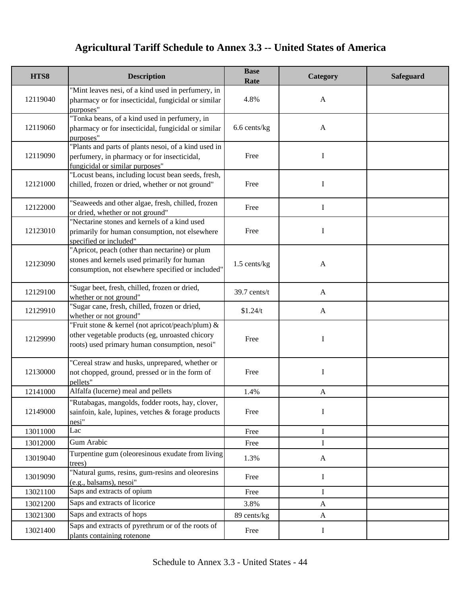| HTS8     | <b>Description</b>                                                                                                                                   | <b>Base</b><br>Rate | Category     | <b>Safeguard</b> |
|----------|------------------------------------------------------------------------------------------------------------------------------------------------------|---------------------|--------------|------------------|
| 12119040 | "Mint leaves nesi, of a kind used in perfumery, in<br>pharmacy or for insecticidal, fungicidal or similar<br>purposes"                               | 4.8%                | $\mathbf{A}$ |                  |
| 12119060 | "Tonka beans, of a kind used in perfumery, in<br>pharmacy or for insecticidal, fungicidal or similar<br>purposes"                                    | 6.6 cents/kg        | $\mathbf{A}$ |                  |
| 12119090 | "Plants and parts of plants nesoi, of a kind used in<br>perfumery, in pharmacy or for insecticidal,<br>fungicidal or similar purposes"               | Free                | Ι            |                  |
| 12121000 | "Locust beans, including locust bean seeds, fresh,<br>chilled, frozen or dried, whether or not ground"                                               | Free                | I            |                  |
| 12122000 | "Seaweeds and other algae, fresh, chilled, frozen<br>or dried, whether or not ground"                                                                | Free                | I            |                  |
| 12123010 | "Nectarine stones and kernels of a kind used<br>primarily for human consumption, not elsewhere<br>specified or included"                             | Free                | I            |                  |
| 12123090 | "Apricot, peach (other than nectarine) or plum<br>stones and kernels used primarily for human<br>consumption, not elsewhere specified or included"   | $1.5$ cents/kg      | $\mathbf{A}$ |                  |
| 12129100 | 'Sugar beet, fresh, chilled, frozen or dried,<br>whether or not ground"                                                                              | 39.7 cents/t        | $\mathbf{A}$ |                  |
| 12129910 | 'Sugar cane, fresh, chilled, frozen or dried,<br>whether or not ground"                                                                              | \$1.24/t            | $\mathbf{A}$ |                  |
| 12129990 | "Fruit stone & kernel (not apricot/peach/plum) &<br>other vegetable products (eg, unroasted chicory<br>roots) used primary human consumption, nesoi" | Free                | I            |                  |
| 12130000 | "Cereal straw and husks, unprepared, whether or<br>not chopped, ground, pressed or in the form of<br>pellets"                                        | Free                | $\mathbf I$  |                  |
| 12141000 | Alfalfa (lucerne) meal and pellets                                                                                                                   | 1.4%                | $\mathbf{A}$ |                  |
| 12149000 | "Rutabagas, mangolds, fodder roots, hay, clover,<br>sainfoin, kale, lupines, vetches & forage products<br>nesi"                                      | Free                | I            |                  |
| 13011000 | Lac                                                                                                                                                  | Free                | I            |                  |
| 13012000 | Gum Arabic                                                                                                                                           | Free                | I            |                  |
| 13019040 | Turpentine gum (oleoresinous exudate from living<br>trees)                                                                                           | 1.3%                | $\mathbf{A}$ |                  |
| 13019090 | "Natural gums, resins, gum-resins and oleoresins<br>(e.g., balsams), nesoi"                                                                          | Free                | $\bf{I}$     |                  |
| 13021100 | Saps and extracts of opium                                                                                                                           | Free                | I            |                  |
| 13021200 | Saps and extracts of licorice                                                                                                                        | 3.8%                | $\mathbf{A}$ |                  |
| 13021300 | Saps and extracts of hops                                                                                                                            | 89 cents/kg         | $\mathbf{A}$ |                  |
| 13021400 | Saps and extracts of pyrethrum or of the roots of<br>plants containing rotenone                                                                      | Free                | I            |                  |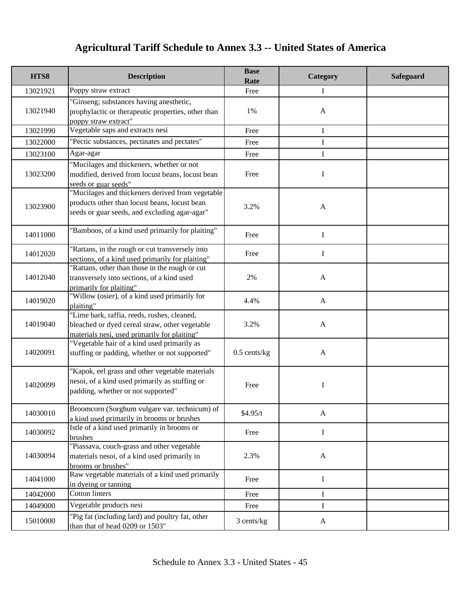| HTS8     | <b>Description</b>                                                                                                                                 | <b>Base</b><br>Rate | Category     | <b>Safeguard</b> |
|----------|----------------------------------------------------------------------------------------------------------------------------------------------------|---------------------|--------------|------------------|
| 13021921 | Poppy straw extract                                                                                                                                | Free                | Ι            |                  |
| 13021940 | "Ginseng; substances having anesthetic,<br>prophylactic or therapeutic properties, other than<br>poppy straw extract"                              | 1%                  | $\mathbf{A}$ |                  |
| 13021990 | Vegetable saps and extracts nesi                                                                                                                   | Free                | I            |                  |
| 13022000 | "Pectic substances, pectinates and pectates"                                                                                                       | Free                | I            |                  |
| 13023100 | Agar-agar                                                                                                                                          | Free                | I            |                  |
| 13023200 | "Mucilages and thickeners, whether or not<br>modified, derived from locust beans, locust bean<br>seeds or guar seeds"                              | Free                | I            |                  |
| 13023900 | "Mucilages and thickeners derived from vegetable<br>products other than locust beans, locust bean<br>seeds or guar seeds, and excluding agar-agar" | 3.2%                | $\mathbf{A}$ |                  |
| 14011000 | "Bamboos, of a kind used primarily for plaiting"                                                                                                   | Free                | I            |                  |
| 14012020 | "Rattans, in the rough or cut transversely into<br>sections, of a kind used primarily for plaiting"                                                | Free                | I            |                  |
| 14012040 | "Rattans, other than those in the rough or cut<br>transversely into sections, of a kind used<br>primarily for plaiting"                            | 2%                  | $\mathbf{A}$ |                  |
| 14019020 | "Willow (osier), of a kind used primarily for<br>plaiting"                                                                                         | 4.4%                | $\mathbf{A}$ |                  |
| 14019040 | "Lime bark, raffia, reeds, rushes, cleaned,<br>bleached or dyed cereal straw, other vegetable<br>materials nesi, used primarily for plaiting"      | 3.2%                | $\mathbf{A}$ |                  |
| 14020091 | "Vegetable hair of a kind used primarily as<br>stuffing or padding, whether or not supported"                                                      | $0.5$ cents/kg      | $\mathbf{A}$ |                  |
| 14020099 | "Kapok, eel grass and other vegetable materials<br>nesoi, of a kind used primarily as stuffing or<br>padding, whether or not supported"            | Free                | I            |                  |
| 14030010 | Broomcorn (Sorghum vulgare var. technicum) of<br>a kind used primarily in brooms or brushes                                                        | \$4.95/t            | $\mathbf{A}$ |                  |
| 14030092 | Istle of a kind used primarily in brooms or<br>brushes                                                                                             | Free                | I            |                  |
| 14030094 | "Piassava, couch-grass and other vegetable<br>materials nesoi, of a kind used primarily in<br>brooms or brushes"                                   | 2.3%                | $\mathbf{A}$ |                  |
| 14041000 | Raw vegetable materials of a kind used primarily<br>in dyeing or tanning                                                                           | Free                | $\mathbf I$  |                  |
| 14042000 | <b>Cotton linters</b>                                                                                                                              | Free                | I            |                  |
| 14049000 | Vegetable products nesi                                                                                                                            | Free                | I            |                  |
| 15010000 | "Pig fat (including lard) and poultry fat, other<br>than that of head 0209 or 1503"                                                                | 3 cents/kg          | $\mathbf{A}$ |                  |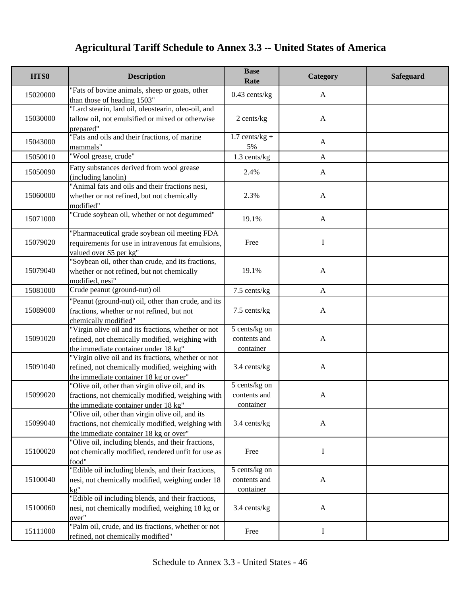| HTS8     | <b>Description</b>                                                                                                                               | <b>Base</b><br>Rate                        | Category     | Safeguard |
|----------|--------------------------------------------------------------------------------------------------------------------------------------------------|--------------------------------------------|--------------|-----------|
| 15020000 | "Fats of bovine animals, sheep or goats, other<br>than those of heading 1503"                                                                    | $0.43$ cents/kg                            | $\mathbf{A}$ |           |
| 15030000 | "Lard stearin, lard oil, oleostearin, oleo-oil, and<br>tallow oil, not emulsified or mixed or otherwise<br>prepared"                             | 2 cents/kg                                 | $\mathbf{A}$ |           |
| 15043000 | "Fats and oils and their fractions, of marine<br>mammals"                                                                                        | $1.7$ cents/kg +<br>5%                     | $\mathbf{A}$ |           |
| 15050010 | "Wool grease, crude"                                                                                                                             | 1.3 cents/kg                               | $\mathbf{A}$ |           |
| 15050090 | Fatty substances derived from wool grease<br>(including lanolin)                                                                                 | 2.4%                                       | A            |           |
| 15060000 | "Animal fats and oils and their fractions nesi,<br>whether or not refined, but not chemically<br>modified"                                       | 2.3%                                       | $\mathbf{A}$ |           |
| 15071000 | 'Crude soybean oil, whether or not degummed"                                                                                                     | 19.1%                                      | $\mathbf{A}$ |           |
| 15079020 | "Pharmaceutical grade soybean oil meeting FDA<br>requirements for use in intravenous fat emulsions,<br>valued over \$5 per kg"                   | Free                                       | I            |           |
| 15079040 | 'Soybean oil, other than crude, and its fractions,<br>whether or not refined, but not chemically<br>modified, nesi"                              | 19.1%                                      | $\mathbf{A}$ |           |
| 15081000 | Crude peanut (ground-nut) oil                                                                                                                    | 7.5 cents/kg                               | $\mathbf{A}$ |           |
| 15089000 | "Peanut (ground-nut) oil, other than crude, and its<br>fractions, whether or not refined, but not<br>chemically modified"                        | 7.5 cents/kg                               | $\mathbf{A}$ |           |
| 15091020 | "Virgin olive oil and its fractions, whether or not<br>refined, not chemically modified, weighing with<br>the immediate container under 18 kg"   | 5 cents/kg on<br>contents and<br>container | $\mathbf{A}$ |           |
| 15091040 | "Virgin olive oil and its fractions, whether or not<br>refined, not chemically modified, weighing with<br>the immediate container 18 kg or over" | 3.4 cents/kg                               | $\mathbf{A}$ |           |
| 15099020 | "Olive oil, other than virgin olive oil, and its<br>fractions, not chemically modified, weighing with<br>the immediate container under 18 kg"    | 5 cents/kg on<br>contents and<br>container | $\mathbf{A}$ |           |
| 15099040 | "Olive oil, other than virgin olive oil, and its<br>fractions, not chemically modified, weighing with<br>the immediate container 18 kg or over"  | 3.4 cents/kg                               | $\mathbf{A}$ |           |
| 15100020 | "Olive oil, including blends, and their fractions,<br>not chemically modified, rendered unfit for use as<br>food"                                | Free                                       | I            |           |
| 15100040 | "Edible oil including blends, and their fractions,<br>nesi, not chemically modified, weighing under 18<br>$k\mathfrak{g}$ "                      | 5 cents/kg on<br>contents and<br>container | $\mathbf{A}$ |           |
| 15100060 | "Edible oil including blends, and their fractions,<br>nesi, not chemically modified, weighing 18 kg or<br>over"                                  | 3.4 cents/kg                               | $\mathbf{A}$ |           |
| 15111000 | "Palm oil, crude, and its fractions, whether or not<br>refined, not chemically modified"                                                         | Free                                       | $\bf{I}$     |           |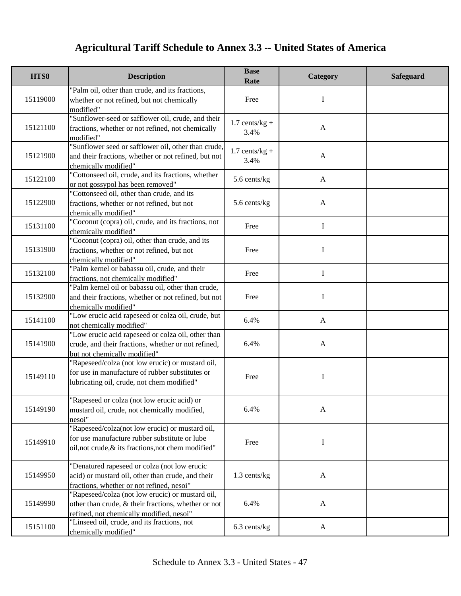| HTS8     | <b>Description</b>                                                                                                                                      | <b>Base</b><br>Rate      | Category     | <b>Safeguard</b> |
|----------|---------------------------------------------------------------------------------------------------------------------------------------------------------|--------------------------|--------------|------------------|
| 15119000 | "Palm oil, other than crude, and its fractions,<br>whether or not refined, but not chemically<br>modified"                                              | Free                     | I            |                  |
| 15121100 | "Sunflower-seed or safflower oil, crude, and their<br>fractions, whether or not refined, not chemically<br>modified"                                    | $1.7$ cents/kg +<br>3.4% | $\mathbf{A}$ |                  |
| 15121900 | "Sunflower seed or safflower oil, other than crude,<br>and their fractions, whether or not refined, but not<br>chemically modified"                     | $1.7$ cents/kg +<br>3.4% | $\mathbf{A}$ |                  |
| 15122100 | "Cottonseed oil, crude, and its fractions, whether<br>or not gossypol has been removed"                                                                 | 5.6 cents/kg             | $\mathbf{A}$ |                  |
| 15122900 | "Cottonseed oil, other than crude, and its<br>fractions, whether or not refined, but not<br>chemically modified"                                        | 5.6 cents/kg             | $\mathbf{A}$ |                  |
| 15131100 | "Coconut (copra) oil, crude, and its fractions, not<br>chemically modified"                                                                             | Free                     | I            |                  |
| 15131900 | "Coconut (copra) oil, other than crude, and its<br>fractions, whether or not refined, but not<br>chemically modified"                                   | Free                     | I            |                  |
| 15132100 | "Palm kernel or babassu oil, crude, and their<br>fractions, not chemically modified"                                                                    | Free                     | $\mathbf I$  |                  |
| 15132900 | "Palm kernel oil or babassu oil, other than crude,<br>and their fractions, whether or not refined, but not<br>chemically modified"                      | Free                     | I            |                  |
| 15141100 | "Low erucic acid rapeseed or colza oil, crude, but<br>not chemically modified"                                                                          | 6.4%                     | $\mathbf{A}$ |                  |
| 15141900 | "Low erucic acid rapeseed or colza oil, other than<br>crude, and their fractions, whether or not refined,<br>but not chemically modified"               | 6.4%                     | $\mathbf{A}$ |                  |
| 15149110 | "Rapeseed/colza (not low erucic) or mustard oil,<br>for use in manufacture of rubber substitutes or<br>lubricating oil, crude, not chem modified"       | Free                     | $\bf{I}$     |                  |
| 15149190 | "Rapeseed or colza (not low erucic acid) or<br>mustard oil, crude, not chemically modified,<br>nesoi"                                                   | 6.4%                     | A            |                  |
| 15149910 | "Rapeseed/colza(not low erucic) or mustard oil,<br>for use manufacture rubber substitute or lube<br>oil, not crude, & its fractions, not chem modified" | Free                     | I            |                  |
| 15149950 | "Denatured rapeseed or colza (not low erucic<br>acid) or mustard oil, other than crude, and their<br>fractions, whether or not refined, nesoi"          | 1.3 cents/kg             | $\mathbf{A}$ |                  |
| 15149990 | "Rapeseed/colza (not low erucic) or mustard oil,<br>other than crude, & their fractions, whether or not<br>refined, not chemically modified, nesoi"     | 6.4%                     | $\mathbf{A}$ |                  |
| 15151100 | "Linseed oil, crude, and its fractions, not<br>chemically modified"                                                                                     | $6.3$ cents/kg           | A            |                  |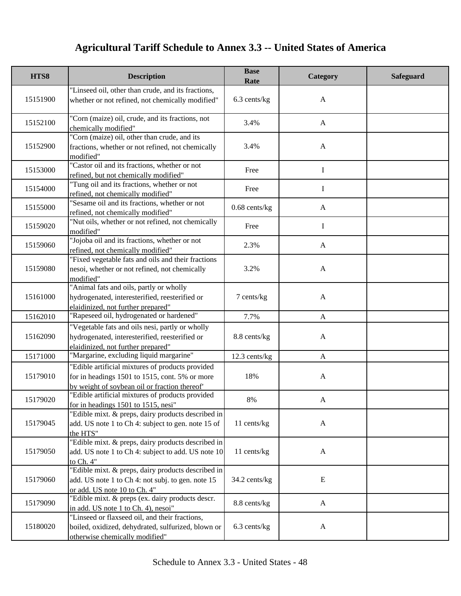| HTS8     | <b>Description</b>                                                                                                                                  | <b>Base</b><br>Rate | Category     | <b>Safeguard</b> |
|----------|-----------------------------------------------------------------------------------------------------------------------------------------------------|---------------------|--------------|------------------|
| 15151900 | "Linseed oil, other than crude, and its fractions,<br>whether or not refined, not chemically modified"                                              | 6.3 cents/kg        | $\mathbf{A}$ |                  |
| 15152100 | "Corn (maize) oil, crude, and its fractions, not<br>chemically modified"                                                                            | 3.4%                | $\mathbf{A}$ |                  |
| 15152900 | "Corn (maize) oil, other than crude, and its<br>fractions, whether or not refined, not chemically<br>modified"                                      | 3.4%                | $\mathbf{A}$ |                  |
| 15153000 | "Castor oil and its fractions, whether or not<br>refined, but not chemically modified"                                                              | Free                | $\mathbf I$  |                  |
| 15154000 | "Tung oil and its fractions, whether or not<br>refined, not chemically modified"                                                                    | Free                | $\mathbf I$  |                  |
| 15155000 | "Sesame oil and its fractions, whether or not<br>refined, not chemically modified"                                                                  | $0.68$ cents/ $kg$  | $\mathbf{A}$ |                  |
| 15159020 | "Nut oils, whether or not refined, not chemically<br>modified"                                                                                      | Free                | I            |                  |
| 15159060 | "Jojoba oil and its fractions, whether or not<br>refined, not chemically modified"                                                                  | 2.3%                | $\mathbf{A}$ |                  |
| 15159080 | "Fixed vegetable fats and oils and their fractions<br>nesoi, whether or not refined, not chemically<br>modified"                                    | 3.2%                | $\mathbf{A}$ |                  |
| 15161000 | "Animal fats and oils, partly or wholly<br>hydrogenated, interesterified, reesterified or<br>elaidinized, not further prepared"                     | 7 cents/kg          | $\mathbf{A}$ |                  |
| 15162010 | "Rapeseed oil, hydrogenated or hardened"                                                                                                            | 7.7%                | $\mathbf{A}$ |                  |
| 15162090 | "Vegetable fats and oils nesi, partly or wholly<br>hydrogenated, interesterified, reesterified or<br>elaidinized, not further prepared"             | 8.8 cents/kg        | $\mathbf{A}$ |                  |
| 15171000 | "Margarine, excluding liquid margarine"                                                                                                             | 12.3 cents/kg       | $\mathbf{A}$ |                  |
| 15179010 | "Edible artificial mixtures of products provided<br>for in headings 1501 to 1515, cont. 5% or more<br>by weight of soybean oil or fraction thereof" | 18%                 | $\mathbf{A}$ |                  |
| 15179020 | "Edible artificial mixtures of products provided<br>for in headings 1501 to 1515, nesi                                                              | 8%                  | A            |                  |
| 15179045 | "Edible mixt. & preps, dairy products described in<br>add. US note 1 to Ch 4: subject to gen. note 15 of<br>the HTS"                                | 11 cents/kg         | $\mathbf{A}$ |                  |
| 15179050 | "Edible mixt. & preps, dairy products described in<br>add. US note 1 to Ch 4: subject to add. US note 10<br>to Ch. 4"                               | 11 cents/kg         | $\mathbf{A}$ |                  |
| 15179060 | "Edible mixt. & preps, dairy products described in<br>add. US note 1 to Ch 4: not subj. to gen. note 15<br>or add. US note 10 to Ch. 4"             | 34.2 cents/kg       | E            |                  |
| 15179090 | "Edible mixt. & preps (ex. dairy products descr.<br>in add. US note 1 to Ch. 4), nesoi"                                                             | 8.8 cents/kg        | $\mathbf{A}$ |                  |
| 15180020 | "Linseed or flaxseed oil, and their fractions,<br>boiled, oxidized, dehydrated, sulfurized, blown or<br>otherwise chemically modified"              | $6.3$ cents/kg      | $\mathbf{A}$ |                  |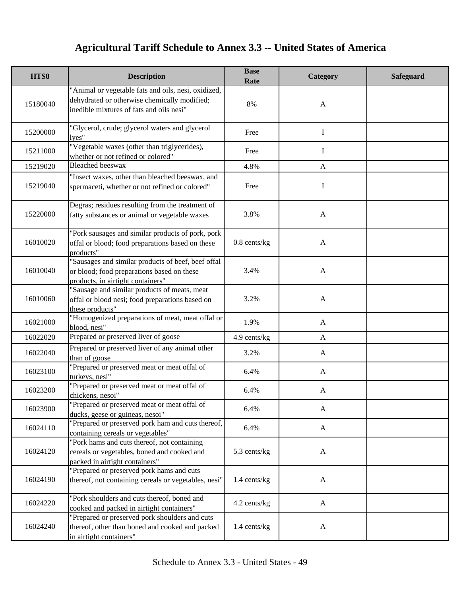| HTS8     | <b>Description</b>                                                                                                                              | <b>Base</b><br>Rate | Category     | <b>Safeguard</b> |
|----------|-------------------------------------------------------------------------------------------------------------------------------------------------|---------------------|--------------|------------------|
| 15180040 | "Animal or vegetable fats and oils, nesi, oxidized,<br>dehydrated or otherwise chemically modified;<br>inedible mixtures of fats and oils nesi" | 8%                  | $\mathbf{A}$ |                  |
| 15200000 | "Glycerol, crude; glycerol waters and glycerol<br>lyes"                                                                                         | Free                | I            |                  |
| 15211000 | "Vegetable waxes (other than triglycerides),<br>whether or not refined or colored"                                                              | Free                | I            |                  |
| 15219020 | <b>Bleached</b> beeswax                                                                                                                         | 4.8%                | $\mathbf{A}$ |                  |
| 15219040 | "Insect waxes, other than bleached beeswax, and<br>spermaceti, whether or not refined or colored"                                               | Free                | I            |                  |
| 15220000 | Degras; residues resulting from the treatment of<br>fatty substances or animal or vegetable waxes                                               | 3.8%                | $\mathbf{A}$ |                  |
| 16010020 | "Pork sausages and similar products of pork, pork<br>offal or blood; food preparations based on these<br>products"                              | $0.8$ cents/kg      | $\mathbf{A}$ |                  |
| 16010040 | "Sausages and similar products of beef, beef offal<br>or blood; food preparations based on these<br>products, in airtight containers"           | 3.4%                | $\mathbf{A}$ |                  |
| 16010060 | "Sausage and similar products of meats, meat<br>offal or blood nesi; food preparations based on<br>these products"                              | 3.2%                | $\mathbf{A}$ |                  |
| 16021000 | "Homogenized preparations of meat, meat offal or<br>blood, nesi"                                                                                | 1.9%                | $\mathbf{A}$ |                  |
| 16022020 | Prepared or preserved liver of goose                                                                                                            | 4.9 cents/kg        | $\mathbf{A}$ |                  |
| 16022040 | Prepared or preserved liver of any animal other<br>than of goose                                                                                | 3.2%                | $\mathbf{A}$ |                  |
| 16023100 | "Prepared or preserved meat or meat offal of<br>turkeys, nesi"                                                                                  | 6.4%                | $\mathbf{A}$ |                  |
| 16023200 | "Prepared or preserved meat or meat offal of<br>chickens, nesoi"                                                                                | 6.4%                | $\mathbf{A}$ |                  |
| 16023900 | Prepared or preserved meat or meat offal of<br>ducks, geese or guineas, nesoi"                                                                  | 6.4%                | $\mathbf{A}$ |                  |
| 16024110 | "Prepared or preserved pork ham and cuts thereof,<br>containing cereals or vegetables"                                                          | 6.4%                | $\mathbf{A}$ |                  |
| 16024120 | "Pork hams and cuts thereof, not containing<br>cereals or vegetables, boned and cooked and<br>packed in airtight containers"                    | 5.3 cents/kg        | $\mathbf{A}$ |                  |
| 16024190 | "Prepared or preserved pork hams and cuts<br>thereof, not containing cereals or vegetables, nesi"                                               | 1.4 cents/kg        | $\mathbf{A}$ |                  |
| 16024220 | "Pork shoulders and cuts thereof, boned and<br>cooked and packed in airtight containers"                                                        | 4.2 cents/kg        | $\mathbf{A}$ |                  |
| 16024240 | "Prepared or preserved pork shoulders and cuts<br>thereof, other than boned and cooked and packed<br>in airtight containers"                    | 1.4 cents/kg        | $\mathbf{A}$ |                  |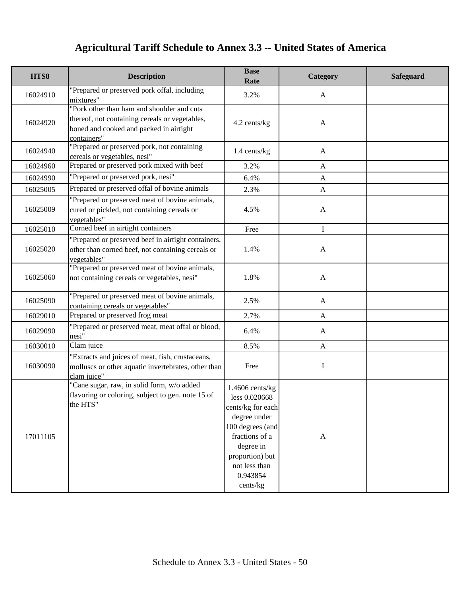| HTS8     | <b>Description</b>                                                                                                                                     | <b>Base</b><br>Rate                                                                                                                                                                    | Category         | Safeguard |
|----------|--------------------------------------------------------------------------------------------------------------------------------------------------------|----------------------------------------------------------------------------------------------------------------------------------------------------------------------------------------|------------------|-----------|
| 16024910 | "Prepared or preserved pork offal, including<br>mixtures"                                                                                              | 3.2%                                                                                                                                                                                   | A                |           |
| 16024920 | "Pork other than ham and shoulder and cuts<br>thereof, not containing cereals or vegetables,<br>boned and cooked and packed in airtight<br>containers" | 4.2 cents/kg                                                                                                                                                                           | $\mathbf{A}$     |           |
| 16024940 | "Prepared or preserved pork, not containing<br>cereals or vegetables, nesi"                                                                            | 1.4 cents/kg                                                                                                                                                                           | $\mathbf{A}$     |           |
| 16024960 | Prepared or preserved pork mixed with beef                                                                                                             | 3.2%                                                                                                                                                                                   | A                |           |
| 16024990 | "Prepared or preserved pork, nesi"                                                                                                                     | 6.4%                                                                                                                                                                                   | $\mathbf{A}$     |           |
| 16025005 | Prepared or preserved offal of bovine animals                                                                                                          | 2.3%                                                                                                                                                                                   | A                |           |
| 16025009 | "Prepared or preserved meat of bovine animals,<br>cured or pickled, not containing cereals or<br>vegetables"                                           | 4.5%                                                                                                                                                                                   | A                |           |
| 16025010 | Corned beef in airtight containers                                                                                                                     | Free                                                                                                                                                                                   | I                |           |
| 16025020 | "Prepared or preserved beef in airtight containers,<br>other than corned beef, not containing cereals or<br>vegetables"                                | 1.4%                                                                                                                                                                                   | $\mathbf{A}$     |           |
| 16025060 | "Prepared or preserved meat of bovine animals,<br>not containing cereals or vegetables, nesi"                                                          | 1.8%                                                                                                                                                                                   | $\mathbf{A}$     |           |
| 16025090 | "Prepared or preserved meat of bovine animals,<br>containing cereals or vegetables"                                                                    | 2.5%                                                                                                                                                                                   | $\mathbf{A}$     |           |
| 16029010 | Prepared or preserved frog meat                                                                                                                        | 2.7%                                                                                                                                                                                   | A                |           |
| 16029090 | "Prepared or preserved meat, meat offal or blood,<br>nesi"                                                                                             | 6.4%                                                                                                                                                                                   | A                |           |
| 16030010 | Clam juice                                                                                                                                             | 8.5%                                                                                                                                                                                   | $\mathbf{A}$     |           |
| 16030090 | "Extracts and juices of meat, fish, crustaceans,<br>molluscs or other aquatic invertebrates, other than<br>clam juice"                                 | Free                                                                                                                                                                                   | I                |           |
| 17011105 | "Cane sugar, raw, in solid form, w/o added<br>flavoring or coloring, subject to gen. note 15 of<br>the HTS"                                            | $1.4606$ cents/kg<br>less 0.020668<br>cents/kg for each<br>degree under<br>100 degrees (and<br>fractions of a<br>degree in<br>proportion) but<br>not less than<br>0.943854<br>cents/kg | $\boldsymbol{A}$ |           |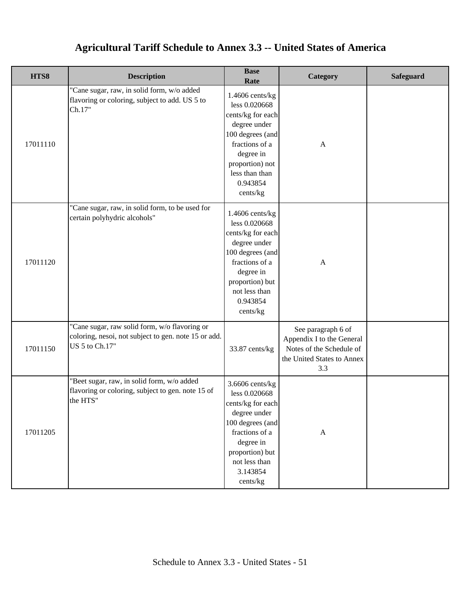| HTS8     | <b>Description</b>                                                                                                      | <b>Base</b><br>Rate                                                                                                                                                                     | Category                                                                                                         | <b>Safeguard</b> |
|----------|-------------------------------------------------------------------------------------------------------------------------|-----------------------------------------------------------------------------------------------------------------------------------------------------------------------------------------|------------------------------------------------------------------------------------------------------------------|------------------|
| 17011110 | "Cane sugar, raw, in solid form, w/o added<br>flavoring or coloring, subject to add. US 5 to<br>Ch.17"                  | $1.4606$ cents/kg<br>less 0.020668<br>cents/kg for each<br>degree under<br>100 degrees (and<br>fractions of a<br>degree in<br>proportion) not<br>less than than<br>0.943854<br>cents/kg | $\mathbf{A}$                                                                                                     |                  |
| 17011120 | "Cane sugar, raw, in solid form, to be used for<br>certain polyhydric alcohols"                                         | 1.4606 cents/kg<br>less 0.020668<br>cents/kg for each<br>degree under<br>100 degrees (and<br>fractions of a<br>degree in<br>proportion) but<br>not less than<br>0.943854<br>cents/kg    | $\mathbf{A}$                                                                                                     |                  |
| 17011150 | "Cane sugar, raw solid form, w/o flavoring or<br>coloring, nesoi, not subject to gen. note 15 or add.<br>US 5 to Ch.17" | 33.87 cents/kg                                                                                                                                                                          | See paragraph 6 of<br>Appendix I to the General<br>Notes of the Schedule of<br>the United States to Annex<br>3.3 |                  |
| 17011205 | "Beet sugar, raw, in solid form, w/o added<br>flavoring or coloring, subject to gen. note 15 of<br>the HTS"             | $3.6606$ cents/kg<br>less 0.020668<br>cents/kg for each<br>degree under<br>100 degrees (and<br>fractions of a<br>degree in<br>proportion) but<br>not less than<br>3.143854<br>cents/kg  | $\mathbf{A}$                                                                                                     |                  |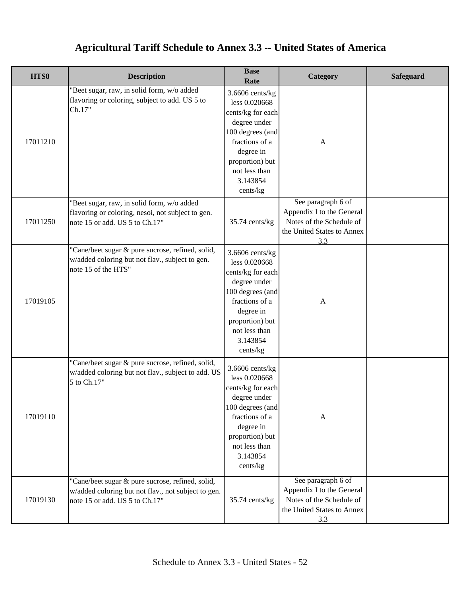| HTS8     | <b>Description</b>                                                                                                                        | <b>Base</b><br>Rate                                                                                                                                                                    | Category                                                                                                         | <b>Safeguard</b> |
|----------|-------------------------------------------------------------------------------------------------------------------------------------------|----------------------------------------------------------------------------------------------------------------------------------------------------------------------------------------|------------------------------------------------------------------------------------------------------------------|------------------|
| 17011210 | "Beet sugar, raw, in solid form, w/o added<br>flavoring or coloring, subject to add. US 5 to<br>Ch.17"                                    | $3.6606$ cents/kg<br>less 0.020668<br>cents/kg for each<br>degree under<br>100 degrees (and<br>fractions of a<br>degree in<br>proportion) but<br>not less than<br>3.143854<br>cents/kg | $\mathbf{A}$                                                                                                     |                  |
| 17011250 | "Beet sugar, raw, in solid form, w/o added<br>flavoring or coloring, nesoi, not subject to gen.<br>note 15 or add. US 5 to Ch.17"         | 35.74 cents/kg                                                                                                                                                                         | See paragraph 6 of<br>Appendix I to the General<br>Notes of the Schedule of<br>the United States to Annex<br>3.3 |                  |
| 17019105 | "Cane/beet sugar & pure sucrose, refined, solid,<br>w/added coloring but not flav., subject to gen.<br>note 15 of the HTS"                | $3.6606$ cents/kg<br>less 0.020668<br>cents/kg for each<br>degree under<br>100 degrees (and<br>fractions of a<br>degree in<br>proportion) but<br>not less than<br>3.143854<br>cents/kg | $\mathbf{A}$                                                                                                     |                  |
| 17019110 | "Cane/beet sugar & pure sucrose, refined, solid,<br>w/added coloring but not flav., subject to add. US<br>5 to Ch.17"                     | 3.6606 cents/kg<br>less 0.020668<br>cents/kg for each<br>degree under<br>100 degrees (and<br>fractions of a<br>degree in<br>proportion) but<br>not less than<br>3.143854<br>cents/kg   | $\mathbf{A}$                                                                                                     |                  |
| 17019130 | "Cane/beet sugar & pure sucrose, refined, solid,<br>w/added coloring but not flav., not subject to gen.<br>note 15 or add. US 5 to Ch.17" | 35.74 cents/kg                                                                                                                                                                         | See paragraph 6 of<br>Appendix I to the General<br>Notes of the Schedule of<br>the United States to Annex<br>3.3 |                  |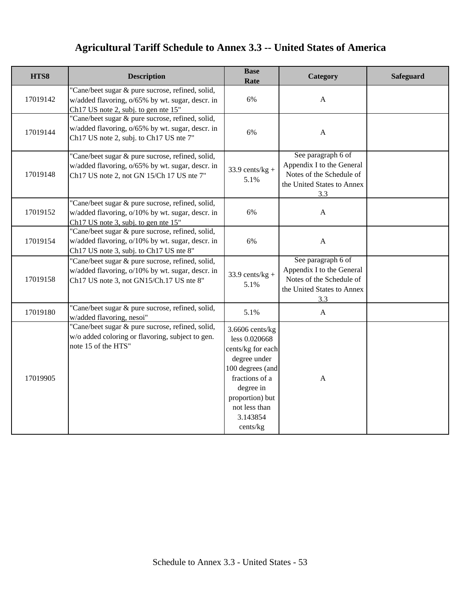| HTS8     | <b>Description</b>                                                                                                                                | <b>Base</b><br>Rate                                                                                                                                                                    | Category                                                                                                         | <b>Safeguard</b> |
|----------|---------------------------------------------------------------------------------------------------------------------------------------------------|----------------------------------------------------------------------------------------------------------------------------------------------------------------------------------------|------------------------------------------------------------------------------------------------------------------|------------------|
| 17019142 | "Cane/beet sugar & pure sucrose, refined, solid,<br>w/added flavoring, o/65% by wt. sugar, descr. in<br>Ch17 US note 2, subj. to gen nte 15"      | 6%                                                                                                                                                                                     | $\mathbf{A}$                                                                                                     |                  |
| 17019144 | "Cane/beet sugar & pure sucrose, refined, solid,<br>w/added flavoring, o/65% by wt. sugar, descr. in<br>Ch17 US note 2, subj. to Ch17 US nte 7"   | 6%                                                                                                                                                                                     | $\mathbf{A}$                                                                                                     |                  |
| 17019148 | "Cane/beet sugar & pure sucrose, refined, solid,<br>w/added flavoring, o/65% by wt. sugar, descr. in<br>Ch17 US note 2, not GN 15/Ch 17 US nte 7" | $33.9$ cents/kg +<br>5.1%                                                                                                                                                              | See paragraph 6 of<br>Appendix I to the General<br>Notes of the Schedule of<br>the United States to Annex<br>3.3 |                  |
| 17019152 | "Cane/beet sugar & pure sucrose, refined, solid,<br>w/added flavoring, o/10% by wt. sugar, descr. in<br>Ch17 US note 3, subj. to gen nte 15"      | 6%                                                                                                                                                                                     | A                                                                                                                |                  |
| 17019154 | "Cane/beet sugar & pure sucrose, refined, solid,<br>w/added flavoring, o/10% by wt. sugar, descr. in<br>Ch17 US note 3, subj. to Ch17 US nte 8"   | 6%                                                                                                                                                                                     | $\mathbf{A}$                                                                                                     |                  |
| 17019158 | "Cane/beet sugar & pure sucrose, refined, solid,<br>w/added flavoring, o/10% by wt. sugar, descr. in<br>Ch17 US note 3, not GN15/Ch.17 US nte 8"  | $33.9$ cents/kg +<br>5.1%                                                                                                                                                              | See paragraph 6 of<br>Appendix I to the General<br>Notes of the Schedule of<br>the United States to Annex<br>3.3 |                  |
| 17019180 | "Cane/beet sugar & pure sucrose, refined, solid,<br>w/added flavoring, nesoi"                                                                     | 5.1%                                                                                                                                                                                   | $\mathbf{A}$                                                                                                     |                  |
| 17019905 | "Cane/beet sugar & pure sucrose, refined, solid,<br>w/o added coloring or flavoring, subject to gen.<br>note 15 of the HTS"                       | $3.6606$ cents/kg<br>less 0.020668<br>cents/kg for each<br>degree under<br>100 degrees (and<br>fractions of a<br>degree in<br>proportion) but<br>not less than<br>3.143854<br>cents/kg | $\mathbf{A}$                                                                                                     |                  |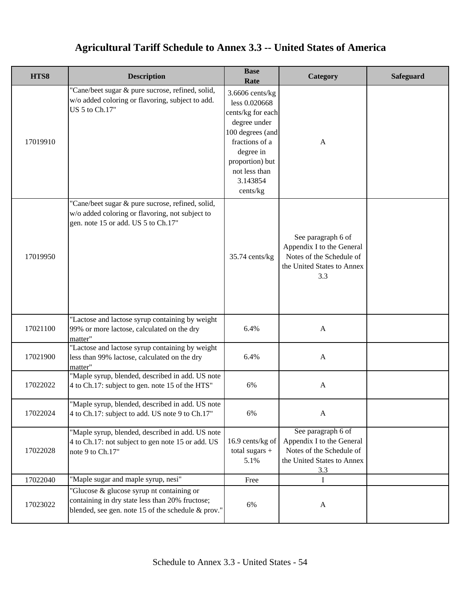| HTS8     | <b>Description</b>                                                                                                                                 | <b>Base</b><br>Rate                                                                                                                                                                    | Category                                                                                                         | <b>Safeguard</b> |
|----------|----------------------------------------------------------------------------------------------------------------------------------------------------|----------------------------------------------------------------------------------------------------------------------------------------------------------------------------------------|------------------------------------------------------------------------------------------------------------------|------------------|
| 17019910 | "Cane/beet sugar & pure sucrose, refined, solid,<br>w/o added coloring or flavoring, subject to add.<br>US 5 to Ch.17"                             | $3.6606$ cents/kg<br>less 0.020668<br>cents/kg for each<br>degree under<br>100 degrees (and<br>fractions of a<br>degree in<br>proportion) but<br>not less than<br>3.143854<br>cents/kg | $\mathbf{A}$                                                                                                     |                  |
| 17019950 | "Cane/beet sugar & pure sucrose, refined, solid,<br>w/o added coloring or flavoring, not subject to<br>gen. note 15 or add. US 5 to Ch.17"         | 35.74 cents/kg                                                                                                                                                                         | See paragraph 6 of<br>Appendix I to the General<br>Notes of the Schedule of<br>the United States to Annex<br>3.3 |                  |
| 17021100 | "Lactose and lactose syrup containing by weight<br>99% or more lactose, calculated on the dry<br>matter"                                           | 6.4%                                                                                                                                                                                   | $\mathbf{A}$                                                                                                     |                  |
| 17021900 | "Lactose and lactose syrup containing by weight<br>less than 99% lactose, calculated on the dry<br>matter"                                         | 6.4%                                                                                                                                                                                   | $\mathbf{A}$                                                                                                     |                  |
| 17022022 | "Maple syrup, blended, described in add. US note<br>4 to Ch.17: subject to gen. note 15 of the HTS"                                                | 6%                                                                                                                                                                                     | $\boldsymbol{\mathsf{A}}$                                                                                        |                  |
| 17022024 | "Maple syrup, blended, described in add. US note<br>4 to Ch.17: subject to add. US note 9 to Ch.17"                                                | 6%                                                                                                                                                                                     | $\mathbf{A}$                                                                                                     |                  |
| 17022028 | "Maple syrup, blended, described in add. US note<br>4 to Ch.17: not subject to gen note 15 or add. US<br>note 9 to Ch.17"                          | 16.9 cents/kg of<br>total sugars +<br>5.1%                                                                                                                                             | See paragraph 6 of<br>Appendix I to the General<br>Notes of the Schedule of<br>the United States to Annex<br>3.3 |                  |
| 17022040 | "Maple sugar and maple syrup, nesi"                                                                                                                | Free                                                                                                                                                                                   | I                                                                                                                |                  |
| 17023022 | "Glucose & glucose syrup nt containing or<br>containing in dry state less than 20% fructose;<br>blended, see gen. note 15 of the schedule & prov." | 6%                                                                                                                                                                                     | $\mathbf{A}$                                                                                                     |                  |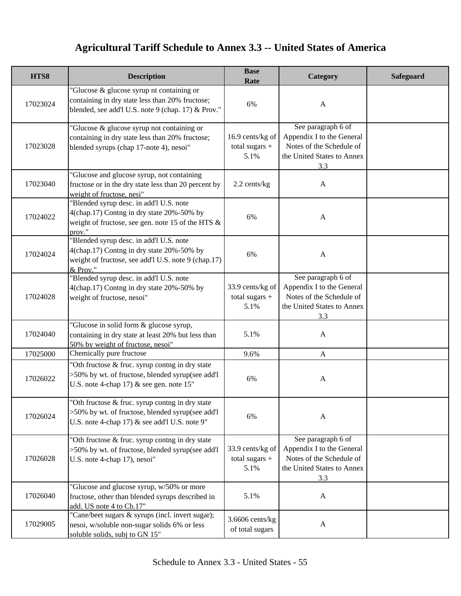| HTS8     | <b>Description</b>                                                                                                                                      | <b>Base</b><br>Rate                          | Category                                                                                                         | <b>Safeguard</b> |
|----------|---------------------------------------------------------------------------------------------------------------------------------------------------------|----------------------------------------------|------------------------------------------------------------------------------------------------------------------|------------------|
| 17023024 | "Glucose & glucose syrup nt containing or<br>containing in dry state less than 20% fructose;<br>blended, see add'l U.S. note 9 (chap. 17) & Prov."      | 6%                                           | $\mathbf{A}$                                                                                                     |                  |
| 17023028 | "Glucose & glucose syrup not containing or<br>containing in dry state less than 20% fructose;<br>blended syrups (chap 17-note 4), nesoi"                | 16.9 cents/kg of<br>total sugars $+$<br>5.1% | See paragraph 6 of<br>Appendix I to the General<br>Notes of the Schedule of<br>the United States to Annex<br>3.3 |                  |
| 17023040 | "Glucose and glucose syrup, not containing<br>fructose or in the dry state less than 20 percent by<br>weight of fructose, nesi"                         | 2.2 cents/kg                                 | $\mathbf{A}$                                                                                                     |                  |
| 17024022 | "Blended syrup desc. in add'l U.S. note<br>4(chap.17) Contng in dry state 20%-50% by<br>weight of fructose, see gen. note 15 of the HTS &<br>prov."     | 6%                                           | $\mathbf{A}$                                                                                                     |                  |
| 17024024 | "Blended syrup desc. in add'l U.S. note<br>4(chap.17) Contng in dry state 20%-50% by<br>weight of fructose, see add'l U.S. note 9 (chap.17)<br>& Prov." | 6%                                           | $\mathbf{A}$                                                                                                     |                  |
| 17024028 | "Blended syrup desc. in add'l U.S. note<br>4(chap.17) Contng in dry state 20%-50% by<br>weight of fructose, nesoi"                                      | 33.9 cents/kg of<br>total sugars $+$<br>5.1% | See paragraph 6 of<br>Appendix I to the General<br>Notes of the Schedule of<br>the United States to Annex<br>3.3 |                  |
| 17024040 | "Glucose in solid form & glucose syrup,<br>containing in dry state at least 20% but less than<br>50% by weight of fructose, nesoi"                      | 5.1%                                         | $\mathbf{A}$                                                                                                     |                  |
| 17025000 | Chemically pure fructose                                                                                                                                | 9.6%                                         | $\mathbf{A}$                                                                                                     |                  |
| 17026022 | "Oth fructose & fruc. syrup contng in dry state<br>>50% by wt. of fructose, blended syrup(see add'l<br>U.S. note 4-chap 17) $&$ see gen. note 15"       | 6%                                           | A                                                                                                                |                  |
| 17026024 | "Oth fructose & fruc. syrup contng in dry state<br>>50% by wt. of fructose, blended syrup(see add'l<br>U.S. note 4-chap 17) & see add'l U.S. note 9"    | 6%                                           | $\mathbf{A}$                                                                                                     |                  |
| 17026028 | "Oth fructose & fruc. syrup contng in dry state<br>>50% by wt. of fructose, blended syrup(see add'l<br>U.S. note 4-chap 17), nesoi"                     | 33.9 cents/kg of<br>total sugars $+$<br>5.1% | See paragraph 6 of<br>Appendix I to the General<br>Notes of the Schedule of<br>the United States to Annex<br>3.3 |                  |
| 17026040 | "Glucose and glucose syrup, w/50% or more<br>fructose, other than blended syrups described in<br>add. US note 4 to Ch.17"                               | 5.1%                                         | A                                                                                                                |                  |
| 17029005 | "Cane/beet sugars & syrups (incl. invert sugar);<br>nesoi, w/soluble non-sugar solids 6% or less<br>soluble solids, subj to GN 15"                      | $3.6606$ cents/kg<br>of total sugars         | $\mathbf{A}$                                                                                                     |                  |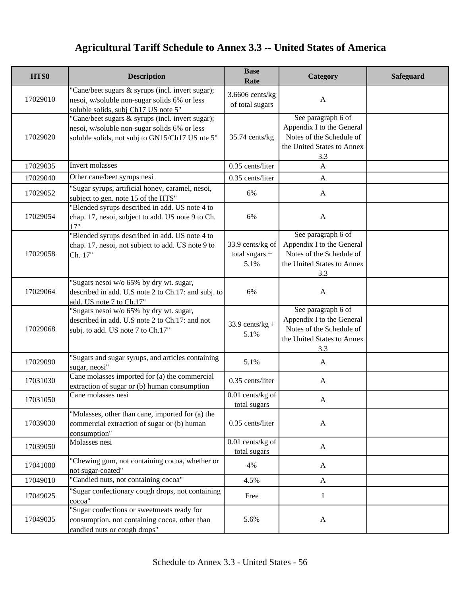| HTS8     | <b>Description</b>                                                                                                                                  | <b>Base</b><br>Rate                          | Category                                                                                                         | <b>Safeguard</b> |
|----------|-----------------------------------------------------------------------------------------------------------------------------------------------------|----------------------------------------------|------------------------------------------------------------------------------------------------------------------|------------------|
| 17029010 | "Cane/beet sugars & syrups (incl. invert sugar);<br>nesoi, w/soluble non-sugar solids 6% or less<br>soluble solids, subj Ch17 US note 5"            | 3.6606 cents/kg<br>of total sugars           | $\mathbf{A}$                                                                                                     |                  |
| 17029020 | "Cane/beet sugars & syrups (incl. invert sugar);<br>nesoi, w/soluble non-sugar solids 6% or less<br>soluble solids, not subj to GN15/Ch17 US nte 5" | 35.74 cents/kg                               | See paragraph 6 of<br>Appendix I to the General<br>Notes of the Schedule of<br>the United States to Annex<br>3.3 |                  |
| 17029035 | Invert molasses                                                                                                                                     | 0.35 cents/liter                             | $\mathbf{A}$                                                                                                     |                  |
| 17029040 | Other cane/beet syrups nesi                                                                                                                         | 0.35 cents/liter                             | $\mathbf{A}$                                                                                                     |                  |
| 17029052 | "Sugar syrups, artificial honey, caramel, nesoi,<br>subject to gen. note 15 of the HTS"                                                             | 6%                                           | $\mathbf{A}$                                                                                                     |                  |
| 17029054 | "Blended syrups described in add. US note 4 to<br>chap. 17, nesoi, subject to add. US note 9 to Ch.<br>17"                                          | 6%                                           | $\mathbf{A}$                                                                                                     |                  |
| 17029058 | "Blended syrups described in add. US note 4 to<br>chap. 17, nesoi, not subject to add. US note 9 to<br>Ch. 17"                                      | 33.9 cents/kg of<br>total sugars $+$<br>5.1% | See paragraph 6 of<br>Appendix I to the General<br>Notes of the Schedule of<br>the United States to Annex<br>3.3 |                  |
| 17029064 | "Sugars nesoi w/o 65% by dry wt. sugar,<br>described in add. U.S note 2 to Ch.17: and subj. to<br>add. US note 7 to Ch.17"                          | 6%                                           | $\mathbf{A}$                                                                                                     |                  |
| 17029068 | "Sugars nesoi w/o 65% by dry wt. sugar,<br>described in add. U.S note 2 to Ch.17: and not<br>subj. to add. US note 7 to Ch.17"                      | $33.9$ cents/kg +<br>5.1%                    | See paragraph 6 of<br>Appendix I to the General<br>Notes of the Schedule of<br>the United States to Annex<br>3.3 |                  |
| 17029090 | "Sugars and sugar syrups, and articles containing<br>sugar, neosi"                                                                                  | 5.1%                                         | $\mathbf{A}$                                                                                                     |                  |
| 17031030 | Cane molasses imported for (a) the commercial<br>extraction of sugar or (b) human consumption                                                       | 0.35 cents/liter                             | $\mathbf{A}$                                                                                                     |                  |
| 17031050 | Cane molasses nesi                                                                                                                                  | 0.01 cents/kg of<br>total sugars             | A                                                                                                                |                  |
| 17039030 | "Molasses, other than cane, imported for (a) the<br>commercial extraction of sugar or (b) human<br>consumption"                                     | 0.35 cents/liter                             | $\mathbf{A}$                                                                                                     |                  |
| 17039050 | Molasses nesi                                                                                                                                       | $0.01$ cents/kg of<br>total sugars           | $\mathbf{A}$                                                                                                     |                  |
| 17041000 | "Chewing gum, not containing cocoa, whether or<br>not sugar-coated"                                                                                 | 4%                                           | $\mathbf{A}$                                                                                                     |                  |
| 17049010 | "Candied nuts, not containing cocoa"                                                                                                                | 4.5%                                         | $\mathbf{A}$                                                                                                     |                  |
| 17049025 | "Sugar confectionary cough drops, not containing<br>cocoa"                                                                                          | Free                                         | I                                                                                                                |                  |
| 17049035 | "Sugar confections or sweetmeats ready for<br>consumption, not containing cocoa, other than<br>candied nuts or cough drops"                         | 5.6%                                         | A                                                                                                                |                  |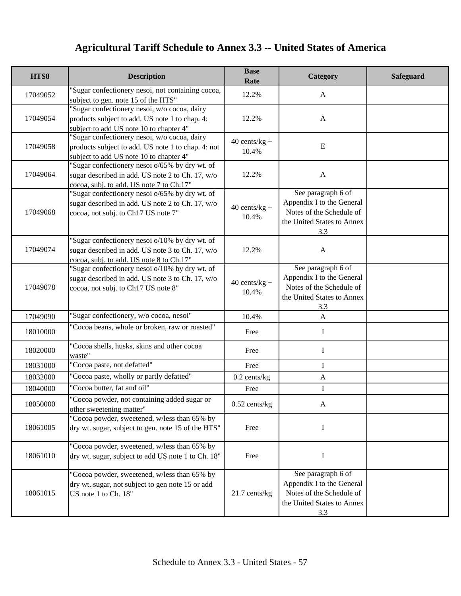| HTS8     | <b>Description</b>                                                                                                                             | <b>Base</b><br>Rate      | Category                                                                                                         | <b>Safeguard</b> |
|----------|------------------------------------------------------------------------------------------------------------------------------------------------|--------------------------|------------------------------------------------------------------------------------------------------------------|------------------|
| 17049052 | "Sugar confectionery nesoi, not containing cocoa,<br>subject to gen. note 15 of the HTS"                                                       | 12.2%                    | $\mathbf{A}$                                                                                                     |                  |
| 17049054 | 'Sugar confectionery nesoi, w/o cocoa, dairy<br>products subject to add. US note 1 to chap. 4:<br>subject to add US note 10 to chapter 4"      | 12.2%                    | $\mathbf{A}$                                                                                                     |                  |
| 17049058 | 'Sugar confectionery nesoi, w/o cocoa, dairy<br>products subject to add. US note 1 to chap. 4: not<br>subject to add US note 10 to chapter 4"  | $40$ cents/kg +<br>10.4% | E                                                                                                                |                  |
| 17049064 | "Sugar confectionery nesoi o/65% by dry wt. of<br>sugar described in add. US note 2 to Ch. 17, w/o<br>cocoa, subj. to add. US note 7 to Ch.17" | 12.2%                    | $\mathbf{A}$                                                                                                     |                  |
| 17049068 | "Sugar confectionery nesoi o/65% by dry wt. of<br>sugar described in add. US note 2 to Ch. 17, w/o<br>cocoa, not subj. to Ch17 US note 7"      | $40$ cents/kg +<br>10.4% | See paragraph 6 of<br>Appendix I to the General<br>Notes of the Schedule of<br>the United States to Annex<br>3.3 |                  |
| 17049074 | "Sugar confectionery nesoi o/10% by dry wt. of<br>sugar described in add. US note 3 to Ch. 17, w/o<br>cocoa, subj. to add. US note 8 to Ch.17" | 12.2%                    | $\mathbf{A}$                                                                                                     |                  |
| 17049078 | "Sugar confectionery nesoi o/10% by dry wt. of<br>sugar described in add. US note 3 to Ch. 17, w/o<br>cocoa, not subj. to Ch17 US note 8"      | $40$ cents/kg +<br>10.4% | See paragraph 6 of<br>Appendix I to the General<br>Notes of the Schedule of<br>the United States to Annex<br>3.3 |                  |
| 17049090 | "Sugar confectionery, w/o cocoa, nesoi"                                                                                                        | 10.4%                    | $\mathbf{A}$                                                                                                     |                  |
| 18010000 | "Cocoa beans, whole or broken, raw or roasted"                                                                                                 | Free                     | $\mathbf I$                                                                                                      |                  |
| 18020000 | 'Cocoa shells, husks, skins and other cocoa<br>waste"                                                                                          | Free                     | $\bf{I}$                                                                                                         |                  |
| 18031000 | "Cocoa paste, not defatted"                                                                                                                    | Free                     | $\mathbf I$                                                                                                      |                  |
| 18032000 | 'Cocoa paste, wholly or partly defatted"                                                                                                       | $0.2$ cents/kg           | $\mathbf{A}$                                                                                                     |                  |
| 18040000 | 'Cocoa butter, fat and oil"                                                                                                                    | Free                     | $\mathbf I$                                                                                                      |                  |
| 18050000 | "Cocoa powder, not containing added sugar or<br>other sweetening matter"                                                                       | $0.52$ cents/kg          | A                                                                                                                |                  |
| 18061005 | "Cocoa powder, sweetened, w/less than 65% by<br>dry wt. sugar, subject to gen. note 15 of the HTS"                                             | Free                     | $\bf{I}$                                                                                                         |                  |
| 18061010 | "Cocoa powder, sweetened, w/less than 65% by<br>dry wt. sugar, subject to add US note 1 to Ch. 18"                                             | Free                     | I                                                                                                                |                  |
| 18061015 | "Cocoa powder, sweetened, w/less than 65% by<br>dry wt. sugar, not subject to gen note 15 or add<br>US note 1 to Ch. 18"                       | 21.7 cents/kg            | See paragraph 6 of<br>Appendix I to the General<br>Notes of the Schedule of<br>the United States to Annex<br>3.3 |                  |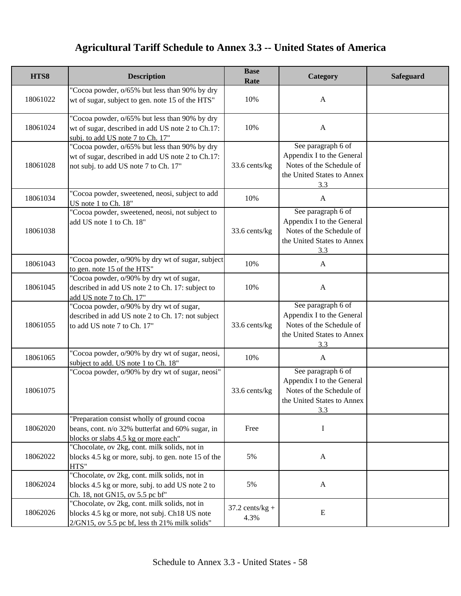| HTS8     | <b>Description</b>                                                                                                                                  | <b>Base</b><br>Rate       | Category                                                                                                         | <b>Safeguard</b> |
|----------|-----------------------------------------------------------------------------------------------------------------------------------------------------|---------------------------|------------------------------------------------------------------------------------------------------------------|------------------|
| 18061022 | "Cocoa powder, o/65% but less than 90% by dry<br>wt of sugar, subject to gen. note 15 of the HTS"                                                   | 10%                       | $\mathbf{A}$                                                                                                     |                  |
| 18061024 | "Cocoa powder, o/65% but less than 90% by dry<br>wt of sugar, described in add US note 2 to Ch.17:<br>subj. to add US note 7 to Ch. 17"             | 10%                       | $\mathbf{A}$                                                                                                     |                  |
| 18061028 | "Cocoa powder, o/65% but less than 90% by dry<br>wt of sugar, described in add US note 2 to Ch.17:<br>not subj. to add US note 7 to Ch. 17"         | 33.6 cents/kg             | See paragraph 6 of<br>Appendix I to the General<br>Notes of the Schedule of<br>the United States to Annex<br>3.3 |                  |
| 18061034 | "Cocoa powder, sweetened, neosi, subject to add<br>US note 1 to Ch. 18"                                                                             | 10%                       | A                                                                                                                |                  |
| 18061038 | "Cocoa powder, sweetened, neosi, not subject to<br>add US note 1 to Ch. 18"                                                                         | 33.6 cents/kg             | See paragraph 6 of<br>Appendix I to the General<br>Notes of the Schedule of<br>the United States to Annex<br>3.3 |                  |
| 18061043 | "Cocoa powder, o/90% by dry wt of sugar, subject<br>to gen. note 15 of the HTS"                                                                     | 10%                       | $\mathbf{A}$                                                                                                     |                  |
| 18061045 | "Cocoa powder, o/90% by dry wt of sugar,<br>described in add US note 2 to Ch. 17: subject to<br>add US note 7 to Ch. 17"                            | 10%                       | $\mathbf{A}$                                                                                                     |                  |
| 18061055 | "Cocoa powder, o/90% by dry wt of sugar,<br>described in add US note 2 to Ch. 17: not subject<br>to add US note 7 to Ch. 17"                        | 33.6 cents/kg             | See paragraph 6 of<br>Appendix I to the General<br>Notes of the Schedule of<br>the United States to Annex<br>3.3 |                  |
| 18061065 | "Cocoa powder, o/90% by dry wt of sugar, neosi,<br>subject to add. US note 1 to Ch. 18"                                                             | 10%                       | $\mathbf{A}$                                                                                                     |                  |
| 18061075 | "Cocoa powder, o/90% by dry wt of sugar, neosi"                                                                                                     | 33.6 cents/kg             | See paragraph 6 of<br>Appendix I to the General<br>Notes of the Schedule of<br>the United States to Annex<br>3.3 |                  |
| 18062020 | "Preparation consist wholly of ground cocoa<br>beans, cont. n/o 32% butterfat and 60% sugar, in<br>blocks or slabs 4.5 kg or more each"             | Free                      | I                                                                                                                |                  |
| 18062022 | "Chocolate, ov 2kg, cont. milk solids, not in<br>blocks 4.5 kg or more, subj. to gen. note 15 of the<br>HTS"                                        | 5%                        | $\mathbf{A}$                                                                                                     |                  |
| 18062024 | "Chocolate, ov 2kg, cont. milk solids, not in<br>blocks 4.5 kg or more, subj. to add US note 2 to<br>Ch. 18, not GN15, ov 5.5 pc bf"                | 5%                        | $\mathbf{A}$                                                                                                     |                  |
| 18062026 | "Chocolate, ov 2kg, cont. milk solids, not in<br>blocks 4.5 kg or more, not subj. Ch18 US note<br>$2/GN15$ , ov 5.5 pc bf, less th 21% milk solids" | $37.2$ cents/kg +<br>4.3% | E                                                                                                                |                  |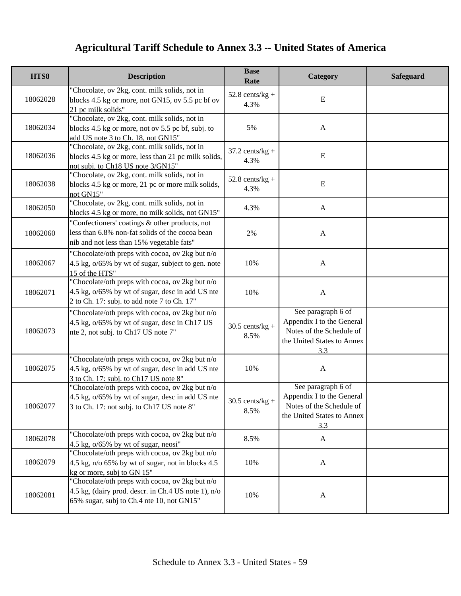| HTS8     | <b>Description</b>                                                                                                                                  | <b>Base</b><br>Rate       | Category                                                                                                         | <b>Safeguard</b> |
|----------|-----------------------------------------------------------------------------------------------------------------------------------------------------|---------------------------|------------------------------------------------------------------------------------------------------------------|------------------|
| 18062028 | "Chocolate, ov 2kg, cont. milk solids, not in<br>blocks 4.5 kg or more, not GN15, ov 5.5 pc bf ov<br>21 pc milk solids"                             | $52.8$ cents/kg +<br>4.3% | E                                                                                                                |                  |
| 18062034 | "Chocolate, ov 2kg, cont. milk solids, not in<br>blocks 4.5 kg or more, not ov 5.5 pc bf, subj. to<br>add US note 3 to Ch. 18, not GN15"            | 5%                        | $\mathbf{A}$                                                                                                     |                  |
| 18062036 | "Chocolate, ov 2kg, cont. milk solids, not in<br>blocks 4.5 kg or more, less than 21 pc milk solids,<br>not subj. to Ch18 US note 3/GN15"           | $37.2$ cents/kg +<br>4.3% | E                                                                                                                |                  |
| 18062038 | "Chocolate, ov 2kg, cont. milk solids, not in<br>blocks 4.5 kg or more, 21 pc or more milk solids,<br>not GN15"                                     | $52.8$ cents/kg +<br>4.3% | E                                                                                                                |                  |
| 18062050 | "Chocolate, ov 2kg, cont. milk solids, not in<br>blocks 4.5 kg or more, no milk solids, not GN15"                                                   | 4.3%                      | $\mathbf{A}$                                                                                                     |                  |
| 18062060 | "Confectioners' coatings & other products, not<br>less than 6.8% non-fat solids of the cocoa bean<br>nib and not less than 15% vegetable fats"      | $2\%$                     | $\mathbf{A}$                                                                                                     |                  |
| 18062067 | "Chocolate/oth preps with cocoa, ov 2kg but n/o<br>4.5 kg, $o/65\%$ by wt of sugar, subject to gen. note<br>15 of the HTS"                          | 10%                       | $\mathbf{A}$                                                                                                     |                  |
| 18062071 | "Chocolate/oth preps with cocoa, ov 2kg but n/o<br>4.5 kg, o/65% by wt of sugar, desc in add US nte<br>2 to Ch. 17: subj. to add note 7 to Ch. 17"  | 10%                       | $\mathbf{A}$                                                                                                     |                  |
| 18062073 | "Chocolate/oth preps with cocoa, ov 2kg but n/o<br>4.5 kg, o/65% by wt of sugar, desc in Ch17 US<br>nte 2, not subj. to Ch17 US note 7"             | $30.5$ cents/kg +<br>8.5% | See paragraph 6 of<br>Appendix I to the General<br>Notes of the Schedule of<br>the United States to Annex<br>3.3 |                  |
| 18062075 | "Chocolate/oth preps with cocoa, ov 2kg but n/o<br>4.5 kg, $o/65\%$ by wt of sugar, desc in add US nte<br>3 to Ch. 17: subj. to Ch17 US note 8"     | 10%                       | $\mathbf{A}$                                                                                                     |                  |
| 18062077 | "Chocolate/oth preps with cocoa, ov 2kg but n/o<br>4.5 kg, o/65% by wt of sugar, desc in add US nte<br>3 to Ch. 17: not subj. to Ch17 US note 8"    | $30.5$ cents/kg +<br>8.5% | See paragraph 6 of<br>Appendix I to the General<br>Notes of the Schedule of<br>the United States to Annex<br>3.3 |                  |
| 18062078 | "Chocolate/oth preps with cocoa, ov 2kg but n/o<br>4.5 kg, $o/65\%$ by wt of sugar, neosi"                                                          | 8.5%                      | $\mathbf{A}$                                                                                                     |                  |
| 18062079 | "Chocolate/oth preps with cocoa, ov 2kg but n/o<br>4.5 kg, n/o 65% by wt of sugar, not in blocks 4.5<br>kg or more, subj to GN 15"                  | 10%                       | $\mathbf{A}$                                                                                                     |                  |
| 18062081 | "Chocolate/oth preps with cocoa, ov 2kg but n/o<br>4.5 kg, (dairy prod. descr. in Ch.4 US note 1), n/o<br>65% sugar, subj to Ch.4 nte 10, not GN15" | 10%                       | $\mathbf{A}$                                                                                                     |                  |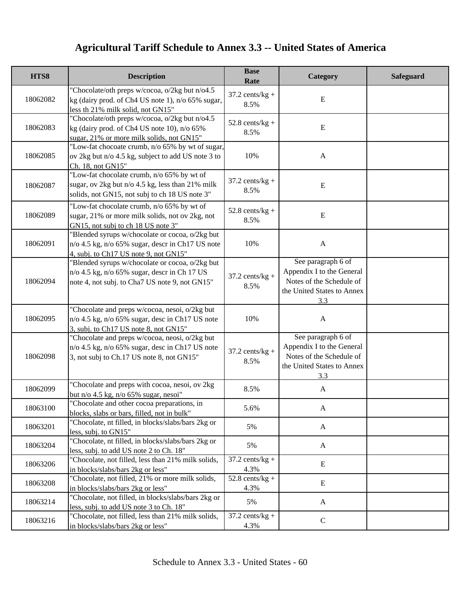| HTS8     | <b>Description</b>                                                                                                                                      | <b>Base</b><br>Rate       | Category                                                                                                         | <b>Safeguard</b> |
|----------|---------------------------------------------------------------------------------------------------------------------------------------------------------|---------------------------|------------------------------------------------------------------------------------------------------------------|------------------|
| 18062082 | "Chocolate/oth preps w/cocoa, o/2kg but n/o4.5<br>kg (dairy prod. of Ch4 US note 1), n/o 65% sugar,<br>less th 21% milk solid, not GN15"                | $37.2$ cents/kg +<br>8.5% | E                                                                                                                |                  |
| 18062083 | "Chocolate/oth preps w/cocoa, o/2kg but n/o4.5<br>kg (dairy prod. of Ch4 US note 10), n/o 65%<br>sugar, 21% or more milk solids, not GN15"              | $52.8$ cents/kg +<br>8.5% | E                                                                                                                |                  |
| 18062085 | "Low-fat chocoate crumb, n/o 65% by wt of sugar,<br>ov 2kg but n/o 4.5 kg, subject to add US note 3 to<br>Ch. 18, not GN15"                             | 10%                       | $\mathbf{A}$                                                                                                     |                  |
| 18062087 | "Low-fat chocolate crumb, n/o 65% by wt of<br>sugar, ov 2kg but n/o 4.5 kg, less than 21% milk<br>solids, not GN15, not subj to ch 18 US note 3"        | $37.2$ cents/kg +<br>8.5% | ${\bf E}$                                                                                                        |                  |
| 18062089 | "Low-fat chocolate crumb, n/o 65% by wt of<br>sugar, 21% or more milk solids, not ov 2kg, not<br>GN15, not subj to ch 18 US note 3"                     | $52.8$ cents/kg +<br>8.5% | ${\bf E}$                                                                                                        |                  |
| 18062091 | "Blended syrups w/chocolate or cocoa, o/2kg but<br>$n$ /o 4.5 kg, $n$ /o 65% sugar, descr in Ch17 US note<br>4, subj. to Ch17 US note 9, not GN15"      | 10%                       | $\mathbf{A}$                                                                                                     |                  |
| 18062094 | "Blended syrups w/chocolate or cocoa, o/2kg but<br>$n$ /o 4.5 kg, $n$ /o 65% sugar, descr in Ch 17 US<br>note 4, not subj. to Cha7 US note 9, not GN15" | $37.2$ cents/kg +<br>8.5% | See paragraph 6 of<br>Appendix I to the General<br>Notes of the Schedule of<br>the United States to Annex<br>3.3 |                  |
| 18062095 | "Chocolate and preps w/cocoa, nesoi, o/2kg but<br>$n$ /o 4.5 kg, $n$ /o 65% sugar, desc in Ch17 US note<br>3, subj. to Ch17 US note 8, not GN15"        | 10%                       | $\mathbf{A}$                                                                                                     |                  |
| 18062098 | "Chocolate and preps w/cocoa, neosi, o/2kg but<br>n/o 4.5 kg, n/o 65% sugar, desc in Ch17 US note<br>3, not subj to Ch.17 US note 8, not GN15"          | $37.2$ cents/kg +<br>8.5% | See paragraph 6 of<br>Appendix I to the General<br>Notes of the Schedule of<br>the United States to Annex<br>3.3 |                  |
| 18062099 | "Chocolate and preps with cocoa, nesoi, ov 2kg<br>but $n/\sigma$ 4.5 kg, $n/\sigma$ 65% sugar, nesoi"                                                   | 8.5%                      | $\mathbf{A}$                                                                                                     |                  |
| 18063100 | "Chocolate and other cocoa preparations, in<br>blocks, slabs or bars, filled, not in bulk"                                                              | 5.6%                      | $\mathbf{A}$                                                                                                     |                  |
| 18063201 | "Chocolate, nt filled, in blocks/slabs/bars 2kg or<br>less, subj. to GN15"                                                                              | 5%                        | $\mathbf{A}$                                                                                                     |                  |
| 18063204 | "Chocolate, nt filled, in blocks/slabs/bars 2kg or<br>less, subj. to add US note 2 to Ch. 18"                                                           | 5%                        | $\mathbf{A}$                                                                                                     |                  |
| 18063206 | "Chocolate, not filled, less than 21% milk solids,<br>in blocks/slabs/bars 2kg or less"                                                                 | $37.2$ cents/kg +<br>4.3% | ${\bf E}$                                                                                                        |                  |
| 18063208 | "Chocolate, not filled, 21% or more milk solids,<br>in blocks/slabs/bars 2kg or less"                                                                   | $52.8$ cents/kg +<br>4.3% | E                                                                                                                |                  |
| 18063214 | "Chocolate, not filled, in blocks/slabs/bars 2kg or<br>less, subj. to add US note 3 to Ch. 18"                                                          | 5%                        | $\mathbf{A}$                                                                                                     |                  |
| 18063216 | "Chocolate, not filled, less than 21% milk solids,<br>in blocks/slabs/bars 2kg or less"                                                                 | $37.2$ cents/kg +<br>4.3% | $\mathbf C$                                                                                                      |                  |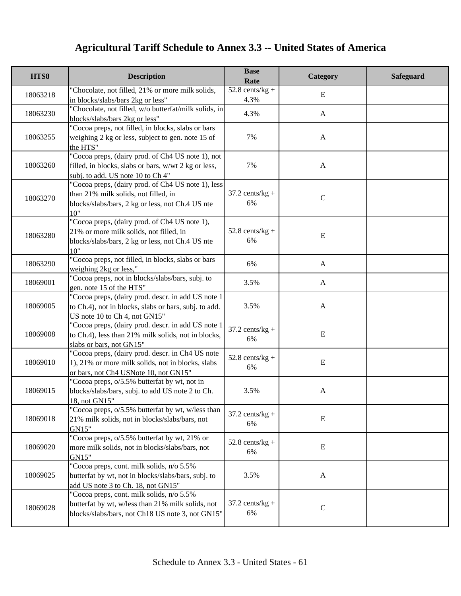| HTS8     | <b>Description</b>                                                                                                                                    | <b>Base</b><br>Rate       | Category     | Safeguard |
|----------|-------------------------------------------------------------------------------------------------------------------------------------------------------|---------------------------|--------------|-----------|
| 18063218 | "Chocolate, not filled, 21% or more milk solids,<br>in blocks/slabs/bars 2kg or less"                                                                 | $52.8$ cents/kg +<br>4.3% | E            |           |
| 18063230 | "Chocolate, not filled, w/o butterfat/milk solids, in<br>blocks/slabs/bars 2kg or less"                                                               | 4.3%                      | A            |           |
| 18063255 | "Cocoa preps, not filled, in blocks, slabs or bars<br>weighing 2 kg or less, subject to gen. note 15 of<br>the HTS"                                   | 7%                        | A            |           |
| 18063260 | "Cocoa preps, (dairy prod. of Ch4 US note 1), not<br>filled, in blocks, slabs or bars, w/wt 2 kg or less,<br>subj. to add. US note 10 to Ch 4"        | 7%                        | $\mathbf{A}$ |           |
| 18063270 | "Cocoa preps, (dairy prod. of Ch4 US note 1), less<br>than 21% milk solids, not filled, in<br>blocks/slabs/bars, 2 kg or less, not Ch.4 US nte<br>10" | $37.2$ cents/kg +<br>6%   | $\mathbf C$  |           |
| 18063280 | "Cocoa preps, (dairy prod. of Ch4 US note 1),<br>21% or more milk solids, not filled, in<br>blocks/slabs/bars, 2 kg or less, not Ch.4 US nte<br>10"   | $52.8$ cents/kg +<br>6%   | ${\bf E}$    |           |
| 18063290 | "Cocoa preps, not filled, in blocks, slabs or bars<br>weighing 2kg or less,"                                                                          | 6%                        | $\mathbf{A}$ |           |
| 18069001 | "Cocoa preps, not in blocks/slabs/bars, subj. to<br>gen. note 15 of the HTS"                                                                          | 3.5%                      | $\mathbf{A}$ |           |
| 18069005 | "Cocoa preps, (dairy prod. descr. in add US note 1<br>to Ch.4), not in blocks, slabs or bars, subj. to add.<br>US note 10 to Ch 4, not GN15"          | 3.5%                      | A            |           |
| 18069008 | "Cocoa preps, (dairy prod. descr. in add US note 1<br>to Ch.4), less than 21% milk solids, not in blocks,<br>slabs or bars, not GN15"                 | $37.2$ cents/kg +<br>6%   | E            |           |
| 18069010 | "Cocoa preps, (dairy prod. descr. in Ch4 US note<br>1), 21% or more milk solids, not in blocks, slabs<br>or bars, not Ch4 USNote 10, not GN15"        | $52.8$ cents/kg +<br>6%   | E            |           |
| 18069015 | "Cocoa preps, o/5.5% butterfat by wt, not in<br>blocks/slabs/bars, subj. to add US note 2 to Ch.<br>18. not GN15"                                     | 3.5%                      | $\mathbf{A}$ |           |
| 18069018 | "Cocoa preps, o/5.5% butterfat by wt, w/less than<br>21% milk solids, not in blocks/slabs/bars, not<br>GN15"                                          | $37.2$ cents/kg +<br>6%   | E            |           |
| 18069020 | "Cocoa preps, o/5.5% butterfat by wt, 21% or<br>more milk solids, not in blocks/slabs/bars, not<br>GN15"                                              | $52.8$ cents/kg +<br>6%   | E            |           |
| 18069025 | "Cocoa preps, cont. milk solids, n/o 5.5%<br>butterfat by wt, not in blocks/slabs/bars, subj. to<br>add US note 3 to Ch. 18, not GN15"                | 3.5%                      | $\mathbf{A}$ |           |
| 18069028 | "Cocoa preps, cont. milk solids, n/o 5.5%<br>butterfat by wt, w/less than 21% milk solids, not<br>blocks/slabs/bars, not Ch18 US note 3, not GN15"    | $37.2$ cents/kg +<br>6%   | $\mathsf{C}$ |           |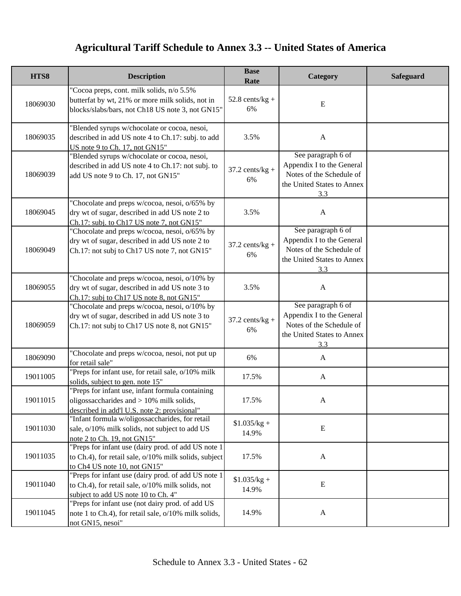| HTS8     | <b>Description</b>                                                                                                                                | <b>Base</b><br>Rate     | Category                                                                                                         | <b>Safeguard</b> |
|----------|---------------------------------------------------------------------------------------------------------------------------------------------------|-------------------------|------------------------------------------------------------------------------------------------------------------|------------------|
| 18069030 | "Cocoa preps, cont. milk solids, n/o 5.5%<br>butterfat by wt, 21% or more milk solids, not in<br>blocks/slabs/bars, not Ch18 US note 3, not GN15" | $52.8$ cents/kg +<br>6% | E                                                                                                                |                  |
| 18069035 | "Blended syrups w/chocolate or cocoa, nesoi,<br>described in add US note 4 to Ch.17: subj. to add<br>US note 9 to Ch. 17, not GN15"               | 3.5%                    | $\mathbf{A}$                                                                                                     |                  |
| 18069039 | "Blended syrups w/chocolate or cocoa, nesoi,<br>described in add US note 4 to Ch.17: not subj. to<br>add US note 9 to Ch. 17, not GN15"           | $37.2$ cents/kg +<br>6% | See paragraph 6 of<br>Appendix I to the General<br>Notes of the Schedule of<br>the United States to Annex<br>3.3 |                  |
| 18069045 | "Chocolate and preps w/cocoa, nesoi, o/65% by<br>dry wt of sugar, described in add US note 2 to<br>Ch.17: subj. to Ch17 US note 7, not GN15"      | 3.5%                    | $\mathbf{A}$                                                                                                     |                  |
| 18069049 | "Chocolate and preps w/cocoa, nesoi, o/65% by<br>dry wt of sugar, described in add US note 2 to<br>Ch.17: not subj to Ch17 US note 7, not GN15"   | $37.2$ cents/kg +<br>6% | See paragraph 6 of<br>Appendix I to the General<br>Notes of the Schedule of<br>the United States to Annex<br>3.3 |                  |
| 18069055 | "Chocolate and preps w/cocoa, nesoi, o/10% by<br>dry wt of sugar, described in add US note 3 to<br>Ch.17: subj to Ch17 US note 8, not GN15"       | 3.5%                    | $\mathbf{A}$                                                                                                     |                  |
| 18069059 | "Chocolate and preps w/cocoa, nesoi, o/10% by<br>dry wt of sugar, described in add US note 3 to<br>Ch.17: not subj to Ch17 US note 8, not GN15"   | $37.2$ cents/kg +<br>6% | See paragraph 6 of<br>Appendix I to the General<br>Notes of the Schedule of<br>the United States to Annex<br>3.3 |                  |
| 18069090 | "Chocolate and preps w/cocoa, nesoi, not put up<br>for retail sale"                                                                               | 6%                      | $\mathbf{A}$                                                                                                     |                  |
| 19011005 | "Preps for infant use, for retail sale, o/10% milk<br>solids, subject to gen. note 15"                                                            | 17.5%                   | $\mathbf{A}$                                                                                                     |                  |
| 19011015 | "Preps for infant use, infant formula containing<br>oligossaccharides and $> 10\%$ milk solids,<br>described in add'l U.S. note 2: provisional"   | 17.5%                   | A                                                                                                                |                  |
| 19011030 | "Infant formula w/oligossaccharides, for retail<br>sale, o/10% milk solids, not subject to add US<br>note 2 to Ch. 19, not GN15"                  | $$1.035/kg +$<br>14.9%  | E                                                                                                                |                  |
| 19011035 | "Preps for infant use (dairy prod. of add US note 1<br>to Ch.4), for retail sale, o/10% milk solids, subject<br>to Ch4 US note 10, not GN15"      | 17.5%                   | $\mathbf{A}$                                                                                                     |                  |
| 19011040 | "Preps for infant use (dairy prod. of add US note 1<br>to Ch.4), for retail sale, o/10% milk solids, not<br>subject to add US note 10 to Ch. 4"   | $$1.035/kg +$<br>14.9%  | E                                                                                                                |                  |
| 19011045 | "Preps for infant use (not dairy prod. of add US<br>note 1 to Ch.4), for retail sale, o/10% milk solids,<br>not GN15, nesoi"                      | 14.9%                   | $\mathbf{A}$                                                                                                     |                  |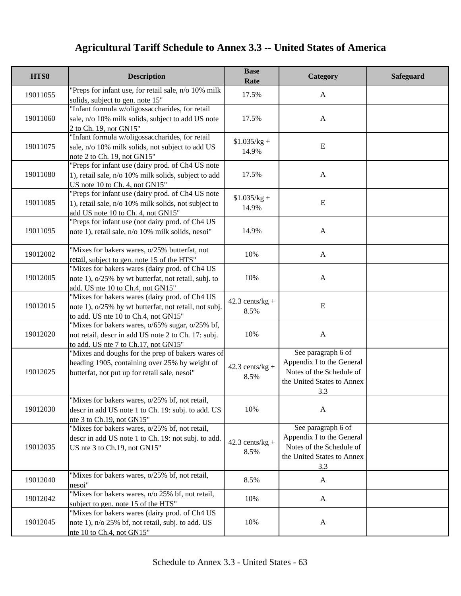| HTS8     | <b>Description</b>                                                                                                                                   | <b>Base</b><br>Rate       | Category                                                                                                         | <b>Safeguard</b> |
|----------|------------------------------------------------------------------------------------------------------------------------------------------------------|---------------------------|------------------------------------------------------------------------------------------------------------------|------------------|
| 19011055 | "Preps for infant use, for retail sale, n/o 10% milk<br>solids, subject to gen. note 15"                                                             | 17.5%                     | $\mathbf{A}$                                                                                                     |                  |
| 19011060 | "Infant formula w/oligossaccharides, for retail<br>sale, n/o 10% milk solids, subject to add US note<br>2 to Ch. 19, not GN15"                       | 17.5%                     | $\mathbf{A}$                                                                                                     |                  |
| 19011075 | "Infant formula w/oligossaccharides, for retail<br>sale, n/o 10% milk solids, not subject to add US<br>note 2 to Ch. 19, not GN15"                   | $$1.035/kg +$<br>14.9%    | E                                                                                                                |                  |
| 19011080 | "Preps for infant use (dairy prod. of Ch4 US note<br>1), retail sale, n/o 10% milk solids, subject to add<br>US note 10 to Ch. 4, not GN15"          | 17.5%                     | $\mathbf{A}$                                                                                                     |                  |
| 19011085 | "Preps for infant use (dairy prod. of Ch4 US note<br>1), retail sale, n/o 10% milk solids, not subject to<br>add US note 10 to Ch. 4, not GN15"      | $$1.035/kg +$<br>14.9%    | E                                                                                                                |                  |
| 19011095 | "Preps for infant use (not dairy prod. of Ch4 US<br>note 1), retail sale, n/o 10% milk solids, nesoi"                                                | 14.9%                     | $\mathbf{A}$                                                                                                     |                  |
| 19012002 | "Mixes for bakers wares, o/25% butterfat, not<br>retail, subject to gen. note 15 of the HTS"                                                         | 10%                       | $\mathbf{A}$                                                                                                     |                  |
| 19012005 | "Mixes for bakers wares (dairy prod. of Ch4 US<br>note 1), o/25% by wt butterfat, not retail, subj. to<br>add. US nte 10 to Ch.4, not GN15"          | 10%                       | $\mathbf{A}$                                                                                                     |                  |
| 19012015 | "Mixes for bakers wares (dairy prod. of Ch4 US<br>note 1), o/25% by wt butterfat, not retail, not subj.<br>to add. US nte 10 to Ch.4, not GN15"      | $42.3$ cents/kg +<br>8.5% | E                                                                                                                |                  |
| 19012020 | "Mixes for bakers wares, o/65% sugar, o/25% bf,<br>not retail, descr in add US note 2 to Ch. 17: subj.<br>to add. US nte 7 to Ch.17, not GN15"       | 10%                       | $\mathbf{A}$                                                                                                     |                  |
| 19012025 | "Mixes and doughs for the prep of bakers wares of<br>heading 1905, containing over 25% by weight of<br>butterfat, not put up for retail sale, nesoi" | $42.3$ cents/kg +<br>8.5% | See paragraph 6 of<br>Appendix I to the General<br>Notes of the Schedule of<br>the United States to Annex<br>3.3 |                  |
| 19012030 | "Mixes for bakers wares, o/25% bf, not retail,<br>descr in add US note 1 to Ch. 19: subj. to add. US<br>nte 3 to Ch.19, not GN15"                    | 10%                       | $\mathbf{A}$                                                                                                     |                  |
| 19012035 | "Mixes for bakers wares, o/25% bf, not retail,<br>descr in add US note 1 to Ch. 19: not subj. to add.<br>US nte 3 to Ch.19, not GN15"                | $42.3$ cents/kg +<br>8.5% | See paragraph 6 of<br>Appendix I to the General<br>Notes of the Schedule of<br>the United States to Annex<br>3.3 |                  |
| 19012040 | "Mixes for bakers wares, $o/25\%$ bf, not retail,<br>nesoi"                                                                                          | 8.5%                      | $\mathbf{A}$                                                                                                     |                  |
| 19012042 | "Mixes for bakers wares, n/o 25% bf, not retail,<br>subject to gen. note 15 of the HTS"                                                              | 10%                       | $\mathbf{A}$                                                                                                     |                  |
| 19012045 | "Mixes for bakers wares (dairy prod. of Ch4 US<br>note 1), n/o 25% bf, not retail, subj. to add. US<br>nte 10 to Ch.4, not GN15"                     | 10%                       | $\mathbf{A}$                                                                                                     |                  |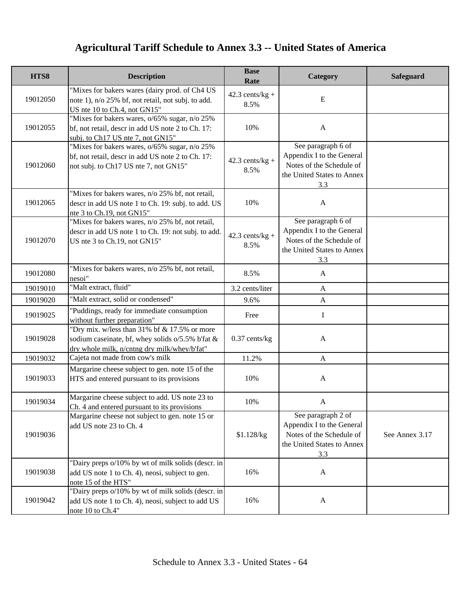| HTS8     | <b>Description</b>                                                                                                                                  | <b>Base</b><br>Rate       | Category                                                                                                         | Safeguard      |
|----------|-----------------------------------------------------------------------------------------------------------------------------------------------------|---------------------------|------------------------------------------------------------------------------------------------------------------|----------------|
| 19012050 | "Mixes for bakers wares (dairy prod. of Ch4 US<br>note 1), n/o 25% bf, not retail, not subj. to add.<br>US nte 10 to Ch.4, not GN15"                | $42.3$ cents/kg +<br>8.5% | ${\bf E}$                                                                                                        |                |
| 19012055 | "Mixes for bakers wares, o/65% sugar, n/o 25%<br>bf, not retail, descr in add US note 2 to Ch. 17:<br>subj. to Ch17 US nte 7, not GN15"             | 10%                       | $\mathbf{A}$                                                                                                     |                |
| 19012060 | "Mixes for bakers wares, o/65% sugar, n/o 25%<br>bf, not retail, descr in add US note 2 to Ch. 17:<br>not subj. to Ch17 US nte 7, not GN15"         | $42.3$ cents/kg +<br>8.5% | See paragraph 6 of<br>Appendix I to the General<br>Notes of the Schedule of<br>the United States to Annex<br>3.3 |                |
| 19012065 | "Mixes for bakers wares, n/o 25% bf, not retail,<br>descr in add US note 1 to Ch. 19: subj. to add. US<br>nte 3 to Ch.19, not GN15"                 | 10%                       | $\mathbf{A}$                                                                                                     |                |
| 19012070 | "Mixes for bakers wares, n/o 25% bf, not retail,<br>descr in add US note 1 to Ch. 19: not subj. to add.<br>US nte 3 to Ch.19, not GN15"             | $42.3$ cents/kg +<br>8.5% | See paragraph 6 of<br>Appendix I to the General<br>Notes of the Schedule of<br>the United States to Annex<br>3.3 |                |
| 19012080 | "Mixes for bakers wares, n/o 25% bf, not retail,<br>nesoi"                                                                                          | 8.5%                      | $\mathbf{A}$                                                                                                     |                |
| 19019010 | "Malt extract, fluid"                                                                                                                               | 3.2 cents/liter           | $\mathbf{A}$                                                                                                     |                |
| 19019020 | "Malt extract, solid or condensed"                                                                                                                  | 9.6%                      | $\mathbf{A}$                                                                                                     |                |
| 19019025 | 'Puddings, ready for immediate consumption<br>without further preparation"                                                                          | Free                      | I                                                                                                                |                |
| 19019028 | "Dry mix. w/less than $31\%$ bf & 17.5% or more<br>sodium caseinate, bf, whey solids o/5.5% b'fat &<br>dry whole milk, n/cntng dry milk/whey/b'fat" | $0.37$ cents/kg           | $\mathbf{A}$                                                                                                     |                |
| 19019032 | Cajeta not made from cow's milk                                                                                                                     | 11.2%                     | $\mathbf{A}$                                                                                                     |                |
| 19019033 | Margarine cheese subject to gen. note 15 of the<br>HTS and entered pursuant to its provisions                                                       | 10%                       | $\mathbf{A}$                                                                                                     |                |
| 19019034 | Margarine cheese subject to add. US note 23 to<br>Ch. 4 and entered pursuant to its provisions                                                      | $10\%$                    | A                                                                                                                |                |
| 19019036 | Margarine cheese not subject to gen. note 15 or<br>add US note 23 to Ch. 4                                                                          | \$1.128/kg                | See paragraph 2 of<br>Appendix I to the General<br>Notes of the Schedule of<br>the United States to Annex<br>3.3 | See Annex 3.17 |
| 19019038 | "Dairy preps o/10% by wt of milk solids (descr. in<br>add US note 1 to Ch. 4), neosi, subject to gen.<br>note 15 of the HTS"                        | 16%                       | $\mathbf{A}$                                                                                                     |                |
| 19019042 | "Dairy preps o/10% by wt of milk solids (descr. in<br>add US note 1 to Ch. 4), neosi, subject to add US<br>note 10 to Ch.4"                         | 16%                       | $\mathbf{A}$                                                                                                     |                |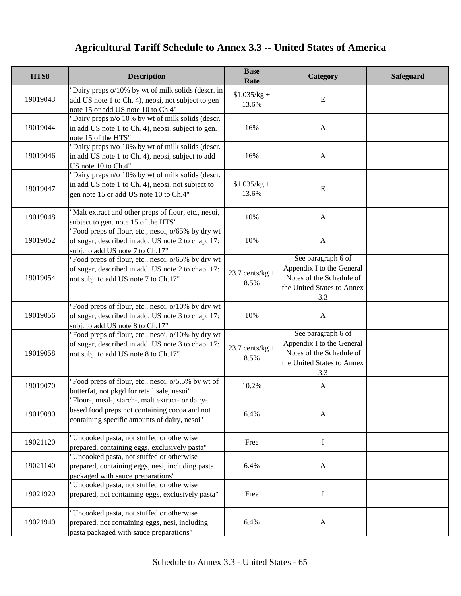| HTS8     | <b>Description</b>                                                                                                                                | <b>Base</b><br>Rate       | Category                                                                                                         | Safeguard |
|----------|---------------------------------------------------------------------------------------------------------------------------------------------------|---------------------------|------------------------------------------------------------------------------------------------------------------|-----------|
| 19019043 | "Dairy preps o/10% by wt of milk solids (descr. in<br>add US note 1 to Ch. 4), neosi, not subject to gen<br>note 15 or add US note 10 to Ch.4"    | $$1.035/kg +$<br>13.6%    | ${\bf E}$                                                                                                        |           |
| 19019044 | "Dairy preps n/o 10% by wt of milk solids (descr.<br>in add US note 1 to Ch. 4), neosi, subject to gen.<br>note 15 of the HTS"                    | 16%                       | $\mathbf{A}$                                                                                                     |           |
| 19019046 | "Dairy preps n/o 10% by wt of milk solids (descr.<br>in add US note 1 to Ch. 4), neosi, subject to add<br>US note 10 to Ch.4"                     | 16%                       | $\mathbf{A}$                                                                                                     |           |
| 19019047 | "Dairy preps n/o 10% by wt of milk solids (descr.<br>in add US note 1 to Ch. 4), neosi, not subject to<br>gen note 15 or add US note 10 to Ch.4"  | $$1.035/kg +$<br>13.6%    | ${\bf E}$                                                                                                        |           |
| 19019048 | "Malt extract and other preps of flour, etc., nesoi,<br>subject to gen. note 15 of the HTS"                                                       | 10%                       | $\mathbf{A}$                                                                                                     |           |
| 19019052 | "Food preps of flour, etc., nesoi, o/65% by dry wt<br>of sugar, described in add. US note 2 to chap. 17:<br>subj. to add US note 7 to Ch.17"      | 10%                       | $\mathbf{A}$                                                                                                     |           |
| 19019054 | "Food preps of flour, etc., nesoi, o/65% by dry wt<br>of sugar, described in add. US note 2 to chap. 17:<br>not subj. to add US note 7 to Ch.17"  | $23.7$ cents/kg +<br>8.5% | See paragraph 6 of<br>Appendix I to the General<br>Notes of the Schedule of<br>the United States to Annex<br>3.3 |           |
| 19019056 | "Food preps of flour, etc., nesoi, o/10% by dry wt<br>of sugar, described in add. US note 3 to chap. 17:<br>subj. to add US note 8 to Ch.17"      | 10%                       | $\mathbf{A}$                                                                                                     |           |
| 19019058 | "Food preps of flour, etc., nesoi, o/10% by dry wt<br>of sugar, described in add. US note 3 to chap. 17:<br>not subj. to add US note 8 to Ch.17"  | $23.7$ cents/kg +<br>8.5% | See paragraph 6 of<br>Appendix I to the General<br>Notes of the Schedule of<br>the United States to Annex<br>3.3 |           |
| 19019070 | "Food preps of flour, etc., nesoi, o/5.5% by wt of<br>butterfat, not pkgd for retail sale, nesoi"                                                 | 10.2%                     | $\mathbf{A}$                                                                                                     |           |
| 19019090 | "Flour-, meal-, starch-, malt extract- or dairy-<br>based food preps not containing cocoa and not<br>containing specific amounts of dairy, nesoi" | 6.4%                      | $\mathbf{A}$                                                                                                     |           |
| 19021120 | "Uncooked pasta, not stuffed or otherwise<br>prepared, containing eggs, exclusively pasta"                                                        | Free                      | I                                                                                                                |           |
| 19021140 | "Uncooked pasta, not stuffed or otherwise<br>prepared, containing eggs, nesi, including pasta<br>packaged with sauce preparations"                | 6.4%                      | $\mathbf{A}$                                                                                                     |           |
| 19021920 | "Uncooked pasta, not stuffed or otherwise<br>prepared, not containing eggs, exclusively pasta"                                                    | Free                      | I                                                                                                                |           |
| 19021940 | "Uncooked pasta, not stuffed or otherwise<br>prepared, not containing eggs, nesi, including<br>pasta packaged with sauce preparations"            | 6.4%                      | $\mathbf{A}$                                                                                                     |           |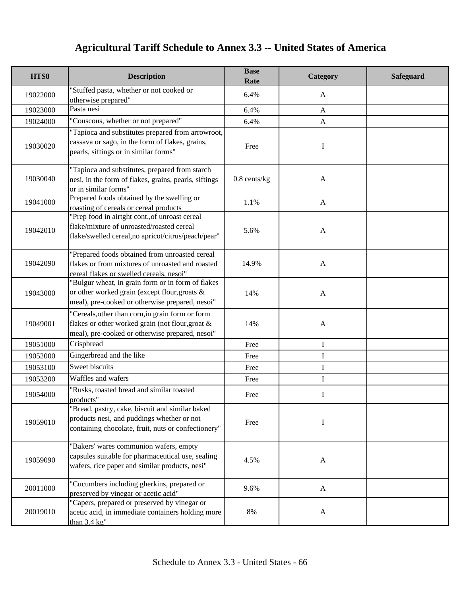| HTS8     | <b>Description</b>                                                                                                                                      | <b>Base</b><br>Rate | Category     | <b>Safeguard</b> |
|----------|---------------------------------------------------------------------------------------------------------------------------------------------------------|---------------------|--------------|------------------|
| 19022000 | 'Stuffed pasta, whether or not cooked or<br>otherwise prepared"                                                                                         | 6.4%                | A            |                  |
| 19023000 | Pasta nesi                                                                                                                                              | 6.4%                | $\mathbf{A}$ |                  |
| 19024000 | "Couscous, whether or not prepared"                                                                                                                     | 6.4%                | $\mathbf{A}$ |                  |
| 19030020 | "Tapioca and substitutes prepared from arrowroot,<br>cassava or sago, in the form of flakes, grains,<br>pearls, siftings or in similar forms"           | Free                | I            |                  |
| 19030040 | "Tapioca and substitutes, prepared from starch<br>nesi, in the form of flakes, grains, pearls, siftings<br>or in similar forms"                         | $0.8$ cents/kg      | $\mathbf{A}$ |                  |
| 19041000 | Prepared foods obtained by the swelling or<br>roasting of cereals or cereal products                                                                    | 1.1%                | $\mathbf{A}$ |                  |
| 19042010 | "Prep food in airtght cont., of unroast cereal<br>flake/mixture of unroasted/roasted cereal<br>flake/swelled cereal,no apricot/citrus/peach/pear"       | 5.6%                | $\mathbf{A}$ |                  |
| 19042090 | "Prepared foods obtained from unroasted cereal<br>flakes or from mixtures of unroasted and roasted<br>cereal flakes or swelled cereals, nesoi"          | 14.9%               | $\mathbf{A}$ |                  |
| 19043000 | "Bulgur wheat, in grain form or in form of flakes<br>or other worked grain (except flour, groats &<br>meal), pre-cooked or otherwise prepared, nesoi"   | 14%                 | $\mathbf{A}$ |                  |
| 19049001 | "Cereals, other than corn, in grain form or form<br>flakes or other worked grain (not flour, groat &<br>meal), pre-cooked or otherwise prepared, nesoi" | 14%                 | $\mathbf{A}$ |                  |
| 19051000 | Crispbread                                                                                                                                              | Free                | I            |                  |
| 19052000 | Gingerbread and the like                                                                                                                                | Free                | I            |                  |
| 19053100 | Sweet biscuits                                                                                                                                          | Free                | I            |                  |
| 19053200 | Waffles and wafers                                                                                                                                      | Free                | I            |                  |
| 19054000 | 'Rusks, toasted bread and similar toasted<br>products"                                                                                                  | Free                | I            |                  |
| 19059010 | "Bread, pastry, cake, biscuit and similar baked<br>products nesi, and puddings whether or not<br>containing chocolate, fruit, nuts or confectionery"    | Free                | I            |                  |
| 19059090 | "Bakers' wares communion wafers, empty<br>capsules suitable for pharmaceutical use, sealing<br>wafers, rice paper and similar products, nesi"           | 4.5%                | $\mathbf{A}$ |                  |
| 20011000 | "Cucumbers including gherkins, prepared or<br>preserved by vinegar or acetic acid"                                                                      | 9.6%                | $\mathbf{A}$ |                  |
| 20019010 | "Capers, prepared or preserved by vinegar or<br>acetic acid, in immediate containers holding more<br>than $3.4 \text{ kg}$ "                            | 8%                  | $\mathbf{A}$ |                  |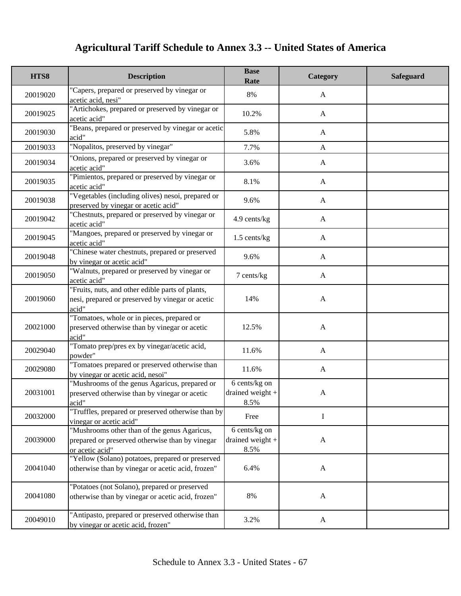| HTS8     | <b>Description</b>                                                                                                   | <b>Base</b><br>Rate                       | Category     | <b>Safeguard</b> |
|----------|----------------------------------------------------------------------------------------------------------------------|-------------------------------------------|--------------|------------------|
| 20019020 | "Capers, prepared or preserved by vinegar or<br>acetic acid, nesi"                                                   | 8%                                        | A            |                  |
| 20019025 | "Artichokes, prepared or preserved by vinegar or<br>acetic acid"                                                     | 10.2%                                     | $\mathbf{A}$ |                  |
| 20019030 | 'Beans, prepared or preserved by vinegar or acetic<br>acid"                                                          | 5.8%                                      | $\mathbf{A}$ |                  |
| 20019033 | "Nopalitos, preserved by vinegar"                                                                                    | 7.7%                                      | $\mathbf{A}$ |                  |
| 20019034 | "Onions, prepared or preserved by vinegar or<br>acetic acid"                                                         | 3.6%                                      | A            |                  |
| 20019035 | 'Pimientos, prepared or preserved by vinegar or<br>acetic acid"                                                      | 8.1%                                      | A            |                  |
| 20019038 | "Vegetables (including olives) nesoi, prepared or<br>preserved by vinegar or acetic acid"                            | 9.6%                                      | $\mathbf{A}$ |                  |
| 20019042 | "Chestnuts, prepared or preserved by vinegar or<br>acetic acid"                                                      | 4.9 cents/kg                              | $\mathbf{A}$ |                  |
| 20019045 | "Mangoes, prepared or preserved by vinegar or<br>acetic acid"                                                        | 1.5 cents/kg                              | $\mathbf{A}$ |                  |
| 20019048 | "Chinese water chestnuts, prepared or preserved<br>by vinegar or acetic acid"                                        | 9.6%                                      | $\mathbf{A}$ |                  |
| 20019050 | "Walnuts, prepared or preserved by vinegar or<br>acetic acid"                                                        | 7 cents/kg                                | $\mathbf{A}$ |                  |
| 20019060 | "Fruits, nuts, and other edible parts of plants,<br>nesi, prepared or preserved by vinegar or acetic<br>$\alpha$ id" | 14%                                       | $\mathbf{A}$ |                  |
| 20021000 | "Tomatoes, whole or in pieces, prepared or<br>preserved otherwise than by vinegar or acetic<br>acid"                 | 12.5%                                     | $\mathbf{A}$ |                  |
| 20029040 | 'Tomato prep/pres ex by vinegar/acetic acid,<br>powder"                                                              | 11.6%                                     | $\mathbf{A}$ |                  |
| 20029080 | "Tomatoes prepared or preserved otherwise than<br>by vinegar or acetic acid, nesoi"                                  | 11.6%                                     | A            |                  |
| 20031001 | "Mushrooms of the genus Agaricus, prepared or<br>preserved otherwise than by vinegar or acetic<br>acid"              | 6 cents/kg on<br>drained weight +<br>8.5% | $\mathbf{A}$ |                  |
| 20032000 | "Truffles, prepared or preserved otherwise than by<br>vinegar or acetic acid"                                        | Free                                      | $\mathbf I$  |                  |
| 20039000 | "Mushrooms other than of the genus Agaricus,<br>prepared or preserved otherwise than by vinegar<br>or acetic acid"   | 6 cents/kg on<br>drained weight +<br>8.5% | $\mathbf{A}$ |                  |
| 20041040 | "Yellow (Solano) potatoes, prepared or preserved<br>otherwise than by vinegar or acetic acid, frozen"                | 6.4%                                      | $\mathbf{A}$ |                  |
| 20041080 | "Potatoes (not Solano), prepared or preserved<br>otherwise than by vinegar or acetic acid, frozen"                   | 8%                                        | $\mathbf{A}$ |                  |
| 20049010 | "Antipasto, prepared or preserved otherwise than<br>by vinegar or acetic acid, frozen"                               | 3.2%                                      | A            |                  |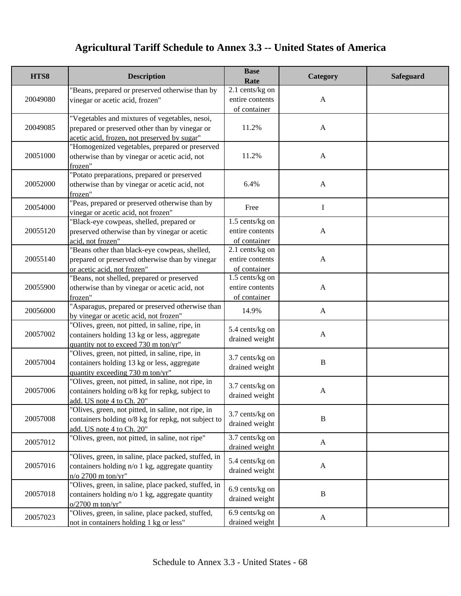| HTS8     | <b>Description</b>                                                                                                                               | <b>Base</b><br>Rate                                  | Category     | Safeguard |
|----------|--------------------------------------------------------------------------------------------------------------------------------------------------|------------------------------------------------------|--------------|-----------|
| 20049080 | "Beans, prepared or preserved otherwise than by<br>vinegar or acetic acid, frozen"                                                               | 2.1 cents/kg on<br>entire contents<br>of container   | $\mathbf{A}$ |           |
| 20049085 | "Vegetables and mixtures of vegetables, nesoi,<br>prepared or preserved other than by vinegar or<br>acetic acid, frozen, not preserved by sugar" | 11.2%                                                | $\mathbf{A}$ |           |
| 20051000 | "Homogenized vegetables, prepared or preserved<br>otherwise than by vinegar or acetic acid, not<br>frozen"                                       | 11.2%                                                | $\mathbf{A}$ |           |
| 20052000 | "Potato preparations, prepared or preserved<br>otherwise than by vinegar or acetic acid, not<br>frozen"                                          | 6.4%                                                 | $\mathbf{A}$ |           |
| 20054000 | "Peas, prepared or preserved otherwise than by<br>vinegar or acetic acid, not frozen"                                                            | Free                                                 | I            |           |
| 20055120 | "Black-eye cowpeas, shelled, prepared or<br>preserved otherwise than by vinegar or acetic<br>acid, not frozen"                                   | 1.5 cents/kg on<br>entire contents<br>of container   | $\mathbf{A}$ |           |
| 20055140 | "Beans other than black-eye cowpeas, shelled,<br>prepared or preserved otherwise than by vinegar<br>or acetic acid, not frozen"                  | 2.1 cents/kg on<br>entire contents<br>of container   | $\mathbf{A}$ |           |
| 20055900 | "Beans, not shelled, prepared or preserved<br>otherwise than by vinegar or acetic acid, not<br>frozen"                                           | $1.5$ cents/kg on<br>entire contents<br>of container | $\mathbf{A}$ |           |
| 20056000 | "Asparagus, prepared or preserved otherwise than<br>by vinegar or acetic acid, not frozen"                                                       | 14.9%                                                | $\mathbf{A}$ |           |
| 20057002 | "Olives, green, not pitted, in saline, ripe, in<br>containers holding 13 kg or less, aggregate<br>quantity not to exceed 730 m ton/yr"           | 5.4 cents/kg on<br>drained weight                    | $\mathbf{A}$ |           |
| 20057004 | "Olives, green, not pitted, in saline, ripe, in<br>containers holding 13 kg or less, aggregate<br>quantity exceeding 730 m ton/yr"               | 3.7 cents/kg on<br>drained weight                    | $\, {\bf B}$ |           |
| 20057006 | "Olives, green, not pitted, in saline, not ripe, in<br>containers holding o/8 kg for repkg, subject to<br>add. US note 4 to Ch. 20"              | 3.7 cents/kg on<br>drained weight                    | $\mathbf{A}$ |           |
| 20057008 | "Olives, green, not pitted, in saline, not ripe, in<br>containers holding o/8 kg for repkg, not subject to<br>add. US note 4 to Ch. 20"          | 3.7 cents/kg on<br>drained weight                    | $\, {\bf B}$ |           |
| 20057012 | "Olives, green, not pitted, in saline, not ripe"                                                                                                 | 3.7 cents/kg on<br>drained weight                    | $\mathbf{A}$ |           |
| 20057016 | "Olives, green, in saline, place packed, stuffed, in<br>containers holding n/o 1 kg, aggregate quantity<br>$n/o 2700$ m ton/yr"                  | 5.4 cents/kg on<br>drained weight                    | $\mathbf{A}$ |           |
| 20057018 | "Olives, green, in saline, place packed, stuffed, in<br>containers holding n/o 1 kg, aggregate quantity<br>$o/2700$ m ton/yr"                    | 6.9 cents/kg on<br>drained weight                    | $\, {\bf B}$ |           |
| 20057023 | "Olives, green, in saline, place packed, stuffed,<br>not in containers holding 1 kg or less"                                                     | 6.9 cents/kg on<br>drained weight                    | $\mathbf{A}$ |           |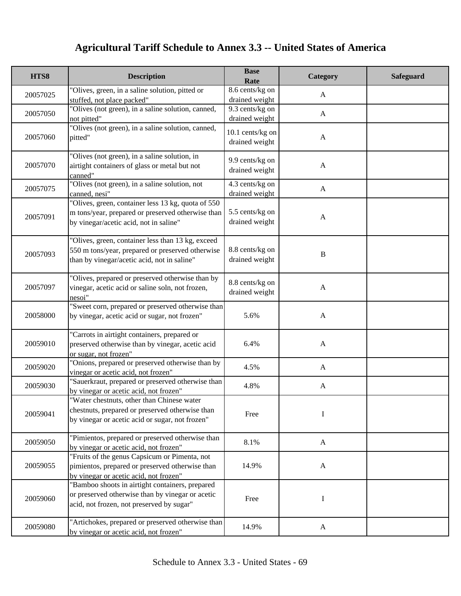| HTS8     | <b>Description</b>                                                                                                                                   | <b>Base</b><br>Rate                | Category     | Safeguard |
|----------|------------------------------------------------------------------------------------------------------------------------------------------------------|------------------------------------|--------------|-----------|
| 20057025 | "Olives, green, in a saline solution, pitted or<br>stuffed, not place packed"                                                                        | 8.6 cents/kg on<br>drained weight  | $\mathbf{A}$ |           |
| 20057050 | "Olives (not green), in a saline solution, canned,<br>not pitted"                                                                                    | 9.3 cents/kg on<br>drained weight  | $\mathbf{A}$ |           |
| 20057060 | "Olives (not green), in a saline solution, canned,<br>pitted"                                                                                        | 10.1 cents/kg on<br>drained weight | $\mathbf{A}$ |           |
| 20057070 | "Olives (not green), in a saline solution, in<br>airtight containers of glass or metal but not<br>canned"                                            | 9.9 cents/kg on<br>drained weight  | $\mathbf{A}$ |           |
| 20057075 | "Olives (not green), in a saline solution, not<br>canned, nesi"                                                                                      | 4.3 cents/kg on<br>drained weight  | $\mathbf{A}$ |           |
| 20057091 | "Olives, green, container less 13 kg, quota of 550<br>m tons/year, prepared or preserved otherwise than<br>by vinegar/acetic acid, not in saline"    | 5.5 cents/kg on<br>drained weight  | $\mathbf{A}$ |           |
| 20057093 | "Olives, green, container less than 13 kg, exceed<br>550 m tons/year, prepared or preserved otherwise<br>than by vinegar/acetic acid, not in saline" | 8.8 cents/kg on<br>drained weight  | $\, {\bf B}$ |           |
| 20057097 | "Olives, prepared or preserved otherwise than by<br>vinegar, acetic acid or saline soln, not frozen,<br>nesoi"                                       | 8.8 cents/kg on<br>drained weight  | $\mathbf{A}$ |           |
| 20058000 | 'Sweet corn, prepared or preserved otherwise than<br>by vinegar, acetic acid or sugar, not frozen"                                                   | 5.6%                               | $\mathbf{A}$ |           |
| 20059010 | "Carrots in airtight containers, prepared or<br>preserved otherwise than by vinegar, acetic acid<br>or sugar, not frozen"                            | 6.4%                               | $\mathbf{A}$ |           |
| 20059020 | "Onions, prepared or preserved otherwise than by<br>vinegar or acetic acid, not frozen"                                                              | 4.5%                               | $\mathbf{A}$ |           |
| 20059030 | 'Sauerkraut, prepared or preserved otherwise than<br>by vinegar or acetic acid, not frozen"                                                          | 4.8%                               | $\mathbf{A}$ |           |
| 20059041 | "Water chestnuts, other than Chinese water<br>chestnuts, prepared or preserved otherwise than<br>by vinegar or acetic acid or sugar, not frozen"     | Free                               | I            |           |
| 20059050 | "Pimientos, prepared or preserved otherwise than<br>by vinegar or acetic acid, not frozen"                                                           | 8.1%                               | A            |           |
| 20059055 | "Fruits of the genus Capsicum or Pimenta, not<br>pimientos, prepared or preserved otherwise than<br>by vinegar or acetic acid, not frozen"           | 14.9%                              | $\mathbf{A}$ |           |
| 20059060 | "Bamboo shoots in airtight containers, prepared<br>or preserved otherwise than by vinegar or acetic<br>acid, not frozen, not preserved by sugar"     | Free                               | I            |           |
| 20059080 | "Artichokes, prepared or preserved otherwise than<br>by vinegar or acetic acid, not frozen"                                                          | 14.9%                              | $\mathbf{A}$ |           |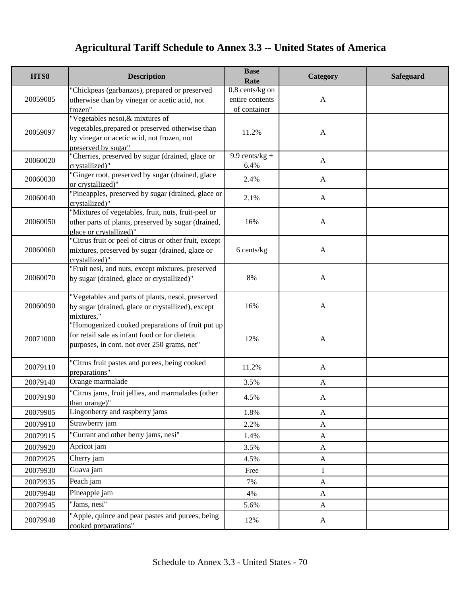| HTS8     | <b>Description</b>                                                                                                                                | <b>Base</b><br>Rate      | Category     | <b>Safeguard</b> |
|----------|---------------------------------------------------------------------------------------------------------------------------------------------------|--------------------------|--------------|------------------|
|          | "Chickpeas (garbanzos), prepared or preserved                                                                                                     | $0.8$ cents/kg on        |              |                  |
| 20059085 | otherwise than by vinegar or acetic acid, not                                                                                                     | entire contents          | $\mathbf{A}$ |                  |
|          | frozen"                                                                                                                                           | of container             |              |                  |
| 20059097 | "Vegetables nesoi, & mixtures of<br>vegetables, prepared or preserved otherwise than<br>by vinegar or acetic acid, not frozen, not                | 11.2%                    | $\mathbf{A}$ |                  |
|          | preserved by sugar"                                                                                                                               |                          |              |                  |
| 20060020 | "Cherries, preserved by sugar (drained, glace or<br>crystallized)"                                                                                | $9.9$ cents/kg +<br>6.4% | $\mathbf{A}$ |                  |
| 20060030 | "Ginger root, preserved by sugar (drained, glace<br>or crystallized)"                                                                             | 2.4%                     | $\mathbf{A}$ |                  |
| 20060040 | "Pineapples, preserved by sugar (drained, glace or<br>crystallized)"                                                                              | 2.1%                     | $\mathbf{A}$ |                  |
| 20060050 | "Mixtures of vegetables, fruit, nuts, fruit-peel or<br>other parts of plants, preserved by sugar (drained,<br>glace or crystallized)"             | 16%                      | $\mathbf{A}$ |                  |
| 20060060 | "Citrus fruit or peel of citrus or other fruit, except<br>mixtures, preserved by sugar (drained, glace or<br>crystallized)"                       | 6 cents/kg               | $\mathbf{A}$ |                  |
| 20060070 | "Fruit nesi, and nuts, except mixtures, preserved<br>by sugar (drained, glace or crystallized)"                                                   | 8%                       | $\mathbf{A}$ |                  |
| 20060090 | "Vegetables and parts of plants, nesoi, preserved<br>by sugar (drained, glace or crystallized), except<br>mixtures,"                              | 16%                      | $\mathbf{A}$ |                  |
| 20071000 | "Homogenized cooked preparations of fruit put up<br>for retail sale as infant food or for dietetic<br>purposes, in cont. not over 250 grams, net" | 12%                      | $\mathbf{A}$ |                  |
| 20079110 | "Citrus fruit pastes and purees, being cooked<br>preparations"                                                                                    | 11.2%                    | $\mathbf{A}$ |                  |
| 20079140 | Orange marmalade                                                                                                                                  | 3.5%                     | $\mathbf{A}$ |                  |
| 20079190 | "Citrus jams, fruit jellies, and marmalades (other<br>than orange)"                                                                               | 4.5%                     | A            |                  |
| 20079905 | Lingonberry and raspberry jams                                                                                                                    | 1.8%                     | $\mathbf{A}$ |                  |
| 20079910 | Strawberry jam                                                                                                                                    | 2.2%                     | A            |                  |
| 20079915 | "Currant and other berry jams, nesi"                                                                                                              | 1.4%                     | $\mathbf{A}$ |                  |
| 20079920 | Apricot jam                                                                                                                                       | 3.5%                     | A            |                  |
| 20079925 | Cherry jam                                                                                                                                        | 4.5%                     | $\mathbf{A}$ |                  |
| 20079930 | Guava jam                                                                                                                                         | Free                     | $\mathbf I$  |                  |
| 20079935 | Peach jam                                                                                                                                         | 7%                       | $\mathbf{A}$ |                  |
| 20079940 | Pineapple jam                                                                                                                                     | 4%                       | $\mathbf{A}$ |                  |
| 20079945 | "Jams, nesi"                                                                                                                                      | 5.6%                     | $\mathbf{A}$ |                  |
| 20079948 | "Apple, quince and pear pastes and purees, being<br>cooked preparations"                                                                          | 12%                      | A            |                  |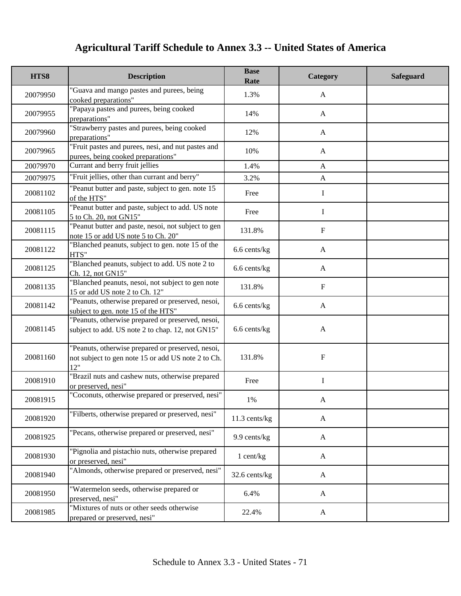| HTS8     | <b>Description</b>                                                                                             | <b>Base</b><br>Rate | Category     | Safeguard |
|----------|----------------------------------------------------------------------------------------------------------------|---------------------|--------------|-----------|
| 20079950 | 'Guava and mango pastes and purees, being<br>cooked preparations"                                              | 1.3%                | A            |           |
| 20079955 | "Papaya pastes and purees, being cooked<br>preparations"                                                       | 14%                 | $\mathbf{A}$ |           |
| 20079960 | "Strawberry pastes and purees, being cooked<br>preparations"                                                   | 12%                 | $\mathbf{A}$ |           |
| 20079965 | "Fruit pastes and purees, nesi, and nut pastes and<br>purees, being cooked preparations"                       | 10%                 | A            |           |
| 20079970 | Currant and berry fruit jellies                                                                                | 1.4%                | $\mathbf{A}$ |           |
| 20079975 | "Fruit jellies, other than currant and berry"                                                                  | 3.2%                | $\mathbf{A}$ |           |
| 20081102 | 'Peanut butter and paste, subject to gen. note 15<br>of the HTS"                                               | Free                | I            |           |
| 20081105 | "Peanut butter and paste, subject to add. US note<br>5 to Ch. 20, not GN15"                                    | Free                | $\bf{I}$     |           |
| 20081115 | "Peanut butter and paste, nesoi, not subject to gen<br>note 15 or add US note 5 to Ch. 20"                     | 131.8%              | $\mathbf F$  |           |
| 20081122 | "Blanched peanuts, subject to gen. note 15 of the<br>HTS"                                                      | 6.6 cents/kg        | $\mathbf{A}$ |           |
| 20081125 | "Blanched peanuts, subject to add. US note 2 to<br>Ch. 12, not GN15"                                           | 6.6 cents/kg        | $\mathbf{A}$ |           |
| 20081135 | "Blanched peanuts, nesoi, not subject to gen note<br>15 or add US note 2 to Ch. 12"                            | 131.8%              | $\mathbf F$  |           |
| 20081142 | "Peanuts, otherwise prepared or preserved, nesoi,<br>subject to gen. note 15 of the HTS"                       | 6.6 cents/kg        | $\mathbf{A}$ |           |
| 20081145 | "Peanuts, otherwise prepared or preserved, nesoi,<br>subject to add. US note 2 to chap. 12, not GN15"          | 6.6 cents/kg        | $\mathbf{A}$ |           |
| 20081160 | "Peanuts, otherwise prepared or preserved, nesoi,<br>not subject to gen note 15 or add US note 2 to Ch.<br>12" | 131.8%              | $\mathbf F$  |           |
| 20081910 | "Brazil nuts and cashew nuts, otherwise prepared<br>or preserved, nesi"                                        | Free                | $\mathbf I$  |           |
| 20081915 | "Coconuts, otherwise prepared or preserved, nesi"                                                              | 1%                  | A            |           |
| 20081920 | "Filberts, otherwise prepared or preserved, nesi"                                                              | 11.3 cents/kg       | $\mathbf{A}$ |           |
| 20081925 | "Pecans, otherwise prepared or preserved, nesi"                                                                | 9.9 cents/kg        | $\mathbf{A}$ |           |
| 20081930 | "Pignolia and pistachio nuts, otherwise prepared<br>or preserved, nesi"                                        | 1 cent/kg           | $\mathbf{A}$ |           |
| 20081940 | "Almonds, otherwise prepared or preserved, nesi"                                                               | 32.6 cents/kg       | $\mathbf{A}$ |           |
| 20081950 | "Watermelon seeds, otherwise prepared or<br>preserved, nesi"                                                   | 6.4%                | $\mathbf{A}$ |           |
| 20081985 | "Mixtures of nuts or other seeds otherwise<br>prepared or preserved, nesi"                                     | 22.4%               | $\mathbf{A}$ |           |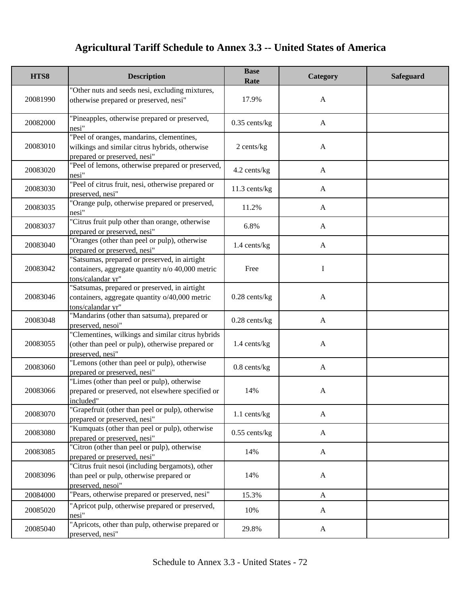| HTS8     | <b>Description</b>                                                                                                          | <b>Base</b><br>Rate | Category     | Safeguard |
|----------|-----------------------------------------------------------------------------------------------------------------------------|---------------------|--------------|-----------|
| 20081990 | "Other nuts and seeds nesi, excluding mixtures,<br>otherwise prepared or preserved, nesi"                                   | 17.9%               | $\mathbf{A}$ |           |
| 20082000 | "Pineapples, otherwise prepared or preserved,<br>nesi"                                                                      | $0.35$ cents/kg     | $\mathbf{A}$ |           |
| 20083010 | "Peel of oranges, mandarins, clementines,<br>wilkings and similar citrus hybrids, otherwise<br>prepared or preserved, nesi" | 2 cents/kg          | $\mathbf{A}$ |           |
| 20083020 | "Peel of lemons, otherwise prepared or preserved,<br>nesi"                                                                  | 4.2 cents/kg        | $\mathbf{A}$ |           |
| 20083030 | "Peel of citrus fruit, nesi, otherwise prepared or<br>preserved, nesi"                                                      | 11.3 cents/kg       | A            |           |
| 20083035 | 'Orange pulp, otherwise prepared or preserved,<br>nesi"                                                                     | 11.2%               | A            |           |
| 20083037 | "Citrus fruit pulp other than orange, otherwise<br>prepared or preserved, nesi"                                             | 6.8%                | $\mathbf{A}$ |           |
| 20083040 | "Oranges (other than peel or pulp), otherwise<br>prepared or preserved, nesi"                                               | 1.4 cents/kg        | $\mathbf{A}$ |           |
| 20083042 | 'Satsumas, prepared or preserved, in airtight<br>containers, aggregate quantity n/o 40,000 metric<br>tons/calandar yr"      | Free                | I            |           |
| 20083046 | 'Satsumas, prepared or preserved, in airtight<br>containers, aggregate quantity o/40,000 metric<br>tons/calandar yr"        | $0.28$ cents/ $kg$  | $\mathbf{A}$ |           |
| 20083048 | "Mandarins (other than satsuma), prepared or<br>preserved, nesoi"                                                           | $0.28$ cents/kg     | $\mathbf{A}$ |           |
| 20083055 | "Clementines, wilkings and similar citrus hybrids<br>(other than peel or pulp), otherwise prepared or<br>preserved, nesi"   | 1.4 cents/kg        | $\mathbf{A}$ |           |
| 20083060 | "Lemons (other than peel or pulp), otherwise<br>prepared or preserved, nesi"                                                | $0.8$ cents/kg      | $\mathbf{A}$ |           |
| 20083066 | "Limes (other than peel or pulp), otherwise<br>prepared or preserved, not elsewhere specified or<br>included"               | 14%                 | $\mathbf{A}$ |           |
| 20083070 | "Grapefruit (other than peel or pulp), otherwise<br>prepared or preserved, nesi"                                            | 1.1 cents/kg        | $\mathbf{A}$ |           |
| 20083080 | "Kumquats (other than peel or pulp), otherwise<br>prepared or preserved, nesi"                                              | $0.55$ cents/kg     | $\mathbf{A}$ |           |
| 20083085 | "Citron (other than peel or pulp), otherwise<br>prepared or preserved, nesi"                                                | 14%                 | $\mathbf{A}$ |           |
| 20083096 | "Citrus fruit nesoi (including bergamots), other<br>than peel or pulp, otherwise prepared or<br>preserved, nesoi"           | 14%                 | $\mathbf{A}$ |           |
| 20084000 | "Pears, otherwise prepared or preserved, nesi"                                                                              | 15.3%               | $\mathbf{A}$ |           |
| 20085020 | "Apricot pulp, otherwise prepared or preserved,<br>nesi"                                                                    | 10%                 | $\mathbf{A}$ |           |
| 20085040 | "Apricots, other than pulp, otherwise prepared or<br>preserved, nesi"                                                       | 29.8%               | $\mathbf{A}$ |           |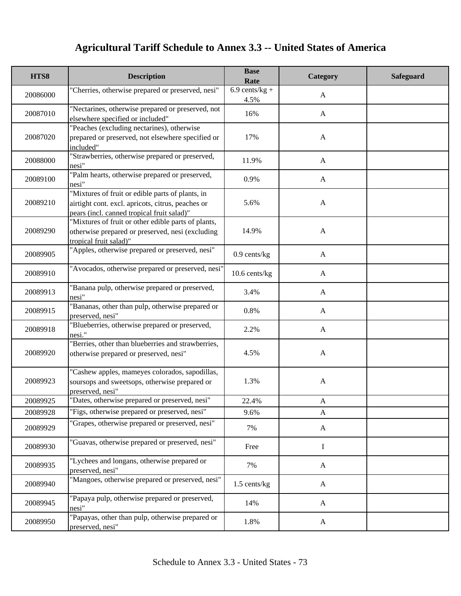| HTS8     | <b>Description</b>                                                                                                                                  | <b>Base</b><br>Rate      | Category     | <b>Safeguard</b> |
|----------|-----------------------------------------------------------------------------------------------------------------------------------------------------|--------------------------|--------------|------------------|
| 20086000 | "Cherries, otherwise prepared or preserved, nesi"                                                                                                   | $6.9$ cents/kg +<br>4.5% | $\mathbf{A}$ |                  |
| 20087010 | "Nectarines, otherwise prepared or preserved, not<br>elsewhere specified or included"                                                               | 16%                      | $\mathbf{A}$ |                  |
| 20087020 | "Peaches (excluding nectarines), otherwise<br>prepared or preserved, not elsewhere specified or<br>included"                                        | 17%                      | $\mathbf{A}$ |                  |
| 20088000 | "Strawberries, otherwise prepared or preserved,<br>nesi"                                                                                            | 11.9%                    | $\mathbf{A}$ |                  |
| 20089100 | "Palm hearts, otherwise prepared or preserved,<br>nesi"                                                                                             | 0.9%                     | $\mathbf{A}$ |                  |
| 20089210 | "Mixtures of fruit or edible parts of plants, in<br>airtight cont. excl. apricots, citrus, peaches or<br>pears (incl. canned tropical fruit salad)" | 5.6%                     | $\mathbf{A}$ |                  |
| 20089290 | "Mixtures of fruit or other edible parts of plants,<br>otherwise prepared or preserved, nesi (excluding<br>tropical fruit salad)"                   | 14.9%                    | $\mathbf{A}$ |                  |
| 20089905 | "Apples, otherwise prepared or preserved, nesi"                                                                                                     | $0.9$ cents/kg           | $\mathbf{A}$ |                  |
| 20089910 | "Avocados, otherwise prepared or preserved, nesi"                                                                                                   | 10.6 cents/kg            | $\mathbf{A}$ |                  |
| 20089913 | 'Banana pulp, otherwise prepared or preserved,<br>nesi"                                                                                             | 3.4%                     | $\mathbf{A}$ |                  |
| 20089915 | 'Bananas, other than pulp, otherwise prepared or<br>preserved, nesi"                                                                                | 0.8%                     | $\mathbf{A}$ |                  |
| 20089918 | 'Blueberries, otherwise prepared or preserved,<br>nesi."                                                                                            | 2.2%                     | $\mathbf{A}$ |                  |
| 20089920 | 'Berries, other than blueberries and strawberries,<br>otherwise prepared or preserved, nesi"                                                        | 4.5%                     | $\mathbf{A}$ |                  |
| 20089923 | "Cashew apples, mameyes colorados, sapodillas,<br>soursops and sweetsops, otherwise prepared or<br>preserved, nesi"                                 | 1.3%                     | $\mathbf{A}$ |                  |
| 20089925 | "Dates, otherwise prepared or preserved, nesi"                                                                                                      | 22.4%                    | A            |                  |
| 20089928 | "Figs, otherwise prepared or preserved, nesi"                                                                                                       | 9.6%                     | $\mathbf{A}$ |                  |
| 20089929 | 'Grapes, otherwise prepared or preserved, nesi"                                                                                                     | 7%                       | $\mathbf{A}$ |                  |
| 20089930 | "Guavas, otherwise prepared or preserved, nesi"                                                                                                     | Free                     | I            |                  |
| 20089935 | "Lychees and longans, otherwise prepared or<br>preserved, nesi"                                                                                     | 7%                       | $\mathbf{A}$ |                  |
| 20089940 | "Mangoes, otherwise prepared or preserved, nesi"                                                                                                    | 1.5 cents/kg             | $\mathbf{A}$ |                  |
| 20089945 | "Papaya pulp, otherwise prepared or preserved,<br>nesi"                                                                                             | 14%                      | $\mathbf{A}$ |                  |
| 20089950 | "Papayas, other than pulp, otherwise prepared or<br>preserved, nesi"                                                                                | 1.8%                     | $\mathbf{A}$ |                  |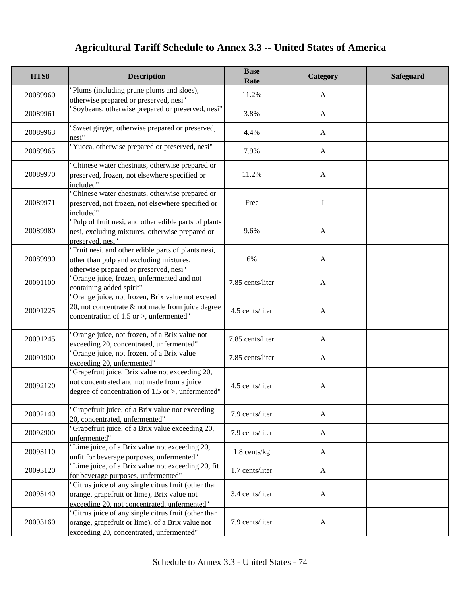| HTS8     | <b>Description</b>                                                                                                                                      | <b>Base</b><br>Rate | Category     | <b>Safeguard</b> |
|----------|---------------------------------------------------------------------------------------------------------------------------------------------------------|---------------------|--------------|------------------|
| 20089960 | "Plums (including prune plums and sloes),<br>otherwise prepared or preserved, nesi"                                                                     | 11.2%               | $\mathbf{A}$ |                  |
| 20089961 | "Soybeans, otherwise prepared or preserved, nesi"                                                                                                       | 3.8%                | $\mathbf{A}$ |                  |
| 20089963 | 'Sweet ginger, otherwise prepared or preserved,<br>nesi"                                                                                                | 4.4%                | $\mathbf{A}$ |                  |
| 20089965 | "Yucca, otherwise prepared or preserved, nesi"                                                                                                          | 7.9%                | $\mathbf{A}$ |                  |
| 20089970 | "Chinese water chestnuts, otherwise prepared or<br>preserved, frozen, not elsewhere specified or<br>included"                                           | 11.2%               | $\mathbf{A}$ |                  |
| 20089971 | "Chinese water chestnuts, otherwise prepared or<br>preserved, not frozen, not elsewhere specified or<br>included"                                       | Free                | $\bf{I}$     |                  |
| 20089980 | "Pulp of fruit nesi, and other edible parts of plants<br>nesi, excluding mixtures, otherwise prepared or<br>preserved, nesi"                            | 9.6%                | $\mathbf{A}$ |                  |
| 20089990 | "Fruit nesi, and other edible parts of plants nesi,<br>other than pulp and excluding mixtures,<br>otherwise prepared or preserved, nesi"                | 6%                  | $\mathbf{A}$ |                  |
| 20091100 | "Orange juice, frozen, unfermented and not<br>containing added spirit"                                                                                  | 7.85 cents/liter    | $\mathbf{A}$ |                  |
| 20091225 | 'Orange juice, not frozen, Brix value not exceed<br>20, not concentrate & not made from juice degree<br>concentration of $1.5$ or >, unfermented"       | 4.5 cents/liter     | $\mathbf{A}$ |                  |
| 20091245 | "Orange juice, not frozen, of a Brix value not<br>exceeding 20, concentrated, unfermented"                                                              | 7.85 cents/liter    | $\mathbf{A}$ |                  |
| 20091900 | "Orange juice, not frozen, of a Brix value<br>exceeding 20, unfermented"                                                                                | 7.85 cents/liter    | $\mathbf{A}$ |                  |
| 20092120 | "Grapefruit juice, Brix value not exceeding 20,<br>not concentrated and not made from a juice<br>degree of concentration of $1.5$ or $>$ , unfermented" | 4.5 cents/liter     | $\mathbf{A}$ |                  |
| 20092140 | "Grapefruit juice, of a Brix value not exceeding<br>20, concentrated, unfermented"                                                                      | 7.9 cents/liter     | A            |                  |
| 20092900 | "Grapefruit juice, of a Brix value exceeding 20,<br>unfermented"                                                                                        | 7.9 cents/liter     | A            |                  |
| 20093110 | "Lime juice, of a Brix value not exceeding 20,<br>unfit for beverage purposes, unfermented"                                                             | 1.8 cents/kg        | $\mathbf{A}$ |                  |
| 20093120 | "Lime juice, of a Brix value not exceeding 20, fit<br>for beverage purposes, unfermented"                                                               | 1.7 cents/liter     | $\mathbf{A}$ |                  |
| 20093140 | "Citrus juice of any single citrus fruit (other than<br>orange, grapefruit or lime), Brix value not<br>exceeding 20, not concentrated, unfermented"     | 3.4 cents/liter     | $\mathbf{A}$ |                  |
| 20093160 | "Citrus juice of any single citrus fruit (other than<br>orange, grapefruit or lime), of a Brix value not<br>exceeding 20, concentrated, unfermented"    | 7.9 cents/liter     | $\mathbf{A}$ |                  |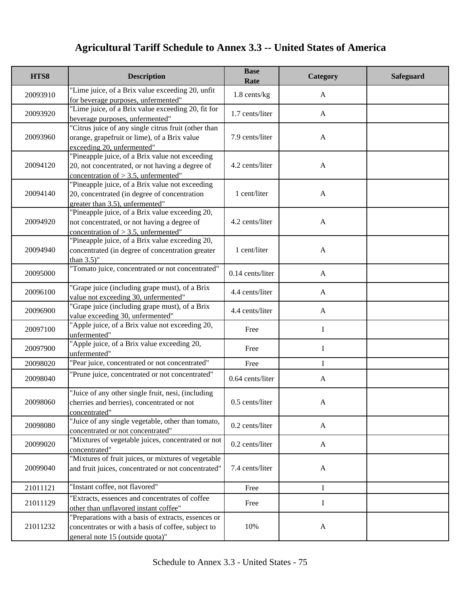| HTS8     | <b>Description</b>                                                                                                                            | <b>Base</b><br>Rate | Category     | <b>Safeguard</b> |
|----------|-----------------------------------------------------------------------------------------------------------------------------------------------|---------------------|--------------|------------------|
| 20093910 | "Lime juice, of a Brix value exceeding 20, unfit<br>for beverage purposes, unfermented"                                                       | $1.8$ cents/kg      | $\mathbf{A}$ |                  |
| 20093920 | "Lime juice, of a Brix value exceeding 20, fit for<br>beverage purposes, unfermented"                                                         | 1.7 cents/liter     | $\mathbf{A}$ |                  |
| 20093960 | "Citrus juice of any single citrus fruit (other than<br>orange, grapefruit or lime), of a Brix value<br>exceeding 20, unfermented"            | 7.9 cents/liter     | $\mathbf{A}$ |                  |
| 20094120 | "Pineapple juice, of a Brix value not exceeding<br>20, not concentrated, or not having a degree of<br>concentration of $> 3.5$ , unfermented" | 4.2 cents/liter     | $\mathbf{A}$ |                  |
| 20094140 | "Pineapple juice, of a Brix value not exceeding<br>20, concentrated (in degree of concentration<br>greater than 3.5), unfermented"            | 1 cent/liter        | $\mathbf{A}$ |                  |
| 20094920 | "Pineapple juice, of a Brix value exceeding 20,<br>not concentrated, or not having a degree of<br>concentration of $> 3.5$ , unfermented"     | 4.2 cents/liter     | $\mathbf{A}$ |                  |
| 20094940 | "Pineapple juice, of a Brix value exceeding 20,<br>concentrated (in degree of concentration greater<br>than $3.5$ "                           | 1 cent/liter        | $\mathbf{A}$ |                  |
| 20095000 | "Tomato juice, concentrated or not concentrated"                                                                                              | 0.14 cents/liter    | $\mathbf{A}$ |                  |
| 20096100 | "Grape juice (including grape must), of a Brix<br>value not exceeding 30, unfermented"                                                        | 4.4 cents/liter     | A            |                  |
| 20096900 | "Grape juice (including grape must), of a Brix<br>value exceeding 30, unfermented"                                                            | 4.4 cents/liter     | $\mathbf{A}$ |                  |
| 20097100 | "Apple juice, of a Brix value not exceeding 20,<br>unfermented"                                                                               | Free                | I            |                  |
| 20097900 | "Apple juice, of a Brix value exceeding 20,<br>unfermented"                                                                                   | Free                | I            |                  |
| 20098020 | "Pear juice, concentrated or not concentrated"                                                                                                | Free                | $\mathbf I$  |                  |
| 20098040 | "Prune juice, concentrated or not concentrated"                                                                                               | 0.64 cents/liter    | A            |                  |
| 20098060 | "Juice of any other single fruit, nesi, (including<br>cherries and berries), concentrated or not<br>concentrated"                             | 0.5 cents/liter     |              |                  |
| 20098080 | "Juice of any single vegetable, other than tomato,<br>concentrated or not concentrated"                                                       | 0.2 cents/liter     | $\mathbf{A}$ |                  |
| 20099020 | "Mixtures of vegetable juices, concentrated or not<br>concentrated"                                                                           | 0.2 cents/liter     | $\mathbf{A}$ |                  |
| 20099040 | "Mixtures of fruit juices, or mixtures of vegetable<br>and fruit juices, concentrated or not concentrated"                                    | 7.4 cents/liter     | $\mathbf{A}$ |                  |
| 21011121 | "Instant coffee, not flavored"                                                                                                                | Free                | I            |                  |
| 21011129 | "Extracts, essences and concentrates of coffee<br>other than unflavored instant coffee"                                                       | Free                | I            |                  |
| 21011232 | "Preparations with a basis of extracts, essences or<br>concentrates or with a basis of coffee, subject to<br>general note 15 (outside quota)" | 10%                 | $\mathbf{A}$ |                  |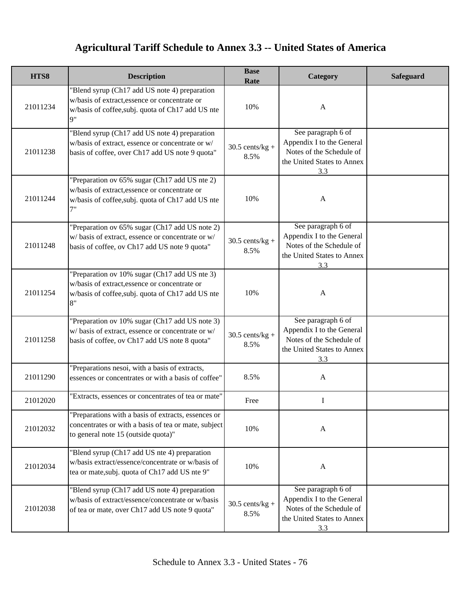| HTS8     | <b>Description</b>                                                                                                                                         | <b>Base</b><br>Rate       | Category                                                                                                         | <b>Safeguard</b> |
|----------|------------------------------------------------------------------------------------------------------------------------------------------------------------|---------------------------|------------------------------------------------------------------------------------------------------------------|------------------|
| 21011234 | "Blend syrup (Ch17 add US note 4) preparation<br>w/basis of extract, essence or concentrate or<br>w/basis of coffee, subj. quota of Ch17 add US nte<br>Q'' | 10%                       | $\mathbf{A}$                                                                                                     |                  |
| 21011238 | "Blend syrup (Ch17 add US note 4) preparation<br>w/basis of extract, essence or concentrate or w/<br>basis of coffee, over Ch17 add US note 9 quota"       | $30.5$ cents/kg +<br>8.5% | See paragraph 6 of<br>Appendix I to the General<br>Notes of the Schedule of<br>the United States to Annex<br>3.3 |                  |
| 21011244 | "Preparation ov 65% sugar (Ch17 add US nte 2)<br>w/basis of extract, essence or concentrate or<br>w/basis of coffee, subj. quota of Ch17 add US nte<br>7"  | 10%                       | $\mathbf{A}$                                                                                                     |                  |
| 21011248 | "Preparation ov 65% sugar (Ch17 add US note 2)<br>w/basis of extract, essence or concentrate or w/<br>basis of coffee, ov Ch17 add US note 9 quota"        | $30.5$ cents/kg +<br>8.5% | See paragraph 6 of<br>Appendix I to the General<br>Notes of the Schedule of<br>the United States to Annex<br>3.3 |                  |
| 21011254 | "Preparation ov 10% sugar (Ch17 add US nte 3)<br>w/basis of extract, essence or concentrate or<br>w/basis of coffee, subj. quota of Ch17 add US nte<br>8"  | 10%                       | $\mathbf{A}$                                                                                                     |                  |
| 21011258 | "Preparation ov 10% sugar (Ch17 add US note 3)<br>w/basis of extract, essence or concentrate or w/<br>basis of coffee, ov Ch17 add US note 8 quota"        | $30.5$ cents/kg +<br>8.5% | See paragraph 6 of<br>Appendix I to the General<br>Notes of the Schedule of<br>the United States to Annex<br>3.3 |                  |
| 21011290 | "Preparations nesoi, with a basis of extracts,<br>essences or concentrates or with a basis of coffee"                                                      | 8.5%                      | $\mathbf{A}$                                                                                                     |                  |
| 21012020 | "Extracts, essences or concentrates of tea or mate"                                                                                                        | Free                      |                                                                                                                  |                  |
| 21012032 | "Preparations with a basis of extracts, essences or<br>concentrates or with a basis of tea or mate, subject<br>to general note 15 (outside quota)"         | 10%                       | $\mathbf{A}$                                                                                                     |                  |
| 21012034 | "Blend syrup (Ch17 add US nte 4) preparation<br>w/basis extract/essence/concentrate or w/basis of<br>tea or mate, subj. quota of Ch17 add US nte 9"        | 10%                       | $\mathbf{A}$                                                                                                     |                  |
| 21012038 | "Blend syrup (Ch17 add US note 4) preparation<br>w/basis of extract/essence/concentrate or w/basis<br>of tea or mate, over Ch17 add US note 9 quota"       | $30.5$ cents/kg +<br>8.5% | See paragraph 6 of<br>Appendix I to the General<br>Notes of the Schedule of<br>the United States to Annex<br>3.3 |                  |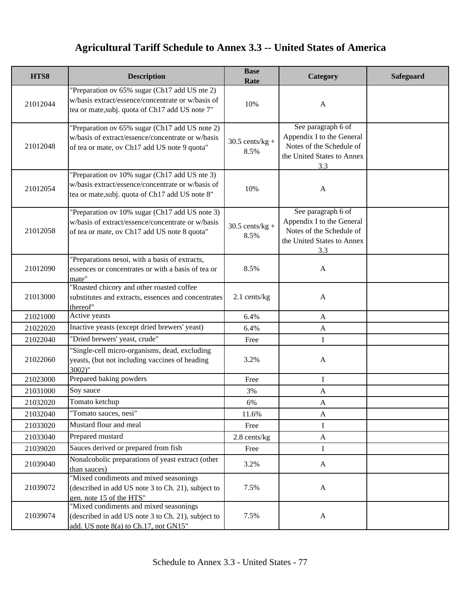| HTS8     | <b>Description</b>                                                                                                                                    | <b>Base</b><br>Rate       | Category                                                                                                         | <b>Safeguard</b> |
|----------|-------------------------------------------------------------------------------------------------------------------------------------------------------|---------------------------|------------------------------------------------------------------------------------------------------------------|------------------|
| 21012044 | "Preparation ov 65% sugar (Ch17 add US nte 2)<br>w/basis extract/essence/concentrate or w/basis of<br>tea or mate, subj. quota of Ch17 add US note 7" | 10%                       | $\mathbf{A}$                                                                                                     |                  |
| 21012048 | "Preparation ov 65% sugar (Ch17 add US note 2)<br>w/basis of extract/essence/concentrate or w/basis<br>of tea or mate, ov Ch17 add US note 9 quota"   | $30.5$ cents/kg +<br>8.5% | See paragraph 6 of<br>Appendix I to the General<br>Notes of the Schedule of<br>the United States to Annex<br>3.3 |                  |
| 21012054 | "Preparation ov 10% sugar (Ch17 add US nte 3)<br>w/basis extract/essence/concentrate or w/basis of<br>tea or mate, subj. quota of Ch17 add US note 8" | 10%                       | A                                                                                                                |                  |
| 21012058 | "Preparation ov 10% sugar (Ch17 add US note 3)<br>w/basis of extract/essence/concentrate or w/basis<br>of tea or mate, ov Ch17 add US note 8 quota"   | $30.5$ cents/kg +<br>8.5% | See paragraph 6 of<br>Appendix I to the General<br>Notes of the Schedule of<br>the United States to Annex<br>3.3 |                  |
| 21012090 | "Preparations nesoi, with a basis of extracts,<br>essences or concentrates or with a basis of tea or<br>mate"                                         | 8.5%                      | $\mathbf{A}$                                                                                                     |                  |
| 21013000 | "Roasted chicory and other roasted coffee<br>substitutes and extracts, essences and concentrates<br>thereof"                                          | 2.1 cents/kg              | $\mathbf{A}$                                                                                                     |                  |
| 21021000 | Active yeasts                                                                                                                                         | 6.4%                      | $\mathbf{A}$                                                                                                     |                  |
| 21022020 | Inactive yeasts (except dried brewers' yeast)                                                                                                         | 6.4%                      | $\mathbf{A}$                                                                                                     |                  |
| 21022040 | "Dried brewers' yeast, crude"                                                                                                                         | Free                      | I                                                                                                                |                  |
| 21022060 | "Single-cell micro-organisms, dead, excluding<br>yeasts, (but not including vaccines of heading<br>$3002$ "                                           | 3.2%                      | $\mathbf{A}$                                                                                                     |                  |
| 21023000 | Prepared baking powders                                                                                                                               | Free                      | I                                                                                                                |                  |
| 21031000 | Soy sauce                                                                                                                                             | 3%                        | $\mathbf{A}$                                                                                                     |                  |
| 21032020 | Tomato ketchup                                                                                                                                        | 6%                        | $\mathbf{A}$                                                                                                     |                  |
| 21032040 | "Tomato sauces, nesi"                                                                                                                                 | 11.6%                     | A                                                                                                                |                  |
| 21033020 | Mustard flour and meal                                                                                                                                | Free                      | $\bf{I}$                                                                                                         |                  |
| 21033040 | Prepared mustard                                                                                                                                      | $2.8$ cents/kg            | $\mathbf{A}$                                                                                                     |                  |
| 21039020 | Sauces derived or prepared from fish                                                                                                                  | Free                      | I                                                                                                                |                  |
| 21039040 | Nonalcoholic preparations of yeast extract (other<br>than sauces)                                                                                     | 3.2%                      | $\mathbf{A}$                                                                                                     |                  |
| 21039072 | "Mixed condiments and mixed seasonings<br>(described in add US note 3 to Ch. 21), subject to<br>gen. note 15 of the HTS"                              | 7.5%                      | $\mathbf{A}$                                                                                                     |                  |
| 21039074 | "Mixed condiments and mixed seasonings<br>(described in add US note 3 to Ch. 21), subject to<br>add. US note 8(a) to Ch.17, not GN15"                 | 7.5%                      | $\mathbf{A}$                                                                                                     |                  |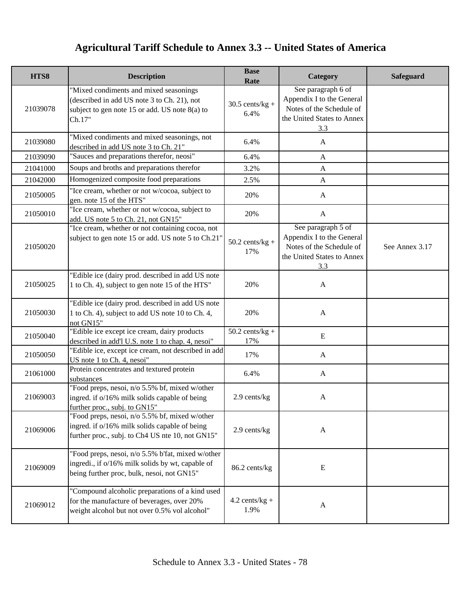| HTS8     | <b>Description</b>                                                                                                                                  | <b>Base</b><br>Rate       | Category                                                                                                         | <b>Safeguard</b> |
|----------|-----------------------------------------------------------------------------------------------------------------------------------------------------|---------------------------|------------------------------------------------------------------------------------------------------------------|------------------|
| 21039078 | "Mixed condiments and mixed seasonings<br>(described in add US note 3 to Ch. 21), not<br>subject to gen note 15 or add. US note 8(a) to<br>Ch.17"   | $30.5$ cents/kg +<br>6.4% | See paragraph 6 of<br>Appendix I to the General<br>Notes of the Schedule of<br>the United States to Annex<br>3.3 |                  |
| 21039080 | "Mixed condiments and mixed seasonings, not<br>described in add US note 3 to Ch. 21"                                                                | 6.4%                      | $\mathbf{A}$                                                                                                     |                  |
| 21039090 | "Sauces and preparations therefor, neosi"                                                                                                           | 6.4%                      | $\mathbf{A}$                                                                                                     |                  |
| 21041000 | Soups and broths and preparations therefor                                                                                                          | 3.2%                      | $\mathbf{A}$                                                                                                     |                  |
| 21042000 | Homogenized composite food preparations                                                                                                             | 2.5%                      | $\mathbf{A}$                                                                                                     |                  |
| 21050005 | "Ice cream, whether or not w/cocoa, subject to<br>gen. note 15 of the HTS"                                                                          | 20%                       | $\mathbf{A}$                                                                                                     |                  |
| 21050010 | "Ice cream, whether or not w/cocoa, subject to<br>add. US note 5 to Ch. 21, not GN15"                                                               | 20%                       | $\mathbf{A}$                                                                                                     |                  |
| 21050020 | "Ice cream, whether or not containing cocoa, not<br>subject to gen note 15 or add. US note 5 to Ch.21'                                              | $50.2$ cents/kg +<br>17%  | See paragraph 5 of<br>Appendix I to the General<br>Notes of the Schedule of<br>the United States to Annex<br>3.3 | See Annex 3.17   |
| 21050025 | "Edible ice (dairy prod. described in add US note<br>1 to Ch. 4), subject to gen note 15 of the HTS"                                                | 20%                       | $\mathbf{A}$                                                                                                     |                  |
| 21050030 | "Edible ice (dairy prod. described in add US note<br>1 to Ch. 4), subject to add US note 10 to Ch. 4,<br>not GN15"                                  | 20%                       | $\mathbf{A}$                                                                                                     |                  |
| 21050040 | "Edible ice except ice cream, dairy products<br>described in add'l U.S. note 1 to chap. 4, nesoi"                                                   | $50.2$ cents/kg +<br>17%  | ${\bf E}$                                                                                                        |                  |
| 21050050 | "Edible ice, except ice cream, not described in add<br>US note 1 to Ch. 4, nesoi"                                                                   | 17%                       | $\mathbf{A}$                                                                                                     |                  |
| 21061000 | Protein concentrates and textured protein<br>substances                                                                                             | 6.4%                      | $\mathbf{A}$                                                                                                     |                  |
| 21069003 | "Food preps, nesoi, n/o 5.5% bf, mixed w/other<br>ingred. if o/16% milk solids capable of being<br>further proc., subj. to GN15"                    | 2.9 cents/kg              | A                                                                                                                |                  |
| 21069006 | "Food preps, nesoi, n/o 5.5% bf, mixed w/other<br>ingred. if o/16% milk solids capable of being<br>further proc., subj. to Ch4 US nte 10, not GN15" | 2.9 cents/kg              | $\mathbf{A}$                                                                                                     |                  |
| 21069009 | "Food preps, nesoi, n/o 5.5% b'fat, mixed w/other<br>ingredi., if o/16% milk solids by wt, capable of<br>being further proc, bulk, nesoi, not GN15" | 86.2 cents/kg             | E                                                                                                                |                  |
| 21069012 | "Compound alcoholic preparations of a kind used<br>for the manufacture of beverages, over 20%<br>weight alcohol but not over 0.5% vol alcohol"      | $4.2$ cents/kg +<br>1.9%  | $\mathbf{A}$                                                                                                     |                  |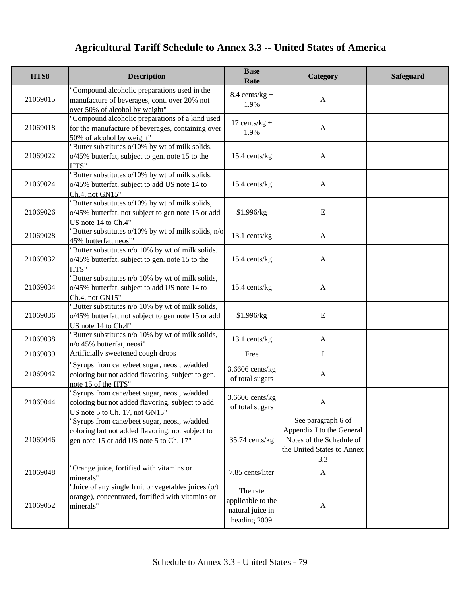| HTS8     | <b>Description</b>                                                                                                                          | <b>Base</b><br>Rate                                               | Category                                                                                                         | <b>Safeguard</b> |
|----------|---------------------------------------------------------------------------------------------------------------------------------------------|-------------------------------------------------------------------|------------------------------------------------------------------------------------------------------------------|------------------|
| 21069015 | "Compound alcoholic preparations used in the<br>manufacture of beverages, cont. over 20% not<br>over 50% of alcohol by weight"              | $8.4 \text{ cents/kg} +$<br>1.9%                                  | $\mathbf{A}$                                                                                                     |                  |
| 21069018 | "Compound alcoholic preparations of a kind used<br>for the manufacture of beverages, containing over<br>50% of alcohol by weight"           | 17 cents/ $kg +$<br>1.9%                                          | $\mathbf{A}$                                                                                                     |                  |
| 21069022 | "Butter substitutes o/10% by wt of milk solids,<br>o/45% butterfat, subject to gen. note 15 to the<br>HTS"                                  | 15.4 cents/kg                                                     | $\mathbf{A}$                                                                                                     |                  |
| 21069024 | "Butter substitutes o/10% by wt of milk solids,<br>o/45% butterfat, subject to add US note 14 to<br>Ch.4, not GN15"                         | 15.4 cents/kg                                                     | $\mathbf{A}$                                                                                                     |                  |
| 21069026 | "Butter substitutes o/10% by wt of milk solids,<br>o/45% butterfat, not subject to gen note 15 or add<br>US note 14 to Ch.4"                | \$1.996/kg                                                        | E                                                                                                                |                  |
| 21069028 | "Butter substitutes o/10% by wt of milk solids, n/o<br>45% butterfat, neosi"                                                                | 13.1 cents/kg                                                     | $\mathbf{A}$                                                                                                     |                  |
| 21069032 | "Butter substitutes n/o 10% by wt of milk solids,<br>o/45% butterfat, subject to gen. note 15 to the<br>HTS"                                | 15.4 cents/kg                                                     | $\mathbf{A}$                                                                                                     |                  |
| 21069034 | "Butter substitutes n/o 10% by wt of milk solids,<br>o/45% butterfat, subject to add US note 14 to<br>Ch.4, not GN15"                       | 15.4 cents/kg                                                     | $\mathbf{A}$                                                                                                     |                  |
| 21069036 | "Butter substitutes n/o 10% by wt of milk solids,<br>o/45% butterfat, not subject to gen note 15 or add<br>US note 14 to Ch.4"              | \$1.996/kg                                                        | E                                                                                                                |                  |
| 21069038 | "Butter substitutes n/o 10% by wt of milk solids,<br>n/o 45% butterfat, neosi"                                                              | 13.1 cents/kg                                                     | $\mathbf{A}$                                                                                                     |                  |
| 21069039 | Artificially sweetened cough drops                                                                                                          | Free                                                              | I                                                                                                                |                  |
| 21069042 | 'Syrups from cane/beet sugar, neosi, w/added<br>coloring but not added flavoring, subject to gen.<br>note 15 of the HTS"                    | 3.6606 cents/kg<br>of total sugars                                | $\mathbf{A}$                                                                                                     |                  |
| 21069044 | "Syrups from cane/beet sugar, neosi, w/added<br>coloring but not added flavoring, subject to add<br>US note 5 to Ch. 17, not GN15"          | $3.6606$ cents/kg<br>of total sugars                              |                                                                                                                  |                  |
| 21069046 | "Syrups from cane/beet sugar, neosi, w/added<br>coloring but not added flavoring, not subject to<br>gen note 15 or add US note 5 to Ch. 17" | 35.74 cents/kg                                                    | See paragraph 6 of<br>Appendix I to the General<br>Notes of the Schedule of<br>the United States to Annex<br>3.3 |                  |
| 21069048 | "Orange juice, fortified with vitamins or<br>minerals"                                                                                      | 7.85 cents/liter                                                  | $\mathbf{A}$                                                                                                     |                  |
| 21069052 | "Juice of any single fruit or vegetables juices (o/t)<br>orange), concentrated, fortified with vitamins or<br>minerals"                     | The rate<br>applicable to the<br>natural juice in<br>heading 2009 | A                                                                                                                |                  |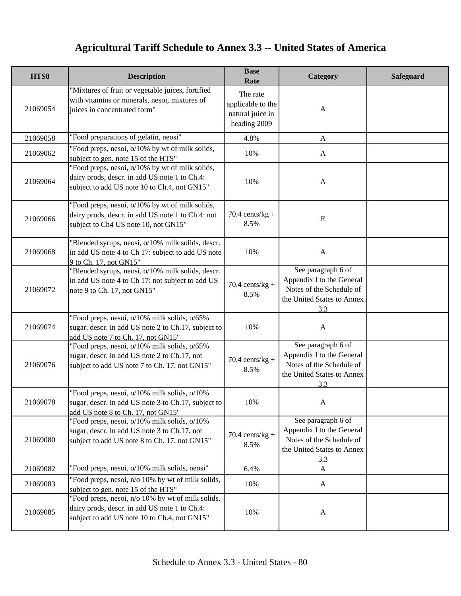| HTS8     | <b>Description</b>                                                                                                                                 | <b>Base</b><br>Rate                                               | Category                                                                                                         | Safeguard |
|----------|----------------------------------------------------------------------------------------------------------------------------------------------------|-------------------------------------------------------------------|------------------------------------------------------------------------------------------------------------------|-----------|
| 21069054 | "Mixtures of fruit or vegetable juices, fortified<br>with vitamins or minerals, nesoi, mixtures of<br>juices in concentrated form"                 | The rate<br>applicable to the<br>natural juice in<br>heading 2009 | A                                                                                                                |           |
| 21069058 | "Food preparations of gelatin, neosi"                                                                                                              | 4.8%                                                              | $\mathbf{A}$                                                                                                     |           |
| 21069062 | "Food preps, nesoi, o/10% by wt of milk solids,<br>subject to gen. note 15 of the HTS"                                                             | 10%                                                               | A                                                                                                                |           |
| 21069064 | "Food preps, nesoi, o/10% by wt of milk solids,<br>dairy prods, descr. in add US note 1 to Ch.4:<br>subject to add US note 10 to Ch.4, not GN15"   | 10%                                                               | $\mathbf{A}$                                                                                                     |           |
| 21069066 | "Food preps, nesoi, o/10% by wt of milk solids,<br>dairy prods, descr. in add US note 1 to Ch.4: not<br>subject to Ch4 US note 10, not GN15"       | $70.4$ cents/kg +<br>8.5%                                         | ${\bf E}$                                                                                                        |           |
| 21069068 | "Blended syrups, neosi, o/10% milk solids, descr.<br>in add US note 4 to Ch 17: subject to add US note<br>9 to Ch. 17, not GN15"                   | 10%                                                               | $\mathbf{A}$                                                                                                     |           |
| 21069072 | "Blended syrups, neosi, o/10% milk solids, descr.<br>in add US note 4 to Ch 17: not subject to add US<br>note 9 to Ch. 17, not GN15"               | 70.4 cents/ $kg +$<br>8.5%                                        | See paragraph 6 of<br>Appendix I to the General<br>Notes of the Schedule of<br>the United States to Annex<br>3.3 |           |
| 21069074 | "Food preps, nesoi, o/10% milk solids, o/65%<br>sugar, descr. in add US note 2 to Ch.17, subject to<br>add US note 7 to Ch. 17, not GN15"          | 10%                                                               | $\mathbf{A}$                                                                                                     |           |
| 21069076 | "Food preps, nesoi, o/10% milk solids, o/65%<br>sugar, descr. in add US note 2 to Ch.17, not<br>subject to add US note 7 to Ch. 17, not GN15"      | $70.4$ cents/kg +<br>8.5%                                         | See paragraph 6 of<br>Appendix I to the General<br>Notes of the Schedule of<br>the United States to Annex<br>3.3 |           |
| 21069078 | "Food preps, nesoi, o/10% milk solids, o/10%<br>sugar, descr. in add US note 3 to Ch.17, subject to<br>add US note 8 to Ch. 17, not GN15"          | 10%                                                               | A                                                                                                                |           |
| 21069080 | "Food preps, nesoi, o/10% milk solids, o/10%<br>sugar, descr. in add US note 3 to Ch.17, not<br>subject to add US note 8 to Ch. 17, not GN15"      | 70.4 cents/kg +<br>8.5%                                           | See paragraph 6 of<br>Appendix I to the General<br>Notes of the Schedule of<br>the United States to Annex<br>3.3 |           |
| 21069082 | "Food preps, nesoi, o/10% milk solids, neosi"                                                                                                      | 6.4%                                                              | A                                                                                                                |           |
| 21069083 | "Food preps, nesoi, n/o 10% by wt of milk solids,<br>subject to gen. note 15 of the HTS"                                                           | 10%                                                               | A                                                                                                                |           |
| 21069085 | "Food preps, nesoi, n/o 10% by wt of milk solids,<br>dairy prods, descr. in add US note 1 to Ch.4:<br>subject to add US note 10 to Ch.4, not GN15" | 10%                                                               | $\mathbf{A}$                                                                                                     |           |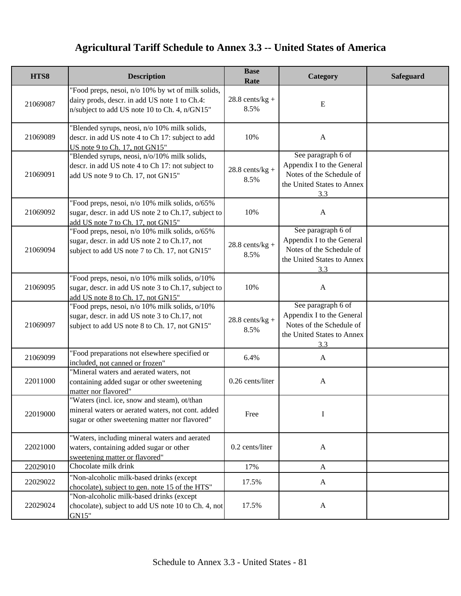| HTS8     | <b>Description</b>                                                                                                                                  | <b>Base</b><br>Rate       | Category                                                                                                         | <b>Safeguard</b> |
|----------|-----------------------------------------------------------------------------------------------------------------------------------------------------|---------------------------|------------------------------------------------------------------------------------------------------------------|------------------|
| 21069087 | "Food preps, nesoi, n/o 10% by wt of milk solids,<br>dairy prods, descr. in add US note 1 to Ch.4:<br>n/subject to add US note 10 to Ch. 4, n/GN15" | $28.8$ cents/kg +<br>8.5% | E                                                                                                                |                  |
| 21069089 | "Blended syrups, neosi, n/o 10% milk solids,<br>descr. in add US note 4 to Ch 17: subject to add<br>US note 9 to Ch. 17, not GN15"                  | 10%                       | $\mathbf{A}$                                                                                                     |                  |
| 21069091 | "Blended syrups, neosi, n/o/10% milk solids,<br>descr. in add US note 4 to Ch 17: not subject to<br>add US note 9 to Ch. 17, not GN15"              | $28.8$ cents/kg +<br>8.5% | See paragraph 6 of<br>Appendix I to the General<br>Notes of the Schedule of<br>the United States to Annex<br>3.3 |                  |
| 21069092 | "Food preps, nesoi, n/o 10% milk solids, o/65%<br>sugar, descr. in add US note 2 to Ch.17, subject to<br>add US note 7 to Ch. 17, not GN15"         | 10%                       | $\mathbf{A}$                                                                                                     |                  |
| 21069094 | "Food preps, nesoi, n/o 10% milk solids, o/65%<br>sugar, descr. in add US note 2 to Ch.17, not<br>subject to add US note 7 to Ch. 17, not GN15"     | $28.8$ cents/kg +<br>8.5% | See paragraph 6 of<br>Appendix I to the General<br>Notes of the Schedule of<br>the United States to Annex<br>3.3 |                  |
| 21069095 | "Food preps, nesoi, n/o 10% milk solids, o/10%<br>sugar, descr. in add US note 3 to Ch.17, subject to<br>add US note 8 to Ch. 17, not GN15"         | 10%                       | $\mathbf{A}$                                                                                                     |                  |
| 21069097 | "Food preps, nesoi, n/o 10% milk solids, o/10%<br>sugar, descr. in add US note 3 to Ch.17, not<br>subject to add US note 8 to Ch. 17, not GN15"     | $28.8$ cents/kg +<br>8.5% | See paragraph 6 of<br>Appendix I to the General<br>Notes of the Schedule of<br>the United States to Annex<br>3.3 |                  |
| 21069099 | "Food preparations not elsewhere specified or<br>included, not canned or frozen"                                                                    | 6.4%                      | $\mathbf{A}$                                                                                                     |                  |
| 22011000 | "Mineral waters and aerated waters, not<br>containing added sugar or other sweetening<br>matter nor flavored"                                       | 0.26 cents/liter          | $\mathbf{A}$                                                                                                     |                  |
| 22019000 | "Waters (incl. ice, snow and steam), ot/than<br>mineral waters or aerated waters, not cont. added<br>sugar or other sweetening matter nor flavored" | Free                      | I                                                                                                                |                  |
| 22021000 | "Waters, including mineral waters and aerated<br>waters, containing added sugar or other<br>sweetening matter or flavored"                          | 0.2 cents/liter           | $\mathbf{A}$                                                                                                     |                  |
| 22029010 | Chocolate milk drink                                                                                                                                | 17%                       | A                                                                                                                |                  |
| 22029022 | "Non-alcoholic milk-based drinks (except<br>chocolate), subject to gen. note 15 of the HTS"                                                         | 17.5%                     | $\mathbf{A}$                                                                                                     |                  |
| 22029024 | "Non-alcoholic milk-based drinks (except<br>chocolate), subject to add US note 10 to Ch. 4, not<br>GN15"                                            | 17.5%                     | $\mathbf{A}$                                                                                                     |                  |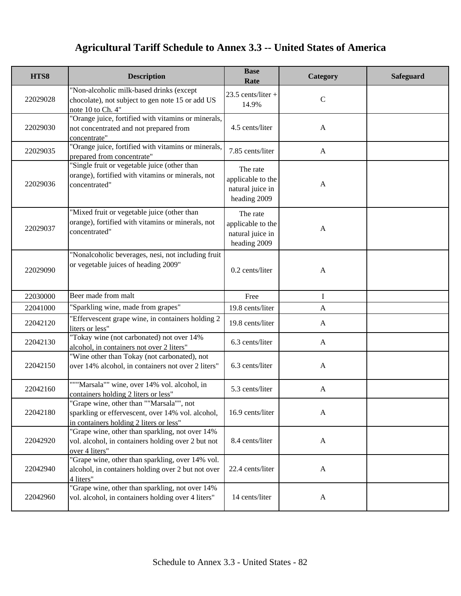| HTS8     | <b>Description</b>                                                                                                                       | <b>Base</b><br>Rate                                               | Category     | <b>Safeguard</b> |
|----------|------------------------------------------------------------------------------------------------------------------------------------------|-------------------------------------------------------------------|--------------|------------------|
| 22029028 | "Non-alcoholic milk-based drinks (except<br>chocolate), not subject to gen note 15 or add US<br>note 10 to Ch. 4"                        | $23.5$ cents/liter +<br>14.9%                                     | $\mathbf C$  |                  |
| 22029030 | "Orange juice, fortified with vitamins or minerals,<br>not concentrated and not prepared from<br>concentrate"                            | 4.5 cents/liter                                                   | $\mathbf{A}$ |                  |
| 22029035 | "Orange juice, fortified with vitamins or minerals,<br>prepared from concentrate"                                                        | 7.85 cents/liter                                                  | $\mathbf{A}$ |                  |
| 22029036 | "Single fruit or vegetable juice (other than<br>orange), fortified with vitamins or minerals, not<br>concentrated"                       | The rate<br>applicable to the<br>natural juice in<br>heading 2009 | $\mathbf{A}$ |                  |
| 22029037 | "Mixed fruit or vegetable juice (other than<br>orange), fortified with vitamins or minerals, not<br>concentrated"                        | The rate<br>applicable to the<br>natural juice in<br>heading 2009 | $\mathbf{A}$ |                  |
| 22029090 | "Nonalcoholic beverages, nesi, not including fruit<br>or vegetable juices of heading 2009"                                               | 0.2 cents/liter                                                   | $\mathbf{A}$ |                  |
| 22030000 | Beer made from malt                                                                                                                      | Free                                                              | I            |                  |
| 22041000 | "Sparkling wine, made from grapes"                                                                                                       | 19.8 cents/liter                                                  | $\mathbf{A}$ |                  |
| 22042120 | "Effervescent grape wine, in containers holding 2<br>liters or less"                                                                     | 19.8 cents/liter                                                  | $\mathbf{A}$ |                  |
| 22042130 | "Tokay wine (not carbonated) not over 14%<br>alcohol, in containers not over 2 liters"                                                   | 6.3 cents/liter                                                   | $\mathbf{A}$ |                  |
| 22042150 | "Wine other than Tokay (not carbonated), not<br>over 14% alcohol, in containers not over 2 liters"                                       | 6.3 cents/liter                                                   | $\mathbf{A}$ |                  |
| 22042160 | """Marsala"" wine, over 14% vol. alcohol, in<br>containers holding 2 liters or less"                                                     | 5.3 cents/liter                                                   | $\mathbf{A}$ |                  |
| 22042180 | "Grape wine, other than ""Marsala"", not<br>sparkling or effervescent, over 14% vol. alcohol,<br>in containers holding 2 liters or less" | 16.9 cents/liter                                                  | $\mathbf{A}$ |                  |
| 22042920 | "Grape wine, other than sparkling, not over 14%<br>vol. alcohol, in containers holding over 2 but not<br>over 4 liters"                  | 8.4 cents/liter                                                   | $\mathbf{A}$ |                  |
| 22042940 | "Grape wine, other than sparkling, over 14% vol.<br>alcohol, in containers holding over 2 but not over<br>4 liters"                      | 22.4 cents/liter                                                  | $\mathbf{A}$ |                  |
| 22042960 | "Grape wine, other than sparkling, not over 14%<br>vol. alcohol, in containers holding over 4 liters"                                    | 14 cents/liter                                                    | $\mathbf{A}$ |                  |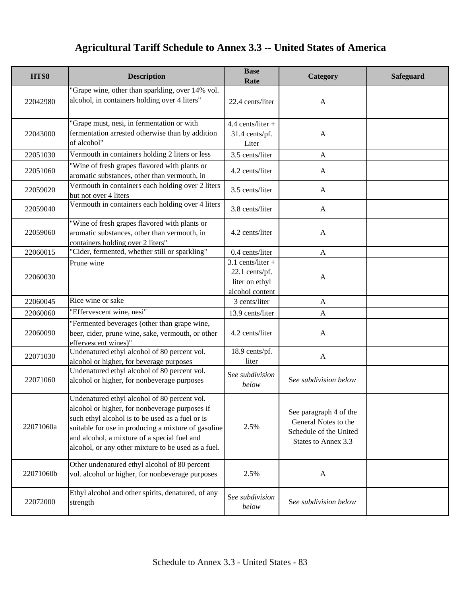| HTS8      | <b>Description</b>                                                                                                                                                                                                                                                                                               | <b>Base</b><br>Rate                                                        | Category                                                                                        | <b>Safeguard</b> |
|-----------|------------------------------------------------------------------------------------------------------------------------------------------------------------------------------------------------------------------------------------------------------------------------------------------------------------------|----------------------------------------------------------------------------|-------------------------------------------------------------------------------------------------|------------------|
| 22042980  | "Grape wine, other than sparkling, over 14% vol.<br>alcohol, in containers holding over 4 liters"                                                                                                                                                                                                                | 22.4 cents/liter                                                           | $\mathbf{A}$                                                                                    |                  |
| 22043000  | "Grape must, nesi, in fermentation or with<br>fermentation arrested otherwise than by addition<br>of alcohol"                                                                                                                                                                                                    | $4.4$ cents/liter +<br>31.4 cents/pf.<br>Liter                             | $\mathbf{A}$                                                                                    |                  |
| 22051030  | Vermouth in containers holding 2 liters or less                                                                                                                                                                                                                                                                  | 3.5 cents/liter                                                            | $\mathbf{A}$                                                                                    |                  |
| 22051060  | "Wine of fresh grapes flavored with plants or<br>aromatic substances, other than vermouth, in                                                                                                                                                                                                                    | 4.2 cents/liter                                                            | A                                                                                               |                  |
| 22059020  | Vermouth in containers each holding over 2 liters<br>but not over 4 liters                                                                                                                                                                                                                                       | 3.5 cents/liter                                                            | $\mathbf{A}$                                                                                    |                  |
| 22059040  | Vermouth in containers each holding over 4 liters                                                                                                                                                                                                                                                                | 3.8 cents/liter                                                            | $\mathbf{A}$                                                                                    |                  |
| 22059060  | "Wine of fresh grapes flavored with plants or<br>aromatic substances, other than vermouth, in<br>containers holding over 2 liters"                                                                                                                                                                               | 4.2 cents/liter                                                            | $\mathbf{A}$                                                                                    |                  |
| 22060015  | "Cider, fermented, whether still or sparkling"                                                                                                                                                                                                                                                                   | 0.4 cents/liter                                                            | $\mathbf{A}$                                                                                    |                  |
| 22060030  | Prune wine                                                                                                                                                                                                                                                                                                       | $3.1$ cents/liter +<br>22.1 cents/pf.<br>liter on ethyl<br>alcohol content | $\mathbf{A}$                                                                                    |                  |
| 22060045  | Rice wine or sake                                                                                                                                                                                                                                                                                                | 3 cents/liter                                                              | $\mathbf{A}$                                                                                    |                  |
| 22060060  | "Effervescent wine, nesi"                                                                                                                                                                                                                                                                                        | 13.9 cents/liter                                                           | $\mathbf{A}$                                                                                    |                  |
| 22060090  | "Fermented beverages (other than grape wine,<br>beer, cider, prune wine, sake, vermouth, or other<br>effervescent wines)"                                                                                                                                                                                        | 4.2 cents/liter                                                            | $\mathbf{A}$                                                                                    |                  |
| 22071030  | Undenatured ethyl alcohol of 80 percent vol.<br>alcohol or higher, for beverage purposes                                                                                                                                                                                                                         | $\overline{18.9}$ cents/pf.<br>liter                                       | $\mathbf{A}$                                                                                    |                  |
| 22071060  | Undenatured ethyl alcohol of 80 percent vol.<br>alcohol or higher, for nonbeverage purposes                                                                                                                                                                                                                      | See subdivision<br>below                                                   | See subdivision below                                                                           |                  |
| 22071060a | Undenatured ethyl alcohol of 80 percent vol.<br>alcohol or higher, for nonbeverage purposes if<br>such ethyl alcohol is to be used as a fuel or is<br>suitable for use in producing a mixture of gasoline<br>and alcohol, a mixture of a special fuel and<br>alcohol, or any other mixture to be used as a fuel. | 2.5%                                                                       | See paragraph 4 of the<br>General Notes to the<br>Schedule of the United<br>States to Annex 3.3 |                  |
| 22071060b | Other undenatured ethyl alcohol of 80 percent<br>vol. alcohol or higher, for nonbeverage purposes                                                                                                                                                                                                                | 2.5%                                                                       | A                                                                                               |                  |
| 22072000  | Ethyl alcohol and other spirits, denatured, of any<br>strength                                                                                                                                                                                                                                                   | See subdivision<br>below                                                   | See subdivision below                                                                           |                  |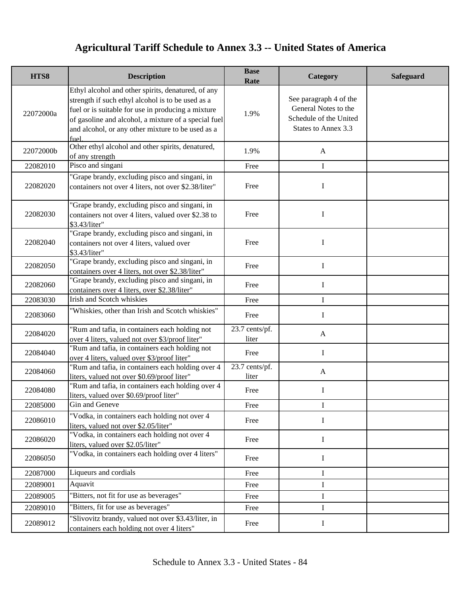| HTS8      | <b>Description</b>                                                                                                                                                                                                                                                                 | <b>Base</b><br>Rate     | Category                                                                                        | <b>Safeguard</b> |
|-----------|------------------------------------------------------------------------------------------------------------------------------------------------------------------------------------------------------------------------------------------------------------------------------------|-------------------------|-------------------------------------------------------------------------------------------------|------------------|
| 22072000a | Ethyl alcohol and other spirits, denatured, of any<br>strength if such ethyl alcohol is to be used as a<br>fuel or is suitable for use in producing a mixture<br>of gasoline and alcohol, a mixture of a special fuel<br>and alcohol, or any other mixture to be used as a<br>fuel | 1.9%                    | See paragraph 4 of the<br>General Notes to the<br>Schedule of the United<br>States to Annex 3.3 |                  |
| 22072000b | Other ethyl alcohol and other spirits, denatured,<br>of any strength                                                                                                                                                                                                               | 1.9%                    | $\mathbf{A}$                                                                                    |                  |
| 22082010  | Pisco and singani                                                                                                                                                                                                                                                                  | Free                    | $\bf{I}$                                                                                        |                  |
| 22082020  | "Grape brandy, excluding pisco and singani, in<br>containers not over 4 liters, not over \$2.38/liter"                                                                                                                                                                             | Free                    | I                                                                                               |                  |
| 22082030  | 'Grape brandy, excluding pisco and singani, in<br>containers not over 4 liters, valued over \$2.38 to<br>\$3.43/liter"                                                                                                                                                             | Free                    | I                                                                                               |                  |
| 22082040  | "Grape brandy, excluding pisco and singani, in<br>containers not over 4 liters, valued over<br>\$3.43/liter"                                                                                                                                                                       | Free                    | $\mathbf{I}$                                                                                    |                  |
| 22082050  | "Grape brandy, excluding pisco and singani, in<br>containers over 4 liters, not over \$2.38/liter"                                                                                                                                                                                 | Free                    | $\bf{I}$                                                                                        |                  |
| 22082060  | "Grape brandy, excluding pisco and singani, in<br>containers over 4 liters, over \$2.38/liter"                                                                                                                                                                                     | Free                    | I                                                                                               |                  |
| 22083030  | Irish and Scotch whiskies                                                                                                                                                                                                                                                          | Free                    | $\mathbf I$                                                                                     |                  |
| 22083060  | "Whiskies, other than Irish and Scotch whiskies"                                                                                                                                                                                                                                   | Free                    | I                                                                                               |                  |
| 22084020  | 'Rum and tafia, in containers each holding not<br>over 4 liters, valued not over \$3/proof liter"                                                                                                                                                                                  | 23.7 cents/pf.<br>liter | A                                                                                               |                  |
| 22084040  | "Rum and tafia, in containers each holding not<br>over 4 liters, valued over \$3/proof liter"                                                                                                                                                                                      | Free                    | I                                                                                               |                  |
| 22084060  | "Rum and tafia, in containers each holding over 4<br>liters, valued not over \$0.69/proof liter"                                                                                                                                                                                   | 23.7 cents/pf.<br>liter | $\mathbf{A}$                                                                                    |                  |
| 22084080  | "Rum and tafia, in containers each holding over 4<br>liters, valued over \$0.69/proof liter"                                                                                                                                                                                       | Free                    | $\mathbf I$                                                                                     |                  |
| 22085000  | Gin and Geneve                                                                                                                                                                                                                                                                     | Free                    |                                                                                                 |                  |
| 22086010  | "Vodka, in containers each holding not over 4<br>liters, valued not over \$2.05/liter"                                                                                                                                                                                             | Free                    | I                                                                                               |                  |
| 22086020  | "Vodka, in containers each holding not over 4<br>liters, valued over \$2.05/liter"                                                                                                                                                                                                 | Free                    | I                                                                                               |                  |
| 22086050  | "Vodka, in containers each holding over 4 liters"                                                                                                                                                                                                                                  | Free                    | I                                                                                               |                  |
| 22087000  | Liqueurs and cordials                                                                                                                                                                                                                                                              | Free                    | Ι                                                                                               |                  |
| 22089001  | Aquavit                                                                                                                                                                                                                                                                            | Free                    | $\mathbf I$                                                                                     |                  |
| 22089005  | 'Bitters, not fit for use as beverages"                                                                                                                                                                                                                                            | Free                    | $\bf{I}$                                                                                        |                  |
| 22089010  | "Bitters, fit for use as beverages"                                                                                                                                                                                                                                                | Free                    | $\mathbf I$                                                                                     |                  |
| 22089012  | "Slivovitz brandy, valued not over \$3.43/liter, in<br>containers each holding not over 4 liters"                                                                                                                                                                                  | Free                    | I                                                                                               |                  |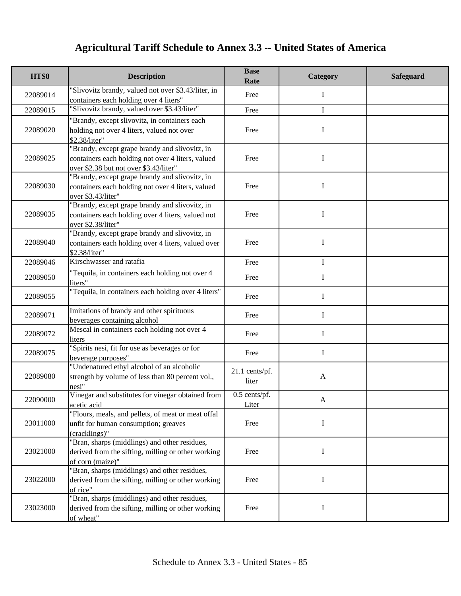| HTS8     | <b>Description</b>                                                                                                                            | <b>Base</b><br>Rate     | Category     | <b>Safeguard</b> |
|----------|-----------------------------------------------------------------------------------------------------------------------------------------------|-------------------------|--------------|------------------|
| 22089014 | "Slivovitz brandy, valued not over \$3.43/liter, in<br>containers each holding over 4 liters"                                                 | Free                    | Ι            |                  |
| 22089015 | "Slivovitz brandy, valued over \$3.43/liter"                                                                                                  | Free                    | $\mathbf I$  |                  |
| 22089020 | "Brandy, except slivovitz, in containers each<br>holding not over 4 liters, valued not over<br>\$2.38/liter"                                  | Free                    | I            |                  |
| 22089025 | "Brandy, except grape brandy and slivovitz, in<br>containers each holding not over 4 liters, valued<br>over \$2.38 but not over \$3.43/liter" | Free                    | I            |                  |
| 22089030 | "Brandy, except grape brandy and slivovitz, in<br>containers each holding not over 4 liters, valued<br>over \$3.43/liter"                     | Free                    | I            |                  |
| 22089035 | "Brandy, except grape brandy and slivovitz, in<br>containers each holding over 4 liters, valued not<br>over \$2.38/liter"                     | Free                    | I            |                  |
| 22089040 | "Brandy, except grape brandy and slivovitz, in<br>containers each holding over 4 liters, valued over<br>\$2.38/liter"                         | Free                    | I            |                  |
| 22089046 | Kirschwasser and ratafia                                                                                                                      | Free                    | $\mathbf I$  |                  |
| 22089050 | "Tequila, in containers each holding not over 4<br>liters"                                                                                    | Free                    | $\bf{I}$     |                  |
| 22089055 | "Tequila, in containers each holding over 4 liters"                                                                                           | Free                    | $\mathbf I$  |                  |
| 22089071 | Imitations of brandy and other spirituous<br>beverages containing alcohol                                                                     | Free                    | $\mathbf I$  |                  |
| 22089072 | Mescal in containers each holding not over 4<br>liters                                                                                        | Free                    | $\mathbf I$  |                  |
| 22089075 | "Spirits nesi, fit for use as beverages or for<br>beverage purposes"                                                                          | Free                    | I            |                  |
| 22089080 | "Undenatured ethyl alcohol of an alcoholic<br>strength by volume of less than 80 percent vol.,<br>nesi"                                       | 21.1 cents/pf.<br>liter | $\mathbf{A}$ |                  |
| 22090000 | Vinegar and substitutes for vinegar obtained from<br>acetic acid                                                                              | 0.5 cents/pf.<br>Liter  | A            |                  |
| 23011000 | "Flours, meals, and pellets, of meat or meat offal<br>unfit for human consumption; greaves<br>(cracklings)"                                   | Free                    | I            |                  |
| 23021000 | "Bran, sharps (middlings) and other residues,<br>derived from the sifting, milling or other working<br>of corn (maize)"                       | Free                    | Ι            |                  |
| 23022000 | "Bran, sharps (middlings) and other residues,<br>derived from the sifting, milling or other working<br>of rice"                               | Free                    | I            |                  |
| 23023000 | "Bran, sharps (middlings) and other residues,<br>derived from the sifting, milling or other working<br>of wheat"                              | Free                    | I            |                  |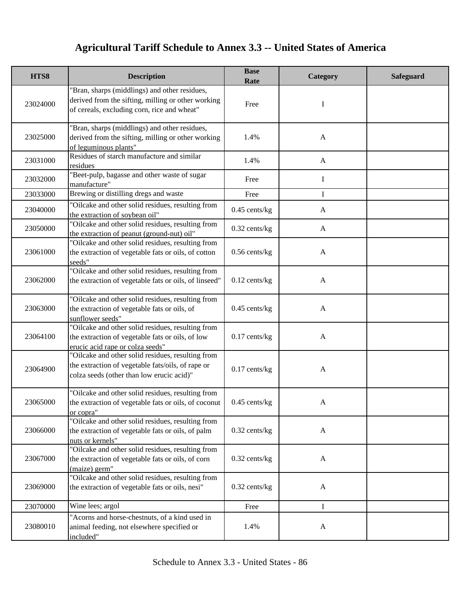| HTS8     | <b>Description</b>                                                                                                                                  | <b>Base</b><br>Rate | Category     | Safeguard |
|----------|-----------------------------------------------------------------------------------------------------------------------------------------------------|---------------------|--------------|-----------|
| 23024000 | "Bran, sharps (middlings) and other residues,<br>derived from the sifting, milling or other working<br>of cereals, excluding corn, rice and wheat"  | Free                | I            |           |
| 23025000 | "Bran, sharps (middlings) and other residues,<br>derived from the sifting, milling or other working<br>of leguminous plants"                        | 1.4%                | $\mathbf{A}$ |           |
| 23031000 | Residues of starch manufacture and similar<br>residues                                                                                              | 1.4%                | $\mathbf{A}$ |           |
| 23032000 | "Beet-pulp, bagasse and other waste of sugar<br>manufacture"                                                                                        | Free                | I            |           |
| 23033000 | Brewing or distilling dregs and waste                                                                                                               | Free                | I            |           |
| 23040000 | "Oilcake and other solid residues, resulting from<br>the extraction of soybean oil"                                                                 | $0.45$ cents/kg     | $\mathbf{A}$ |           |
| 23050000 | "Oilcake and other solid residues, resulting from<br>the extraction of peanut (ground-nut) oil"                                                     | $0.32$ cents/kg     | $\mathbf{A}$ |           |
| 23061000 | "Oilcake and other solid residues, resulting from<br>the extraction of vegetable fats or oils, of cotton<br>seeds"                                  | $0.56$ cents/kg     | $\mathbf{A}$ |           |
| 23062000 | "Oilcake and other solid residues, resulting from<br>the extraction of vegetable fats or oils, of linseed"                                          | $0.12$ cents/kg     | $\mathbf{A}$ |           |
| 23063000 | "Oilcake and other solid residues, resulting from<br>the extraction of vegetable fats or oils, of<br>sunflower seeds"                               | $0.45$ cents/kg     | $\mathbf{A}$ |           |
| 23064100 | "Oilcake and other solid residues, resulting from<br>the extraction of vegetable fats or oils, of low<br>erucic acid rape or colza seeds"           | $0.17$ cents/kg     | $\mathbf{A}$ |           |
| 23064900 | "Oilcake and other solid residues, resulting from<br>the extraction of vegetable fats/oils, of rape or<br>colza seeds (other than low erucic acid)" | $0.17$ cents/kg     | $\mathbf{A}$ |           |
| 23065000 | "Oilcake and other solid residues, resulting from<br>the extraction of vegetable fats or oils, of coconut<br>or copra"                              | $0.45$ cents/kg     |              |           |
| 23066000 | "Oilcake and other solid residues, resulting from<br>the extraction of vegetable fats or oils, of palm<br>nuts or kernels"                          | $0.32$ cents/kg     | $\mathbf{A}$ |           |
| 23067000 | "Oilcake and other solid residues, resulting from<br>the extraction of vegetable fats or oils, of corn<br>(maize) germ"                             | $0.32$ cents/kg     | $\mathbf{A}$ |           |
| 23069000 | "Oilcake and other solid residues, resulting from<br>the extraction of vegetable fats or oils, nesi"                                                | $0.32$ cents/kg     | $\mathbf{A}$ |           |
| 23070000 | Wine lees; argol                                                                                                                                    | Free                | I            |           |
| 23080010 | "Acorns and horse-chestnuts, of a kind used in<br>animal feeding, not elsewhere specified or<br>included"                                           | 1.4%                | A            |           |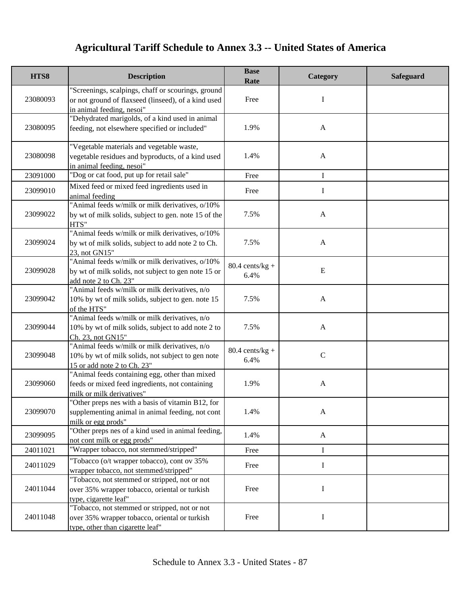| HTS8     | <b>Description</b>                                                                                                                     | <b>Base</b><br>Rate               | Category     | <b>Safeguard</b> |
|----------|----------------------------------------------------------------------------------------------------------------------------------------|-----------------------------------|--------------|------------------|
| 23080093 | "Screenings, scalpings, chaff or scourings, ground<br>or not ground of flaxseed (linseed), of a kind used<br>in animal feeding, nesoi" | Free                              | I            |                  |
| 23080095 | "Dehydrated marigolds, of a kind used in animal<br>feeding, not elsewhere specified or included"                                       | 1.9%                              | $\mathbf{A}$ |                  |
| 23080098 | "Vegetable materials and vegetable waste,<br>vegetable residues and byproducts, of a kind used<br>in animal feeding, nesoi"            | 1.4%                              | $\mathbf{A}$ |                  |
| 23091000 | "Dog or cat food, put up for retail sale"                                                                                              | Free                              | I            |                  |
| 23099010 | Mixed feed or mixed feed ingredients used in<br>animal feeding                                                                         | Free                              | I            |                  |
| 23099022 | "Animal feeds w/milk or milk derivatives, o/10%<br>by wt of milk solids, subject to gen. note 15 of the<br>HTS"                        | 7.5%                              | $\mathbf{A}$ |                  |
| 23099024 | "Animal feeds w/milk or milk derivatives, o/10%<br>by wt of milk solids, subject to add note 2 to Ch.<br>23, not GN15"                 | 7.5%                              | $\mathbf{A}$ |                  |
| 23099028 | "Animal feeds w/milk or milk derivatives, o/10%<br>by wt of milk solids, not subject to gen note 15 or<br>add note 2 to Ch. 23"        | $80.4 \text{ cents/kg} +$<br>6.4% | Ε            |                  |
| 23099042 | "Animal feeds w/milk or milk derivatives, n/o<br>10% by wt of milk solids, subject to gen. note 15<br>of the HTS"                      | 7.5%                              | $\mathbf{A}$ |                  |
| 23099044 | "Animal feeds w/milk or milk derivatives, n/o<br>10% by wt of milk solids, subject to add note 2 to<br>Ch. 23, not GN15"               | 7.5%                              | $\mathbf{A}$ |                  |
| 23099048 | "Animal feeds w/milk or milk derivatives, n/o<br>10% by wt of milk solids, not subject to gen note<br>15 or add note 2 to Ch. 23"      | $80.4$ cents/kg +<br>6.4%         | $\mathbf C$  |                  |
| 23099060 | "Animal feeds containing egg, other than mixed<br>feeds or mixed feed ingredients, not containing<br>milk or milk derivatives"         | 1.9%                              | $\mathbf{A}$ |                  |
| 23099070 | "Other preps nes with a basis of vitamin B12, for<br>supplementing animal in animal feeding, not cont<br>milk or egg prods"            | 1.4%                              | $\mathbf{A}$ |                  |
| 23099095 | "Other preps nes of a kind used in animal feeding,<br>not cont milk or egg prods"                                                      | 1.4%                              | $\mathbf{A}$ |                  |
| 24011021 | "Wrapper tobacco, not stemmed/stripped"                                                                                                | Free                              | I            |                  |
| 24011029 | "Tobacco (o/t wrapper tobacco), cont ov 35%<br>wrapper tobacco, not stemmed/stripped"                                                  | Free                              | Ι            |                  |
| 24011044 | "Tobacco, not stemmed or stripped, not or not<br>over 35% wrapper tobacco, oriental or turkish<br>type, cigarette leaf"                | Free                              | I            |                  |
| 24011048 | "Tobacco, not stemmed or stripped, not or not<br>over 35% wrapper tobacco, oriental or turkish<br>type, other than cigarette leaf"     | Free                              | I            |                  |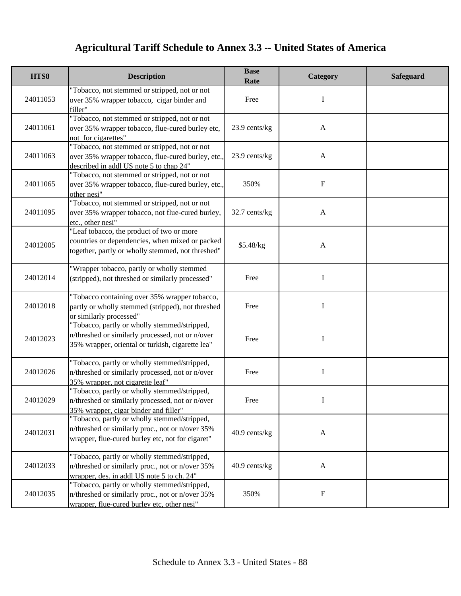| HTS8     | <b>Description</b>                                                                                                                                   | <b>Base</b><br>Rate | Category     | <b>Safeguard</b> |
|----------|------------------------------------------------------------------------------------------------------------------------------------------------------|---------------------|--------------|------------------|
| 24011053 | "Tobacco, not stemmed or stripped, not or not<br>over 35% wrapper tobacco, cigar binder and<br>filler"                                               | Free                | I            |                  |
| 24011061 | "Tobacco, not stemmed or stripped, not or not<br>over 35% wrapper tobacco, flue-cured burley etc,<br>not for cigarettes"                             | 23.9 cents/kg       | $\mathbf{A}$ |                  |
| 24011063 | "Tobacco, not stemmed or stripped, not or not<br>over 35% wrapper tobacco, flue-cured burley, etc.,<br>described in addl US note 5 to chap 24"       | 23.9 cents/kg       | $\mathbf{A}$ |                  |
| 24011065 | "Tobacco, not stemmed or stripped, not or not<br>over 35% wrapper tobacco, flue-cured burley, etc.,<br>other nesi"                                   | 350%                | F            |                  |
| 24011095 | "Tobacco, not stemmed or stripped, not or not<br>over 35% wrapper tobacco, not flue-cured burley,<br>etc., other nesi"                               | 32.7 cents/kg       | $\mathbf{A}$ |                  |
| 24012005 | "Leaf tobacco, the product of two or more<br>countries or dependencies, when mixed or packed<br>together, partly or wholly stemmed, not threshed"    | \$5.48/kg           | $\mathbf{A}$ |                  |
| 24012014 | "Wrapper tobacco, partly or wholly stemmed<br>(stripped), not threshed or similarly processed"                                                       | Free                | I            |                  |
| 24012018 | "Tobacco containing over 35% wrapper tobacco,<br>partly or wholly stemmed (stripped), not threshed<br>or similarly processed"                        | Free                | I            |                  |
| 24012023 | "Tobacco, partly or wholly stemmed/stripped,<br>n/threshed or similarly processed, not or n/over<br>35% wrapper, oriental or turkish, cigarette lea" | Free                | I            |                  |
| 24012026 | "Tobacco, partly or wholly stemmed/stripped,<br>n/threshed or similarly processed, not or n/over<br>35% wrapper, not cigarette leaf"                 | Free                | I            |                  |
| 24012029 | "Tobacco, partly or wholly stemmed/stripped,<br>n/threshed or similarly processed, not or n/over<br>35% wrapper, cigar binder and filler"            | Free                |              |                  |
| 24012031 | "Tobacco, partly or wholly stemmed/stripped,<br>n/threshed or similarly proc., not or n/over 35%<br>wrapper, flue-cured burley etc, not for cigaret" | 40.9 cents/kg       | $\mathbf{A}$ |                  |
| 24012033 | "Tobacco, partly or wholly stemmed/stripped,<br>n/threshed or similarly proc., not or n/over 35%<br>wrapper, des. in addl US note 5 to ch. 24"       | 40.9 cents/kg       | $\mathbf{A}$ |                  |
| 24012035 | "Tobacco, partly or wholly stemmed/stripped,<br>n/threshed or similarly proc., not or n/over 35%<br>wrapper, flue-cured burley etc, other nesi"      | 350%                | F            |                  |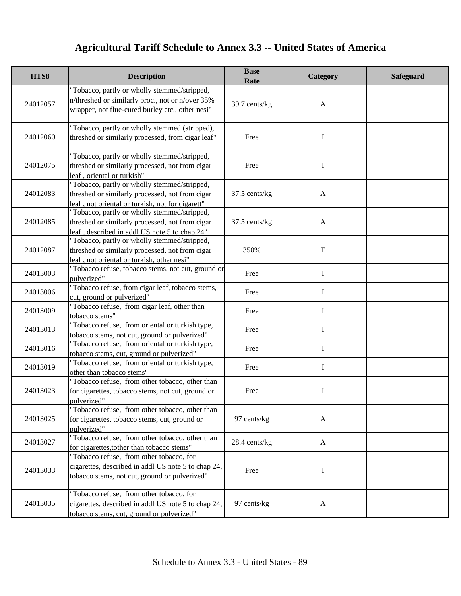| HTS8     | <b>Description</b>                                                                                                                                   | <b>Base</b><br>Rate | Category                  | <b>Safeguard</b> |
|----------|------------------------------------------------------------------------------------------------------------------------------------------------------|---------------------|---------------------------|------------------|
| 24012057 | "Tobacco, partly or wholly stemmed/stripped,<br>n/threshed or similarly proc., not or n/over 35%<br>wrapper, not flue-cured burley etc., other nesi" | 39.7 cents/kg       | $\mathbf{A}$              |                  |
| 24012060 | "Tobacco, partly or wholly stemmed (stripped),<br>threshed or similarly processed, from cigar leaf"                                                  | Free                | $\mathbf I$               |                  |
| 24012075 | "Tobacco, partly or wholly stemmed/stripped,<br>threshed or similarly processed, not from cigar<br>leaf, oriental or turkish"                        | Free                | I                         |                  |
| 24012083 | "Tobacco, partly or wholly stemmed/stripped,<br>threshed or similarly processed, not from cigar<br>leaf, not oriental or turkish, not for cigarett"  | 37.5 cents/kg       | $\mathbf{A}$              |                  |
| 24012085 | "Tobacco, partly or wholly stemmed/stripped,<br>threshed or similarly processed, not from cigar<br>leaf, described in addl US note 5 to chap 24"     | 37.5 cents/kg       | $\mathbf{A}$              |                  |
| 24012087 | "Tobacco, partly or wholly stemmed/stripped,<br>threshed or similarly processed, not from cigar<br>leaf, not oriental or turkish, other nesi"        | 350%                | $\boldsymbol{\mathrm{F}}$ |                  |
| 24013003 | "Tobacco refuse, tobacco stems, not cut, ground or<br>pulverized"                                                                                    | Free                | $\mathbf I$               |                  |
| 24013006 | "Tobacco refuse, from cigar leaf, tobacco stems,<br>cut, ground or pulverized"                                                                       | Free                | $\mathbf I$               |                  |
| 24013009 | "Tobacco refuse, from cigar leaf, other than<br>tobacco stems"                                                                                       | Free                | $\mathbf I$               |                  |
| 24013013 | "Tobacco refuse, from oriental or turkish type,<br>tobacco stems, not cut, ground or pulverized"                                                     | Free                | I                         |                  |
| 24013016 | "Tobacco refuse, from oriental or turkish type,<br>tobacco stems, cut, ground or pulverized"                                                         | Free                | I                         |                  |
| 24013019 | "Tobacco refuse, from oriental or turkish type,<br>other than tobacco stems"                                                                         | Free                | I                         |                  |
| 24013023 | "Tobacco refuse, from other tobacco, other than<br>for cigarettes, tobacco stems, not cut, ground or<br>pulverized"                                  | Free                | I                         |                  |
| 24013025 | "Tobacco refuse, from other tobacco, other than<br>for cigarettes, tobacco stems, cut, ground or<br>pulverized"                                      | 97 cents/kg         | $\mathbf{A}$              |                  |
| 24013027 | "Tobacco refuse, from other tobacco, other than<br>for cigarettes, to ther than to bacco stems"                                                      | 28.4 cents/kg       | $\mathbf{A}$              |                  |
| 24013033 | "Tobacco refuse, from other tobacco, for<br>cigarettes, described in addl US note 5 to chap 24,<br>tobacco stems, not cut, ground or pulverized"     | Free                | I                         |                  |
| 24013035 | "Tobacco refuse, from other tobacco, for<br>cigarettes, described in addl US note 5 to chap 24,<br>tobacco stems, cut, ground or pulverized"         | 97 cents/kg         | $\mathbf{A}$              |                  |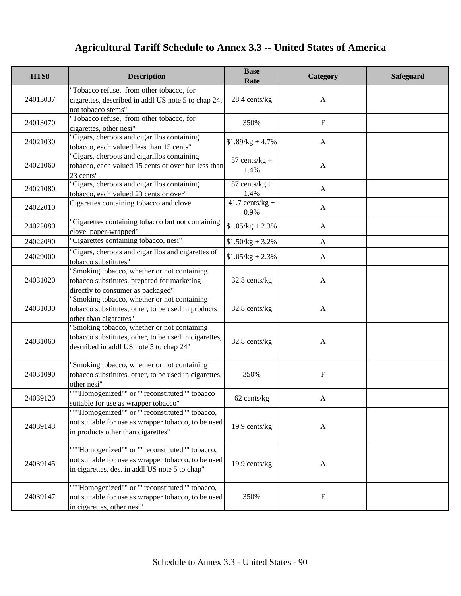| HTS8     | <b>Description</b>                                                                                                                                     | <b>Base</b><br>Rate                  | Category                  | <b>Safeguard</b> |
|----------|--------------------------------------------------------------------------------------------------------------------------------------------------------|--------------------------------------|---------------------------|------------------|
| 24013037 | "Tobacco refuse, from other tobacco, for<br>cigarettes, described in addl US note 5 to chap 24,<br>not tobacco stems"                                  | 28.4 cents/kg                        | $\mathbf{A}$              |                  |
| 24013070 | "Tobacco refuse, from other tobacco, for<br>cigarettes, other nesi"                                                                                    | 350%                                 | $\mathbf F$               |                  |
| 24021030 | "Cigars, cheroots and cigarillos containing<br>tobacco, each valued less than 15 cents"                                                                | $$1.89/kg + 4.7\%$                   | $\mathbf{A}$              |                  |
| 24021060 | "Cigars, cheroots and cigarillos containing<br>tobacco, each valued 15 cents or over but less than<br>23 cents"                                        | $57$ cents/kg +<br>1.4%              | $\mathbf{A}$              |                  |
| 24021080 | "Cigars, cheroots and cigarillos containing<br>tobacco, each valued 23 cents or over"                                                                  | $57$ cents/kg +<br>1.4%              | A                         |                  |
| 24022010 | Cigarettes containing tobacco and clove                                                                                                                | $\overline{41.7}$ cents/kg +<br>0.9% | $\mathbf{A}$              |                  |
| 24022080 | "Cigarettes containing tobacco but not containing<br>clove, paper-wrapped"                                                                             | $$1.05/kg + 2.3\%$                   | $\mathbf{A}$              |                  |
| 24022090 | "Cigarettes containing tobacco, nesi"                                                                                                                  | $$1.50/kg + 3.2\%$                   | $\mathbf{A}$              |                  |
| 24029000 | "Cigars, cheroots and cigarillos and cigarettes of<br>tobacco substitutes"                                                                             | $$1.05/kg + 2.3\%$                   | $\mathbf{A}$              |                  |
| 24031020 | 'Smoking tobacco, whether or not containing<br>tobacco substitutes, prepared for marketing<br>directly to consumer as packaged"                        | 32.8 cents/kg                        | $\mathbf{A}$              |                  |
| 24031030 | 'Smoking tobacco, whether or not containing<br>tobacco substitutes, other, to be used in products<br>other than cigarettes"                            | 32.8 cents/kg                        | $\mathbf{A}$              |                  |
| 24031060 | "Smoking tobacco, whether or not containing<br>tobacco substitutes, other, to be used in cigarettes,<br>described in addl US note 5 to chap 24"        | 32.8 cents/kg                        | $\mathbf{A}$              |                  |
| 24031090 | "Smoking tobacco, whether or not containing<br>tobacco substitutes, other, to be used in cigarettes,<br>other nesi"                                    | 350%                                 | $\boldsymbol{\mathrm{F}}$ |                  |
| 24039120 | ""Homogenized"" or ""reconstituted"" tobacco<br>suitable for use as wrapper tobacco"                                                                   | 62 cents/kg                          | A                         |                  |
| 24039143 | ""Homogenized"" or ""reconstituted"" tobacco,<br>not suitable for use as wrapper tobacco, to be used<br>in products other than cigarettes"             | 19.9 cents/kg                        | $\mathbf{A}$              |                  |
| 24039145 | ""Homogenized"" or ""reconstituted"" tobacco,<br>not suitable for use as wrapper tobacco, to be used<br>in cigarettes, des. in addl US note 5 to chap" | 19.9 cents/kg                        | A                         |                  |
| 24039147 | ""Homogenized"" or ""reconstituted"" tobacco,<br>not suitable for use as wrapper tobacco, to be used<br>in cigarettes, other nesi"                     | 350%                                 | $\mathbf F$               |                  |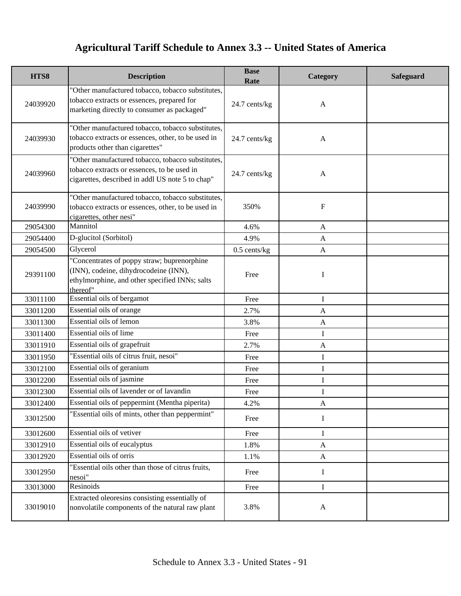| HTS8     | <b>Description</b>                                                                                                                                   | <b>Base</b><br>Rate | Category     | <b>Safeguard</b> |
|----------|------------------------------------------------------------------------------------------------------------------------------------------------------|---------------------|--------------|------------------|
| 24039920 | "Other manufactured tobacco, tobacco substitutes,<br>tobacco extracts or essences, prepared for<br>marketing directly to consumer as packaged"       | 24.7 cents/kg       | $\mathbf{A}$ |                  |
| 24039930 | "Other manufactured tobacco, tobacco substitutes,<br>tobacco extracts or essences, other, to be used in<br>products other than cigarettes"           | 24.7 cents/kg       | $\mathbf{A}$ |                  |
| 24039960 | "Other manufactured tobacco, tobacco substitutes,<br>tobacco extracts or essences, to be used in<br>cigarettes, described in addl US note 5 to chap" | 24.7 cents/kg       | $\mathbf{A}$ |                  |
| 24039990 | "Other manufactured tobacco, tobacco substitutes,<br>tobacco extracts or essences, other, to be used in<br>cigarettes, other nesi"                   | 350%                | $\mathbf F$  |                  |
| 29054300 | Mannitol                                                                                                                                             | 4.6%                | $\mathbf{A}$ |                  |
| 29054400 | D-glucitol (Sorbitol)                                                                                                                                | 4.9%                | $\mathbf{A}$ |                  |
| 29054500 | Glycerol                                                                                                                                             | $0.5$ cents/kg      | $\mathbf{A}$ |                  |
| 29391100 | "Concentrates of poppy straw; buprenorphine<br>(INN), codeine, dihydrocodeine (INN),<br>ethylmorphine, and other specified INNs; salts<br>thereof"   | Free                | I            |                  |
| 33011100 | Essential oils of bergamot                                                                                                                           | Free                | I            |                  |
| 33011200 | Essential oils of orange                                                                                                                             | 2.7%                | $\mathbf{A}$ |                  |
| 33011300 | Essential oils of lemon                                                                                                                              | 3.8%                | $\mathbf{A}$ |                  |
| 33011400 | Essential oils of lime                                                                                                                               | Free                | I            |                  |
| 33011910 | Essential oils of grapefruit                                                                                                                         | 2.7%                | $\mathbf{A}$ |                  |
| 33011950 | "Essential oils of citrus fruit, nesoi"                                                                                                              | Free                | I            |                  |
| 33012100 | Essential oils of geranium                                                                                                                           | Free                | I            |                  |
| 33012200 | Essential oils of jasmine                                                                                                                            | Free                | I            |                  |
| 33012300 | Essential oils of lavender or of lavandin                                                                                                            | Free                | I            |                  |
| 33012400 | Essential oils of peppermint (Mentha piperita)                                                                                                       | 4.2%                | $\mathbf{A}$ |                  |
| 33012500 | "Essential oils of mints, other than peppermint"                                                                                                     | Free                | Ι            |                  |
| 33012600 | Essential oils of vetiver                                                                                                                            | Free                | $\mathbf I$  |                  |
| 33012910 | Essential oils of eucalyptus                                                                                                                         | 1.8%                | $\mathbf{A}$ |                  |
| 33012920 | Essential oils of orris                                                                                                                              | 1.1%                | $\mathbf{A}$ |                  |
| 33012950 | "Essential oils other than those of citrus fruits,<br>nesoi"                                                                                         | Free                | I            |                  |
| 33013000 | Resinoids                                                                                                                                            | Free                | I            |                  |
| 33019010 | Extracted oleoresins consisting essentially of<br>nonvolatile components of the natural raw plant                                                    | 3.8%                | $\mathbf{A}$ |                  |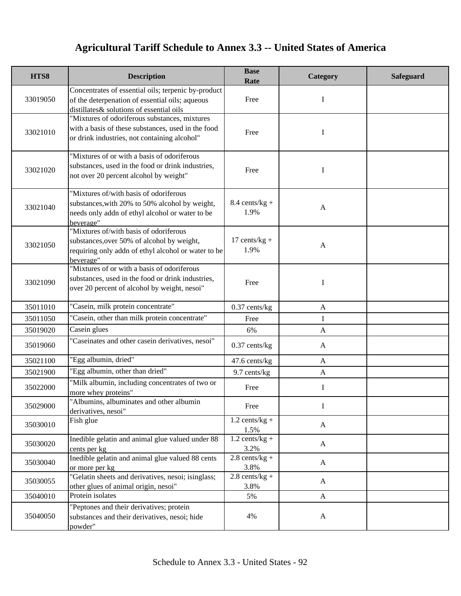| HTS8     | <b>Description</b>                                                                                                                                       | <b>Base</b><br>Rate      | Category     | <b>Safeguard</b> |
|----------|----------------------------------------------------------------------------------------------------------------------------------------------------------|--------------------------|--------------|------------------|
| 33019050 | Concentrates of essential oils; terpenic by-product<br>of the deterpenation of essential oils; aqueous<br>distillates & solutions of essential oils      | Free                     | I            |                  |
| 33021010 | "Mixtures of odoriferous substances, mixtures<br>with a basis of these substances, used in the food<br>or drink industries, not containing alcohol"      | Free                     | I            |                  |
| 33021020 | "Mixtures of or with a basis of odoriferous<br>substances, used in the food or drink industries,<br>not over 20 percent alcohol by weight"               | Free                     | I            |                  |
| 33021040 | "Mixtures of/with basis of odoriferous<br>substances, with 20% to 50% alcohol by weight,<br>needs only addn of ethyl alcohol or water to be<br>beverage" | $8.4$ cents/kg +<br>1.9% | $\mathbf{A}$ |                  |
| 33021050 | "Mixtures of/with basis of odoriferous<br>substances, over 50% of alcohol by weight,<br>requiring only addn of ethyl alcohol or water to be<br>beverage" | $17$ cents/kg +<br>1.9%  | $\mathbf{A}$ |                  |
| 33021090 | "Mixtures of or with a basis of odoriferous<br>substances, used in the food or drink industries,<br>over 20 percent of alcohol by weight, nesoi"         | Free                     | I            |                  |
| 35011010 | "Casein, milk protein concentrate"                                                                                                                       | $0.37$ cents/kg          | $\mathbf{A}$ |                  |
| 35011050 | "Casein, other than milk protein concentrate"                                                                                                            | Free                     | I            |                  |
| 35019020 | Casein glues                                                                                                                                             | 6%                       | $\mathbf{A}$ |                  |
| 35019060 | "Caseinates and other casein derivatives, nesoi"                                                                                                         | $0.37$ cents/kg          | $\mathbf{A}$ |                  |
| 35021100 | "Egg albumin, dried"                                                                                                                                     | 47.6 cents/kg            | A            |                  |
| 35021900 | "Egg albumin, other than dried"                                                                                                                          | 9.7 cents/kg             | $\mathbf{A}$ |                  |
| 35022000 | "Milk albumin, including concentrates of two or<br>more whey proteins"                                                                                   | Free                     | I            |                  |
| 35029000 | "Albumins, albuminates and other albumin<br>derivatives, nesoi"                                                                                          | Free                     | $\bf{l}$     |                  |
| 35030010 | Fish glue                                                                                                                                                | $1.2$ cents/kg +<br>1.5% | $\mathbf{A}$ |                  |
| 35030020 | Inedible gelatin and animal glue valued under 88<br>cents per kg                                                                                         | $1.2$ cents/kg +<br>3.2% | $\mathbf{A}$ |                  |
| 35030040 | Inedible gelatin and animal glue valued 88 cents<br>or more per kg                                                                                       | $2.8$ cents/kg +<br>3.8% | $\mathbf{A}$ |                  |
| 35030055 | "Gelatin sheets and derivatives, nesoi; isinglass;<br>other glues of animal origin, nesoi"                                                               | $2.8$ cents/kg +<br>3.8% | $\mathbf{A}$ |                  |
| 35040010 | Protein isolates                                                                                                                                         | 5%                       | $\mathbf{A}$ |                  |
| 35040050 | "Peptones and their derivatives; protein<br>substances and their derivatives, nesoi; hide<br>powder"                                                     | 4%                       | $\mathbf{A}$ |                  |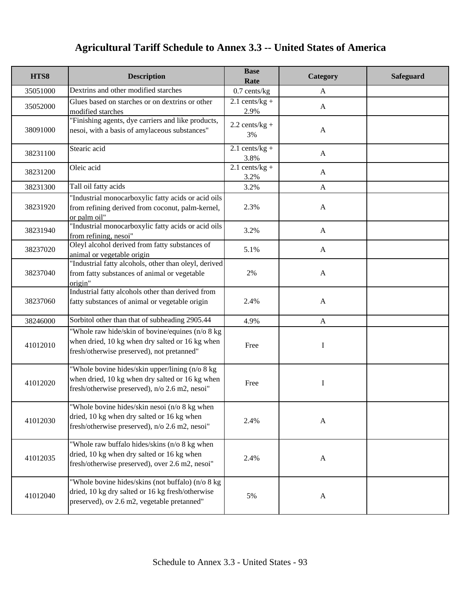| HTS8     | <b>Description</b>                                                                                                                                    | <b>Base</b><br>Rate      | Category     | <b>Safeguard</b> |
|----------|-------------------------------------------------------------------------------------------------------------------------------------------------------|--------------------------|--------------|------------------|
| 35051000 | Dextrins and other modified starches                                                                                                                  | $0.7$ cents/kg           | $\mathbf{A}$ |                  |
| 35052000 | Glues based on starches or on dextrins or other<br>modified starches                                                                                  | $2.1$ cents/kg +<br>2.9% | $\mathbf{A}$ |                  |
| 38091000 | "Finishing agents, dye carriers and like products,<br>nesoi, with a basis of amylaceous substances"                                                   | $2.2$ cents/kg +<br>3%   | $\mathbf{A}$ |                  |
| 38231100 | Stearic acid                                                                                                                                          | $2.1$ cents/kg +<br>3.8% | A            |                  |
| 38231200 | Oleic acid                                                                                                                                            | $2.1$ cents/kg +<br>3.2% | $\mathbf{A}$ |                  |
| 38231300 | Tall oil fatty acids                                                                                                                                  | 3.2%                     | $\mathbf{A}$ |                  |
| 38231920 | "Industrial monocarboxylic fatty acids or acid oils<br>from refining derived from coconut, palm-kernel,<br>or palm oil"                               | 2.3%                     | $\mathbf{A}$ |                  |
| 38231940 | "Industrial monocarboxylic fatty acids or acid oils<br>from refining, nesoi"                                                                          | 3.2%                     | $\mathbf{A}$ |                  |
| 38237020 | Oleyl alcohol derived from fatty substances of<br>animal or vegetable origin                                                                          | 5.1%                     | $\mathbf{A}$ |                  |
| 38237040 | "Industrial fatty alcohols, other than oleyl, derived<br>from fatty substances of animal or vegetable<br>origin"                                      | 2%                       | $\mathbf{A}$ |                  |
| 38237060 | Industrial fatty alcohols other than derived from<br>fatty substances of animal or vegetable origin                                                   | 2.4%                     | $\mathbf{A}$ |                  |
| 38246000 | Sorbitol other than that of subheading 2905.44                                                                                                        | 4.9%                     | $\mathbf{A}$ |                  |
| 41012010 | "Whole raw hide/skin of bovine/equines (n/o 8 kg)<br>when dried, 10 kg when dry salted or 16 kg when<br>fresh/otherwise preserved), not pretanned"    | Free                     | I            |                  |
| 41012020 | "Whole bovine hides/skin upper/lining (n/o 8 kg)<br>when dried, 10 kg when dry salted or 16 kg when<br>fresh/otherwise preserved), n/o 2.6 m2, nesoi" | Free                     | I            |                  |
| 41012030 | "Whole bovine hides/skin nesoi (n/o 8 kg when<br>dried, 10 kg when dry salted or 16 kg when<br>fresh/otherwise preserved), n/o 2.6 m2, nesoi"         | 2.4%                     | $\mathbf{A}$ |                  |
| 41012035 | "Whole raw buffalo hides/skins (n/o 8 kg when<br>dried, 10 kg when dry salted or 16 kg when<br>fresh/otherwise preserved), over 2.6 m2, nesoi"        | 2.4%                     | $\mathbf{A}$ |                  |
| 41012040 | "Whole bovine hides/skins (not buffalo) (n/o 8 kg<br>dried, 10 kg dry salted or 16 kg fresh/otherwise<br>preserved), ov 2.6 m2, vegetable pretanned"  | 5%                       | $\mathbf{A}$ |                  |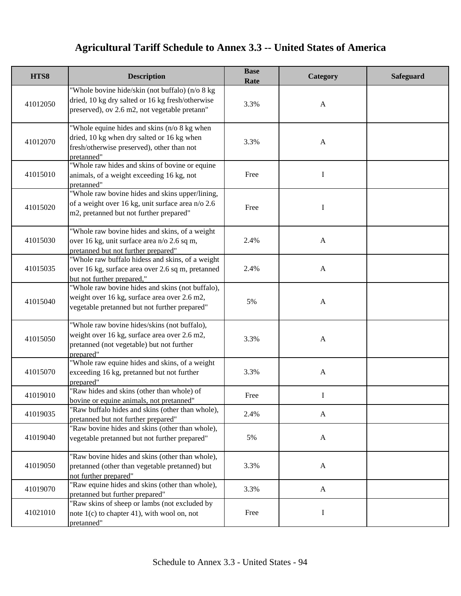| HTS8     | <b>Description</b>                                                                                                                                     | <b>Base</b><br>Rate | Category     | <b>Safeguard</b> |
|----------|--------------------------------------------------------------------------------------------------------------------------------------------------------|---------------------|--------------|------------------|
| 41012050 | "Whole bovine hide/skin (not buffalo) (n/o 8 kg<br>dried, 10 kg dry salted or 16 kg fresh/otherwise<br>preserved), ov 2.6 m2, not vegetable pretann"   | 3.3%                | $\mathbf{A}$ |                  |
| 41012070 | "Whole equine hides and skins (n/o 8 kg when<br>dried, 10 kg when dry salted or 16 kg when<br>fresh/otherwise preserved), other than not<br>pretanned" | 3.3%                | $\mathbf{A}$ |                  |
| 41015010 | "Whole raw hides and skins of bovine or equine<br>animals, of a weight exceeding 16 kg, not<br>pretanned"                                              | Free                | I            |                  |
| 41015020 | "Whole raw bovine hides and skins upper/lining,<br>of a weight over 16 kg, unit surface area n/o 2.6<br>m2, pretanned but not further prepared"        | Free                | I            |                  |
| 41015030 | "Whole raw bovine hides and skins, of a weight<br>over 16 kg, unit surface area n/o 2.6 sq m,<br>pretanned but not further prepared"                   | 2.4%                | $\mathbf{A}$ |                  |
| 41015035 | "Whole raw buffalo hidess and skins, of a weight<br>over 16 kg, surface area over 2.6 sq m, pretanned<br>but not further prepared,"                    | 2.4%                | $\mathbf{A}$ |                  |
| 41015040 | "Whole raw bovine hides and skins (not buffalo),<br>weight over 16 kg, surface area over 2.6 m2,<br>vegetable pretanned but not further prepared"      | 5%                  | $\mathbf{A}$ |                  |
| 41015050 | "Whole raw bovine hides/skins (not buffalo),<br>weight over 16 kg, surface area over 2.6 m2,<br>pretanned (not vegetable) but not further<br>prepared" | 3.3%                | $\mathbf{A}$ |                  |
| 41015070 | "Whole raw equine hides and skins, of a weight<br>exceeding 16 kg, pretanned but not further<br>prepared"                                              | 3.3%                | $\mathbf{A}$ |                  |
| 41019010 | "Raw hides and skins (other than whole) of<br>bovine or equine animals, not pretanned"                                                                 | Free                | $\mathbf I$  |                  |
| 41019035 | "Raw buffalo hides and skins (other than whole),<br>pretanned but not further prepared"                                                                | 2.4%                | A            |                  |
| 41019040 | "Raw bovine hides and skins (other than whole),<br>vegetable pretanned but not further prepared"                                                       | 5%                  | $\mathbf{A}$ |                  |
| 41019050 | "Raw bovine hides and skins (other than whole),<br>pretanned (other than vegetable pretanned) but<br>not further prepared"                             | 3.3%                | $\mathbf{A}$ |                  |
| 41019070 | "Raw equine hides and skins (other than whole),<br>pretanned but further prepared"                                                                     | 3.3%                | $\mathbf{A}$ |                  |
| 41021010 | "Raw skins of sheep or lambs (not excluded by<br>note $1(c)$ to chapter 41), with wool on, not<br>pretanned"                                           | Free                | I            |                  |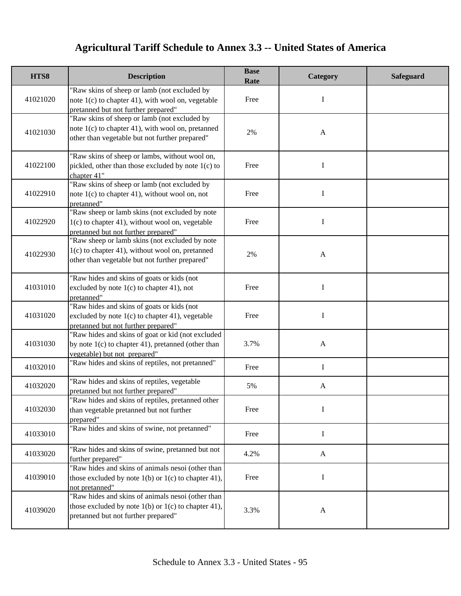| HTS8     | <b>Description</b>                                                                                                                                    | <b>Base</b><br>Rate | Category     | <b>Safeguard</b> |
|----------|-------------------------------------------------------------------------------------------------------------------------------------------------------|---------------------|--------------|------------------|
| 41021020 | "Raw skins of sheep or lamb (not excluded by<br>note $1(c)$ to chapter 41), with wool on, vegetable<br>pretanned but not further prepared"            | Free                | Ι            |                  |
| 41021030 | 'Raw skins of sheep or lamb (not excluded by<br>note $1(c)$ to chapter 41), with wool on, pretanned<br>other than vegetable but not further prepared" | 2%                  | $\mathbf{A}$ |                  |
| 41022100 | "Raw skins of sheep or lambs, without wool on,<br>pickled, other than those excluded by note 1(c) to<br>chapter 41"                                   | Free                | I            |                  |
| 41022910 | "Raw skins of sheep or lamb (not excluded by<br>note $1(c)$ to chapter 41), without wool on, not<br>pretanned"                                        | Free                | I            |                  |
| 41022920 | "Raw sheep or lamb skins (not excluded by note<br>$1(c)$ to chapter 41), without wool on, vegetable<br>pretanned but not further prepared"            | Free                | I            |                  |
| 41022930 | "Raw sheep or lamb skins (not excluded by note<br>1(c) to chapter 41), without wool on, pretanned<br>other than vegetable but not further prepared"   | 2%                  | $\mathbf{A}$ |                  |
| 41031010 | "Raw hides and skins of goats or kids (not<br>excluded by note $1(c)$ to chapter 41), not<br>pretanned"                                               | Free                | I            |                  |
| 41031020 | "Raw hides and skins of goats or kids (not<br>excluded by note $1(c)$ to chapter 41), vegetable<br>pretanned but not further prepared"                | Free                | I            |                  |
| 41031030 | "Raw hides and skins of goat or kid (not excluded<br>by note $1(c)$ to chapter 41), pretanned (other than<br>vegetable) but not prepared"             | 3.7%                | $\mathbf{A}$ |                  |
| 41032010 | "Raw hides and skins of reptiles, not pretanned"                                                                                                      | Free                | $\mathbf I$  |                  |
| 41032020 | "Raw hides and skins of reptiles, vegetable<br>pretanned but not further prepared"                                                                    | 5%                  | $\mathbf{A}$ |                  |
| 41032030 | "Raw hides and skins of reptiles, pretanned other<br>than vegetable pretanned but not further<br>prepared"                                            | Free                | I            |                  |
| 41033010 | "Raw hides and skins of swine, not pretanned"                                                                                                         | Free                | $\mathbf I$  |                  |
| 41033020 | "Raw hides and skins of swine, pretanned but not<br>further prepared"                                                                                 | 4.2%                | $\mathbf{A}$ |                  |
| 41039010 | "Raw hides and skins of animals nesoi (other than<br>those excluded by note $1(b)$ or $1(c)$ to chapter 41),<br>not pretanned"                        | Free                | I            |                  |
| 41039020 | "Raw hides and skins of animals nesoi (other than<br>those excluded by note $1(b)$ or $1(c)$ to chapter 41),<br>pretanned but not further prepared"   | 3.3%                | $\mathbf{A}$ |                  |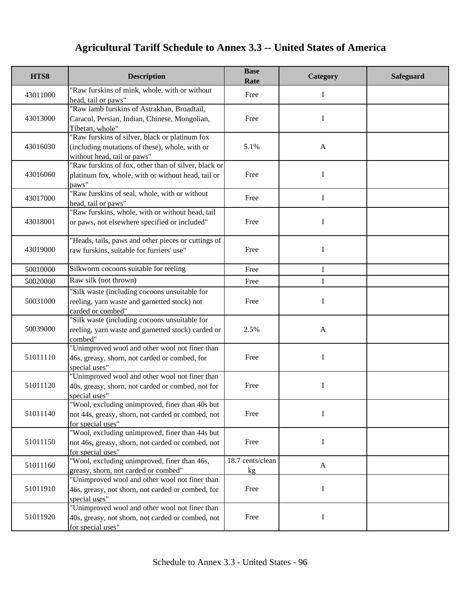| HTS8     | <b>Description</b>                                                                                                              | <b>Base</b><br>Rate    | Category     | Safeguard |
|----------|---------------------------------------------------------------------------------------------------------------------------------|------------------------|--------------|-----------|
| 43011000 | "Raw furskins of mink, whole, with or without<br>head, tail or paws"                                                            | Free                   | I            |           |
| 43013000 | "Raw lamb furskins of Astrakhan, Broadtail,<br>Caracul, Persian, Indian, Chinese, Mongolian,<br>Tibetan, whole"                 | Free                   | I            |           |
| 43016030 | "Raw furskins of silver, black or platinum fox<br>(including mutations of these), whole, with or<br>without head, tail or paws" | 5.1%                   | $\mathbf{A}$ |           |
| 43016060 | 'Raw furskins of fox, other than of silver, black or<br>platinum fox, whole, with or without head, tail or<br>paws"             | Free                   | I            |           |
| 43017000 | "Raw furskins of seal, whole, with or without<br>head, tail or paws"                                                            | Free                   | I            |           |
| 43018001 | "Raw furskins, whole, with or without head, tail<br>or paws, not elsewhere specified or included"                               | Free                   | I            |           |
| 43019000 | "Heads, tails, paws and other pieces or cuttings of<br>raw furskins, suitable for furriers' use"                                | Free                   | I            |           |
| 50010000 | Silkworm cocoons suitable for reeling                                                                                           | Free                   | Ι            |           |
| 50020000 | Raw silk (not thrown)                                                                                                           | Free                   | I            |           |
| 50031000 | "Silk waste (including cocoons unsuitable for<br>reeling, yarn waste and garnetted stock) not<br>carded or combed"              | Free                   | I            |           |
| 50039000 | "Silk waste (including cocoons unsuitable for<br>reeling, yarn waste and garnetted stock) carded or<br>combed"                  | 2.5%                   | $\mathbf{A}$ |           |
| 51011110 | "Unimproved wool and other wool not finer than<br>46s, greasy, shorn, not carded or combed, for<br>special uses"                | Free                   | I            |           |
| 51011120 | "Unimproved wool and other wool not finer than<br>40s, greasy, shorn, not carded or combed, not for<br>special uses"            | Free                   | $\mathbf I$  |           |
| 51011140 | Wool, excluding unimproved, finer than 40s but<br>not 44s, greasy, shorn, not carded or combed, not<br>for special uses"        | Free                   | I            |           |
| 51011150 | "Wool, excluding unimproved, finer than 44s but<br>not 46s, greasy, shorn, not carded or combed, not<br>for special uses"       | Free                   | I            |           |
| 51011160 | "Wool, excluding unimproved, finer than 46s,<br>greasy, shorn, not carded or combed"                                            | 18.7 cents/clean<br>kg | $\mathbf{A}$ |           |
| 51011910 | "Unimproved wool and other wool not finer than<br>46s, greasy, not shorn, not carded or combed, for<br>special uses"            | Free                   | $\mathbf I$  |           |
| 51011920 | "Unimproved wool and other wool not finer than<br>40s, greasy, not shorn, not carded or combed, not<br>for special uses"        | Free                   | $\mathbf I$  |           |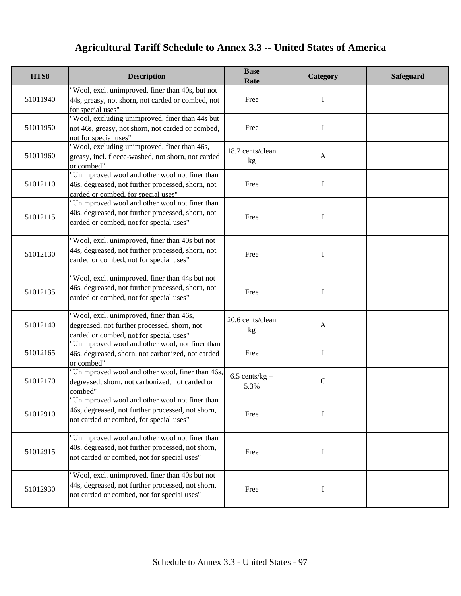| HTS8     | <b>Description</b>                                                                                                                                  | <b>Base</b><br>Rate      | Category      | <b>Safeguard</b> |
|----------|-----------------------------------------------------------------------------------------------------------------------------------------------------|--------------------------|---------------|------------------|
| 51011940 | "Wool, excl. unimproved, finer than 40s, but not<br>44s, greasy, not shorn, not carded or combed, not<br>for special uses"                          | Free                     | I             |                  |
| 51011950 | "Wool, excluding unimproved, finer than 44s but<br>not 46s, greasy, not shorn, not carded or combed,<br>not for special uses"                       | Free                     | $\bf{I}$      |                  |
| 51011960 | "Wool, excluding unimproved, finer than 46s,<br>greasy, incl. fleece-washed, not shorn, not carded<br>or combed"                                    | 18.7 cents/clean<br>kg   | $\mathbf{A}$  |                  |
| 51012110 | "Unimproved wool and other wool not finer than<br>46s, degreased, not further processed, shorn, not<br>carded or combed, for special uses"          | Free                     | I             |                  |
| 51012115 | "Unimproved wool and other wool not finer than<br>40s, degreased, not further processed, shorn, not<br>carded or combed, not for special uses"      | Free                     | I             |                  |
| 51012130 | "Wool, excl. unimproved, finer than 40s but not<br>44s, degreased, not further processed, shorn, not<br>carded or combed, not for special uses"     | Free                     | $\mathbf I$   |                  |
| 51012135 | "Wool, excl. unimproved, finer than 44s but not<br>46s, degreased, not further processed, shorn, not<br>carded or combed, not for special uses"     | Free                     | I             |                  |
| 51012140 | "Wool, excl. unimproved, finer than 46s,<br>degreased, not further processed, shorn, not<br>carded or combed, not for special uses"                 | 20.6 cents/clean<br>kg   | $\mathbf{A}$  |                  |
| 51012165 | "Unimproved wool and other wool, not finer than<br>46s, degreased, shorn, not carbonized, not carded<br>or combed"                                  | Free                     | $\mathbf I$   |                  |
| 51012170 | "Unimproved wool and other wool, finer than 46s,<br>degreased, shorn, not carbonized, not carded or<br>combed"                                      | $6.5$ cents/kg +<br>5.3% | $\mathcal{C}$ |                  |
| 51012910 | "Unimproved wool and other wool not finer than<br>46s, degreased, not further processed, not shorn,<br>not carded or combed, for special uses"      | Free                     | I             |                  |
| 51012915 | "Unimproved wool and other wool not finer than<br>40s, degreased, not further processed, not shorn,<br>not carded or combed, not for special uses"  | Free                     | I             |                  |
| 51012930 | "Wool, excl. unimproved, finer than 40s but not<br>44s, degreased, not further processed, not shorn,<br>not carded or combed, not for special uses" | Free                     | $\bf{I}$      |                  |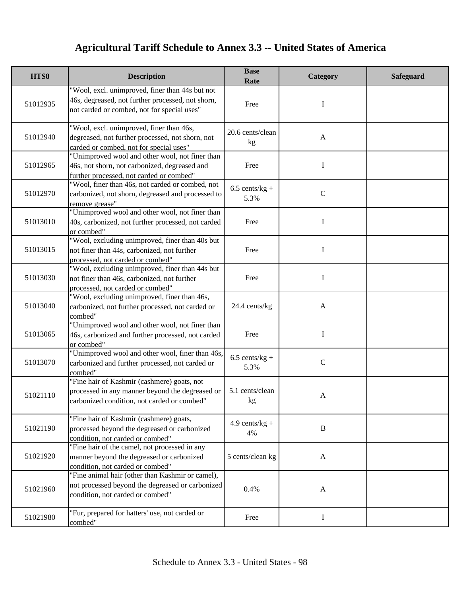| HTS8     | <b>Description</b>                                                                                                                                  | <b>Base</b><br>Rate      | Category     | <b>Safeguard</b> |
|----------|-----------------------------------------------------------------------------------------------------------------------------------------------------|--------------------------|--------------|------------------|
| 51012935 | "Wool, excl. unimproved, finer than 44s but not<br>46s, degreased, not further processed, not shorn,<br>not carded or combed, not for special uses" | Free                     | I            |                  |
| 51012940 | "Wool, excl. unimproved, finer than 46s,<br>degreased, not further processed, not shorn, not<br>carded or combed, not for special uses"             | 20.6 cents/clean<br>kg   | $\mathbf{A}$ |                  |
| 51012965 | "Unimproved wool and other wool, not finer than<br>46s, not shorn, not carbonized, degreased and<br>further processed, not carded or combed"        | Free                     | I            |                  |
| 51012970 | "Wool, finer than 46s, not carded or combed, not<br>carbonized, not shorn, degreased and processed to<br>remove grease"                             | $6.5$ cents/kg +<br>5.3% | $\mathbf C$  |                  |
| 51013010 | "Unimproved wool and other wool, not finer than<br>40s, carbonized, not further processed, not carded<br>or combed"                                 | Free                     | I            |                  |
| 51013015 | "Wool, excluding unimproved, finer than 40s but<br>not finer than 44s, carbonized, not further<br>processed, not carded or combed"                  | Free                     | $\mathbf I$  |                  |
| 51013030 | "Wool, excluding unimproved, finer than 44s but<br>not finer than 46s, carbonized, not further<br>processed, not carded or combed"                  | Free                     | I            |                  |
| 51013040 | "Wool, excluding unimproved, finer than 46s,<br>carbonized, not further processed, not carded or<br>combed"                                         | 24.4 cents/kg            | $\mathbf{A}$ |                  |
| 51013065 | "Unimproved wool and other wool, not finer than<br>46s, carbonized and further processed, not carded<br>or combed"                                  | Free                     | I            |                  |
| 51013070 | "Unimproved wool and other wool, finer than 46s,<br>carbonized and further processed, not carded or<br>combed"                                      | $6.5$ cents/kg +<br>5.3% | $\mathsf{C}$ |                  |
| 51021110 | "Fine hair of Kashmir (cashmere) goats, not<br>processed in any manner beyond the degreased or<br>carbonized condition, not carded or combed"       | 5.1 cents/clean<br>kg    | A            |                  |
| 51021190 | "Fine hair of Kashmir (cashmere) goats,<br>processed beyond the degreased or carbonized<br>condition, not carded or combed"                         | $4.9$ cents/kg +<br>4%   | $\mathbf B$  |                  |
| 51021920 | "Fine hair of the camel, not processed in any<br>manner beyond the degreased or carbonized<br>condition, not carded or combed"                      | 5 cents/clean kg         | $\mathbf{A}$ |                  |
| 51021960 | "Fine animal hair (other than Kashmir or camel),<br>not processed beyond the degreased or carbonized<br>condition, not carded or combed"            | 0.4%                     | $\mathbf{A}$ |                  |
| 51021980 | "Fur, prepared for hatters' use, not carded or<br>combed"                                                                                           | Free                     | $\mathbf I$  |                  |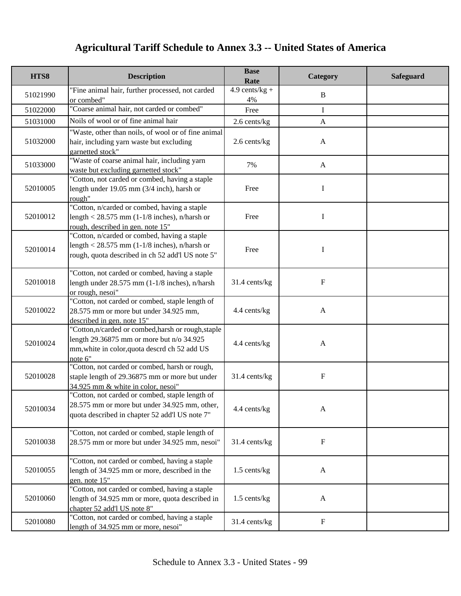| HTS8     | <b>Description</b>                                                                                                                                        | <b>Base</b><br>Rate    | Category     | <b>Safeguard</b> |
|----------|-----------------------------------------------------------------------------------------------------------------------------------------------------------|------------------------|--------------|------------------|
| 51021990 | "Fine animal hair, further processed, not carded<br>or combed"                                                                                            | $4.9$ cents/kg +<br>4% | $\mathbf B$  |                  |
| 51022000 | "Coarse animal hair, not carded or combed"                                                                                                                | Free                   | I            |                  |
| 51031000 | Noils of wool or of fine animal hair                                                                                                                      | $2.6$ cents/kg         | $\mathbf{A}$ |                  |
|          | "Waste, other than noils, of wool or of fine animal                                                                                                       |                        |              |                  |
| 51032000 | hair, including yarn waste but excluding<br>garnetted stock"                                                                                              | 2.6 cents/kg           | $\mathbf{A}$ |                  |
| 51033000 | "Waste of coarse animal hair, including yarn<br>waste but excluding garnetted stock"                                                                      | 7%                     | $\mathbf{A}$ |                  |
| 52010005 | "Cotton, not carded or combed, having a staple<br>length under 19.05 mm $(3/4$ inch), harsh or<br>rough"                                                  | Free                   | I            |                  |
| 52010012 | "Cotton, n/carded or combed, having a staple<br>length < $28.575$ mm (1-1/8 inches), n/harsh or<br>rough, described in gen. note 15"                      | Free                   | I            |                  |
| 52010014 | "Cotton, n/carded or combed, having a staple<br>length < 28.575 mm (1-1/8 inches), n/harsh or<br>rough, quota described in ch 52 add'l US note 5"         | Free                   | I            |                  |
| 52010018 | "Cotton, not carded or combed, having a staple<br>length under $28.575$ mm (1-1/8 inches), n/harsh<br>or rough, nesoi"                                    | 31.4 cents/kg          | F            |                  |
| 52010022 | "Cotton, not carded or combed, staple length of<br>28.575 mm or more but under 34.925 mm,<br>described in gen. note 15"                                   | 4.4 cents/kg           | $\mathbf{A}$ |                  |
| 52010024 | "Cotton,n/carded or combed,harsh or rough,staple<br>length 29.36875 mm or more but n/o 34.925<br>mm, white in color, quota descrd ch 52 add US<br>note 6" | 4.4 cents/kg           | $\mathbf{A}$ |                  |
| 52010028 | "Cotton, not carded or combed, harsh or rough,<br>staple length of 29.36875 mm or more but under<br>34.925 mm & white in color, nesoi"                    | 31.4 cents/kg          | $\mathbf F$  |                  |
| 52010034 | "Cotton, not carded or combed, staple length of<br>28.575 mm or more but under 34.925 mm, other,<br>quota described in chapter 52 add'l US note 7"        | 4.4 cents/kg           | $\mathbf{A}$ |                  |
| 52010038 | "Cotton, not carded or combed, staple length of<br>28.575 mm or more but under 34.925 mm, nesoi"                                                          | 31.4 cents/kg          | $\mathbf F$  |                  |
| 52010055 | "Cotton, not carded or combed, having a staple<br>length of 34.925 mm or more, described in the<br>gen. note 15"                                          | 1.5 cents/kg           | $\mathbf{A}$ |                  |
| 52010060 | "Cotton, not carded or combed, having a staple<br>length of 34.925 mm or more, quota described in<br>chapter 52 add'l US note 8"                          | 1.5 cents/kg           | $\mathbf{A}$ |                  |
| 52010080 | "Cotton, not carded or combed, having a staple<br>length of 34.925 mm or more, nesoi"                                                                     | 31.4 cents/kg          | $\mathbf F$  |                  |